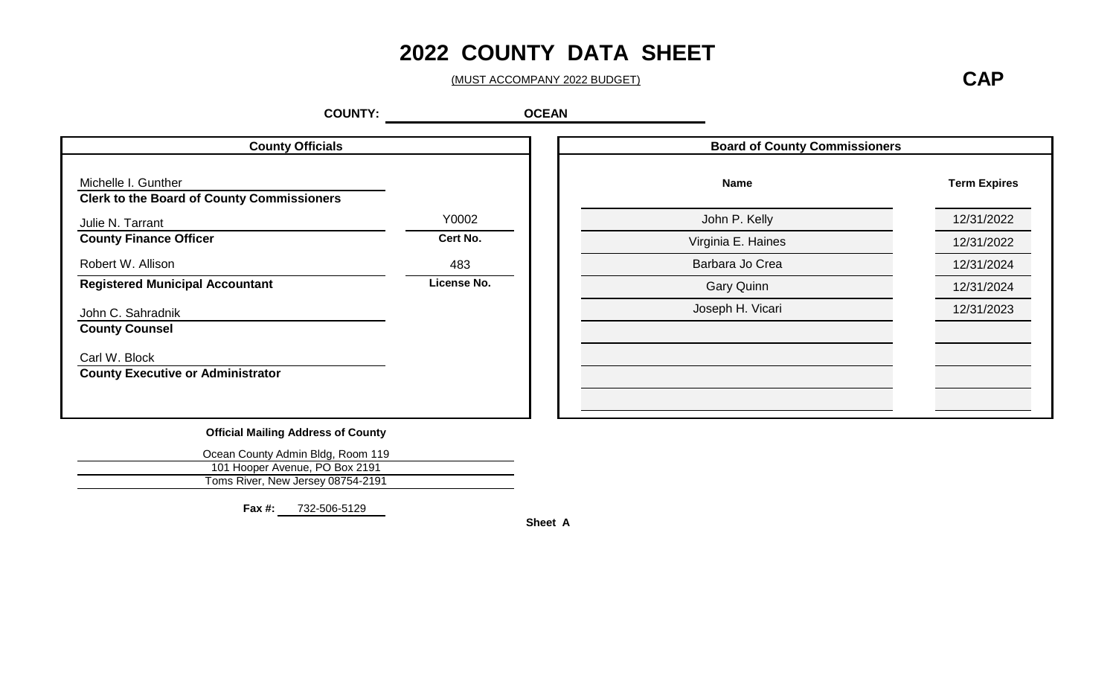# **2022 COUNTY DATA SHEET**

(MUST ACCOMPANY 2022 BUDGET)

**CAP**

**Term Expires**

12/31/2022 **Cert No.** 12/31/2022

483 12/31/2024 **License No.** 12/31/2024

12/31/2023

**OCEAN**

| <b>County Officials</b>                                                  |             | <b>Board of County Commissioners</b> |
|--------------------------------------------------------------------------|-------------|--------------------------------------|
| Michelle I. Gunther<br><b>Clerk to the Board of County Commissioners</b> |             | <b>Name</b>                          |
| Julie N. Tarrant                                                         | Y0002       | John P. Kelly                        |
| <b>County Finance Officer</b>                                            | Cert No.    | Virginia E. Haines                   |
| Robert W. Allison                                                        | 483         | Barbara Jo Crea                      |
| <b>Registered Municipal Accountant</b>                                   | License No. | <b>Gary Quinn</b>                    |
| John C. Sahradnik                                                        |             | Joseph H. Vicari                     |
| <b>County Counsel</b>                                                    |             |                                      |
| Carl W. Block<br><b>County Executive or Administrator</b>                |             |                                      |

**Official Mailing Address of County**

| Ocean County Admin Bldg, Room 119 |
|-----------------------------------|
| 101 Hooper Avenue, PO Box 2191    |
| Toms River, New Jersey 08754-2191 |

**Fax #:** 732-506-5129

**Sheet A**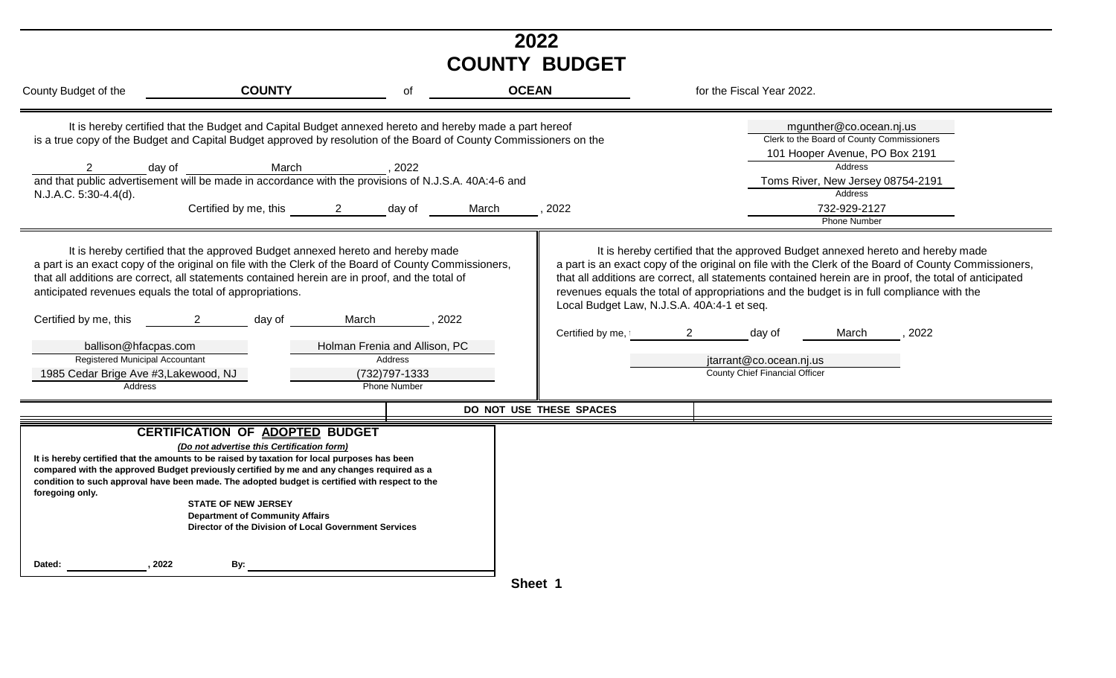| 2022<br><b>COUNTY BUDGET</b>                                                                                                                                                                      |                                                                                                                                                                                                                                                                                                                                                                                                                                                                                                                                                                                                                                                                                     |                                                                      |                                                                                                                                     |                                                                                                                                                                                                                                                                                                                                                                                                                                                                                                                                                                                                                                                                                                                               |  |  |  |
|---------------------------------------------------------------------------------------------------------------------------------------------------------------------------------------------------|-------------------------------------------------------------------------------------------------------------------------------------------------------------------------------------------------------------------------------------------------------------------------------------------------------------------------------------------------------------------------------------------------------------------------------------------------------------------------------------------------------------------------------------------------------------------------------------------------------------------------------------------------------------------------------------|----------------------------------------------------------------------|-------------------------------------------------------------------------------------------------------------------------------------|-------------------------------------------------------------------------------------------------------------------------------------------------------------------------------------------------------------------------------------------------------------------------------------------------------------------------------------------------------------------------------------------------------------------------------------------------------------------------------------------------------------------------------------------------------------------------------------------------------------------------------------------------------------------------------------------------------------------------------|--|--|--|
| County Budget of the                                                                                                                                                                              | <b>COUNTY</b>                                                                                                                                                                                                                                                                                                                                                                                                                                                                                                                                                                                                                                                                       | of                                                                   | <b>OCEAN</b>                                                                                                                        | for the Fiscal Year 2022.                                                                                                                                                                                                                                                                                                                                                                                                                                                                                                                                                                                                                                                                                                     |  |  |  |
| $\overline{2}$<br>day of<br>N.J.A.C. 5:30-4.4(d).<br>anticipated revenues equals the total of appropriations.<br>Certified by me, this<br>ballison@hfacpas.com<br>Registered Municipal Accountant | It is hereby certified that the Budget and Capital Budget annexed hereto and hereby made a part hereof<br>March<br>and that public advertisement will be made in accordance with the provisions of N.J.S.A. 40A:4-6 and<br>and that public advertisement will be made in accordance with the provisions of N.J.S.A. 40A:4-6 and<br>Certified by me, this 2 day of<br>It is hereby certified that the approved Budget annexed hereto and hereby made<br>a part is an exact copy of the original on file with the Clerk of the Board of County Commissioners,<br>that all additions are correct, all statements contained herein are in proof, and the total of<br>day of<br>$\sim$ 2 | ,2022<br>March<br>, 2022<br>Holman Frenia and Allison, PC<br>Address | is a true copy of the Budget and Capital Budget approved by resolution of the Board of County Commissioners on the<br>2022<br>March | mgunther@co.ocean.nj.us<br>Clerk to the Board of County Commissioners<br>101 Hooper Avenue, PO Box 2191<br>Address<br>Toms River, New Jersey 08754-2191<br>Address<br>732-929-2127<br>Phone Number<br>It is hereby certified that the approved Budget annexed hereto and hereby made<br>a part is an exact copy of the original on file with the Clerk of the Board of County Commissioners,<br>that all additions are correct, all statements contained herein are in proof, the total of anticipated<br>revenues equals the total of appropriations and the budget is in full compliance with the<br>Local Budget Law, N.J.S.A. 40A:4-1 et seq.<br>2022<br>Certified by me, 2<br>day of<br>March<br>jtarrant@co.ocean.nj.us |  |  |  |
| 1985 Cedar Brige Ave #3, Lakewood, NJ                                                                                                                                                             |                                                                                                                                                                                                                                                                                                                                                                                                                                                                                                                                                                                                                                                                                     | (732) 797-1333                                                       |                                                                                                                                     | <b>County Chief Financial Officer</b>                                                                                                                                                                                                                                                                                                                                                                                                                                                                                                                                                                                                                                                                                         |  |  |  |
| Address                                                                                                                                                                                           |                                                                                                                                                                                                                                                                                                                                                                                                                                                                                                                                                                                                                                                                                     | Phone Number                                                         |                                                                                                                                     |                                                                                                                                                                                                                                                                                                                                                                                                                                                                                                                                                                                                                                                                                                                               |  |  |  |
| foregoing only.                                                                                                                                                                                   | <b>CERTIFICATION OF ADOPTED BUDGET</b><br>(Do not advertise this Certification form)<br>It is hereby certified that the amounts to be raised by taxation for local purposes has been<br>compared with the approved Budget previously certified by me and any changes required as a<br>condition to such approval have been made. The adopted budget is certified with respect to the<br><b>STATE OF NEW JERSEY</b><br><b>Department of Community Affairs</b><br>Director of the Division of Local Government Services                                                                                                                                                               |                                                                      | DO NOT USE THESE SPACES                                                                                                             |                                                                                                                                                                                                                                                                                                                                                                                                                                                                                                                                                                                                                                                                                                                               |  |  |  |
| 2022<br>Dated:                                                                                                                                                                                    | By:                                                                                                                                                                                                                                                                                                                                                                                                                                                                                                                                                                                                                                                                                 |                                                                      | Sheet 1                                                                                                                             |                                                                                                                                                                                                                                                                                                                                                                                                                                                                                                                                                                                                                                                                                                                               |  |  |  |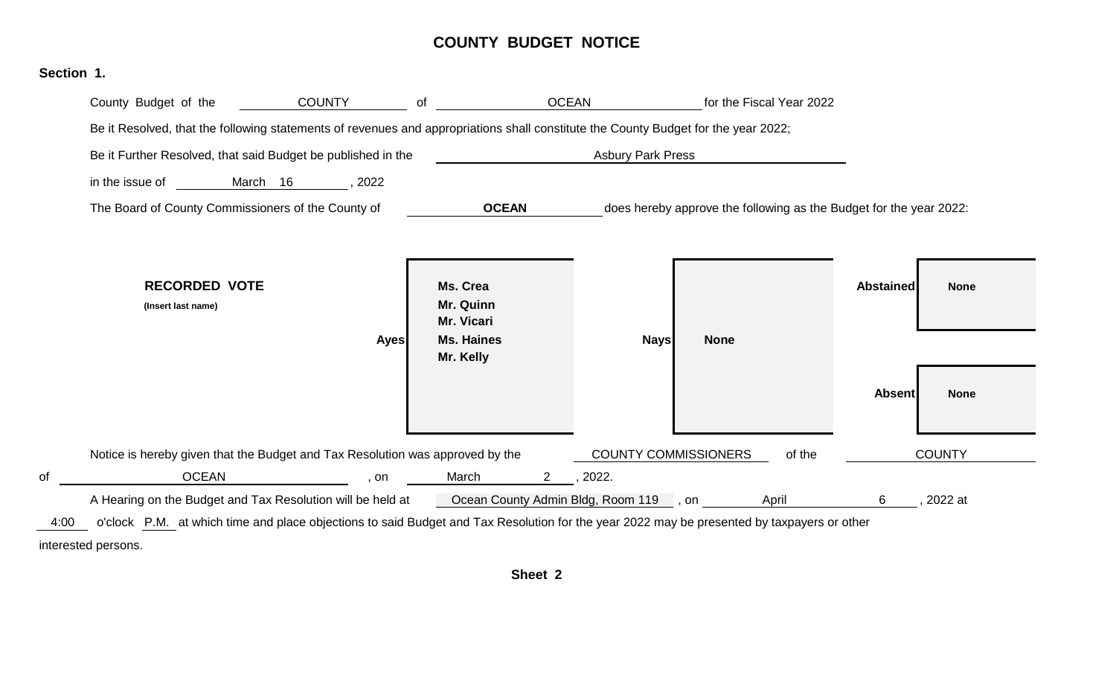### **COUNTY BUDGET NOTICE**



interested persons.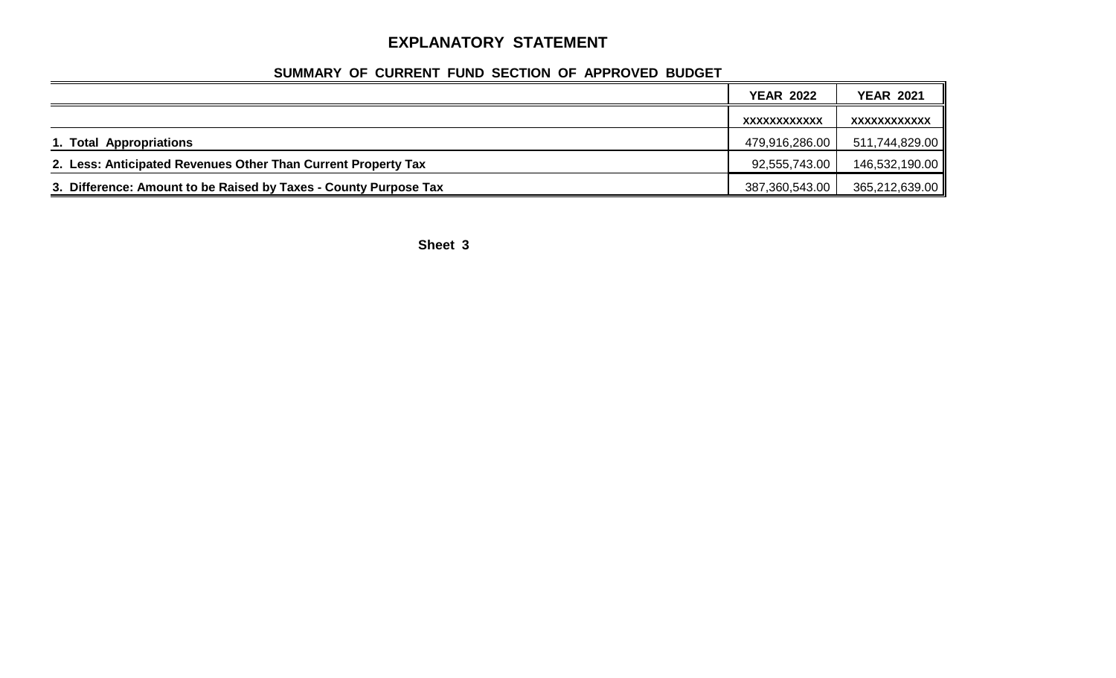## **EXPLANATORY STATEMENT**

## **SUMMARY OF CURRENT FUND SECTION OF APPROVED BUDGET**

|                                                                  | <b>YEAR 2022</b> | <b>YEAR 2021</b> |
|------------------------------------------------------------------|------------------|------------------|
|                                                                  | XXXXXXXXXXXX     | XXXXXXXXXXXX     |
| 1. Total Appropriations                                          | 479,916,286.00   | 511,744,829.00   |
| 2. Less: Anticipated Revenues Other Than Current Property Tax    | 92,555,743.00    | 146,532,190.00   |
| 3. Difference: Amount to be Raised by Taxes - County Purpose Tax | 387,360,543.00   | 365,212,639.00   |

**Sheet 3**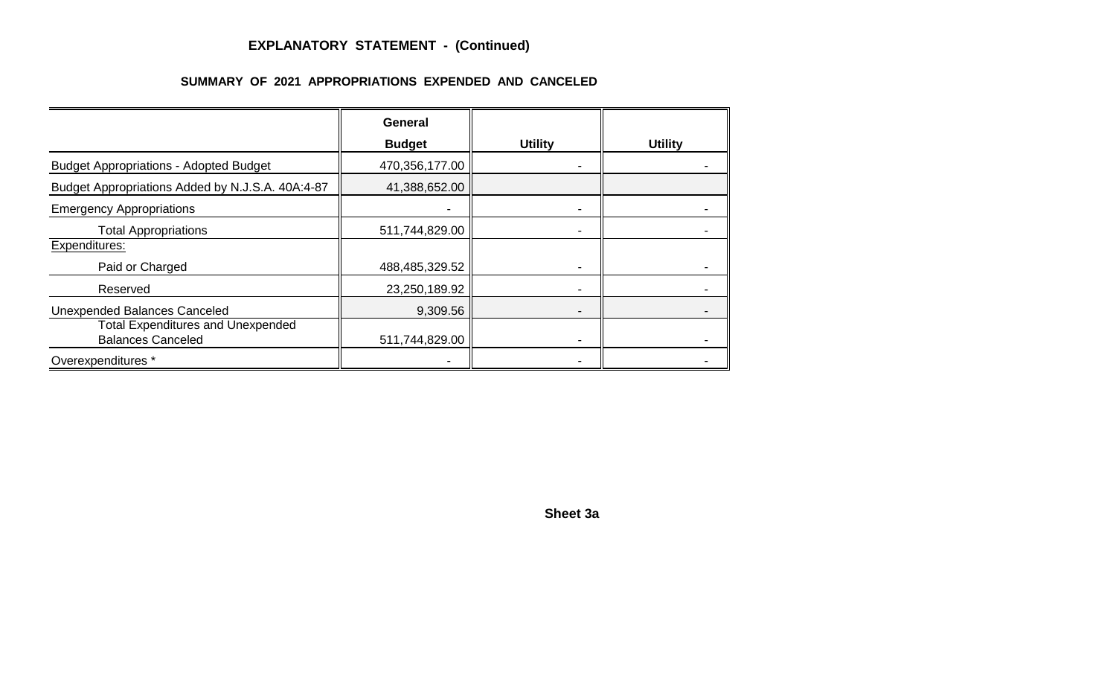## **EXPLANATORY STATEMENT - (Continued)**

#### **SUMMARY OF 2021 APPROPRIATIONS EXPENDED AND CANCELED**

|                                                                      | <b>General</b> |                |                |
|----------------------------------------------------------------------|----------------|----------------|----------------|
|                                                                      | <b>Budget</b>  | <b>Utility</b> | <b>Utility</b> |
| <b>Budget Appropriations - Adopted Budget</b>                        | 470,356,177.00 | -              |                |
| Budget Appropriations Added by N.J.S.A. 40A:4-87                     | 41,388,652.00  |                |                |
| <b>Emergency Appropriations</b>                                      |                |                |                |
| <b>Total Appropriations</b>                                          | 511,744,829.00 |                |                |
| Expenditures:                                                        |                |                |                |
| Paid or Charged                                                      | 488,485,329.52 |                |                |
| Reserved                                                             | 23,250,189.92  |                |                |
| <b>Unexpended Balances Canceled</b>                                  | 9,309.56       |                |                |
| <b>Total Expenditures and Unexpended</b><br><b>Balances Canceled</b> | 511,744,829.00 |                |                |
| Overexpenditures *                                                   |                |                |                |

**Sheet 3a**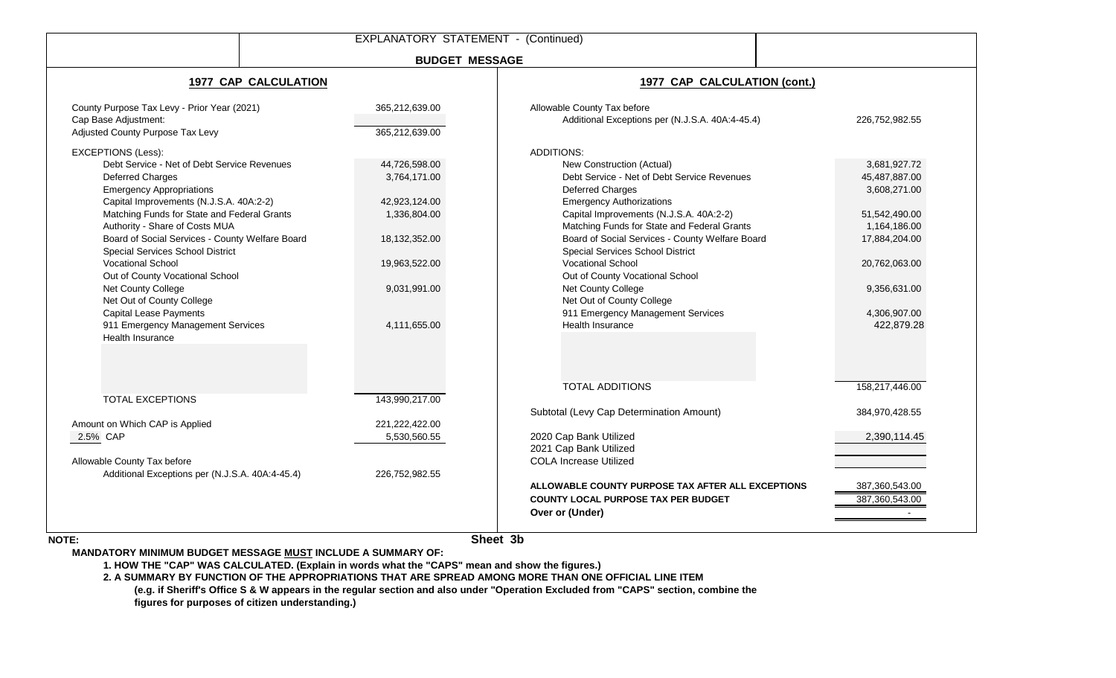|                                                                                                                                                                                                                                                                                                                                                                                                                                                                                                                                                                |                                                                                                                                  | <b>EXPLANATORY STATEMENT - (Continued)</b>                                                                                                                                                                                                                                                                                                                                                                                                                                                                       |                                                                                                                                                                |
|----------------------------------------------------------------------------------------------------------------------------------------------------------------------------------------------------------------------------------------------------------------------------------------------------------------------------------------------------------------------------------------------------------------------------------------------------------------------------------------------------------------------------------------------------------------|----------------------------------------------------------------------------------------------------------------------------------|------------------------------------------------------------------------------------------------------------------------------------------------------------------------------------------------------------------------------------------------------------------------------------------------------------------------------------------------------------------------------------------------------------------------------------------------------------------------------------------------------------------|----------------------------------------------------------------------------------------------------------------------------------------------------------------|
|                                                                                                                                                                                                                                                                                                                                                                                                                                                                                                                                                                |                                                                                                                                  | <b>BUDGET MESSAGE</b>                                                                                                                                                                                                                                                                                                                                                                                                                                                                                            |                                                                                                                                                                |
|                                                                                                                                                                                                                                                                                                                                                                                                                                                                                                                                                                | <b>1977 CAP CALCULATION</b>                                                                                                      | 1977 CAP CALCULATION (cont.)                                                                                                                                                                                                                                                                                                                                                                                                                                                                                     |                                                                                                                                                                |
| County Purpose Tax Levy - Prior Year (2021)<br>Cap Base Adjustment:<br>Adjusted County Purpose Tax Levy                                                                                                                                                                                                                                                                                                                                                                                                                                                        | 365,212,639.00<br>365,212,639.00                                                                                                 | Allowable County Tax before<br>Additional Exceptions per (N.J.S.A. 40A:4-45.4)                                                                                                                                                                                                                                                                                                                                                                                                                                   | 226,752,982.55                                                                                                                                                 |
| <b>EXCEPTIONS (Less):</b><br>Debt Service - Net of Debt Service Revenues<br>Deferred Charges<br><b>Emergency Appropriations</b><br>Capital Improvements (N.J.S.A. 40A:2-2)<br>Matching Funds for State and Federal Grants<br>Authority - Share of Costs MUA<br>Board of Social Services - County Welfare Board<br>Special Services School District<br><b>Vocational School</b><br>Out of County Vocational School<br>Net County College<br>Net Out of County College<br><b>Capital Lease Payments</b><br>911 Emergency Management Services<br>Health Insurance | 44,726,598.00<br>3,764,171.00<br>42,923,124.00<br>1,336,804.00<br>18,132,352.00<br>19,963,522.00<br>9,031,991.00<br>4,111,655.00 | <b>ADDITIONS:</b><br>New Construction (Actual)<br>Debt Service - Net of Debt Service Revenues<br>Deferred Charges<br><b>Emergency Authorizations</b><br>Capital Improvements (N.J.S.A. 40A:2-2)<br>Matching Funds for State and Federal Grants<br>Board of Social Services - County Welfare Board<br>Special Services School District<br><b>Vocational School</b><br>Out of County Vocational School<br>Net County College<br>Net Out of County College<br>911 Emergency Management Services<br>Health Insurance | 3,681,927.72<br>45,487,887.00<br>3,608,271.00<br>51,542,490.00<br>1,164,186.00<br>17,884,204.00<br>20,762,063.00<br>9,356,631.00<br>4,306,907.00<br>422,879.28 |
| <b>TOTAL EXCEPTIONS</b><br>Amount on Which CAP is Applied<br>2.5% CAP<br>Allowable County Tax before<br>Additional Exceptions per (N.J.S.A. 40A:4-45.4)                                                                                                                                                                                                                                                                                                                                                                                                        | 143,990,217.00<br>221,222,422.00<br>5,530,560.55<br>226,752,982.55                                                               | <b>TOTAL ADDITIONS</b><br>Subtotal (Levy Cap Determination Amount)<br>2020 Cap Bank Utilized<br>2021 Cap Bank Utilized<br><b>COLA Increase Utilized</b><br>ALLOWABLE COUNTY PURPOSE TAX AFTER ALL EXCEPTIONS<br><b>COUNTY LOCAL PURPOSE TAX PER BUDGET</b><br>Over or (Under)                                                                                                                                                                                                                                    | 158,217,446.00<br>384,970,428.55<br>2,390,114.45<br>387,360,543.00<br>387,360,543.00                                                                           |

**NOTE:**

**Sheet 3b**

**MANDATORY MINIMUM BUDGET MESSAGE MUST INCLUDE A SUMMARY OF:**

**1. HOW THE "CAP" WAS CALCULATED. (Explain in words what the "CAPS" mean and show the figures.)**

**2. A SUMMARY BY FUNCTION OF THE APPROPRIATIONS THAT ARE SPREAD AMONG MORE THAN ONE OFFICIAL LINE ITEM**

**(e.g. if Sheriff's Office S & W appears in the regular section and also under "Operation Excluded from "CAPS" section, combine the figures for purposes of citizen understanding.)**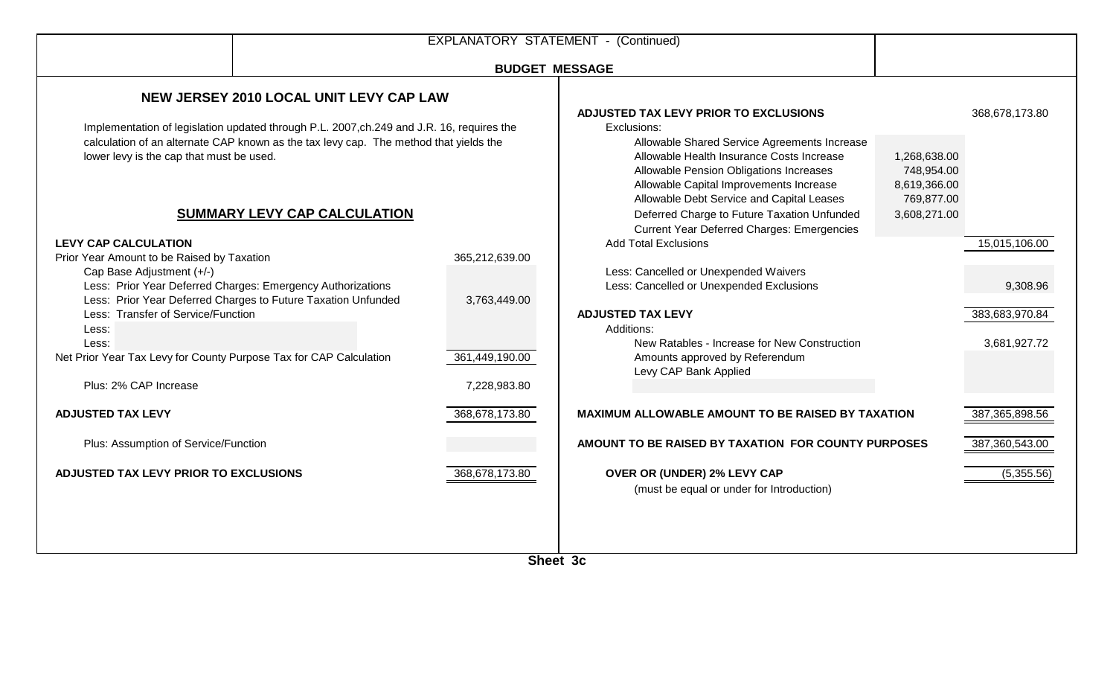| <b>BUDGET MESSAGE</b><br>ADJUSTED TAX LEVY PRIOR TO EXCLUSIONS<br>Implementation of legislation updated through P.L. 2007,ch.249 and J.R. 16, requires the<br>Exclusions:<br>Allowable Shared Service Agreements Increase<br>Allowable Health Insurance Costs Increase<br>1,268,638.00<br>Allowable Pension Obligations Increases<br>748,954.00 | 368,678,173.80                                                                                                                                            |
|-------------------------------------------------------------------------------------------------------------------------------------------------------------------------------------------------------------------------------------------------------------------------------------------------------------------------------------------------|-----------------------------------------------------------------------------------------------------------------------------------------------------------|
|                                                                                                                                                                                                                                                                                                                                                 |                                                                                                                                                           |
|                                                                                                                                                                                                                                                                                                                                                 |                                                                                                                                                           |
| Allowable Capital Improvements Increase<br>8,619,366.00<br>Allowable Debt Service and Capital Leases<br>769,877.00<br>Deferred Charge to Future Taxation Unfunded<br>3,608,271.00                                                                                                                                                               |                                                                                                                                                           |
| <b>Add Total Exclusions</b>                                                                                                                                                                                                                                                                                                                     | 15,015,106.00                                                                                                                                             |
| Less: Cancelled or Unexpended Waivers<br>Less: Cancelled or Unexpended Exclusions                                                                                                                                                                                                                                                               | 9,308.96                                                                                                                                                  |
| <b>ADJUSTED TAX LEVY</b><br>Additions:<br>New Ratables - Increase for New Construction                                                                                                                                                                                                                                                          | 383,683,970.84<br>3,681,927.72                                                                                                                            |
| Amounts approved by Referendum<br>Levy CAP Bank Applied                                                                                                                                                                                                                                                                                         |                                                                                                                                                           |
| <b>MAXIMUM ALLOWABLE AMOUNT TO BE RAISED BY TAXATION</b>                                                                                                                                                                                                                                                                                        | 387,365,898.56                                                                                                                                            |
| AMOUNT TO BE RAISED BY TAXATION FOR COUNTY PURPOSES                                                                                                                                                                                                                                                                                             | 387,360,543.00                                                                                                                                            |
| OVER OR (UNDER) 2% LEVY CAP<br>(must be equal or under for Introduction)                                                                                                                                                                                                                                                                        | (5,355.56)                                                                                                                                                |
|                                                                                                                                                                                                                                                                                                                                                 | <b>Current Year Deferred Charges: Emergencies</b><br>365,212,639.00<br>3,763,449.00<br>361,449,190.00<br>7,228,983.80<br>368,678,173.80<br>368,678,173.80 |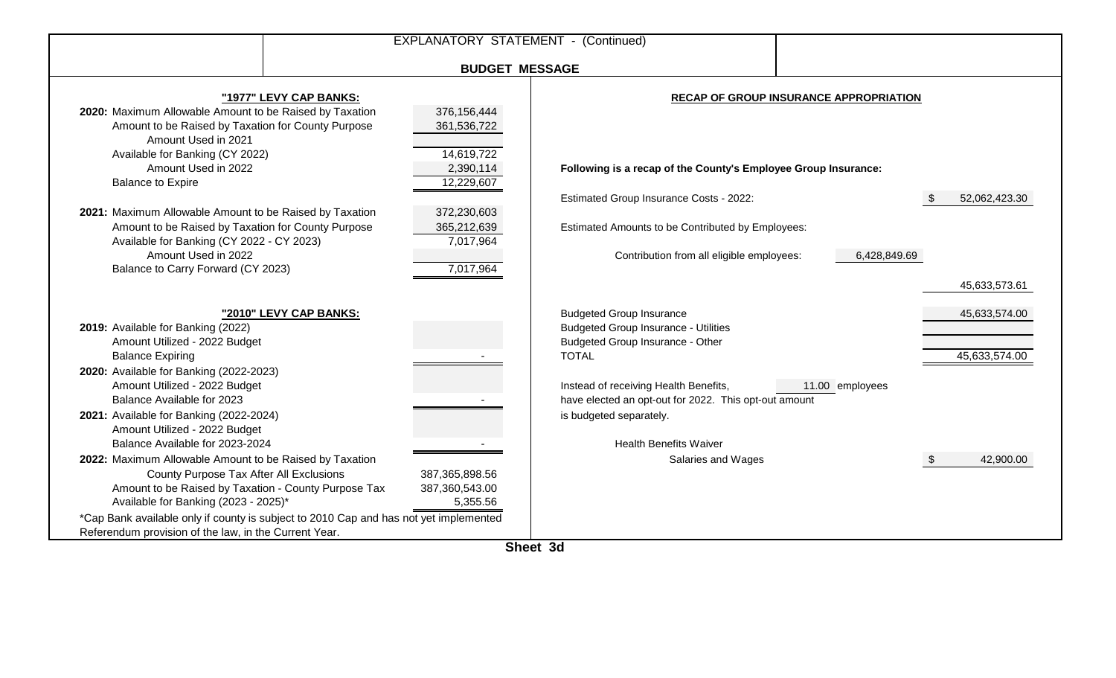|                                                                                                                                                                                                                                                                                                                                                                                                                                                                                 | <b>EXPLANATORY STATEMENT - (Continued)</b>                                                                                  |                                                                                                                                                                                                                                      |                                                        |                                                 |
|---------------------------------------------------------------------------------------------------------------------------------------------------------------------------------------------------------------------------------------------------------------------------------------------------------------------------------------------------------------------------------------------------------------------------------------------------------------------------------|-----------------------------------------------------------------------------------------------------------------------------|--------------------------------------------------------------------------------------------------------------------------------------------------------------------------------------------------------------------------------------|--------------------------------------------------------|-------------------------------------------------|
|                                                                                                                                                                                                                                                                                                                                                                                                                                                                                 | <b>BUDGET MESSAGE</b>                                                                                                       |                                                                                                                                                                                                                                      |                                                        |                                                 |
| "1977" LEVY CAP BANKS:<br>2020: Maximum Allowable Amount to be Raised by Taxation<br>Amount to be Raised by Taxation for County Purpose<br>Amount Used in 2021<br>Available for Banking (CY 2022)<br>Amount Used in 2022<br><b>Balance to Expire</b><br>2021: Maximum Allowable Amount to be Raised by Taxation<br>Amount to be Raised by Taxation for County Purpose<br>Available for Banking (CY 2022 - CY 2023)<br>Amount Used in 2022<br>Balance to Carry Forward (CY 2023) | 376,156,444<br>361,536,722<br>14,619,722<br>2,390,114<br>12,229,607<br>372,230,603<br>365,212,639<br>7,017,964<br>7,017,964 | Following is a recap of the County's Employee Group Insurance:<br>Estimated Group Insurance Costs - 2022:<br>Estimated Amounts to be Contributed by Employees:<br>Contribution from all eligible employees:                          | RECAP OF GROUP INSURANCE APPROPRIATION<br>6,428,849.69 | 52,062,423.30                                   |
| "2010" LEVY CAP BANKS:<br>2019: Available for Banking (2022)<br>Amount Utilized - 2022 Budget<br><b>Balance Expiring</b><br>2020: Available for Banking (2022-2023)<br>Amount Utilized - 2022 Budget<br>Balance Available for 2023                                                                                                                                                                                                                                              |                                                                                                                             | <b>Budgeted Group Insurance</b><br><b>Budgeted Group Insurance - Utilities</b><br>Budgeted Group Insurance - Other<br><b>TOTAL</b><br>Instead of receiving Health Benefits,<br>have elected an opt-out for 2022. This opt-out amount | 11.00 employees                                        | 45,633,573.61<br>45,633,574.00<br>45,633,574.00 |
| 2021: Available for Banking (2022-2024)<br>Amount Utilized - 2022 Budget<br>Balance Available for 2023-2024<br>2022: Maximum Allowable Amount to be Raised by Taxation<br>County Purpose Tax After All Exclusions<br>Amount to be Raised by Taxation - County Purpose Tax<br>Available for Banking (2023 - 2025)*<br>*Cap Bank available only if county is subject to 2010 Cap and has not yet implemented<br>Referendum provision of the law, in the Current Year.             | 387,365,898.56<br>387,360,543.00<br>5,355.56                                                                                | is budgeted separately.<br><b>Health Benefits Waiver</b><br>Salaries and Wages                                                                                                                                                       |                                                        | 42,900.00                                       |

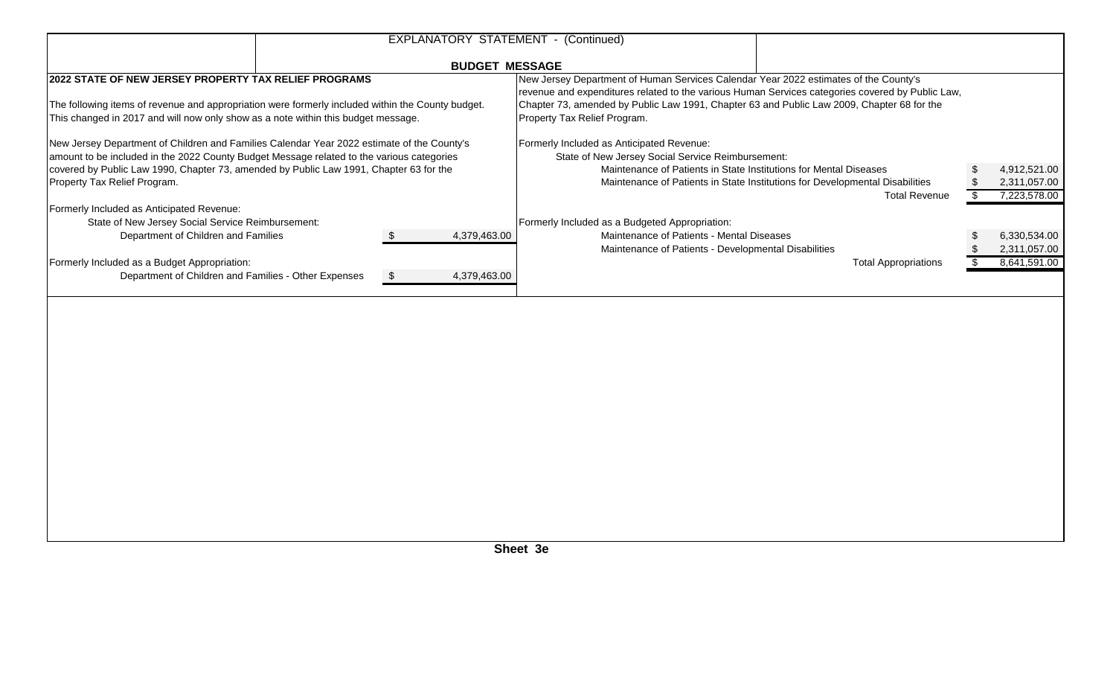|                                                                                                                                                                                        |  |                       | EXPLANATORY STATEMENT - (Continued)                                                                                                                                                                                                                                                                                    |  |              |  |  |
|----------------------------------------------------------------------------------------------------------------------------------------------------------------------------------------|--|-----------------------|------------------------------------------------------------------------------------------------------------------------------------------------------------------------------------------------------------------------------------------------------------------------------------------------------------------------|--|--------------|--|--|
|                                                                                                                                                                                        |  | <b>BUDGET MESSAGE</b> |                                                                                                                                                                                                                                                                                                                        |  |              |  |  |
| 2022 STATE OF NEW JERSEY PROPERTY TAX RELIEF PROGRAMS                                                                                                                                  |  |                       | New Jersey Department of Human Services Calendar Year 2022 estimates of the County's<br>revenue and expenditures related to the various Human Services categories covered by Public Law,<br>Chapter 73, amended by Public Law 1991, Chapter 63 and Public Law 2009, Chapter 68 for the<br>Property Tax Relief Program. |  |              |  |  |
| The following items of revenue and appropriation were formerly included within the County budget.<br>This changed in 2017 and will now only show as a note within this budget message. |  |                       |                                                                                                                                                                                                                                                                                                                        |  |              |  |  |
| New Jersey Department of Children and Families Calendar Year 2022 estimate of the County's                                                                                             |  |                       | Formerly Included as Anticipated Revenue:                                                                                                                                                                                                                                                                              |  |              |  |  |
| amount to be included in the 2022 County Budget Message related to the various categories                                                                                              |  |                       | State of New Jersey Social Service Reimbursement:                                                                                                                                                                                                                                                                      |  |              |  |  |
| covered by Public Law 1990, Chapter 73, amended by Public Law 1991, Chapter 63 for the                                                                                                 |  |                       | Maintenance of Patients in State Institutions for Mental Diseases                                                                                                                                                                                                                                                      |  | 4,912,521.00 |  |  |
| Property Tax Relief Program.                                                                                                                                                           |  |                       | Maintenance of Patients in State Institutions for Developmental Disabilities                                                                                                                                                                                                                                           |  | 2,311,057.00 |  |  |
|                                                                                                                                                                                        |  |                       | <b>Total Revenue</b>                                                                                                                                                                                                                                                                                                   |  | 7,223,578.00 |  |  |
| Formerly Included as Anticipated Revenue:                                                                                                                                              |  |                       |                                                                                                                                                                                                                                                                                                                        |  |              |  |  |
| State of New Jersey Social Service Reimbursement:                                                                                                                                      |  |                       | Formerly Included as a Budgeted Appropriation:                                                                                                                                                                                                                                                                         |  |              |  |  |
| Department of Children and Families                                                                                                                                                    |  | 4,379,463.00          | Maintenance of Patients - Mental Diseases                                                                                                                                                                                                                                                                              |  | 6,330,534.00 |  |  |
|                                                                                                                                                                                        |  |                       | Maintenance of Patients - Developmental Disabilities                                                                                                                                                                                                                                                                   |  | 2,311,057.00 |  |  |
| Formerly Included as a Budget Appropriation:                                                                                                                                           |  |                       | <b>Total Appropriations</b>                                                                                                                                                                                                                                                                                            |  | 8,641,591.00 |  |  |
| Department of Children and Families - Other Expenses                                                                                                                                   |  | 4,379,463.00          |                                                                                                                                                                                                                                                                                                                        |  |              |  |  |
|                                                                                                                                                                                        |  |                       |                                                                                                                                                                                                                                                                                                                        |  |              |  |  |
|                                                                                                                                                                                        |  |                       |                                                                                                                                                                                                                                                                                                                        |  |              |  |  |
|                                                                                                                                                                                        |  |                       |                                                                                                                                                                                                                                                                                                                        |  |              |  |  |
|                                                                                                                                                                                        |  |                       |                                                                                                                                                                                                                                                                                                                        |  |              |  |  |
|                                                                                                                                                                                        |  |                       |                                                                                                                                                                                                                                                                                                                        |  |              |  |  |
|                                                                                                                                                                                        |  |                       |                                                                                                                                                                                                                                                                                                                        |  |              |  |  |
|                                                                                                                                                                                        |  |                       |                                                                                                                                                                                                                                                                                                                        |  |              |  |  |
|                                                                                                                                                                                        |  |                       |                                                                                                                                                                                                                                                                                                                        |  |              |  |  |
|                                                                                                                                                                                        |  |                       |                                                                                                                                                                                                                                                                                                                        |  |              |  |  |
|                                                                                                                                                                                        |  |                       |                                                                                                                                                                                                                                                                                                                        |  |              |  |  |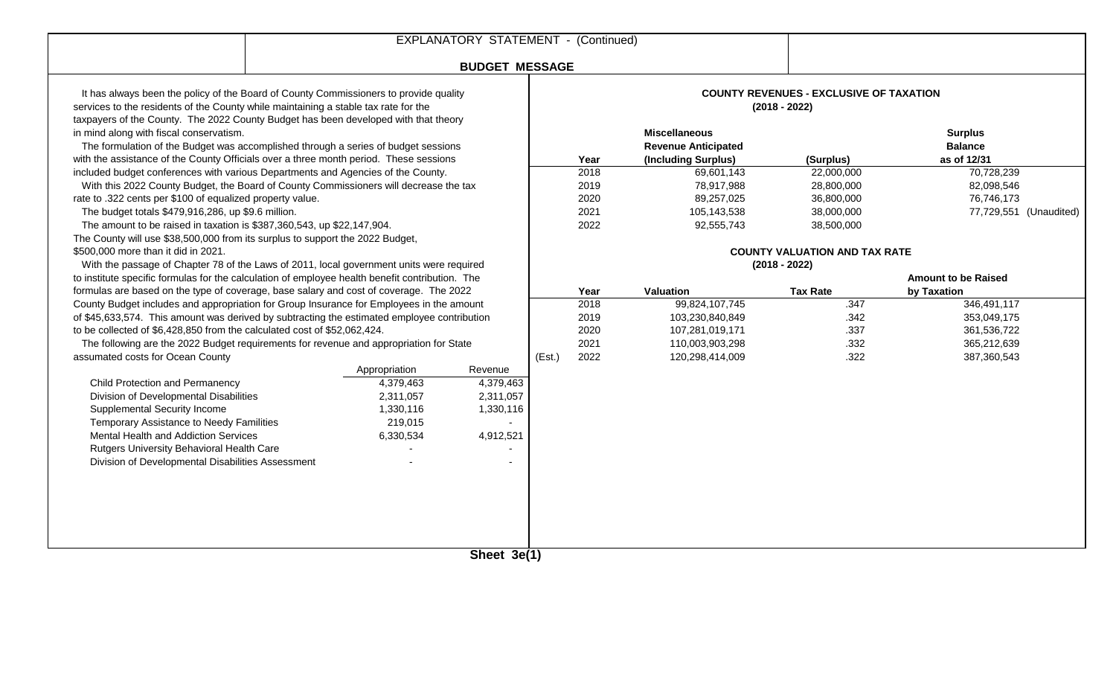|                                                                                                                                                                                                                                                                                                               |                       |               | EXPLANATORY STATEMENT - (Continued) |                 |                                                                           |                                                                   |                                                 |                            |  |
|---------------------------------------------------------------------------------------------------------------------------------------------------------------------------------------------------------------------------------------------------------------------------------------------------------------|-----------------------|---------------|-------------------------------------|-----------------|---------------------------------------------------------------------------|-------------------------------------------------------------------|-------------------------------------------------|----------------------------|--|
|                                                                                                                                                                                                                                                                                                               | <b>BUDGET MESSAGE</b> |               |                                     |                 |                                                                           |                                                                   |                                                 |                            |  |
| It has always been the policy of the Board of County Commissioners to provide quality<br>services to the residents of the County while maintaining a stable tax rate for the                                                                                                                                  |                       |               |                                     |                 |                                                                           | <b>COUNTY REVENUES - EXCLUSIVE OF TAXATION</b><br>$(2018 - 2022)$ |                                                 |                            |  |
| taxpayers of the County. The 2022 County Budget has been developed with that theory<br>in mind along with fiscal conservatism.<br>The formulation of the Budget was accomplished through a series of budget sessions<br>with the assistance of the County Officials over a three month period. These sessions |                       |               |                                     | Year            | <b>Miscellaneous</b><br><b>Revenue Anticipated</b><br>(Including Surplus) | (Surplus)                                                         | <b>Surplus</b><br><b>Balance</b><br>as of 12/31 |                            |  |
| included budget conferences with various Departments and Agencies of the County.                                                                                                                                                                                                                              |                       |               |                                     |                 | 2018                                                                      | 69,601,143                                                        | 22,000,000                                      | 70,728,239                 |  |
| With this 2022 County Budget, the Board of County Commissioners will decrease the tax                                                                                                                                                                                                                         |                       |               |                                     |                 | 2019                                                                      | 78,917,988                                                        | 28,800,000                                      | 82,098,546                 |  |
| rate to .322 cents per \$100 of equalized property value.                                                                                                                                                                                                                                                     |                       |               |                                     |                 | 2020                                                                      | 89,257,025                                                        | 36,800,000                                      | 76,746,173                 |  |
| The budget totals \$479,916,286, up \$9.6 million.                                                                                                                                                                                                                                                            |                       |               |                                     |                 | 2021                                                                      | 105,143,538                                                       | 38,000,000                                      | 77,729,551 (Unaudited)     |  |
| The amount to be raised in taxation is \$387,360,543, up \$22,147,904.                                                                                                                                                                                                                                        |                       |               |                                     |                 | 2022                                                                      | 92,555,743                                                        | 38,500,000                                      |                            |  |
| The County will use \$38,500,000 from its surplus to support the 2022 Budget,                                                                                                                                                                                                                                 |                       |               |                                     |                 |                                                                           |                                                                   |                                                 |                            |  |
| \$500,000 more than it did in 2021.                                                                                                                                                                                                                                                                           |                       |               |                                     |                 |                                                                           |                                                                   | <b>COUNTY VALUATION AND TAX RATE</b>            |                            |  |
| With the passage of Chapter 78 of the Laws of 2011, local government units were required                                                                                                                                                                                                                      |                       |               |                                     | $(2018 - 2022)$ |                                                                           |                                                                   |                                                 |                            |  |
| to institute specific formulas for the calculation of employee health benefit contribution. The                                                                                                                                                                                                               |                       |               |                                     |                 |                                                                           |                                                                   |                                                 | <b>Amount to be Raised</b> |  |
| formulas are based on the type of coverage, base salary and cost of coverage. The 2022                                                                                                                                                                                                                        |                       |               |                                     |                 | Year                                                                      | Valuation                                                         | <b>Tax Rate</b>                                 | by Taxation                |  |
| County Budget includes and appropriation for Group Insurance for Employees in the amount                                                                                                                                                                                                                      |                       |               |                                     |                 | 2018                                                                      | 99,824,107,745                                                    | .347                                            | 346,491,117                |  |
| of \$45,633,574. This amount was derived by subtracting the estimated employee contribution                                                                                                                                                                                                                   |                       |               |                                     |                 | 2019<br>2020                                                              | 103,230,840,849                                                   | .342<br>.337                                    | 353,049,175                |  |
| to be collected of \$6,428,850 from the calculated cost of \$52,062,424.<br>The following are the 2022 Budget requirements for revenue and appropriation for State                                                                                                                                            |                       |               |                                     |                 | 2021                                                                      | 107,281,019,171<br>110,003,903,298                                | .332                                            | 361,536,722<br>365,212,639 |  |
| assumated costs for Ocean County                                                                                                                                                                                                                                                                              |                       |               |                                     | (Est.)          | 2022                                                                      | 120,298,414,009                                                   | .322                                            | 387,360,543                |  |
|                                                                                                                                                                                                                                                                                                               |                       | Appropriation | Revenue                             |                 |                                                                           |                                                                   |                                                 |                            |  |
| Child Protection and Permanency                                                                                                                                                                                                                                                                               |                       | 4,379,463     | 4,379,463                           |                 |                                                                           |                                                                   |                                                 |                            |  |
| Division of Developmental Disabilities                                                                                                                                                                                                                                                                        |                       | 2,311,057     | 2,311,057                           |                 |                                                                           |                                                                   |                                                 |                            |  |
| <b>Supplemental Security Income</b>                                                                                                                                                                                                                                                                           |                       | 1,330,116     | 1,330,116                           |                 |                                                                           |                                                                   |                                                 |                            |  |
| Temporary Assistance to Needy Familities                                                                                                                                                                                                                                                                      |                       | 219,015       |                                     |                 |                                                                           |                                                                   |                                                 |                            |  |
| Mental Health and Addiction Services                                                                                                                                                                                                                                                                          |                       | 6,330,534     | 4,912,521                           |                 |                                                                           |                                                                   |                                                 |                            |  |
| Rutgers University Behavioral Health Care                                                                                                                                                                                                                                                                     |                       |               |                                     |                 |                                                                           |                                                                   |                                                 |                            |  |
| Division of Developmental Disabilities Assessment                                                                                                                                                                                                                                                             |                       |               |                                     |                 |                                                                           |                                                                   |                                                 |                            |  |
|                                                                                                                                                                                                                                                                                                               |                       |               |                                     |                 |                                                                           |                                                                   |                                                 |                            |  |
|                                                                                                                                                                                                                                                                                                               |                       |               |                                     |                 |                                                                           |                                                                   |                                                 |                            |  |
|                                                                                                                                                                                                                                                                                                               |                       |               |                                     |                 |                                                                           |                                                                   |                                                 |                            |  |
|                                                                                                                                                                                                                                                                                                               |                       |               |                                     |                 |                                                                           |                                                                   |                                                 |                            |  |
|                                                                                                                                                                                                                                                                                                               |                       |               |                                     |                 |                                                                           |                                                                   |                                                 |                            |  |
|                                                                                                                                                                                                                                                                                                               |                       |               | Chout 20/4)                         |                 |                                                                           |                                                                   |                                                 |                            |  |
|                                                                                                                                                                                                                                                                                                               |                       |               |                                     |                 |                                                                           |                                                                   |                                                 |                            |  |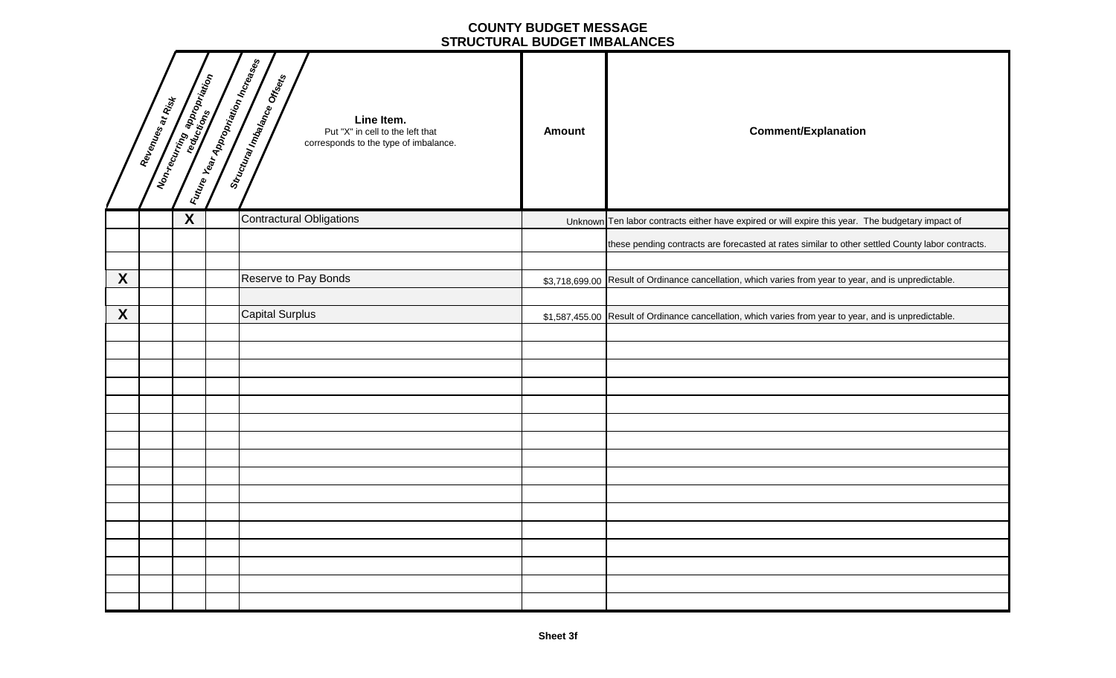#### **COUNTY BUDGET MESSAGE STRUCTURAL BUDGET IMBALANCES**

|   | Revenues at Rist |                         | Euture Year Appropriation Increases | Structural Imbalance Orisets<br>Line Item.<br>Put "X" in cell to the left that<br>corresponds to the type of imbalance. | <b>Amount</b> | <b>Comment/Explanation</b>                                                                             |
|---|------------------|-------------------------|-------------------------------------|-------------------------------------------------------------------------------------------------------------------------|---------------|--------------------------------------------------------------------------------------------------------|
|   |                  | $\overline{\mathbf{X}}$ |                                     | <b>Contractural Obligations</b>                                                                                         |               | Unknown Ten labor contracts either have expired or will expire this year. The budgetary impact of      |
|   |                  |                         |                                     |                                                                                                                         |               | these pending contracts are forecasted at rates similar to other settled County labor contracts.       |
|   |                  |                         |                                     |                                                                                                                         |               |                                                                                                        |
| X |                  |                         |                                     | Reserve to Pay Bonds                                                                                                    |               | \$3,718,699.00 Result of Ordinance cancellation, which varies from year to year, and is unpredictable. |
|   |                  |                         |                                     |                                                                                                                         |               |                                                                                                        |
| X |                  |                         |                                     | <b>Capital Surplus</b>                                                                                                  |               | \$1,587,455.00 Result of Ordinance cancellation, which varies from year to year, and is unpredictable. |
|   |                  |                         |                                     |                                                                                                                         |               |                                                                                                        |
|   |                  |                         |                                     |                                                                                                                         |               |                                                                                                        |
|   |                  |                         |                                     |                                                                                                                         |               |                                                                                                        |
|   |                  |                         |                                     |                                                                                                                         |               |                                                                                                        |
|   |                  |                         |                                     |                                                                                                                         |               |                                                                                                        |
|   |                  |                         |                                     |                                                                                                                         |               |                                                                                                        |
|   |                  |                         |                                     |                                                                                                                         |               |                                                                                                        |
|   |                  |                         |                                     |                                                                                                                         |               |                                                                                                        |
|   |                  |                         |                                     |                                                                                                                         |               |                                                                                                        |
|   |                  |                         |                                     |                                                                                                                         |               |                                                                                                        |
|   |                  |                         |                                     |                                                                                                                         |               |                                                                                                        |
|   |                  |                         |                                     |                                                                                                                         |               |                                                                                                        |
|   |                  |                         |                                     |                                                                                                                         |               |                                                                                                        |
|   |                  |                         |                                     |                                                                                                                         |               |                                                                                                        |
|   |                  |                         |                                     |                                                                                                                         |               |                                                                                                        |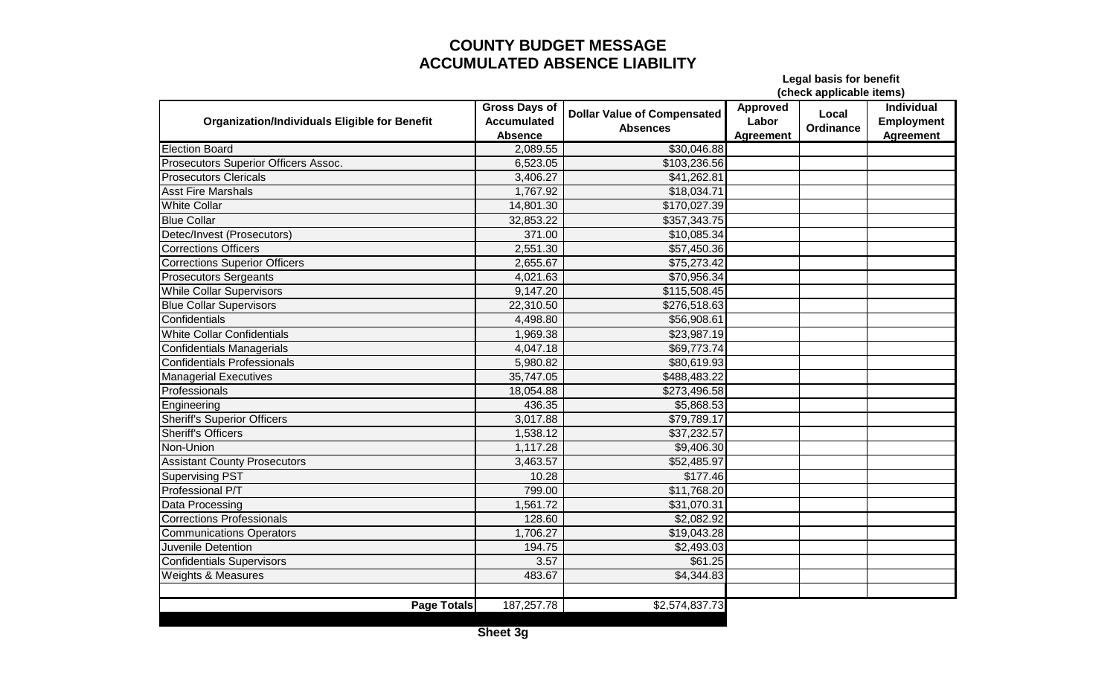### **COUNTY BUDGET MESSAGE ACCUMULATED ABSENCE LIABILITY**

**Legal basis for benefit**

**(check applicable items)**

| <b>Organization/Individuals Eligible for Benefit</b> | <b>Gross Days of</b><br><b>Accumulated</b><br><b>Absence</b> | <b>Dollar Value of Compensated</b><br><b>Absences</b> | <b>Approved</b><br>Labor<br><b>Agreement</b> | Local<br>Ordinance | <b>Individual</b><br><b>Employment</b><br><b>Agreement</b> |
|------------------------------------------------------|--------------------------------------------------------------|-------------------------------------------------------|----------------------------------------------|--------------------|------------------------------------------------------------|
| <b>Election Board</b>                                | 2,089.55                                                     | \$30,046.88                                           |                                              |                    |                                                            |
| Prosecutors Superior Officers Assoc.                 | 6,523.05                                                     | \$103,236.56                                          |                                              |                    |                                                            |
| <b>Prosecutors Clericals</b>                         | 3,406.27                                                     | \$41,262.81                                           |                                              |                    |                                                            |
| <b>Asst Fire Marshals</b>                            | 1,767.92                                                     | \$18,034.71                                           |                                              |                    |                                                            |
| <b>White Collar</b>                                  | 14,801.30                                                    | \$170,027.39                                          |                                              |                    |                                                            |
| <b>Blue Collar</b>                                   | 32,853.22                                                    | \$357,343.75                                          |                                              |                    |                                                            |
| Detec/Invest (Prosecutors)                           | 371.00                                                       | \$10,085.34                                           |                                              |                    |                                                            |
| <b>Corrections Officers</b>                          | 2,551.30                                                     | \$57,450.36                                           |                                              |                    |                                                            |
| <b>Corrections Superior Officers</b>                 | 2,655.67                                                     | \$75,273.42                                           |                                              |                    |                                                            |
| <b>Prosecutors Sergeants</b>                         | 4,021.63                                                     | \$70,956.34                                           |                                              |                    |                                                            |
| <b>While Collar Supervisors</b>                      | 9,147.20                                                     | \$115,508.45                                          |                                              |                    |                                                            |
| <b>Blue Collar Supervisors</b>                       | 22,310.50                                                    | \$276,518.63                                          |                                              |                    |                                                            |
| Confidentials                                        | 4,498.80                                                     | \$56,908.61                                           |                                              |                    |                                                            |
| White Collar Confidentials                           | 1,969.38                                                     | \$23,987.19                                           |                                              |                    |                                                            |
| <b>Confidentials Managerials</b>                     | 4,047.18                                                     | \$69,773.74                                           |                                              |                    |                                                            |
| <b>Confidentials Professionals</b>                   | 5,980.82                                                     | \$80,619.93                                           |                                              |                    |                                                            |
| <b>Managerial Executives</b>                         | 35,747.05                                                    | \$488,483.22                                          |                                              |                    |                                                            |
| Professionals                                        | 18,054.88                                                    | \$273,496.58                                          |                                              |                    |                                                            |
| Engineering                                          | 436.35                                                       | \$5,868.53                                            |                                              |                    |                                                            |
| <b>Sheriff's Superior Officers</b>                   | 3,017.88                                                     | \$79,789.17                                           |                                              |                    |                                                            |
| <b>Sheriff's Officers</b>                            | 1,538.12                                                     | \$37,232.57                                           |                                              |                    |                                                            |
| Non-Union                                            | 1,117.28                                                     | \$9,406.30                                            |                                              |                    |                                                            |
| <b>Assistant County Prosecutors</b>                  | 3,463.57                                                     | \$52,485.97                                           |                                              |                    |                                                            |
| <b>Supervising PST</b>                               | 10.28                                                        | \$177.46                                              |                                              |                    |                                                            |
| Professional P/T                                     | 799.00                                                       | \$11,768.20                                           |                                              |                    |                                                            |
| Data Processing                                      | 1,561.72                                                     | \$31,070.31                                           |                                              |                    |                                                            |
| <b>Corrections Professionals</b>                     | 128.60                                                       | \$2,082.92                                            |                                              |                    |                                                            |
| <b>Communications Operators</b>                      | 1,706.27                                                     | \$19,043.28                                           |                                              |                    |                                                            |
| Juvenile Detention                                   | 194.75                                                       | \$2,493.03                                            |                                              |                    |                                                            |
| <b>Confidentials Supervisors</b>                     | 3.57                                                         | \$61.25                                               |                                              |                    |                                                            |
| Weights & Measures                                   | 483.67                                                       | \$4,344.83                                            |                                              |                    |                                                            |
|                                                      |                                                              |                                                       |                                              |                    |                                                            |
| <b>Page Totals</b>                                   | 187,257.78                                                   | \$2,574,837.73                                        |                                              |                    |                                                            |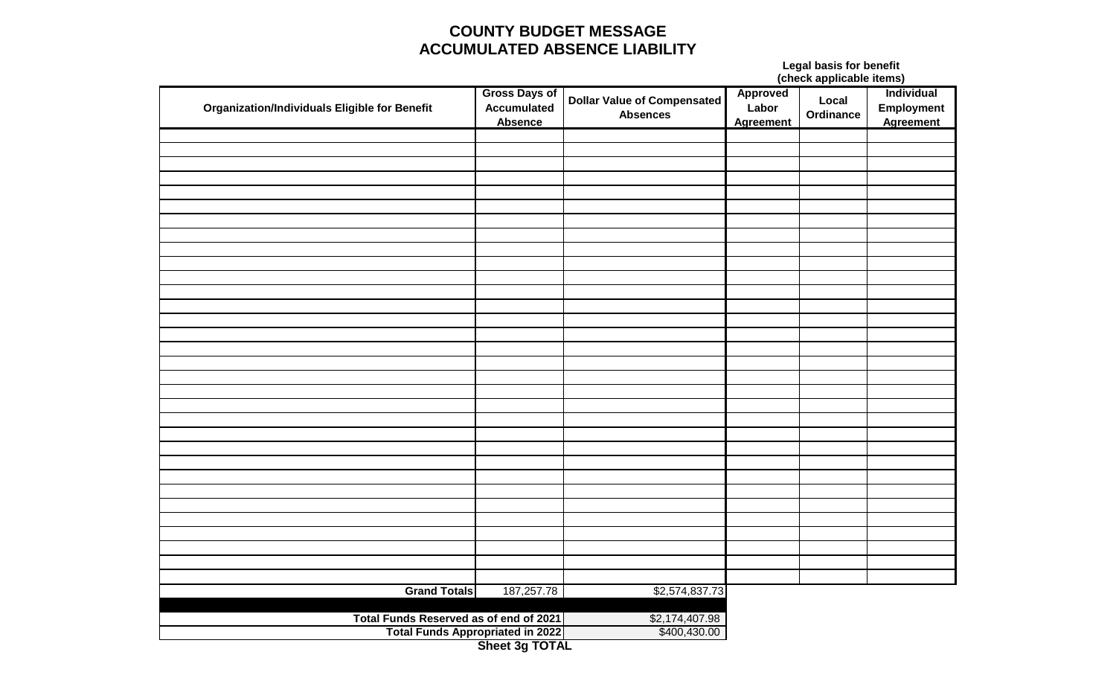### **COUNTY BUDGET MESSAGE ACCUMULATED ABSENCE LIABILITY**

#### **Legal basis for benefit (check applicable items)**

| <b>Organization/Individuals Eligible for Benefit</b> | <b>Gross Days of</b><br>Accumulated<br><b>Absence</b> | Dollar Value of Compensated<br><b>Absences</b> | <b>Approved</b><br>Labor<br><b>Agreement</b> | force and while are and<br>Local<br>Ordinance | . <i>.</i><br>Individual<br>Employment<br><b>Agreement</b> |  |
|------------------------------------------------------|-------------------------------------------------------|------------------------------------------------|----------------------------------------------|-----------------------------------------------|------------------------------------------------------------|--|
|                                                      |                                                       |                                                |                                              |                                               |                                                            |  |
|                                                      |                                                       |                                                |                                              |                                               |                                                            |  |
|                                                      |                                                       |                                                |                                              |                                               |                                                            |  |
|                                                      |                                                       |                                                |                                              |                                               |                                                            |  |
|                                                      |                                                       |                                                |                                              |                                               |                                                            |  |
|                                                      |                                                       |                                                |                                              |                                               |                                                            |  |
|                                                      |                                                       |                                                |                                              |                                               |                                                            |  |
|                                                      |                                                       |                                                |                                              |                                               |                                                            |  |
|                                                      |                                                       |                                                |                                              |                                               |                                                            |  |
|                                                      |                                                       |                                                |                                              |                                               |                                                            |  |
|                                                      |                                                       |                                                |                                              |                                               |                                                            |  |
|                                                      |                                                       |                                                |                                              |                                               |                                                            |  |
|                                                      |                                                       |                                                |                                              |                                               |                                                            |  |
|                                                      |                                                       |                                                |                                              |                                               |                                                            |  |
|                                                      |                                                       |                                                |                                              |                                               |                                                            |  |
|                                                      |                                                       |                                                |                                              |                                               |                                                            |  |
|                                                      |                                                       |                                                |                                              |                                               |                                                            |  |
|                                                      |                                                       |                                                |                                              |                                               |                                                            |  |
|                                                      |                                                       |                                                |                                              |                                               |                                                            |  |
|                                                      |                                                       |                                                |                                              |                                               |                                                            |  |
|                                                      |                                                       |                                                |                                              |                                               |                                                            |  |
|                                                      |                                                       |                                                |                                              |                                               |                                                            |  |
|                                                      |                                                       |                                                |                                              |                                               |                                                            |  |
|                                                      |                                                       |                                                |                                              |                                               |                                                            |  |
|                                                      |                                                       |                                                |                                              |                                               |                                                            |  |
|                                                      |                                                       |                                                |                                              |                                               |                                                            |  |
|                                                      |                                                       |                                                |                                              |                                               |                                                            |  |
|                                                      |                                                       |                                                |                                              |                                               |                                                            |  |
| <b>Grand Totals</b>                                  | 187,257.78                                            | \$2,574,837.73                                 |                                              |                                               |                                                            |  |
|                                                      |                                                       |                                                |                                              |                                               |                                                            |  |
| Total Funds Reserved as of end of 2021               |                                                       | \$2,174,407.98                                 |                                              |                                               |                                                            |  |
| <b>Total Funds Appropriated in 2022</b>              |                                                       | \$400,430.00                                   |                                              |                                               |                                                            |  |
| Sheet 3g TOTAL                                       |                                                       |                                                |                                              |                                               |                                                            |  |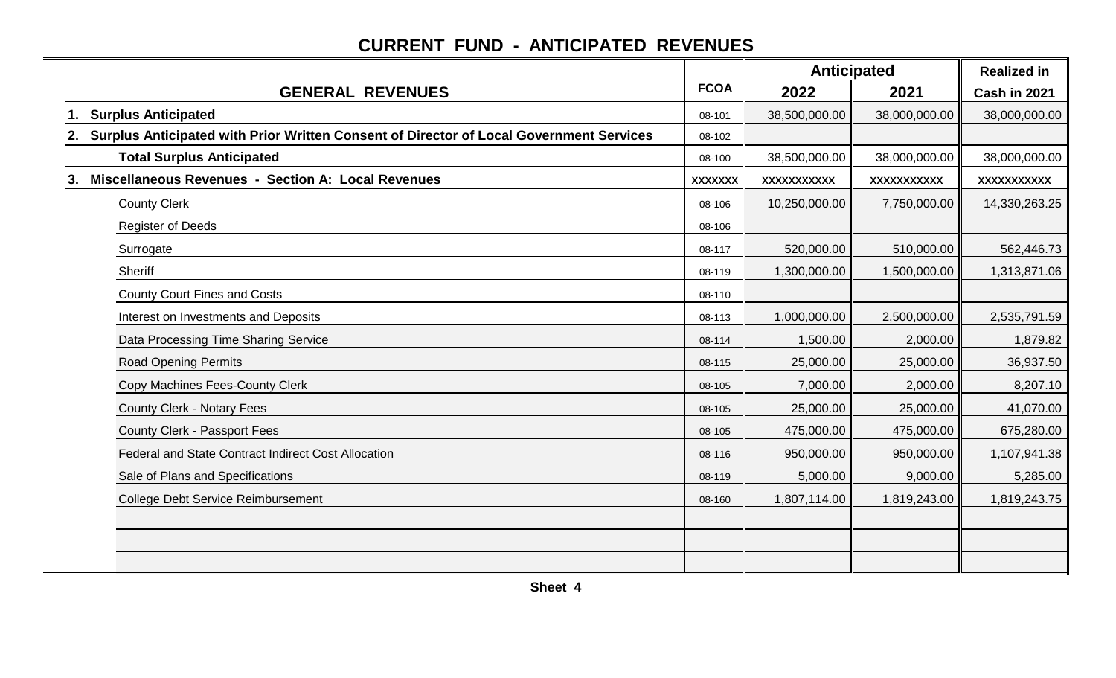## **CURRENT FUND - ANTICIPATED REVENUES**

|                                                                                            |                | <b>Anticipated</b> |               | <b>Realized in</b> |  |
|--------------------------------------------------------------------------------------------|----------------|--------------------|---------------|--------------------|--|
| <b>GENERAL REVENUES</b>                                                                    | <b>FCOA</b>    | 2022               | 2021          | Cash in 2021       |  |
| 1. Surplus Anticipated                                                                     | 08-101         | 38,500,000.00      | 38,000,000.00 | 38,000,000.00      |  |
| 2. Surplus Anticipated with Prior Written Consent of Director of Local Government Services | 08-102         |                    |               |                    |  |
| <b>Total Surplus Anticipated</b>                                                           | 08-100         | 38,500,000.00      | 38,000,000.00 | 38,000,000.00      |  |
| Miscellaneous Revenues - Section A: Local Revenues                                         | <b>XXXXXXX</b> | XXXXXXXXXX         | XXXXXXXXXX    | XXXXXXXXXX         |  |
| <b>County Clerk</b>                                                                        | 08-106         | 10,250,000.00      | 7,750,000.00  | 14,330,263.25      |  |
| <b>Register of Deeds</b>                                                                   | 08-106         |                    |               |                    |  |
| Surrogate                                                                                  | 08-117         | 520,000.00         | 510,000.00    | 562,446.73         |  |
| Sheriff                                                                                    | 08-119         | 1,300,000.00       | 1,500,000.00  | 1,313,871.06       |  |
| <b>County Court Fines and Costs</b>                                                        | 08-110         |                    |               |                    |  |
| Interest on Investments and Deposits                                                       | 08-113         | 1,000,000.00       | 2,500,000.00  | 2,535,791.59       |  |
| Data Processing Time Sharing Service                                                       | 08-114         | 1,500.00           | 2,000.00      | 1,879.82           |  |
| <b>Road Opening Permits</b>                                                                | 08-115         | 25,000.00          | 25,000.00     | 36,937.50          |  |
| Copy Machines Fees-County Clerk                                                            | 08-105         | 7,000.00           | 2,000.00      | 8,207.10           |  |
| <b>County Clerk - Notary Fees</b>                                                          | 08-105         | 25,000.00          | 25,000.00     | 41,070.00          |  |
| County Clerk - Passport Fees                                                               | 08-105         | 475,000.00         | 475,000.00    | 675,280.00         |  |
| <b>Federal and State Contract Indirect Cost Allocation</b>                                 | 08-116         | 950,000.00         | 950,000.00    | 1,107,941.38       |  |
| Sale of Plans and Specifications                                                           | 08-119         | 5,000.00           | 9,000.00      | 5,285.00           |  |
| <b>College Debt Service Reimbursement</b>                                                  | 08-160         | 1,807,114.00       | 1,819,243.00  | 1,819,243.75       |  |
|                                                                                            |                |                    |               |                    |  |
|                                                                                            |                |                    |               |                    |  |
|                                                                                            |                |                    |               |                    |  |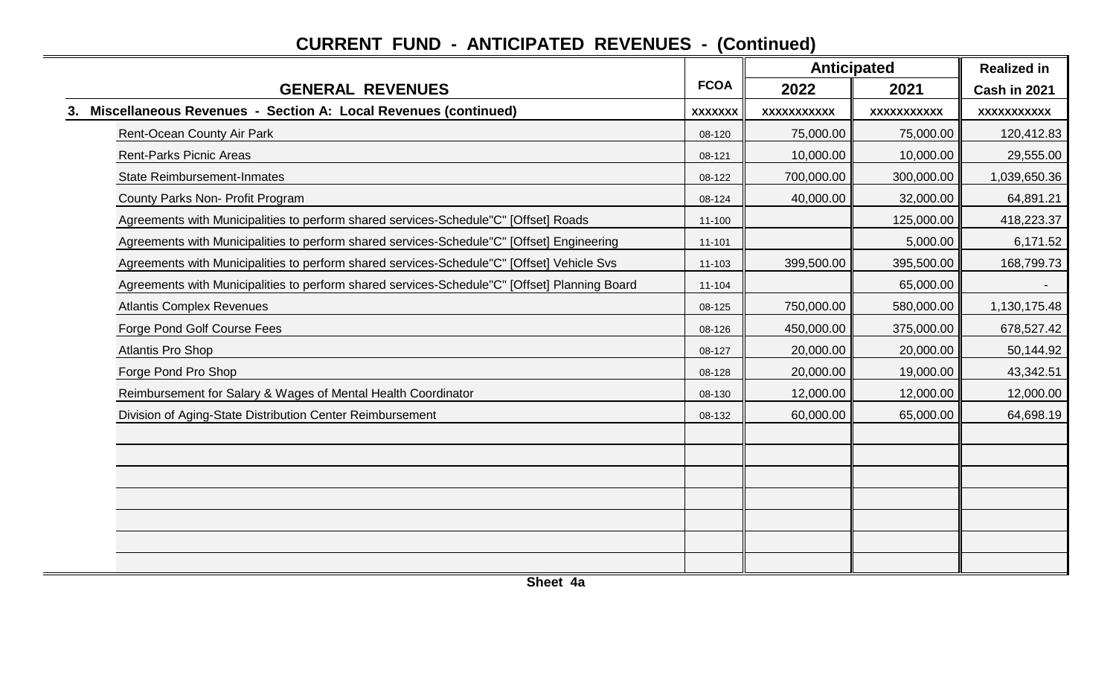|    |                                                                                               |                | <b>Anticipated</b> |                    | <b>Realized in</b> |  |
|----|-----------------------------------------------------------------------------------------------|----------------|--------------------|--------------------|--------------------|--|
|    | <b>GENERAL REVENUES</b>                                                                       | <b>FCOA</b>    | 2022               | 2021               | Cash in 2021       |  |
| 3. | Miscellaneous Revenues - Section A: Local Revenues (continued)                                | <b>XXXXXXX</b> | <b>XXXXXXXXXXX</b> | <b>XXXXXXXXXXX</b> | XXXXXXXXXXX        |  |
|    | Rent-Ocean County Air Park                                                                    | 08-120         | 75,000.00          | 75,000.00          | 120,412.83         |  |
|    | <b>Rent-Parks Picnic Areas</b>                                                                | 08-121         | 10,000.00          | 10,000.00          | 29,555.00          |  |
|    | <b>State Reimbursement-Inmates</b>                                                            | 08-122         | 700,000.00         | 300,000.00         | 1,039,650.36       |  |
|    | County Parks Non- Profit Program                                                              | 08-124         | 40,000.00          | 32,000.00          | 64,891.21          |  |
|    | Agreements with Municipalities to perform shared services-Schedule"C" [Offset] Roads          | $11 - 100$     |                    | 125,000.00         | 418,223.37         |  |
|    | Agreements with Municipalities to perform shared services-Schedule"C" [Offset] Engineering    | 11-101         |                    | 5,000.00           | 6,171.52           |  |
|    | Agreements with Municipalities to perform shared services-Schedule"C" [Offset] Vehicle Svs    | 11-103         | 399,500.00         | 395,500.00         | 168,799.73         |  |
|    | Agreements with Municipalities to perform shared services-Schedule"C" [Offset] Planning Board | 11-104         |                    | 65,000.00          |                    |  |
|    | <b>Atlantis Complex Revenues</b>                                                              | 08-125         | 750,000.00         | 580,000.00         | 1,130,175.48       |  |
|    | Forge Pond Golf Course Fees                                                                   | 08-126         | 450,000.00         | 375,000.00         | 678,527.42         |  |
|    | <b>Atlantis Pro Shop</b>                                                                      | 08-127         | 20,000.00          | 20,000.00          | 50,144.92          |  |
|    | Forge Pond Pro Shop                                                                           | 08-128         | 20,000.00          | 19,000.00          | 43,342.51          |  |
|    | Reimbursement for Salary & Wages of Mental Health Coordinator                                 | 08-130         | 12,000.00          | 12,000.00          | 12,000.00          |  |
|    | Division of Aging-State Distribution Center Reimbursement                                     | 08-132         | 60,000.00          | 65,000.00          | 64,698.19          |  |
|    |                                                                                               |                |                    |                    |                    |  |
|    |                                                                                               |                |                    |                    |                    |  |
|    |                                                                                               |                |                    |                    |                    |  |
|    |                                                                                               |                |                    |                    |                    |  |
|    |                                                                                               |                |                    |                    |                    |  |
|    |                                                                                               |                |                    |                    |                    |  |
|    |                                                                                               |                |                    |                    |                    |  |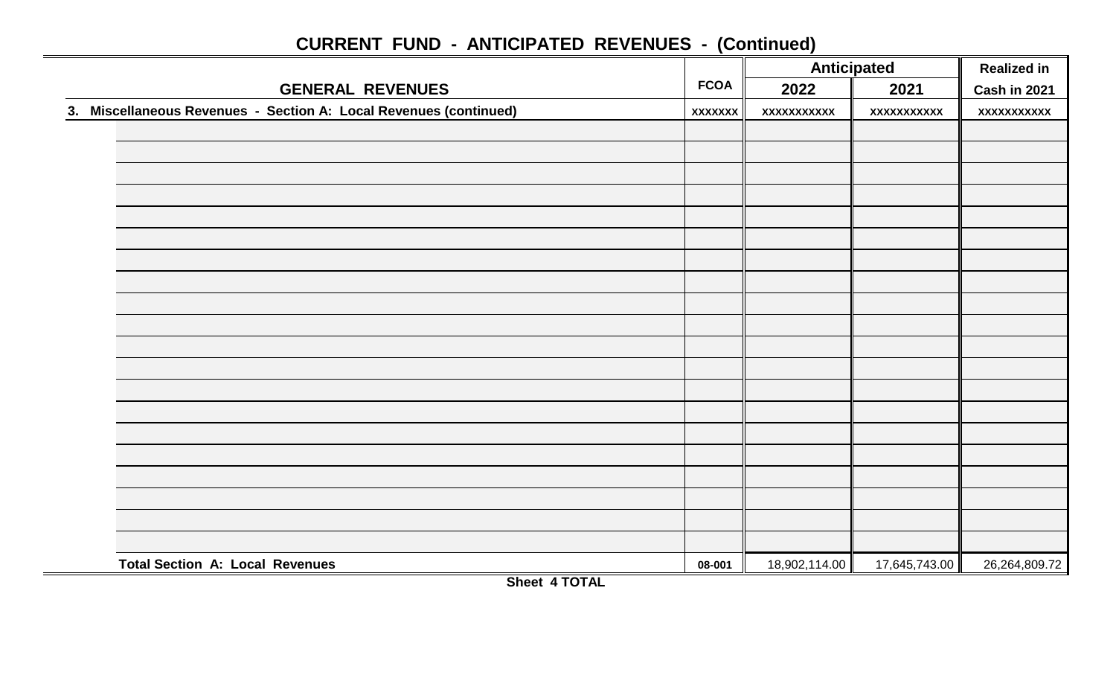|                                                                   |                | <b>Anticipated</b> |                    | <b>Realized in</b> |
|-------------------------------------------------------------------|----------------|--------------------|--------------------|--------------------|
| <b>GENERAL REVENUES</b>                                           | <b>FCOA</b>    | 2022               | 2021               | Cash in 2021       |
| 3. Miscellaneous Revenues - Section A: Local Revenues (continued) | <b>XXXXXXX</b> | <b>XXXXXXXXXXX</b> | <b>XXXXXXXXXXX</b> | <b>XXXXXXXXXXX</b> |
|                                                                   |                |                    |                    |                    |
|                                                                   |                |                    |                    |                    |
|                                                                   |                |                    |                    |                    |
|                                                                   |                |                    |                    |                    |
|                                                                   |                |                    |                    |                    |
|                                                                   |                |                    |                    |                    |
|                                                                   |                |                    |                    |                    |
|                                                                   |                |                    |                    |                    |
|                                                                   |                |                    |                    |                    |
|                                                                   |                |                    |                    |                    |
|                                                                   |                |                    |                    |                    |
|                                                                   |                |                    |                    |                    |
|                                                                   |                |                    |                    |                    |
|                                                                   |                |                    |                    |                    |
|                                                                   |                |                    |                    |                    |
|                                                                   |                |                    |                    |                    |
|                                                                   |                |                    |                    |                    |
| <b>Total Section A: Local Revenues</b>                            | 08-001         | 18,902,114.00      | 17,645,743.00      | 26,264,809.72      |

**Sheet 4 TOTAL**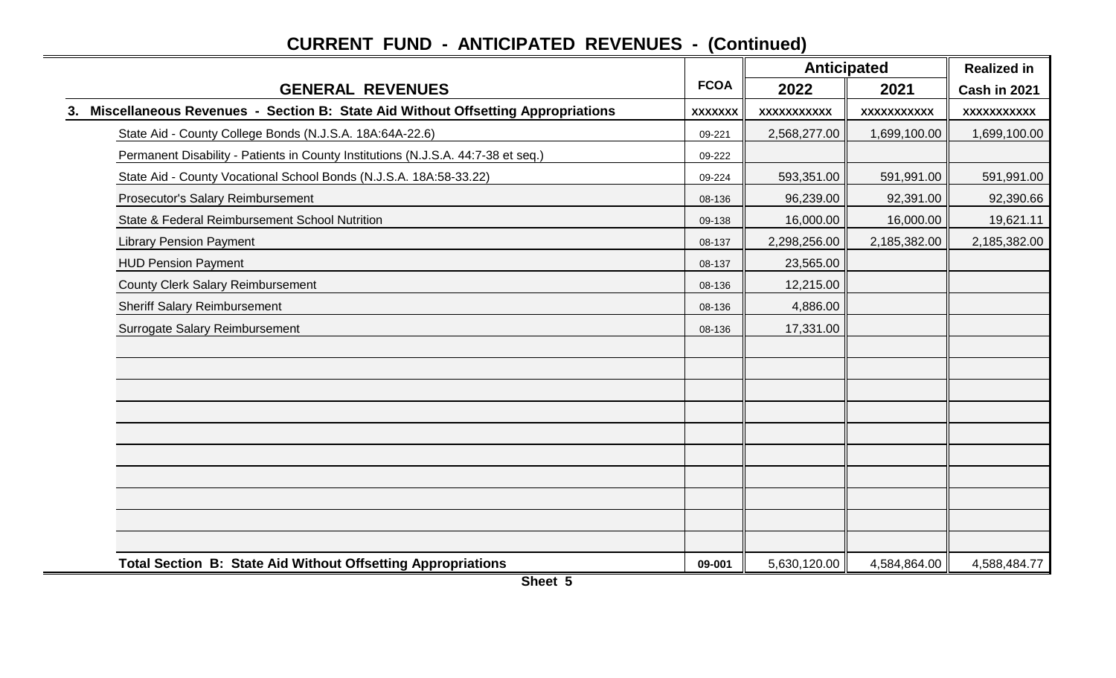|                                                                                       |                | <b>Anticipated</b> |              | <b>Realized in</b> |
|---------------------------------------------------------------------------------------|----------------|--------------------|--------------|--------------------|
| <b>GENERAL REVENUES</b>                                                               | <b>FCOA</b>    | 2022               | 2021         | Cash in 2021       |
| Miscellaneous Revenues - Section B: State Aid Without Offsetting Appropriations<br>3. | <b>XXXXXXX</b> | <b>XXXXXXXXXXX</b> | XXXXXXXXXX   | XXXXXXXXXXX        |
| State Aid - County College Bonds (N.J.S.A. 18A:64A-22.6)                              | 09-221         | 2,568,277.00       | 1,699,100.00 | 1,699,100.00       |
| Permanent Disability - Patients in County Institutions (N.J.S.A. 44:7-38 et seq.)     | 09-222         |                    |              |                    |
| State Aid - County Vocational School Bonds (N.J.S.A. 18A:58-33.22)                    | 09-224         | 593,351.00         | 591,991.00   | 591,991.00         |
| Prosecutor's Salary Reimbursement                                                     | 08-136         | 96,239.00          | 92,391.00    | 92,390.66          |
| State & Federal Reimbursement School Nutrition                                        | 09-138         | 16,000.00          | 16,000.00    | 19,621.11          |
| <b>Library Pension Payment</b>                                                        | 08-137         | 2,298,256.00       | 2,185,382.00 | 2,185,382.00       |
| <b>HUD Pension Payment</b>                                                            | 08-137         | 23,565.00          |              |                    |
| <b>County Clerk Salary Reimbursement</b>                                              | 08-136         | 12,215.00          |              |                    |
| <b>Sheriff Salary Reimbursement</b>                                                   | 08-136         | 4,886.00           |              |                    |
| Surrogate Salary Reimbursement                                                        | 08-136         | 17,331.00          |              |                    |
|                                                                                       |                |                    |              |                    |
|                                                                                       |                |                    |              |                    |
|                                                                                       |                |                    |              |                    |
|                                                                                       |                |                    |              |                    |
|                                                                                       |                |                    |              |                    |
|                                                                                       |                |                    |              |                    |
|                                                                                       |                |                    |              |                    |
|                                                                                       |                |                    |              |                    |
|                                                                                       |                |                    |              |                    |
|                                                                                       |                |                    |              |                    |
| <b>Total Section B: State Aid Without Offsetting Appropriations</b>                   | 09-001         | 5,630,120.00       | 4,584,864.00 | 4,588,484.77       |

**Sheet 5**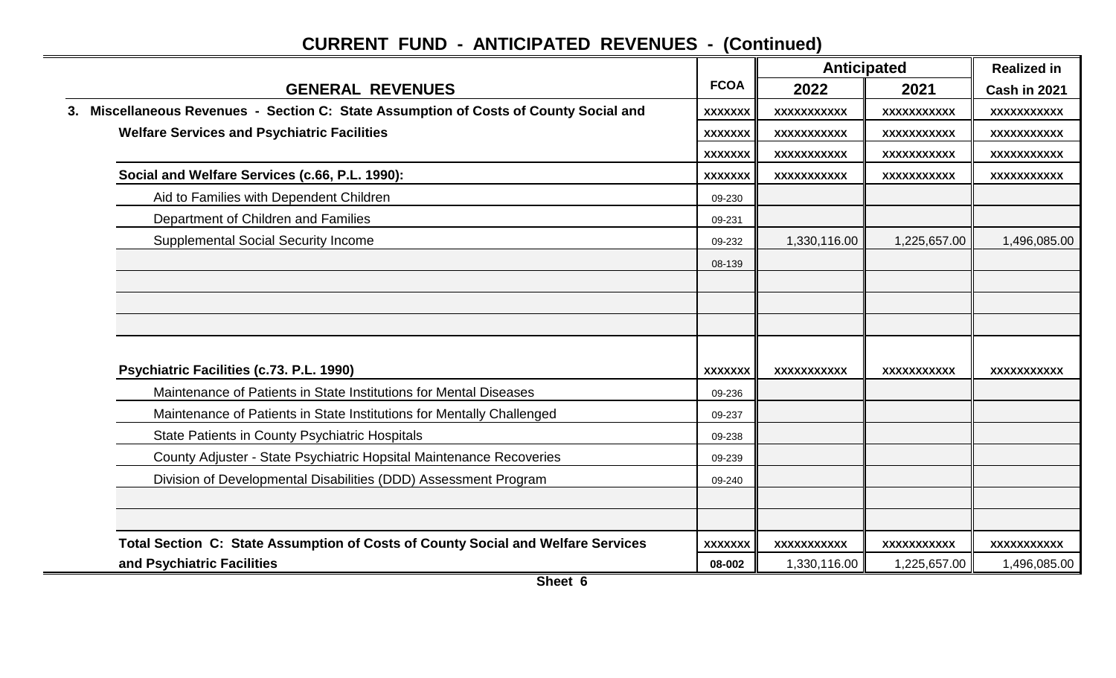|                                                                                       |                | <b>Anticipated</b> |                    | <b>Realized in</b> |  |
|---------------------------------------------------------------------------------------|----------------|--------------------|--------------------|--------------------|--|
| <b>GENERAL REVENUES</b>                                                               | <b>FCOA</b>    | 2022               | 2021               | Cash in 2021       |  |
| 3. Miscellaneous Revenues - Section C: State Assumption of Costs of County Social and | <b>XXXXXXX</b> | XXXXXXXXXXX        | XXXXXXXXXXX        | XXXXXXXXXXX        |  |
| <b>Welfare Services and Psychiatric Facilities</b>                                    | <b>XXXXXXX</b> | XXXXXXXXXX         | XXXXXXXXXXX        | XXXXXXXXXXX        |  |
|                                                                                       | <b>XXXXXXX</b> | XXXXXXXXXX         | <b>XXXXXXXXXXX</b> | XXXXXXXXXXX        |  |
| Social and Welfare Services (c.66, P.L. 1990):                                        | <b>XXXXXXX</b> | XXXXXXXXXXX        | XXXXXXXXXXX        | XXXXXXXXXXX        |  |
| Aid to Families with Dependent Children                                               | 09-230         |                    |                    |                    |  |
| Department of Children and Families                                                   | 09-231         |                    |                    |                    |  |
| <b>Supplemental Social Security Income</b>                                            | 09-232         | 1,330,116.00       | 1,225,657.00       | 1,496,085.00       |  |
|                                                                                       | 08-139         |                    |                    |                    |  |
|                                                                                       |                |                    |                    |                    |  |
|                                                                                       |                |                    |                    |                    |  |
|                                                                                       |                |                    |                    |                    |  |
|                                                                                       |                |                    |                    |                    |  |
| Psychiatric Facilities (c.73. P.L. 1990)                                              | <b>XXXXXXX</b> | XXXXXXXXXXX        | XXXXXXXXXXX        | XXXXXXXXXXX        |  |
| Maintenance of Patients in State Institutions for Mental Diseases                     | 09-236         |                    |                    |                    |  |
| Maintenance of Patients in State Institutions for Mentally Challenged                 | 09-237         |                    |                    |                    |  |
| <b>State Patients in County Psychiatric Hospitals</b>                                 | 09-238         |                    |                    |                    |  |
| County Adjuster - State Psychiatric Hopsital Maintenance Recoveries                   | 09-239         |                    |                    |                    |  |
| Division of Developmental Disabilities (DDD) Assessment Program                       | 09-240         |                    |                    |                    |  |
|                                                                                       |                |                    |                    |                    |  |
|                                                                                       |                |                    |                    |                    |  |
| Total Section C: State Assumption of Costs of County Social and Welfare Services      | <b>XXXXXXX</b> | XXXXXXXXXX         | XXXXXXXXXXX        | XXXXXXXXXXX        |  |
| and Psychiatric Facilities                                                            | 08-002         | 1,330,116.00       | 1,225,657.00       | 1,496,085.00       |  |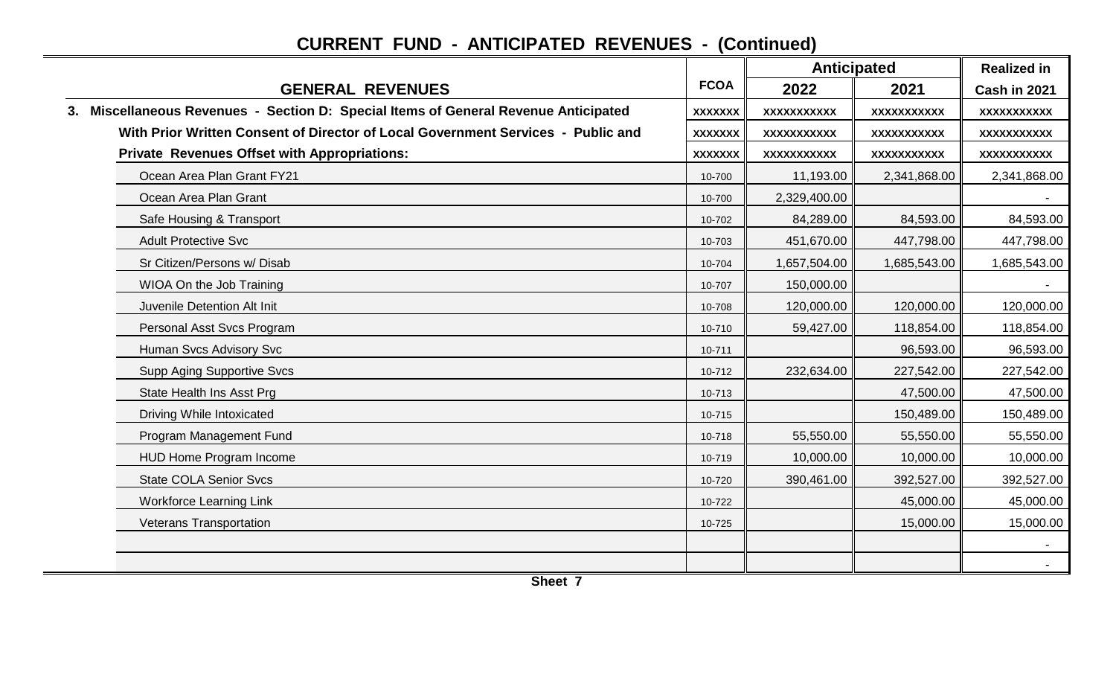|                                                                                     |                | <b>Anticipated</b> |              | <b>Realized in</b> |  |
|-------------------------------------------------------------------------------------|----------------|--------------------|--------------|--------------------|--|
| <b>GENERAL REVENUES</b>                                                             | <b>FCOA</b>    | 2022               | 2021         | Cash in 2021       |  |
| 3. Miscellaneous Revenues - Section D: Special Items of General Revenue Anticipated | <b>XXXXXXX</b> | XXXXXXXXXX         | XXXXXXXXXXX  | <b>XXXXXXXXXXX</b> |  |
| With Prior Written Consent of Director of Local Government Services - Public and    | <b>XXXXXXX</b> | XXXXXXXXXX         | XXXXXXXXXXX  | XXXXXXXXXXX        |  |
| <b>Private Revenues Offset with Appropriations:</b>                                 | <b>XXXXXXX</b> | XXXXXXXXXX         | XXXXXXXXXXX  | XXXXXXXXXXX        |  |
| Ocean Area Plan Grant FY21                                                          | 10-700         | 11,193.00          | 2,341,868.00 | 2,341,868.00       |  |
| Ocean Area Plan Grant                                                               | 10-700         | 2,329,400.00       |              |                    |  |
| Safe Housing & Transport                                                            | 10-702         | 84,289.00          | 84,593.00    | 84,593.00          |  |
| <b>Adult Protective Svc</b>                                                         | 10-703         | 451,670.00         | 447,798.00   | 447,798.00         |  |
| Sr Citizen/Persons w/ Disab                                                         | 10-704         | 1,657,504.00       | 1,685,543.00 | 1,685,543.00       |  |
| WIOA On the Job Training                                                            | 10-707         | 150,000.00         |              |                    |  |
| Juvenile Detention Alt Init                                                         | 10-708         | 120,000.00         | 120,000.00   | 120,000.00         |  |
| Personal Asst Svcs Program                                                          | 10-710         | 59,427.00          | 118,854.00   | 118,854.00         |  |
| Human Svcs Advisory Svc                                                             | 10-711         |                    | 96,593.00    | 96,593.00          |  |
| <b>Supp Aging Supportive Svcs</b>                                                   | 10-712         | 232,634.00         | 227,542.00   | 227,542.00         |  |
| State Health Ins Asst Prg                                                           | 10-713         |                    | 47,500.00    | 47,500.00          |  |
| Driving While Intoxicated                                                           | 10-715         |                    | 150,489.00   | 150,489.00         |  |
| Program Management Fund                                                             | 10-718         | 55,550.00          | 55,550.00    | 55,550.00          |  |
| HUD Home Program Income                                                             | 10-719         | 10,000.00          | 10,000.00    | 10,000.00          |  |
| <b>State COLA Senior Svcs</b>                                                       | 10-720         | 390,461.00         | 392,527.00   | 392,527.00         |  |
| <b>Workforce Learning Link</b>                                                      | 10-722         |                    | 45,000.00    | 45,000.00          |  |
| Veterans Transportation                                                             | 10-725         |                    | 15,000.00    | 15,000.00          |  |
|                                                                                     |                |                    |              |                    |  |
|                                                                                     |                |                    |              |                    |  |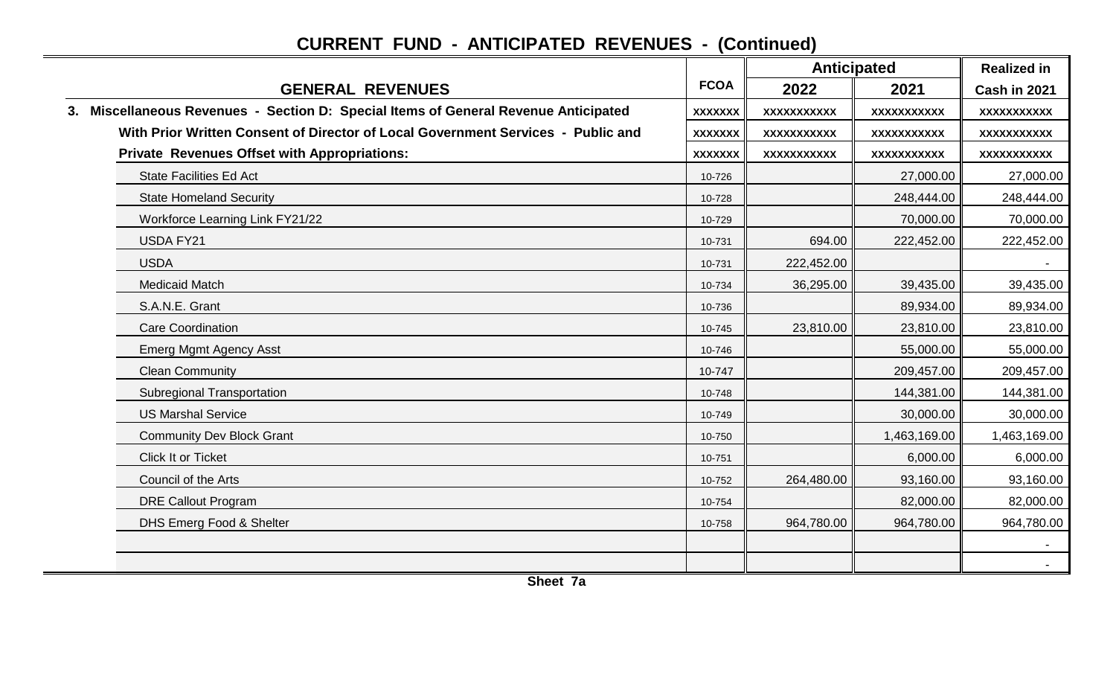|                                                                                     |                | <b>Anticipated</b> |                    | <b>Realized in</b> |
|-------------------------------------------------------------------------------------|----------------|--------------------|--------------------|--------------------|
| <b>GENERAL REVENUES</b>                                                             | <b>FCOA</b>    | 2022               | 2021               | Cash in 2021       |
| 3. Miscellaneous Revenues - Section D: Special Items of General Revenue Anticipated | <b>XXXXXXX</b> | <b>XXXXXXXXXXX</b> | <b>XXXXXXXXXXX</b> | <b>XXXXXXXXXXX</b> |
| With Prior Written Consent of Director of Local Government Services - Public and    | <b>XXXXXXX</b> | XXXXXXXXXX         | XXXXXXXXXXX        | XXXXXXXXXX         |
| <b>Private Revenues Offset with Appropriations:</b>                                 | <b>XXXXXXX</b> | XXXXXXXXXXX        | <b>XXXXXXXXXXX</b> | XXXXXXXXXX         |
| <b>State Facilities Ed Act</b>                                                      | 10-726         |                    | 27,000.00          | 27,000.00          |
| <b>State Homeland Security</b>                                                      | 10-728         |                    | 248,444.00         | 248,444.00         |
| Workforce Learning Link FY21/22                                                     | 10-729         |                    | 70,000.00          | 70,000.00          |
| <b>USDA FY21</b>                                                                    | 10-731         | 694.00             | 222,452.00         | 222,452.00         |
| <b>USDA</b>                                                                         | 10-731         | 222,452.00         |                    |                    |
| <b>Medicaid Match</b>                                                               | 10-734         | 36,295.00          | 39,435.00          | 39,435.00          |
| S.A.N.E. Grant                                                                      | 10-736         |                    | 89,934.00          | 89,934.00          |
| <b>Care Coordination</b>                                                            | 10-745         | 23,810.00          | 23,810.00          | 23,810.00          |
| <b>Emerg Mgmt Agency Asst</b>                                                       | 10-746         |                    | 55,000.00          | 55,000.00          |
| <b>Clean Community</b>                                                              | 10-747         |                    | 209,457.00         | 209,457.00         |
| <b>Subregional Transportation</b>                                                   | 10-748         |                    | 144,381.00         | 144,381.00         |
| <b>US Marshal Service</b>                                                           | 10-749         |                    | 30,000.00          | 30,000.00          |
| <b>Community Dev Block Grant</b>                                                    | 10-750         |                    | 1,463,169.00       | 1,463,169.00       |
| Click It or Ticket                                                                  | 10-751         |                    | 6,000.00           | 6,000.00           |
| Council of the Arts                                                                 | 10-752         | 264,480.00         | 93,160.00          | 93,160.00          |
| <b>DRE Callout Program</b>                                                          | 10-754         |                    | 82,000.00          | 82,000.00          |
| DHS Emerg Food & Shelter                                                            | 10-758         | 964,780.00         | 964,780.00         | 964,780.00         |
|                                                                                     |                |                    |                    |                    |
|                                                                                     |                |                    |                    |                    |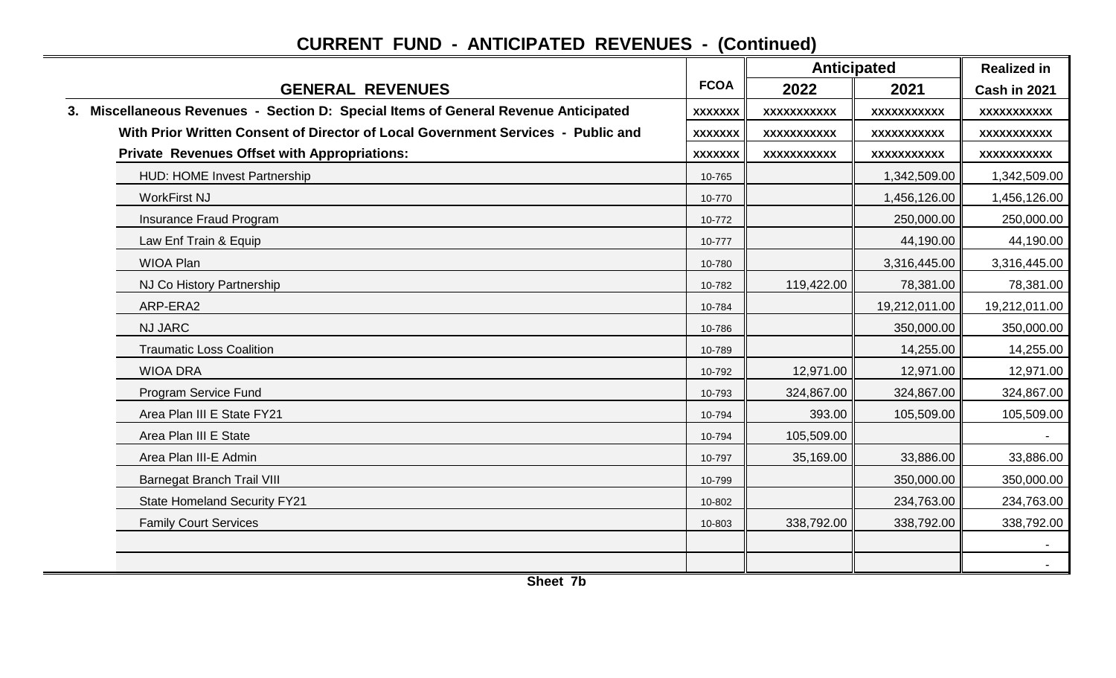|                                                                                     |                |                    | <b>Anticipated</b> |               |
|-------------------------------------------------------------------------------------|----------------|--------------------|--------------------|---------------|
| <b>GENERAL REVENUES</b>                                                             | <b>FCOA</b>    | 2022               | 2021               | Cash in 2021  |
| 3. Miscellaneous Revenues - Section D: Special Items of General Revenue Anticipated | <b>XXXXXXX</b> | <b>XXXXXXXXXXX</b> | <b>XXXXXXXXXXX</b> | XXXXXXXXXXX   |
| With Prior Written Consent of Director of Local Government Services - Public and    | <b>XXXXXXX</b> | XXXXXXXXXXX        | XXXXXXXXXXX        | XXXXXXXXXXX   |
| <b>Private Revenues Offset with Appropriations:</b>                                 | <b>XXXXXXX</b> | XXXXXXXXXXX        | XXXXXXXXXXX        | XXXXXXXXXXX   |
| HUD: HOME Invest Partnership                                                        | 10-765         |                    | 1,342,509.00       | 1,342,509.00  |
| <b>WorkFirst NJ</b>                                                                 | 10-770         |                    | 1,456,126.00       | 1,456,126.00  |
| Insurance Fraud Program                                                             | 10-772         |                    | 250,000.00         | 250,000.00    |
| Law Enf Train & Equip                                                               | 10-777         |                    | 44,190.00          | 44,190.00     |
| <b>WIOA Plan</b>                                                                    | 10-780         |                    | 3,316,445.00       | 3,316,445.00  |
| NJ Co History Partnership                                                           | 10-782         | 119,422.00         | 78,381.00          | 78,381.00     |
| ARP-ERA2                                                                            | 10-784         |                    | 19,212,011.00      | 19,212,011.00 |
| <b>NJ JARC</b>                                                                      | 10-786         |                    | 350,000.00         | 350,000.00    |
| <b>Traumatic Loss Coalition</b>                                                     | 10-789         |                    | 14,255.00          | 14,255.00     |
| <b>WIOA DRA</b>                                                                     | 10-792         | 12,971.00          | 12,971.00          | 12,971.00     |
| Program Service Fund                                                                | 10-793         | 324,867.00         | 324,867.00         | 324,867.00    |
| Area Plan III E State FY21                                                          | 10-794         | 393.00             | 105,509.00         | 105,509.00    |
| Area Plan III E State                                                               | 10-794         | 105,509.00         |                    |               |
| Area Plan III-E Admin                                                               | 10-797         | 35,169.00          | 33,886.00          | 33,886.00     |
| <b>Barnegat Branch Trail VIII</b>                                                   | 10-799         |                    | 350,000.00         | 350,000.00    |
| <b>State Homeland Security FY21</b>                                                 | 10-802         |                    | 234,763.00         | 234,763.00    |
| <b>Family Court Services</b>                                                        | 10-803         | 338,792.00         | 338,792.00         | 338,792.00    |
|                                                                                     |                |                    |                    |               |
|                                                                                     |                |                    |                    |               |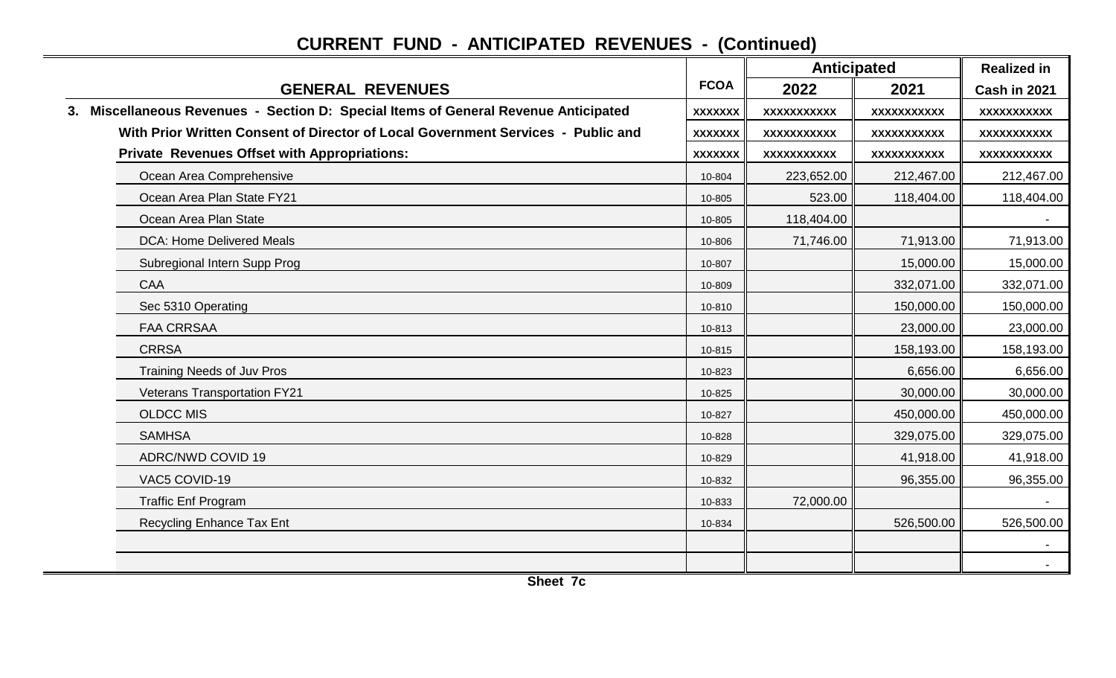|                                                                                     |                | <b>Anticipated</b> |                    | <b>Realized in</b> |  |
|-------------------------------------------------------------------------------------|----------------|--------------------|--------------------|--------------------|--|
| <b>GENERAL REVENUES</b>                                                             | <b>FCOA</b>    | 2022               | 2021               | Cash in 2021       |  |
| 3. Miscellaneous Revenues - Section D: Special Items of General Revenue Anticipated | <b>XXXXXXX</b> | <b>XXXXXXXXXXX</b> | <b>XXXXXXXXXXX</b> | <b>XXXXXXXXXXX</b> |  |
| With Prior Written Consent of Director of Local Government Services - Public and    | <b>XXXXXXX</b> | XXXXXXXXXXX        | XXXXXXXXXXX        | XXXXXXXXXXX        |  |
| <b>Private Revenues Offset with Appropriations:</b>                                 | <b>XXXXXXX</b> | XXXXXXXXXXX        | <b>XXXXXXXXXXX</b> | XXXXXXXXXXX        |  |
| Ocean Area Comprehensive                                                            | 10-804         | 223,652.00         | 212,467.00         | 212,467.00         |  |
| Ocean Area Plan State FY21                                                          | 10-805         | 523.00             | 118,404.00         | 118,404.00         |  |
| Ocean Area Plan State                                                               | 10-805         | 118,404.00         |                    |                    |  |
| <b>DCA: Home Delivered Meals</b>                                                    | 10-806         | 71,746.00          | 71,913.00          | 71,913.00          |  |
| Subregional Intern Supp Prog                                                        | 10-807         |                    | 15,000.00          | 15,000.00          |  |
| <b>CAA</b>                                                                          | 10-809         |                    | 332,071.00         | 332,071.00         |  |
| Sec 5310 Operating                                                                  | 10-810         |                    | 150,000.00         | 150,000.00         |  |
| <b>FAA CRRSAA</b>                                                                   | 10-813         |                    | 23,000.00          | 23,000.00          |  |
| <b>CRRSA</b>                                                                        | 10-815         |                    | 158,193.00         | 158,193.00         |  |
| <b>Training Needs of Juv Pros</b>                                                   | 10-823         |                    | 6,656.00           | 6,656.00           |  |
| <b>Veterans Transportation FY21</b>                                                 | 10-825         |                    | 30,000.00          | 30,000.00          |  |
| <b>OLDCC MIS</b>                                                                    | 10-827         |                    | 450,000.00         | 450,000.00         |  |
| <b>SAMHSA</b>                                                                       | 10-828         |                    | 329,075.00         | 329,075.00         |  |
| <b>ADRC/NWD COVID 19</b>                                                            | 10-829         |                    | 41,918.00          | 41,918.00          |  |
| VAC5 COVID-19                                                                       | 10-832         |                    | 96,355.00          | 96,355.00          |  |
| <b>Traffic Enf Program</b>                                                          | 10-833         | 72,000.00          |                    |                    |  |
| Recycling Enhance Tax Ent                                                           | 10-834         |                    | 526,500.00         | 526,500.00         |  |
|                                                                                     |                |                    |                    | $\sim$             |  |
|                                                                                     |                |                    |                    |                    |  |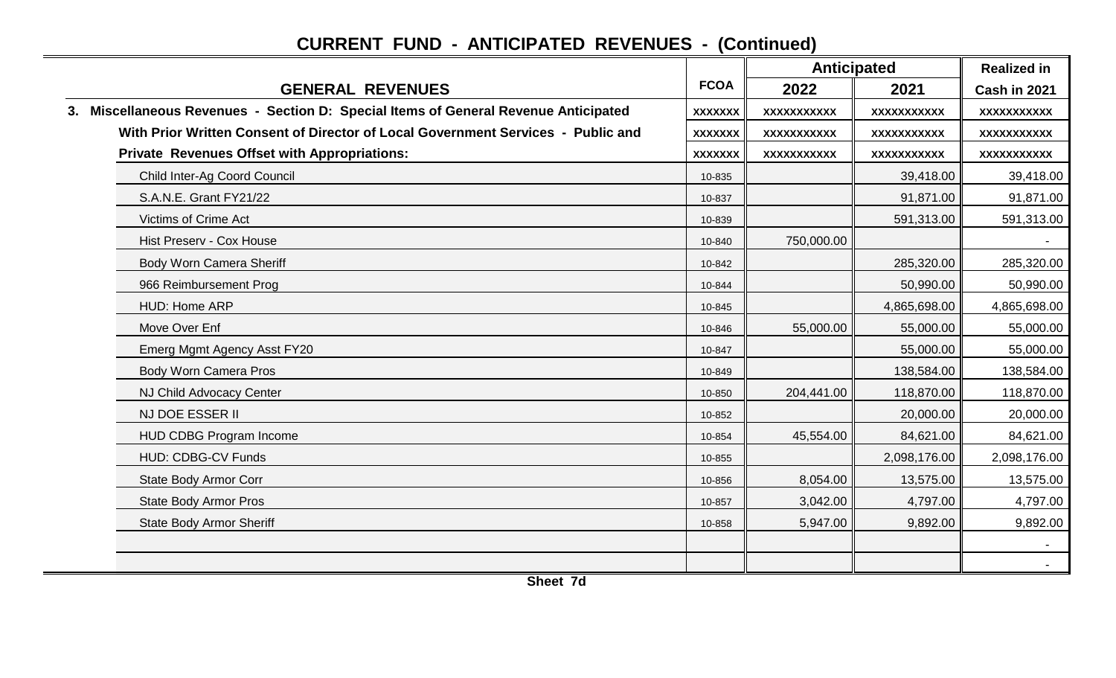|                                                                                     |                | <b>Anticipated</b> |                    | <b>Realized in</b> |  |
|-------------------------------------------------------------------------------------|----------------|--------------------|--------------------|--------------------|--|
| <b>GENERAL REVENUES</b>                                                             | <b>FCOA</b>    | 2022               | 2021               | Cash in 2021       |  |
| 3. Miscellaneous Revenues - Section D: Special Items of General Revenue Anticipated | <b>XXXXXXX</b> | <b>XXXXXXXXXXX</b> | <b>XXXXXXXXXXX</b> | XXXXXXXXXXX        |  |
| With Prior Written Consent of Director of Local Government Services - Public and    | <b>XXXXXXX</b> | XXXXXXXXXXX        | XXXXXXXXXXX        | XXXXXXXXXXX        |  |
| <b>Private Revenues Offset with Appropriations:</b>                                 | <b>XXXXXXX</b> | XXXXXXXXXX         | XXXXXXXXXXX        | XXXXXXXXXXX        |  |
| Child Inter-Ag Coord Council                                                        | 10-835         |                    | 39,418.00          | 39,418.00          |  |
| S.A.N.E. Grant FY21/22                                                              | 10-837         |                    | 91,871.00          | 91,871.00          |  |
| Victims of Crime Act                                                                | 10-839         |                    | 591,313.00         | 591,313.00         |  |
| Hist Preserv - Cox House                                                            | 10-840         | 750,000.00         |                    |                    |  |
| Body Worn Camera Sheriff                                                            | 10-842         |                    | 285,320.00         | 285,320.00         |  |
| 966 Reimbursement Prog                                                              | 10-844         |                    | 50,990.00          | 50,990.00          |  |
| HUD: Home ARP                                                                       | 10-845         |                    | 4,865,698.00       | 4,865,698.00       |  |
| Move Over Enf                                                                       | 10-846         | 55,000.00          | 55,000.00          | 55,000.00          |  |
| Emerg Mgmt Agency Asst FY20                                                         | 10-847         |                    | 55,000.00          | 55,000.00          |  |
| Body Worn Camera Pros                                                               | 10-849         |                    | 138,584.00         | 138,584.00         |  |
| NJ Child Advocacy Center                                                            | 10-850         | 204,441.00         | 118,870.00         | 118,870.00         |  |
| NJ DOE ESSER II                                                                     | 10-852         |                    | 20,000.00          | 20,000.00          |  |
| HUD CDBG Program Income                                                             | 10-854         | 45,554.00          | 84,621.00          | 84,621.00          |  |
| HUD: CDBG-CV Funds                                                                  | 10-855         |                    | 2,098,176.00       | 2,098,176.00       |  |
| State Body Armor Corr                                                               | 10-856         | 8,054.00           | 13,575.00          | 13,575.00          |  |
| <b>State Body Armor Pros</b>                                                        | 10-857         | 3,042.00           | 4,797.00           | 4,797.00           |  |
| <b>State Body Armor Sheriff</b>                                                     | 10-858         | 5,947.00           | 9,892.00           | 9,892.00           |  |
|                                                                                     |                |                    |                    |                    |  |
|                                                                                     |                |                    |                    |                    |  |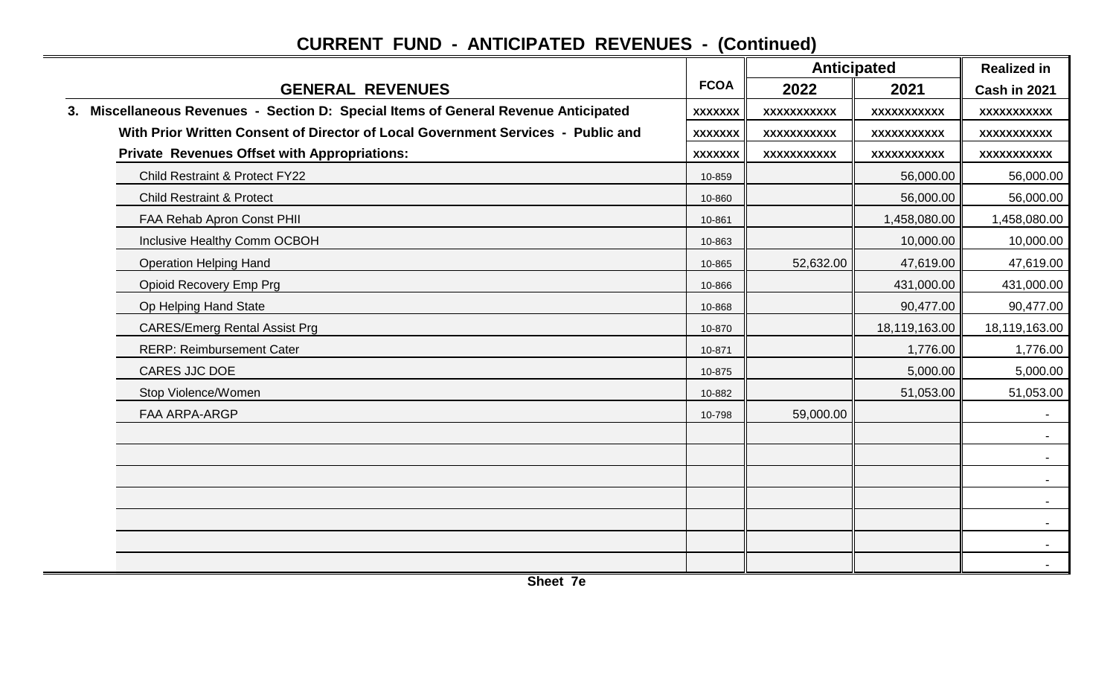|                                                                                     |                |                    | <b>Anticipated</b><br>2022<br>2021 |               |
|-------------------------------------------------------------------------------------|----------------|--------------------|------------------------------------|---------------|
| <b>GENERAL REVENUES</b>                                                             | <b>FCOA</b>    |                    |                                    | Cash in 2021  |
| 3. Miscellaneous Revenues - Section D: Special Items of General Revenue Anticipated | <b>XXXXXXX</b> | <b>XXXXXXXXXXX</b> | <b>XXXXXXXXXXX</b>                 | XXXXXXXXXXX   |
| With Prior Written Consent of Director of Local Government Services - Public and    | <b>XXXXXXX</b> | XXXXXXXXXXX        | XXXXXXXXXXX                        | XXXXXXXXXXX   |
| <b>Private Revenues Offset with Appropriations:</b>                                 | <b>XXXXXXX</b> | XXXXXXXXXXX        | XXXXXXXXXXX                        | XXXXXXXXXXX   |
| Child Restraint & Protect FY22                                                      | 10-859         |                    | 56,000.00                          | 56,000.00     |
| <b>Child Restraint &amp; Protect</b>                                                | 10-860         |                    | 56,000.00                          | 56,000.00     |
| FAA Rehab Apron Const PHII                                                          | 10-861         |                    | 1,458,080.00                       | 1,458,080.00  |
| Inclusive Healthy Comm OCBOH                                                        | 10-863         |                    | 10,000.00                          | 10,000.00     |
| <b>Operation Helping Hand</b>                                                       | 10-865         | 52,632.00          | 47,619.00                          | 47,619.00     |
| Opioid Recovery Emp Prg                                                             | 10-866         |                    | 431,000.00                         | 431,000.00    |
| Op Helping Hand State                                                               | 10-868         |                    | 90,477.00                          | 90,477.00     |
| <b>CARES/Emerg Rental Assist Prg</b>                                                | 10-870         |                    | 18,119,163.00                      | 18,119,163.00 |
| <b>RERP: Reimbursement Cater</b>                                                    | 10-871         |                    | 1,776.00                           | 1,776.00      |
| CARES JJC DOE                                                                       | 10-875         |                    | 5,000.00                           | 5,000.00      |
| Stop Violence/Women                                                                 | 10-882         |                    | 51,053.00                          | 51,053.00     |
| FAA ARPA-ARGP                                                                       | 10-798         | 59,000.00          |                                    |               |
|                                                                                     |                |                    |                                    |               |
|                                                                                     |                |                    |                                    |               |
|                                                                                     |                |                    |                                    |               |
|                                                                                     |                |                    |                                    |               |
|                                                                                     |                |                    |                                    |               |
|                                                                                     |                |                    |                                    |               |
|                                                                                     |                |                    |                                    |               |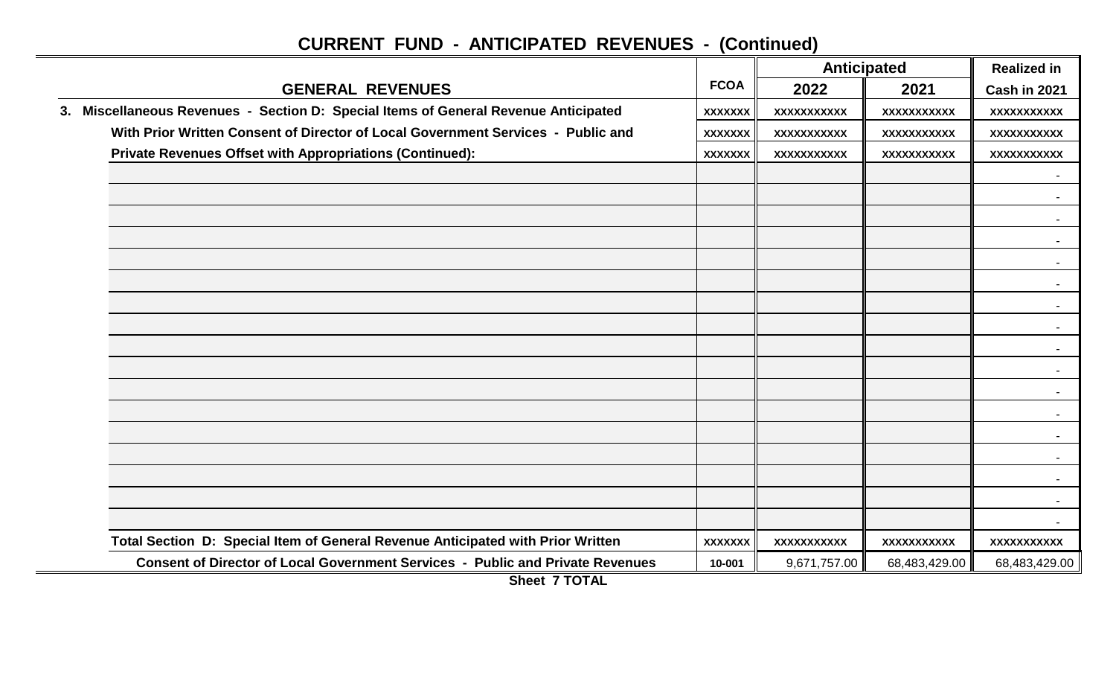|                                                                                     |                | <b>Anticipated</b> | <b>Realized in</b> |                    |
|-------------------------------------------------------------------------------------|----------------|--------------------|--------------------|--------------------|
| <b>GENERAL REVENUES</b>                                                             | <b>FCOA</b>    | 2022               | 2021               | Cash in 2021       |
| 3. Miscellaneous Revenues - Section D: Special Items of General Revenue Anticipated | <b>XXXXXXX</b> | XXXXXXXXXXX        | <b>XXXXXXXXXXX</b> | XXXXXXXXXX         |
| With Prior Written Consent of Director of Local Government Services - Public and    | <b>XXXXXXX</b> | XXXXXXXXXXX        | XXXXXXXXXXX        | <b>XXXXXXXXXXX</b> |
| Private Revenues Offset with Appropriations (Continued):                            | <b>XXXXXXX</b> | <b>XXXXXXXXXXX</b> | XXXXXXXXXXX        | XXXXXXXXXXX        |
|                                                                                     |                |                    |                    |                    |
|                                                                                     |                |                    |                    |                    |
|                                                                                     |                |                    |                    |                    |
|                                                                                     |                |                    |                    |                    |
|                                                                                     |                |                    |                    | $\blacksquare$     |
|                                                                                     |                |                    |                    |                    |
|                                                                                     |                |                    |                    |                    |
|                                                                                     |                |                    |                    |                    |
|                                                                                     |                |                    |                    |                    |
|                                                                                     |                |                    |                    |                    |
|                                                                                     |                |                    |                    |                    |
|                                                                                     |                |                    |                    |                    |
|                                                                                     |                |                    |                    |                    |
|                                                                                     |                |                    |                    |                    |
|                                                                                     |                |                    |                    |                    |
|                                                                                     |                |                    |                    |                    |
|                                                                                     |                |                    |                    |                    |
| Total Section D: Special Item of General Revenue Anticipated with Prior Written     | <b>XXXXXXX</b> | XXXXXXXXXXX        | XXXXXXXXXXX        | XXXXXXXXXX         |
| Consent of Director of Local Government Services - Public and Private Revenues      | 10-001         | 9,671,757.00       | 68,483,429.00      | 68,483,429.00      |

**Sheet 7 TOTAL**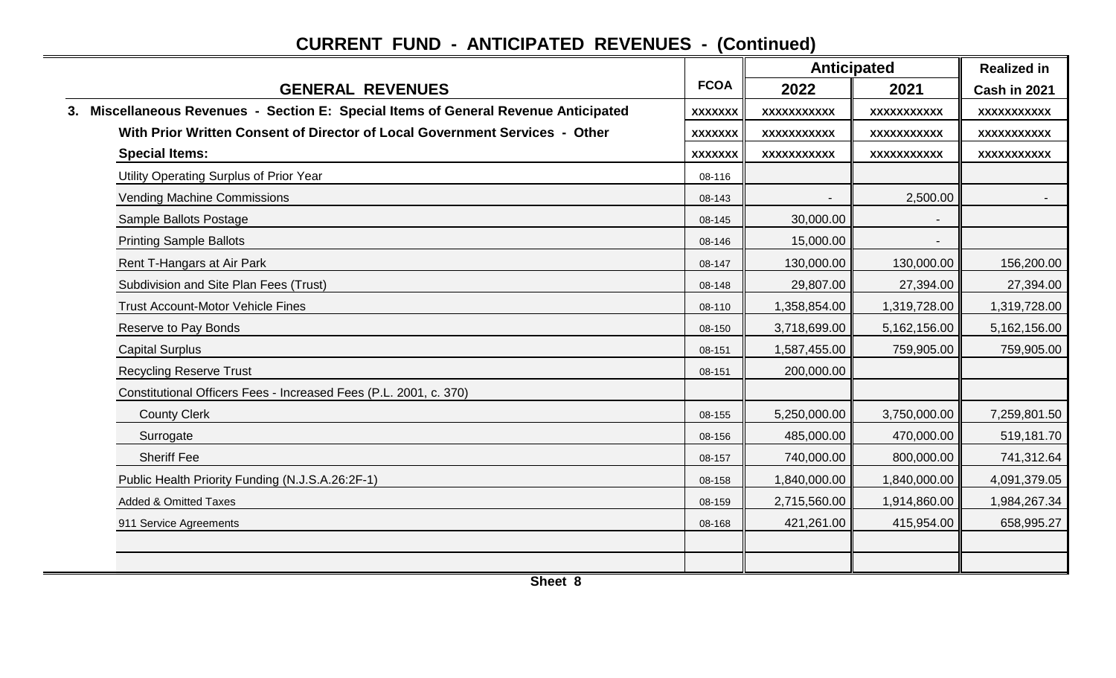|                                                                                     |                | <b>Anticipated</b> | <b>Realized in</b>        |                                                         |
|-------------------------------------------------------------------------------------|----------------|--------------------|---------------------------|---------------------------------------------------------|
| <b>GENERAL REVENUES</b>                                                             | <b>FCOA</b>    | 2022               | 2021                      | Cash in 2021                                            |
| 3. Miscellaneous Revenues - Section E: Special Items of General Revenue Anticipated | <b>XXXXXXX</b> | <b>XXXXXXXXXXX</b> | XXXXXXXXXXX               | XXXXXXXXXXX                                             |
| With Prior Written Consent of Director of Local Government Services - Other         | <b>XXXXXXX</b> | <b>XXXXXXXXXXX</b> | XXXXXXXXXXX               | XXXXXXXXXX                                              |
| <b>Special Items:</b>                                                               | <b>XXXXXXX</b> | <b>XXXXXXXXXXX</b> | XXXXXXXXXXX               | XXXXXXXXXXX                                             |
| Utility Operating Surplus of Prior Year                                             | 08-116         |                    |                           |                                                         |
| <b>Vending Machine Commissions</b>                                                  | 08-143         |                    | 2,500.00                  |                                                         |
| Sample Ballots Postage                                                              | 08-145         | 30,000.00          |                           |                                                         |
| <b>Printing Sample Ballots</b>                                                      | 08-146         | 15,000.00          | $\blacksquare$            |                                                         |
| Rent T-Hangars at Air Park                                                          | 08-147         | 130,000.00         | 130,000.00                | 156,200.00                                              |
| Subdivision and Site Plan Fees (Trust)                                              | 08-148         | 29,807.00          | 27,394.00<br>1,319,728.00 | 27,394.00<br>1,319,728.00<br>5,162,156.00<br>759,905.00 |
| <b>Trust Account-Motor Vehicle Fines</b>                                            | 08-110         | 1,358,854.00       |                           |                                                         |
| Reserve to Pay Bonds                                                                | 08-150         | 3,718,699.00       | 5,162,156.00              |                                                         |
| <b>Capital Surplus</b>                                                              | 08-151         | 1,587,455.00       | 759,905.00                |                                                         |
| <b>Recycling Reserve Trust</b>                                                      | 08-151         | 200,000.00         |                           |                                                         |
| Constitutional Officers Fees - Increased Fees (P.L. 2001, c. 370)                   |                |                    |                           |                                                         |
| <b>County Clerk</b>                                                                 | 08-155         | 5,250,000.00       | 3,750,000.00              | 7,259,801.50                                            |
| Surrogate                                                                           | 08-156         | 485,000.00         | 470,000.00                | 519,181.70                                              |
| <b>Sheriff Fee</b>                                                                  | 08-157         | 740,000.00         | 800,000.00                | 741,312.64                                              |
| Public Health Priority Funding (N.J.S.A.26:2F-1)                                    | 08-158         | 1,840,000.00       | 1,840,000.00              | 4,091,379.05                                            |
| <b>Added &amp; Omitted Taxes</b>                                                    | 08-159         | 2,715,560.00       | 1,914,860.00              | 1,984,267.34                                            |
| 911 Service Agreements                                                              | 08-168         | 421,261.00         | 415,954.00                | 658,995.27                                              |
|                                                                                     |                |                    |                           |                                                         |
|                                                                                     |                |                    |                           |                                                         |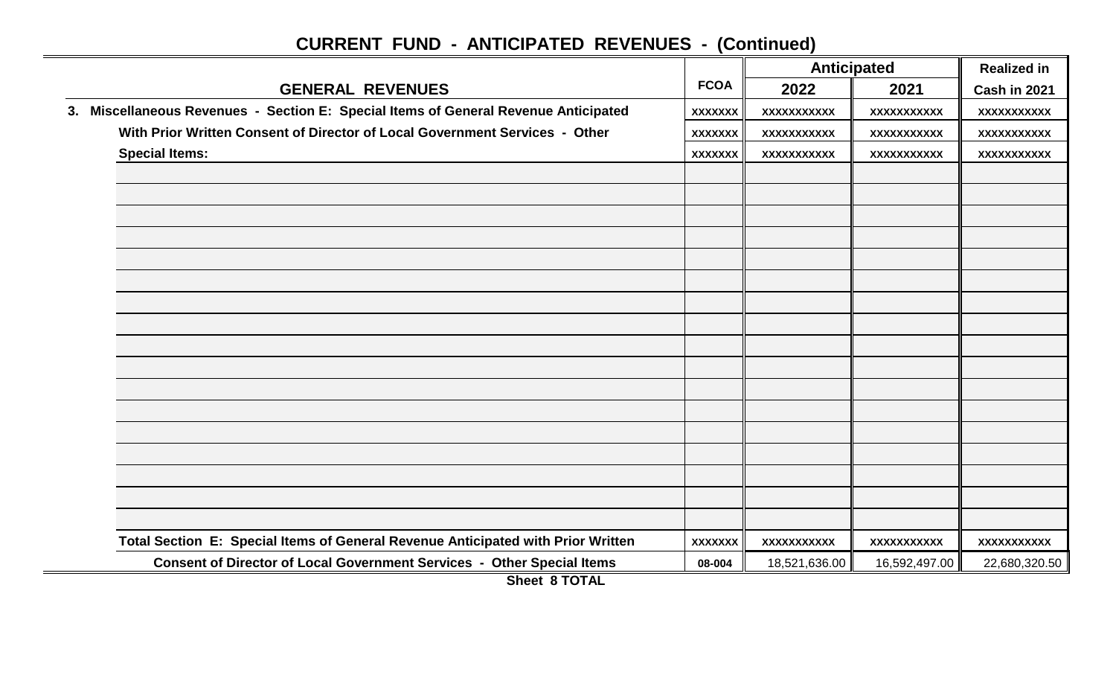|                                                                                                   |                | <b>Anticipated</b> | <b>Realized in</b> |                    |
|---------------------------------------------------------------------------------------------------|----------------|--------------------|--------------------|--------------------|
| <b>GENERAL REVENUES</b>                                                                           | <b>FCOA</b>    | 2022               | 2021               | Cash in 2021       |
| 3. Miscellaneous Revenues - Section E: Special Items of General Revenue Anticipated               | <b>XXXXXXX</b> | <b>XXXXXXXXXXX</b> | XXXXXXXXXXX        | XXXXXXXXXXX        |
| With Prior Written Consent of Director of Local Government Services - Other                       | <b>XXXXXXX</b> | XXXXXXXXXXX        | XXXXXXXXXXX        | <b>XXXXXXXXXXX</b> |
| <b>Special Items:</b>                                                                             | <b>XXXXXXX</b> | <b>XXXXXXXXXXX</b> | XXXXXXXXXXX        | <b>XXXXXXXXXXX</b> |
|                                                                                                   |                |                    |                    |                    |
|                                                                                                   |                |                    |                    |                    |
|                                                                                                   |                |                    |                    |                    |
|                                                                                                   |                |                    |                    |                    |
|                                                                                                   |                |                    |                    |                    |
|                                                                                                   |                |                    |                    |                    |
|                                                                                                   |                |                    |                    |                    |
|                                                                                                   |                |                    |                    |                    |
|                                                                                                   |                |                    |                    |                    |
|                                                                                                   |                |                    |                    |                    |
|                                                                                                   |                |                    |                    |                    |
|                                                                                                   |                |                    |                    |                    |
|                                                                                                   |                |                    |                    |                    |
|                                                                                                   |                |                    |                    |                    |
|                                                                                                   |                |                    |                    |                    |
|                                                                                                   |                |                    |                    |                    |
|                                                                                                   |                |                    |                    |                    |
|                                                                                                   |                |                    |                    |                    |
| Total Section E: Special Items of General Revenue Anticipated with Prior Written                  | <b>XXXXXXX</b> | XXXXXXXXXX         | XXXXXXXXXXX        | XXXXXXXXXX         |
| Consent of Director of Local Government Services - Other Special Items<br><b>AI <i>I</i>ATATI</b> | 08-004         | 18,521,636.00      | 16,592,497.00      | 22,680,320.50      |

**Sheet 8 TOTAL**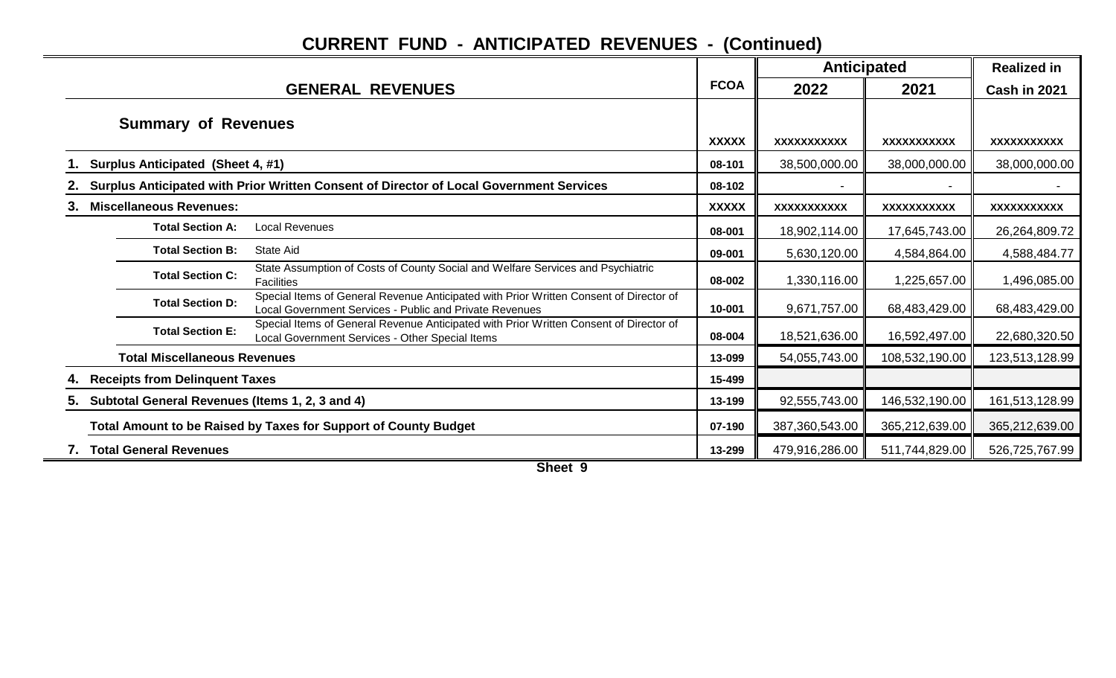|    |                                                 |                                                                                                                                                   |              | <b>Anticipated</b> |                | <b>Realized in</b> |
|----|-------------------------------------------------|---------------------------------------------------------------------------------------------------------------------------------------------------|--------------|--------------------|----------------|--------------------|
|    |                                                 | <b>GENERAL REVENUES</b>                                                                                                                           | <b>FCOA</b>  | 2022               | 2021           | Cash in 2021       |
|    | <b>Summary of Revenues</b>                      |                                                                                                                                                   | <b>XXXXX</b> | XXXXXXXXXXX        | XXXXXXXXXXX    | XXXXXXXXXXX        |
|    | Surplus Anticipated (Sheet 4, #1)               |                                                                                                                                                   | 08-101       | 38,500,000.00      | 38,000,000.00  | 38,000,000.00      |
|    |                                                 | Surplus Anticipated with Prior Written Consent of Director of Local Government Services                                                           | 08-102       |                    |                |                    |
| З. | <b>Miscellaneous Revenues:</b>                  |                                                                                                                                                   | <b>XXXXX</b> | XXXXXXXXXXX        | XXXXXXXXXXX    | XXXXXXXXXXX        |
|    | <b>Total Section A:</b>                         | <b>Local Revenues</b>                                                                                                                             | 08-001       | 18,902,114.00      | 17,645,743.00  | 26,264,809.72      |
|    | <b>Total Section B:</b>                         | State Aid                                                                                                                                         | 09-001       | 5,630,120.00       | 4,584,864.00   | 4,588,484.77       |
|    | <b>Total Section C:</b>                         | State Assumption of Costs of County Social and Welfare Services and Psychiatric<br><b>Facilities</b>                                              | 08-002       | 1,330,116.00       | 1,225,657.00   | 1,496,085.00       |
|    | <b>Total Section D:</b>                         | Special Items of General Revenue Anticipated with Prior Written Consent of Director of<br>Local Government Services - Public and Private Revenues | 10-001       | 9,671,757.00       | 68,483,429.00  | 68,483,429.00      |
|    | <b>Total Section E:</b>                         | Special Items of General Revenue Anticipated with Prior Written Consent of Director of<br>Local Government Services - Other Special Items         | 08-004       | 18,521,636.00      | 16,592,497.00  | 22,680,320.50      |
|    | <b>Total Miscellaneous Revenues</b>             |                                                                                                                                                   | 13-099       | 54,055,743.00      | 108,532,190.00 | 123,513,128.99     |
|    | <b>Receipts from Delinquent Taxes</b>           |                                                                                                                                                   | 15-499       |                    |                |                    |
| 5. | Subtotal General Revenues (Items 1, 2, 3 and 4) |                                                                                                                                                   | 13-199       | 92,555,743.00      | 146,532,190.00 | 161,513,128.99     |
|    |                                                 | Total Amount to be Raised by Taxes for Support of County Budget                                                                                   | 07-190       | 387,360,543.00     | 365,212,639.00 | 365,212,639.00     |
|    | <b>Total General Revenues</b>                   |                                                                                                                                                   | 13-299       | 479,916,286.00     | 511,744,829.00 | 526,725,767.99     |

**Sheet 9**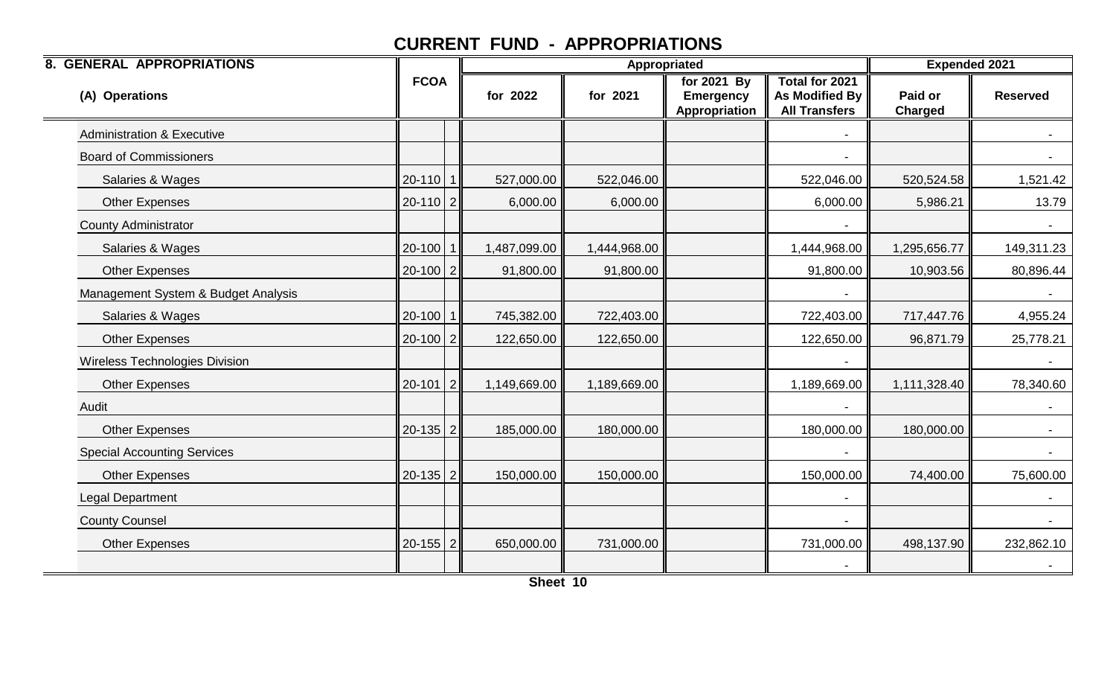| <b>8. GENERAL APPROPRIATIONS</b>      |                |              | <b>Appropriated</b> |                                                  | <b>Expended 2021</b>                                            |                    |                  |
|---------------------------------------|----------------|--------------|---------------------|--------------------------------------------------|-----------------------------------------------------------------|--------------------|------------------|
| (A) Operations                        | <b>FCOA</b>    | for 2022     | for 2021            | for 2021 By<br><b>Emergency</b><br>Appropriation | Total for 2021<br><b>As Modified By</b><br><b>All Transfers</b> | Paid or<br>Charged | <b>Reserved</b>  |
| <b>Administration &amp; Executive</b> |                |              |                     |                                                  |                                                                 |                    |                  |
| <b>Board of Commissioners</b>         |                |              |                     |                                                  |                                                                 |                    |                  |
| Salaries & Wages                      | $20-110$ 1     | 527,000.00   | 522,046.00          |                                                  | 522,046.00                                                      | 520,524.58         | 1,521.42         |
| <b>Other Expenses</b>                 | $20-110$   2   | 6,000.00     | 6,000.00            |                                                  | 6,000.00                                                        | 5,986.21           | 13.79            |
| <b>County Administrator</b>           |                |              |                     |                                                  |                                                                 |                    |                  |
| Salaries & Wages                      | $20-100$ 1     | 1,487,099.00 | 1,444,968.00        |                                                  | 1,444,968.00                                                    | 1,295,656.77       | 149,311.23       |
| <b>Other Expenses</b>                 | $20-100$   2   | 91,800.00    | 91,800.00           |                                                  | 91,800.00                                                       | 10,903.56          | 80,896.44        |
| Management System & Budget Analysis   |                |              |                     |                                                  |                                                                 |                    | $\blacksquare$   |
| Salaries & Wages                      | $20-100$ 1     | 745,382.00   | 722,403.00          |                                                  | 722,403.00                                                      | 717,447.76         | 4,955.24         |
| <b>Other Expenses</b>                 | $20-100$   2   | 122,650.00   | 122,650.00          |                                                  | 122,650.00                                                      | 96,871.79          | 25,778.21        |
| Wireless Technologies Division        |                |              |                     |                                                  |                                                                 |                    | $\sim$           |
| <b>Other Expenses</b>                 | $20-101$   2   | 1,149,669.00 | 1,189,669.00        |                                                  | 1,189,669.00                                                    | 1,111,328.40       | 78,340.60        |
| Audit                                 |                |              |                     |                                                  |                                                                 |                    |                  |
| <b>Other Expenses</b>                 | $20-135$ 2     | 185,000.00   | 180,000.00          |                                                  | 180,000.00                                                      | 180,000.00         |                  |
| <b>Special Accounting Services</b>    |                |              |                     |                                                  |                                                                 |                    | $\sim$           |
| Other Expenses                        | $20-135$   2   | 150,000.00   | 150,000.00          |                                                  | 150,000.00                                                      | 74,400.00          | 75,600.00        |
| Legal Department                      |                |              |                     |                                                  |                                                                 |                    |                  |
| <b>County Counsel</b>                 |                |              |                     |                                                  |                                                                 |                    | $\sim$ 100 $\mu$ |
| <b>Other Expenses</b>                 | $20 - 155$   2 | 650,000.00   | 731,000.00          |                                                  | 731,000.00                                                      | 498,137.90         | 232,862.10       |
|                                       |                |              |                     |                                                  |                                                                 |                    |                  |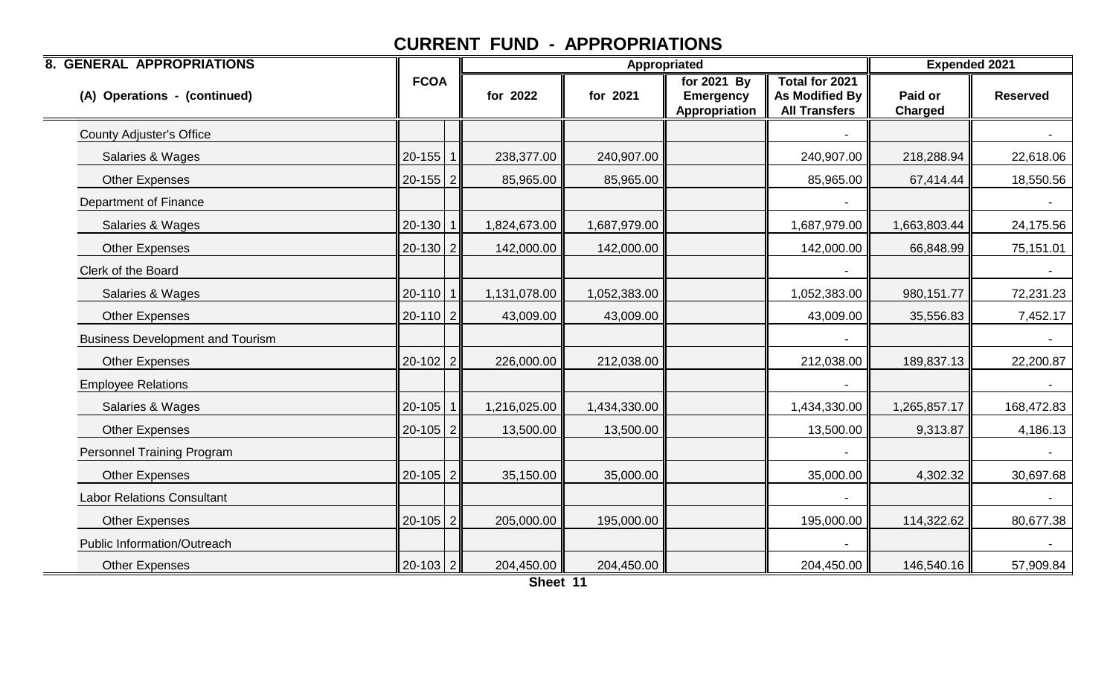| <b>8. GENERAL APPROPRIATIONS</b>        |              |              | Appropriated |                                                  | <b>Expended 2021</b>                                                   |                           |                 |
|-----------------------------------------|--------------|--------------|--------------|--------------------------------------------------|------------------------------------------------------------------------|---------------------------|-----------------|
| (A) Operations - (continued)            | <b>FCOA</b>  | for 2022     | for 2021     | for 2021 By<br><b>Emergency</b><br>Appropriation | <b>Total for 2021</b><br><b>As Modified By</b><br><b>All Transfers</b> | Paid or<br><b>Charged</b> | <b>Reserved</b> |
| <b>County Adjuster's Office</b>         |              |              |              |                                                  |                                                                        |                           |                 |
| Salaries & Wages                        | $20-155$   1 | 238,377.00   | 240,907.00   |                                                  | 240,907.00                                                             | 218,288.94                | 22,618.06       |
| <b>Other Expenses</b>                   | $20-155$   2 | 85,965.00    | 85,965.00    |                                                  | 85,965.00                                                              | 67,414.44                 | 18,550.56       |
| Department of Finance                   |              |              |              |                                                  |                                                                        |                           |                 |
| Salaries & Wages                        | $20-130$ 1   | 1,824,673.00 | 1,687,979.00 |                                                  | 1,687,979.00                                                           | 1,663,803.44              | 24,175.56       |
| <b>Other Expenses</b>                   | $20-130$ 2   | 142,000.00   | 142,000.00   |                                                  | 142,000.00                                                             | 66,848.99                 | 75,151.01       |
| Clerk of the Board                      |              |              |              |                                                  |                                                                        |                           |                 |
| Salaries & Wages                        | $20-110$ 1   | 1,131,078.00 | 1,052,383.00 |                                                  | 1,052,383.00                                                           | 980,151.77                | 72,231.23       |
| <b>Other Expenses</b>                   | $20-110$   2 | 43,009.00    | 43,009.00    |                                                  | 43,009.00                                                              | 35,556.83                 | 7,452.17        |
| <b>Business Development and Tourism</b> |              |              |              |                                                  |                                                                        |                           |                 |
| <b>Other Expenses</b>                   | $20-102$   2 | 226,000.00   | 212,038.00   |                                                  | 212,038.00                                                             | 189,837.13                | 22,200.87       |
| <b>Employee Relations</b>               |              |              |              |                                                  |                                                                        |                           |                 |
| Salaries & Wages                        | $20-105$   1 | 1,216,025.00 | 1,434,330.00 |                                                  | 1,434,330.00                                                           | 1,265,857.17              | 168,472.83      |
| <b>Other Expenses</b>                   | $20-105$   2 | 13,500.00    | 13,500.00    |                                                  | 13,500.00                                                              | 9,313.87                  | 4,186.13        |
| <b>Personnel Training Program</b>       |              |              |              |                                                  |                                                                        |                           |                 |
| <b>Other Expenses</b>                   | $20-105$ 2   | 35,150.00    | 35,000.00    |                                                  | 35,000.00                                                              | 4,302.32                  | 30,697.68       |
| <b>Labor Relations Consultant</b>       |              |              |              |                                                  |                                                                        |                           |                 |
| <b>Other Expenses</b>                   | $20-105$   2 | 205,000.00   | 195,000.00   |                                                  | 195,000.00                                                             | 114,322.62                | 80,677.38       |
| Public Information/Outreach             |              |              |              |                                                  |                                                                        |                           |                 |
| <b>Other Expenses</b>                   | $20-103$   2 | 204,450.00   | 204,450.00   |                                                  | 204,450.00                                                             | 146,540.16                | 57,909.84       |

**Sheet 11**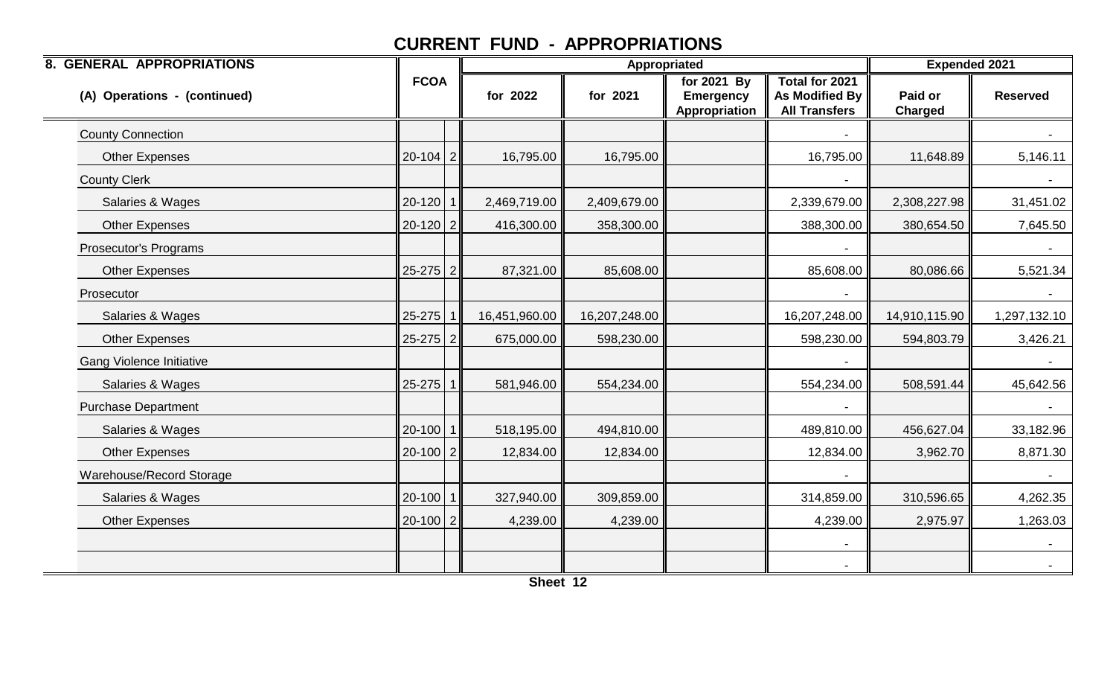| <b>8. GENERAL APPROPRIATIONS</b> |              |               | Appropriated  |                                                  | <b>Expended 2021</b>                                     |                           |                 |
|----------------------------------|--------------|---------------|---------------|--------------------------------------------------|----------------------------------------------------------|---------------------------|-----------------|
| (A) Operations - (continued)     | <b>FCOA</b>  | for 2022      | for 2021      | for 2021 By<br><b>Emergency</b><br>Appropriation | Total for 2021<br>As Modified By<br><b>All Transfers</b> | Paid or<br><b>Charged</b> | <b>Reserved</b> |
| <b>County Connection</b>         |              |               |               |                                                  |                                                          |                           |                 |
| <b>Other Expenses</b>            | $20-104$   2 | 16,795.00     | 16,795.00     |                                                  | 16,795.00                                                | 11,648.89                 | 5,146.11        |
| <b>County Clerk</b>              |              |               |               |                                                  |                                                          |                           |                 |
| Salaries & Wages                 | $20-120$ 1   | 2,469,719.00  | 2,409,679.00  |                                                  | 2,339,679.00                                             | 2,308,227.98              | 31,451.02       |
| <b>Other Expenses</b>            | $20-120$   2 | 416,300.00    | 358,300.00    |                                                  | 388,300.00                                               | 380,654.50                | 7,645.50        |
| Prosecutor's Programs            |              |               |               |                                                  |                                                          |                           |                 |
| <b>Other Expenses</b>            | $25-275$   2 | 87,321.00     | 85,608.00     |                                                  | 85,608.00                                                | 80,086.66                 | 5,521.34        |
| Prosecutor                       |              |               |               |                                                  | $\blacksquare$                                           |                           | $\sim$          |
| Salaries & Wages                 | $25-275$ 1   | 16,451,960.00 | 16,207,248.00 |                                                  | 16,207,248.00                                            | 14,910,115.90             | 1,297,132.10    |
| <b>Other Expenses</b>            | $25-275$   2 | 675,000.00    | 598,230.00    |                                                  | 598,230.00                                               | 594,803.79                | 3,426.21        |
| <b>Gang Violence Initiative</b>  |              |               |               |                                                  |                                                          |                           |                 |
| Salaries & Wages                 | $25-275$ 1   | 581,946.00    | 554,234.00    |                                                  | 554,234.00                                               | 508,591.44                | 45,642.56       |
| <b>Purchase Department</b>       |              |               |               |                                                  |                                                          |                           |                 |
| Salaries & Wages                 | $20-100$ 1   | 518,195.00    | 494,810.00    |                                                  | 489,810.00                                               | 456,627.04                | 33,182.96       |
| <b>Other Expenses</b>            | $20-100$ 2   | 12,834.00     | 12,834.00     |                                                  | 12,834.00                                                | 3,962.70                  | 8,871.30        |
| Warehouse/Record Storage         |              |               |               |                                                  |                                                          |                           | $\sim$          |
| Salaries & Wages                 | $20-100$ 1   | 327,940.00    | 309,859.00    |                                                  | 314,859.00                                               | 310,596.65                | 4,262.35        |
| <b>Other Expenses</b>            | $20-100$   2 | 4,239.00      | 4,239.00      |                                                  | 4,239.00                                                 | 2,975.97                  | 1,263.03        |
|                                  |              |               |               |                                                  |                                                          |                           | $\sim$          |
|                                  |              |               |               |                                                  |                                                          |                           |                 |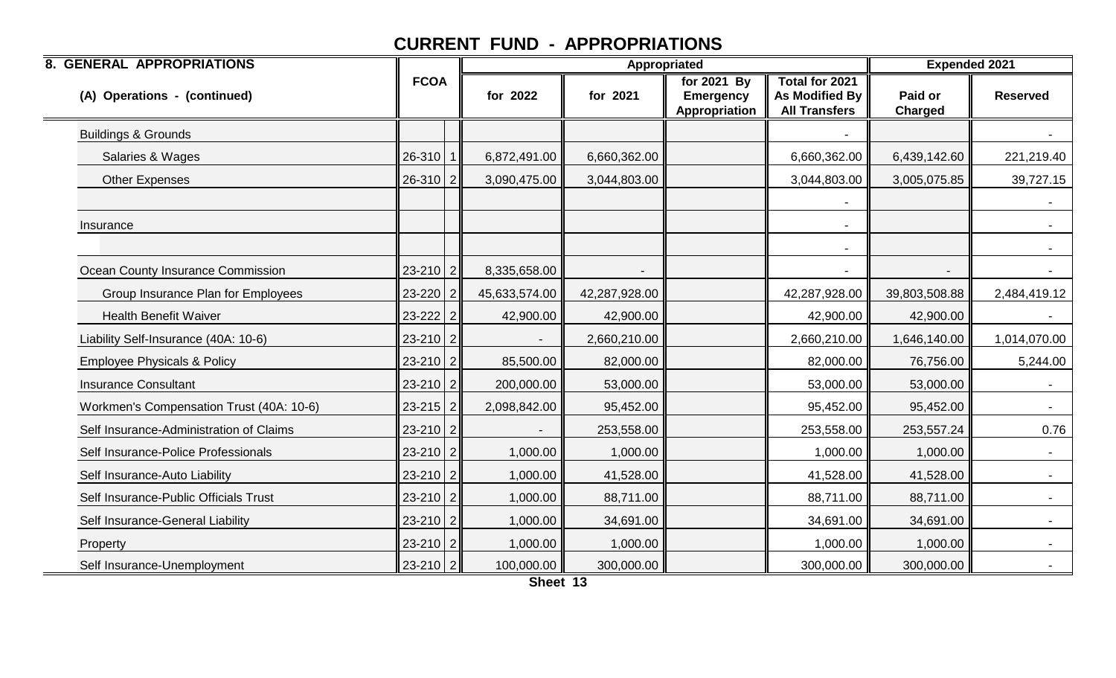| <b>8. GENERAL APPROPRIATIONS</b>         |                |               | Appropriated  |                                                  | <b>Expended 2021</b>                                     |                           |                 |
|------------------------------------------|----------------|---------------|---------------|--------------------------------------------------|----------------------------------------------------------|---------------------------|-----------------|
| (A) Operations - (continued)             | <b>FCOA</b>    | for 2022      | for 2021      | for 2021 By<br><b>Emergency</b><br>Appropriation | Total for 2021<br>As Modified By<br><b>All Transfers</b> | Paid or<br><b>Charged</b> | <b>Reserved</b> |
| <b>Buildings &amp; Grounds</b>           |                |               |               |                                                  |                                                          |                           |                 |
| Salaries & Wages                         | $26-310$   1   | 6,872,491.00  | 6,660,362.00  |                                                  | 6,660,362.00                                             | 6,439,142.60              | 221,219.40      |
| <b>Other Expenses</b>                    | $26-310$   2   | 3,090,475.00  | 3,044,803.00  |                                                  | 3,044,803.00                                             | 3,005,075.85              | 39,727.15       |
|                                          |                |               |               |                                                  |                                                          |                           |                 |
| Insurance                                |                |               |               |                                                  |                                                          |                           | $\sim$          |
|                                          |                |               |               |                                                  |                                                          |                           |                 |
| Ocean County Insurance Commission        | 23-210 2       | 8,335,658.00  |               |                                                  |                                                          |                           |                 |
| Group Insurance Plan for Employees       | $23 - 220$   2 | 45,633,574.00 | 42,287,928.00 |                                                  | 42,287,928.00                                            | 39,803,508.88             | 2,484,419.12    |
| <b>Health Benefit Waiver</b>             | $23 - 222$ 2   | 42,900.00     | 42,900.00     |                                                  | 42,900.00                                                | 42,900.00                 |                 |
| Liability Self-Insurance (40A: 10-6)     | $23 - 210$ 2   |               | 2,660,210.00  |                                                  | 2,660,210.00                                             | 1,646,140.00              | 1,014,070.00    |
| <b>Employee Physicals &amp; Policy</b>   | $23 - 210$ 2   | 85,500.00     | 82,000.00     |                                                  | 82,000.00                                                | 76,756.00                 | 5,244.00        |
| <b>Insurance Consultant</b>              | $23 - 210$   2 | 200,000.00    | 53,000.00     |                                                  | 53,000.00                                                | 53,000.00                 | $\sim$          |
| Workmen's Compensation Trust (40A: 10-6) | $23 - 215$ 2   | 2,098,842.00  | 95,452.00     |                                                  | 95,452.00                                                | 95,452.00                 | $\sim$          |
| Self Insurance-Administration of Claims  | $23 - 210$ 2   |               | 253,558.00    |                                                  | 253,558.00                                               | 253,557.24                | 0.76            |
| Self Insurance-Police Professionals      | $23 - 210$   2 | 1,000.00      | 1,000.00      |                                                  | 1,000.00                                                 | 1,000.00                  |                 |
| Self Insurance-Auto Liability            | $23 - 210$   2 | 1,000.00      | 41,528.00     |                                                  | 41,528.00                                                | 41,528.00                 | $\sim$          |
| Self Insurance-Public Officials Trust    | $23 - 210$   2 | 1,000.00      | 88,711.00     |                                                  | 88,711.00                                                | 88,711.00                 | $\sim$          |
| Self Insurance-General Liability         | $23 - 210$   2 | 1,000.00      | 34,691.00     |                                                  | 34,691.00                                                | 34,691.00                 |                 |
| Property                                 | $23 - 210$ 2   | 1,000.00      | 1,000.00      |                                                  | 1,000.00                                                 | 1,000.00                  |                 |
| Self Insurance-Unemployment              | $23 - 210$   2 | 100,000.00    | 300,000.00    |                                                  | 300,000.00                                               | 300,000.00                |                 |

**Sheet 13**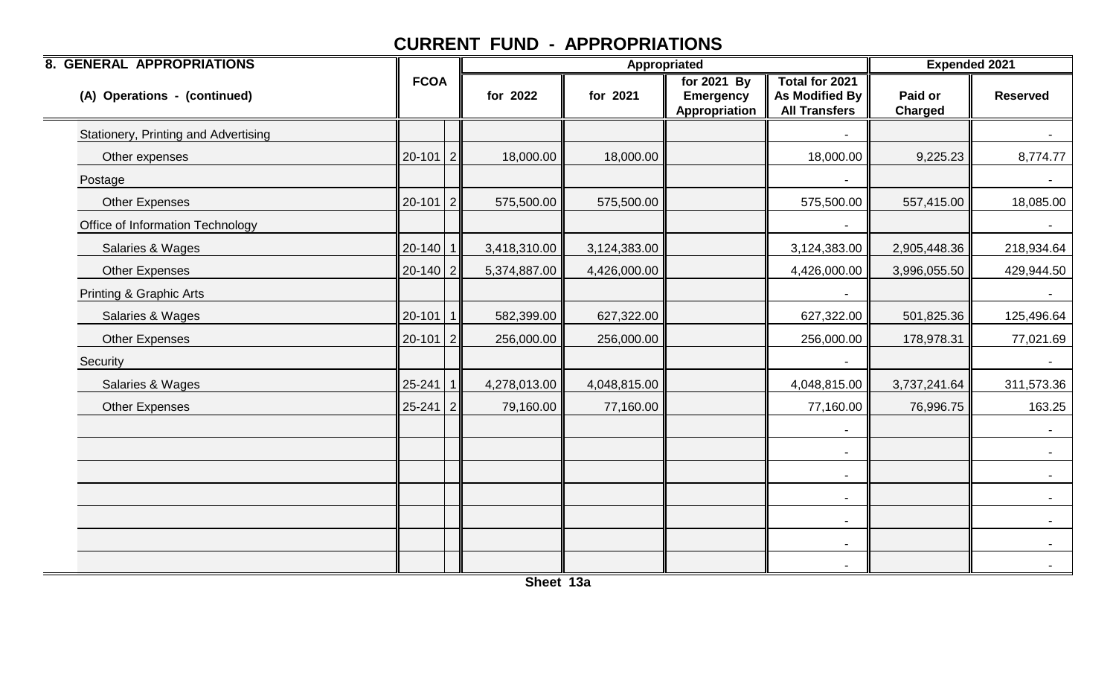| <b>8. GENERAL APPROPRIATIONS</b>     |                | Appropriated |              |              |                                                  | <b>Expended 2021</b>                                     |                           |                 |
|--------------------------------------|----------------|--------------|--------------|--------------|--------------------------------------------------|----------------------------------------------------------|---------------------------|-----------------|
| (A) Operations - (continued)         | <b>FCOA</b>    |              | for 2022     | for 2021     | for 2021 By<br><b>Emergency</b><br>Appropriation | Total for 2021<br>As Modified By<br><b>All Transfers</b> | Paid or<br><b>Charged</b> | <b>Reserved</b> |
| Stationery, Printing and Advertising |                |              |              |              |                                                  |                                                          |                           |                 |
| Other expenses                       | $20-101$   2   |              | 18,000.00    | 18,000.00    |                                                  | 18,000.00                                                | 9,225.23                  | 8,774.77        |
| Postage                              |                |              |              |              |                                                  |                                                          |                           |                 |
| <b>Other Expenses</b>                | $20-101$   2   |              | 575,500.00   | 575,500.00   |                                                  | 575,500.00                                               | 557,415.00                | 18,085.00       |
| Office of Information Technology     |                |              |              |              |                                                  |                                                          |                           | $\sim$          |
| Salaries & Wages                     | $20-140$   1   |              | 3,418,310.00 | 3,124,383.00 |                                                  | 3,124,383.00                                             | 2,905,448.36              | 218,934.64      |
| <b>Other Expenses</b>                | $20-140$ 2     |              | 5,374,887.00 | 4,426,000.00 |                                                  | 4,426,000.00                                             | 3,996,055.50              | 429,944.50      |
| Printing & Graphic Arts              |                |              |              |              |                                                  | $\blacksquare$                                           |                           | $\sim$          |
| Salaries & Wages                     | $20-101$ 1     |              | 582,399.00   | 627,322.00   |                                                  | 627,322.00                                               | 501,825.36                | 125,496.64      |
| <b>Other Expenses</b>                | $20-101$   2   |              | 256,000.00   | 256,000.00   |                                                  | 256,000.00                                               | 178,978.31                | 77,021.69       |
| Security                             |                |              |              |              |                                                  |                                                          |                           |                 |
| Salaries & Wages                     | $25 - 241$ 1   |              | 4,278,013.00 | 4,048,815.00 |                                                  | 4,048,815.00                                             | 3,737,241.64              | 311,573.36      |
| <b>Other Expenses</b>                | $25 - 241$   2 |              | 79,160.00    | 77,160.00    |                                                  | 77,160.00                                                | 76,996.75                 | 163.25          |
|                                      |                |              |              |              |                                                  |                                                          |                           |                 |
|                                      |                |              |              |              |                                                  |                                                          |                           |                 |
|                                      |                |              |              |              |                                                  | $\blacksquare$                                           |                           | $\sim$          |
|                                      |                |              |              |              |                                                  |                                                          |                           |                 |
|                                      |                |              |              |              |                                                  | $\overline{\phantom{a}}$                                 |                           |                 |
|                                      |                |              |              |              |                                                  | $\overline{\phantom{a}}$                                 |                           |                 |
|                                      |                |              |              |              |                                                  |                                                          |                           |                 |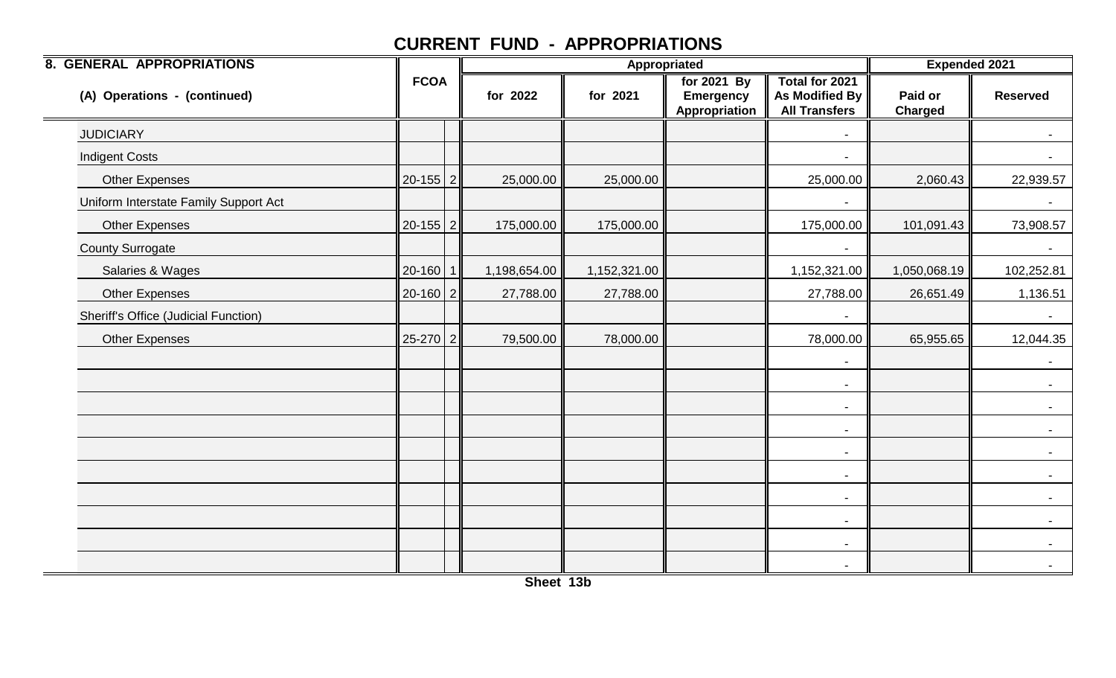| <b>8. GENERAL APPROPRIATIONS</b>      |              | Appropriated |              |              |                                                  | <b>Expended 2021</b>                                            |                           |                 |
|---------------------------------------|--------------|--------------|--------------|--------------|--------------------------------------------------|-----------------------------------------------------------------|---------------------------|-----------------|
| (A) Operations - (continued)          | <b>FCOA</b>  |              | for 2022     | for 2021     | for 2021 By<br><b>Emergency</b><br>Appropriation | <b>Total for 2021</b><br>As Modified By<br><b>All Transfers</b> | Paid or<br><b>Charged</b> | <b>Reserved</b> |
| <b>JUDICIARY</b>                      |              |              |              |              |                                                  | $\overline{\phantom{a}}$                                        |                           | $\sim$          |
| <b>Indigent Costs</b>                 |              |              |              |              |                                                  | -                                                               |                           |                 |
| <b>Other Expenses</b>                 | $20-155$ 2   |              | 25,000.00    | 25,000.00    |                                                  | 25,000.00                                                       | 2,060.43                  | 22,939.57       |
| Uniform Interstate Family Support Act |              |              |              |              |                                                  | -                                                               |                           | $\sim$          |
| <b>Other Expenses</b>                 | $20-155$   2 |              | 175,000.00   | 175,000.00   |                                                  | 175,000.00                                                      | 101,091.43                | 73,908.57       |
| <b>County Surrogate</b>               |              |              |              |              |                                                  |                                                                 |                           |                 |
| Salaries & Wages                      | $20-160$ 1   |              | 1,198,654.00 | 1,152,321.00 |                                                  | 1,152,321.00                                                    | 1,050,068.19              | 102,252.81      |
| <b>Other Expenses</b>                 | $20-160$   2 |              | 27,788.00    | 27,788.00    |                                                  | 27,788.00                                                       | 26,651.49                 | 1,136.51        |
| Sheriff's Office (Judicial Function)  |              |              |              |              |                                                  | $\overline{\phantom{0}}$                                        |                           | $\sim$ $^{-1}$  |
| <b>Other Expenses</b>                 | $25-270$ 2   |              | 79,500.00    | 78,000.00    |                                                  | 78,000.00                                                       | 65,955.65                 | 12,044.35       |
|                                       |              |              |              |              |                                                  | -                                                               |                           | $\sim$          |
|                                       |              |              |              |              |                                                  | $\blacksquare$                                                  |                           | $\sim$ $-$      |
|                                       |              |              |              |              |                                                  | $\blacksquare$                                                  |                           | $\sim$          |
|                                       |              |              |              |              |                                                  | $\blacksquare$                                                  |                           |                 |
|                                       |              |              |              |              |                                                  | $\blacksquare$                                                  |                           | $\sim$          |
|                                       |              |              |              |              |                                                  | $\blacksquare$                                                  |                           | $\sim$          |
|                                       |              |              |              |              |                                                  | $\blacksquare$                                                  |                           | $\sim$          |
|                                       |              |              |              |              |                                                  | $\blacksquare$                                                  |                           | $\sim$          |
|                                       |              |              |              |              |                                                  | $\overline{\phantom{a}}$                                        |                           | $\sim$          |
|                                       |              |              |              |              |                                                  | $\blacksquare$                                                  |                           | $\sim$          |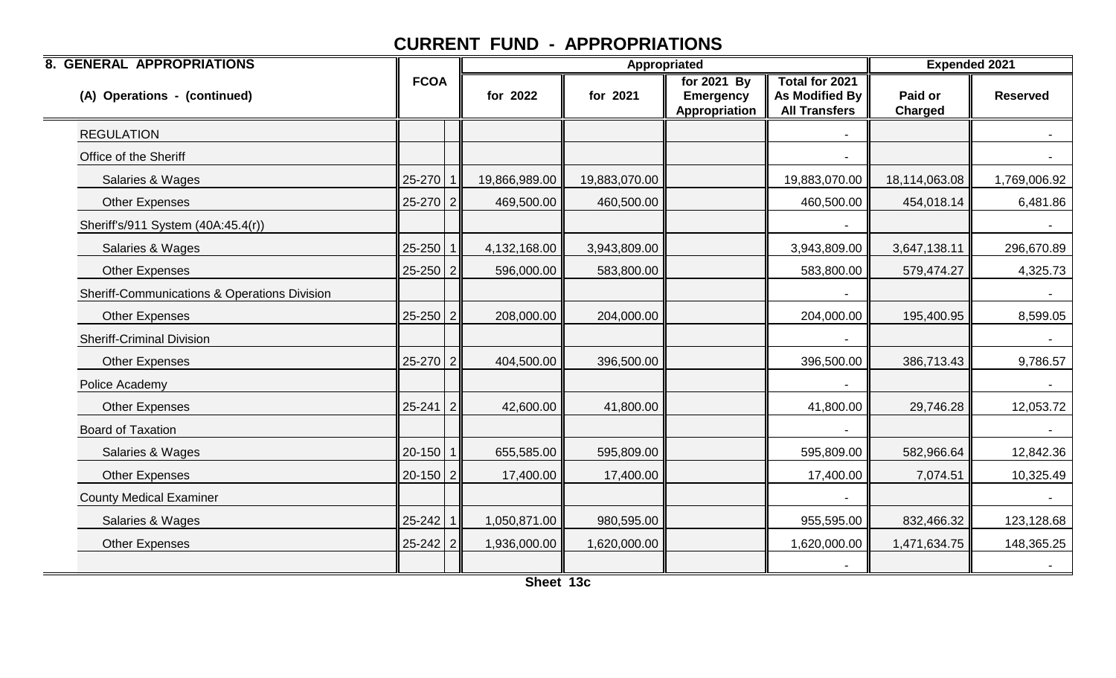| <b>8. GENERAL APPROPRIATIONS</b>             |                |               | <b>Appropriated</b> |                                                  | <b>Expended 2021</b>                                     |                           |                 |
|----------------------------------------------|----------------|---------------|---------------------|--------------------------------------------------|----------------------------------------------------------|---------------------------|-----------------|
| (A) Operations - (continued)                 | <b>FCOA</b>    | for 2022      | for 2021            | for 2021 By<br><b>Emergency</b><br>Appropriation | Total for 2021<br>As Modified By<br><b>All Transfers</b> | Paid or<br><b>Charged</b> | <b>Reserved</b> |
| <b>REGULATION</b>                            |                |               |                     |                                                  |                                                          |                           |                 |
| Office of the Sheriff                        |                |               |                     |                                                  |                                                          |                           |                 |
| Salaries & Wages                             | $25 - 270$ 1   | 19,866,989.00 | 19,883,070.00       |                                                  | 19,883,070.00                                            | 18,114,063.08             | 1,769,006.92    |
| <b>Other Expenses</b>                        | $25-270$   2   | 469,500.00    | 460,500.00          |                                                  | 460,500.00                                               | 454,018.14                | 6,481.86        |
| Sheriff's/911 System (40A:45.4(r))           |                |               |                     |                                                  |                                                          |                           | $\sim$          |
| Salaries & Wages                             | $25 - 250$   1 | 4,132,168.00  | 3,943,809.00        |                                                  | 3,943,809.00                                             | 3,647,138.11              | 296,670.89      |
| <b>Other Expenses</b>                        | $25 - 250$ 2   | 596,000.00    | 583,800.00          |                                                  | 583,800.00                                               | 579,474.27                | 4,325.73        |
| Sheriff-Communications & Operations Division |                |               |                     |                                                  |                                                          |                           | $\sim$          |
| <b>Other Expenses</b>                        | $25 - 250$ 2   | 208,000.00    | 204,000.00          |                                                  | 204,000.00                                               | 195,400.95                | 8,599.05        |
| <b>Sheriff-Criminal Division</b>             |                |               |                     |                                                  |                                                          |                           |                 |
| <b>Other Expenses</b>                        | $25-270$ 2     | 404,500.00    | 396,500.00          |                                                  | 396,500.00                                               | 386,713.43                | 9,786.57        |
| Police Academy                               |                |               |                     |                                                  |                                                          |                           | $\sim$          |
| <b>Other Expenses</b>                        | $25 - 241$   2 | 42,600.00     | 41,800.00           |                                                  | 41,800.00                                                | 29,746.28                 | 12,053.72       |
| <b>Board of Taxation</b>                     |                |               |                     |                                                  |                                                          |                           |                 |
| Salaries & Wages                             | $20-150$   1   | 655,585.00    | 595,809.00          |                                                  | 595,809.00                                               | 582,966.64                | 12,842.36       |
| Other Expenses                               | $20-150$   2   | 17,400.00     | 17,400.00           |                                                  | 17,400.00                                                | 7,074.51                  | 10,325.49       |
| <b>County Medical Examiner</b>               |                |               |                     |                                                  |                                                          |                           |                 |
| Salaries & Wages                             | $25 - 242$ 1   | 1,050,871.00  | 980,595.00          |                                                  | 955,595.00                                               | 832,466.32                | 123,128.68      |
| <b>Other Expenses</b>                        | $25 - 242$ 2   | 1,936,000.00  | 1,620,000.00        |                                                  | 1,620,000.00                                             | 1,471,634.75              | 148,365.25      |
|                                              |                |               |                     |                                                  |                                                          |                           |                 |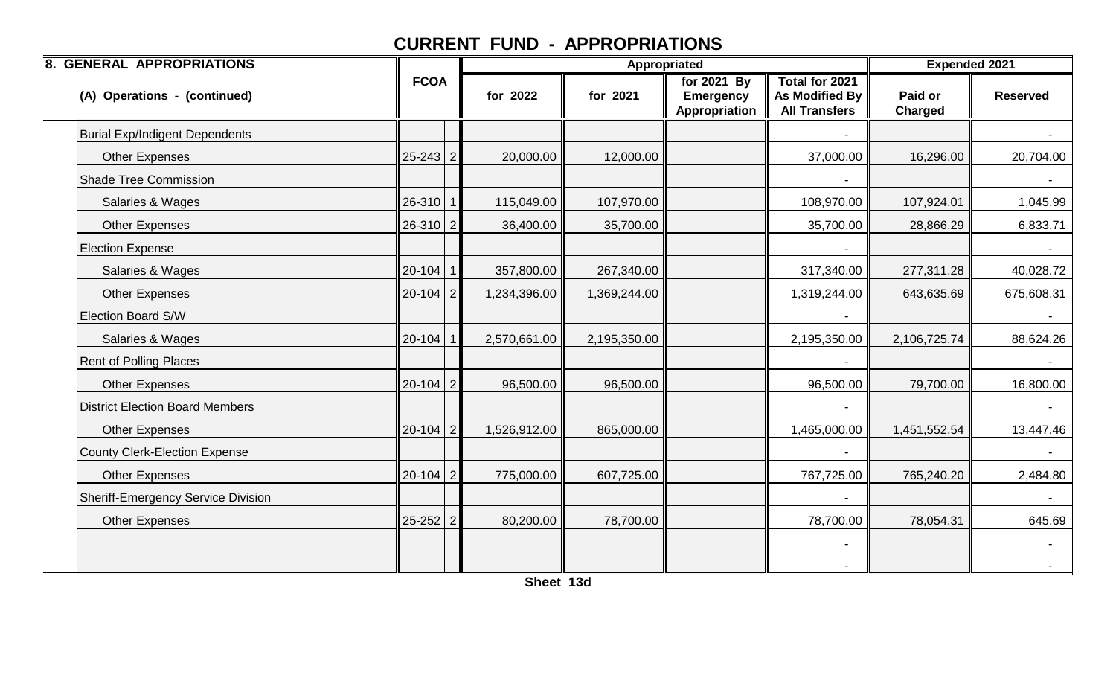| <b>8. GENERAL APPROPRIATIONS</b>          |                | Appropriated |              |                                                  |                                                          | <b>Expended 2021</b>      |                 |
|-------------------------------------------|----------------|--------------|--------------|--------------------------------------------------|----------------------------------------------------------|---------------------------|-----------------|
| (A) Operations - (continued)              | <b>FCOA</b>    | for 2022     | for 2021     | for 2021 By<br><b>Emergency</b><br>Appropriation | Total for 2021<br>As Modified By<br><b>All Transfers</b> | Paid or<br><b>Charged</b> | <b>Reserved</b> |
| <b>Burial Exp/Indigent Dependents</b>     |                |              |              |                                                  |                                                          |                           |                 |
| <b>Other Expenses</b>                     | $25 - 243$   2 | 20,000.00    | 12,000.00    |                                                  | 37,000.00                                                | 16,296.00                 | 20,704.00       |
| <b>Shade Tree Commission</b>              |                |              |              |                                                  |                                                          |                           |                 |
| Salaries & Wages                          | $26-310$   1   | 115,049.00   | 107,970.00   |                                                  | 108,970.00                                               | 107,924.01                | 1,045.99        |
| <b>Other Expenses</b>                     | $26-310$   2   | 36,400.00    | 35,700.00    |                                                  | 35,700.00                                                | 28,866.29                 | 6,833.71        |
| <b>Election Expense</b>                   |                |              |              |                                                  |                                                          |                           |                 |
| Salaries & Wages                          | $20-104$ 1     | 357,800.00   | 267,340.00   |                                                  | 317,340.00                                               | 277,311.28                | 40,028.72       |
| <b>Other Expenses</b>                     | $20-104$   2   | 1,234,396.00 | 1,369,244.00 |                                                  | 1,319,244.00                                             | 643,635.69                | 675,608.31      |
| Election Board S/W                        |                |              |              |                                                  |                                                          |                           |                 |
| Salaries & Wages                          | $20-104$ 1     | 2,570,661.00 | 2,195,350.00 |                                                  | 2,195,350.00                                             | 2,106,725.74              | 88,624.26       |
| <b>Rent of Polling Places</b>             |                |              |              |                                                  |                                                          |                           | $\sim$          |
| <b>Other Expenses</b>                     | $20-104$   2   | 96,500.00    | 96,500.00    |                                                  | 96,500.00                                                | 79,700.00                 | 16,800.00       |
| <b>District Election Board Members</b>    |                |              |              |                                                  |                                                          |                           |                 |
| <b>Other Expenses</b>                     | $20-104$ 2     | 1,526,912.00 | 865,000.00   |                                                  | 1,465,000.00                                             | 1,451,552.54              | 13,447.46       |
| <b>County Clerk-Election Expense</b>      |                |              |              |                                                  |                                                          |                           |                 |
| <b>Other Expenses</b>                     | $20-104$   2   | 775,000.00   | 607,725.00   |                                                  | 767,725.00                                               | 765,240.20                | 2,484.80        |
| <b>Sheriff-Emergency Service Division</b> |                |              |              |                                                  |                                                          |                           |                 |
| <b>Other Expenses</b>                     | $25 - 252$ 2   | 80,200.00    | 78,700.00    |                                                  | 78,700.00                                                | 78,054.31                 | 645.69          |
|                                           |                |              |              |                                                  | $\overline{\phantom{a}}$                                 |                           | $\sim$          |
|                                           |                |              |              |                                                  |                                                          |                           | $\sim$          |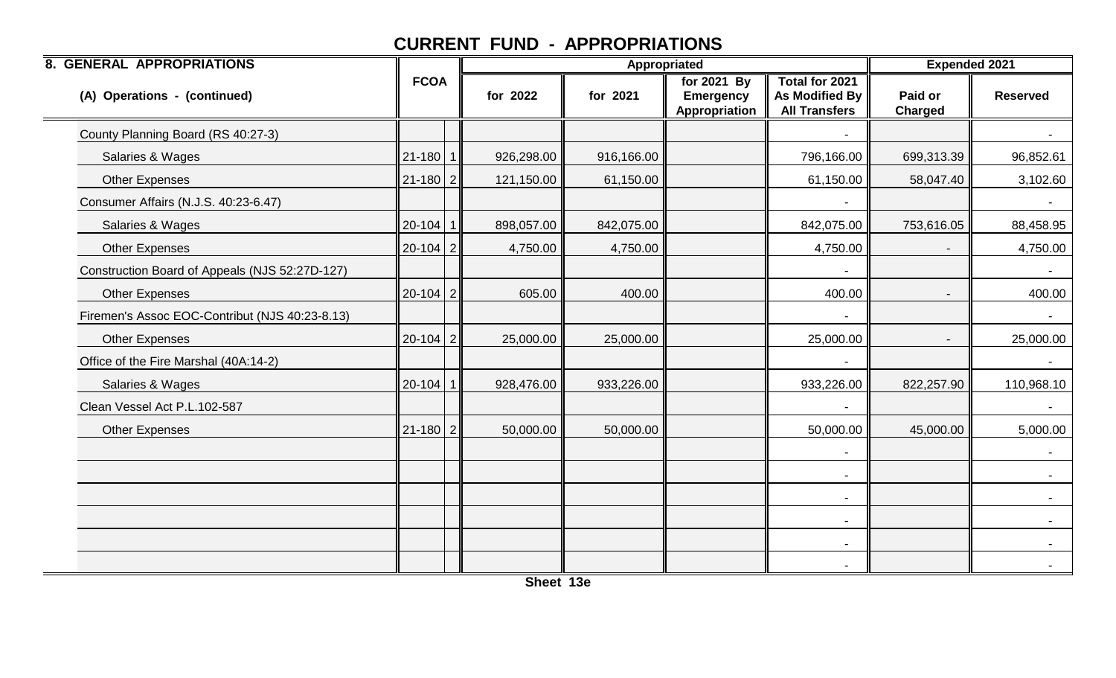| <b>8. GENERAL APPROPRIATIONS</b>               |                |            |            | <b>Appropriated</b>                              |                                                          | <b>Expended 2021</b>      |                 |
|------------------------------------------------|----------------|------------|------------|--------------------------------------------------|----------------------------------------------------------|---------------------------|-----------------|
| (A) Operations - (continued)                   | <b>FCOA</b>    | for 2022   | for 2021   | for 2021 By<br><b>Emergency</b><br>Appropriation | Total for 2021<br>As Modified By<br><b>All Transfers</b> | Paid or<br><b>Charged</b> | <b>Reserved</b> |
| County Planning Board (RS 40:27-3)             |                |            |            |                                                  |                                                          |                           |                 |
| Salaries & Wages                               | $21 - 180$   1 | 926,298.00 | 916,166.00 |                                                  | 796,166.00                                               | 699,313.39                | 96,852.61       |
| <b>Other Expenses</b>                          | $21 - 180$ 2   | 121,150.00 | 61,150.00  |                                                  | 61,150.00                                                | 58,047.40                 | 3,102.60        |
| Consumer Affairs (N.J.S. 40:23-6.47)           |                |            |            |                                                  |                                                          |                           | $\sim$          |
| Salaries & Wages                               | $20-104$ 1     | 898,057.00 | 842,075.00 |                                                  | 842,075.00                                               | 753,616.05                | 88,458.95       |
| <b>Other Expenses</b>                          | $20-104$   2   | 4,750.00   | 4,750.00   |                                                  | 4,750.00                                                 |                           | 4,750.00        |
| Construction Board of Appeals (NJS 52:27D-127) |                |            |            |                                                  |                                                          |                           |                 |
| <b>Other Expenses</b>                          | $20-104$   2   | 605.00     | 400.00     |                                                  | 400.00                                                   |                           | 400.00          |
| Firemen's Assoc EOC-Contribut (NJS 40:23-8.13) |                |            |            |                                                  |                                                          |                           | $\sim$          |
| <b>Other Expenses</b>                          | $20-104$   2   | 25,000.00  | 25,000.00  |                                                  | 25,000.00                                                |                           | 25,000.00       |
| Office of the Fire Marshal (40A:14-2)          |                |            |            |                                                  |                                                          |                           |                 |
| Salaries & Wages                               | $20-104$ 1     | 928,476.00 | 933,226.00 |                                                  | 933,226.00                                               | 822,257.90                | 110,968.10      |
| Clean Vessel Act P.L.102-587                   |                |            |            |                                                  |                                                          |                           |                 |
| Other Expenses                                 | $21 - 180$ 2   | 50,000.00  | 50,000.00  |                                                  | 50,000.00                                                | 45,000.00                 | 5,000.00        |
|                                                |                |            |            |                                                  |                                                          |                           |                 |
|                                                |                |            |            |                                                  | $\blacksquare$                                           |                           | $\sim$          |
|                                                |                |            |            |                                                  |                                                          |                           |                 |
|                                                |                |            |            |                                                  | $\overline{\phantom{a}}$                                 |                           |                 |
|                                                |                |            |            |                                                  | $\overline{\phantom{a}}$                                 |                           |                 |
|                                                |                |            |            |                                                  |                                                          |                           |                 |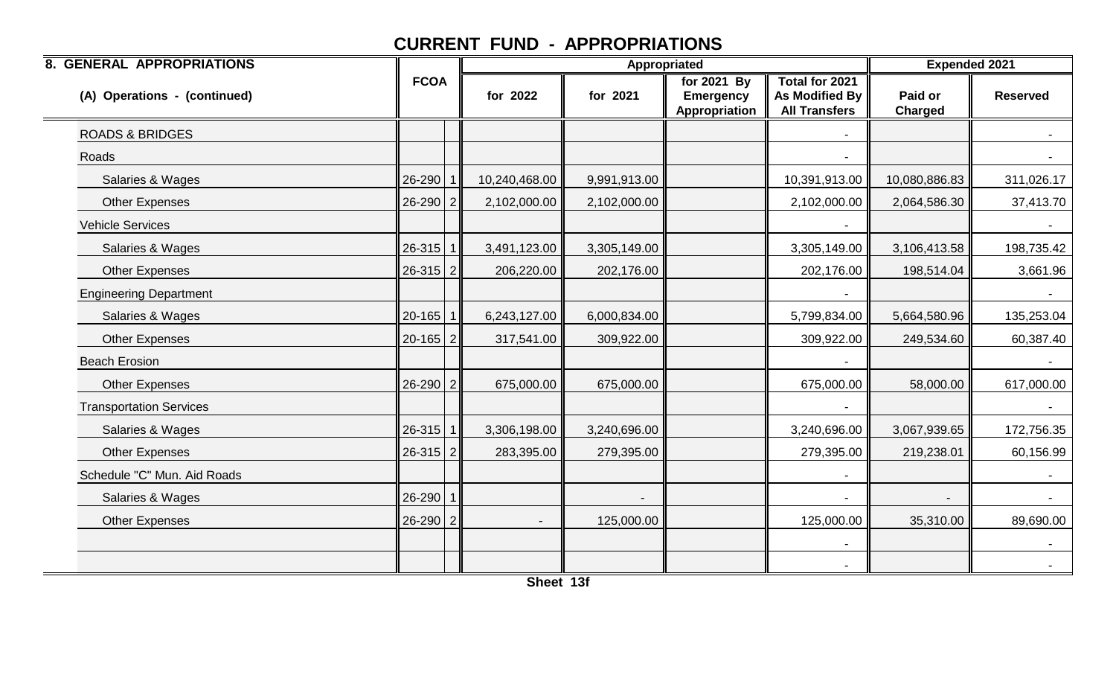| <b>8. GENERAL APPROPRIATIONS</b> |                |               |              | <b>Appropriated</b>                              |                                                          |                           | <b>Expended 2021</b> |
|----------------------------------|----------------|---------------|--------------|--------------------------------------------------|----------------------------------------------------------|---------------------------|----------------------|
| (A) Operations - (continued)     | <b>FCOA</b>    | for 2022      | for 2021     | for 2021 By<br><b>Emergency</b><br>Appropriation | Total for 2021<br>As Modified By<br><b>All Transfers</b> | Paid or<br><b>Charged</b> | <b>Reserved</b>      |
| <b>ROADS &amp; BRIDGES</b>       |                |               |              |                                                  |                                                          |                           |                      |
| Roads                            |                |               |              |                                                  |                                                          |                           |                      |
| Salaries & Wages                 | $26 - 290$ 1   | 10,240,468.00 | 9,991,913.00 |                                                  | 10,391,913.00                                            | 10,080,886.83             | 311,026.17           |
| Other Expenses                   | $26-290$ 2     | 2,102,000.00  | 2,102,000.00 |                                                  | 2,102,000.00                                             | 2,064,586.30              | 37,413.70            |
| <b>Vehicle Services</b>          |                |               |              |                                                  |                                                          |                           | $\sim$               |
| Salaries & Wages                 | $26-315$   1   | 3,491,123.00  | 3,305,149.00 |                                                  | 3,305,149.00                                             | 3,106,413.58              | 198,735.42           |
| <b>Other Expenses</b>            | $26-315$ 2     | 206,220.00    | 202,176.00   |                                                  | 202,176.00                                               | 198,514.04                | 3,661.96             |
| <b>Engineering Department</b>    |                |               |              |                                                  |                                                          |                           | $\sim$               |
| Salaries & Wages                 | $20 - 165$   1 | 6,243,127.00  | 6,000,834.00 |                                                  | 5,799,834.00                                             | 5,664,580.96              | 135,253.04           |
| Other Expenses                   | $20-165$   2   | 317,541.00    | 309,922.00   |                                                  | 309,922.00                                               | 249,534.60                | 60,387.40            |
| <b>Beach Erosion</b>             |                |               |              |                                                  |                                                          |                           |                      |
| Other Expenses                   | $26 - 290$ 2   | 675,000.00    | 675,000.00   |                                                  | 675,000.00                                               | 58,000.00                 | 617,000.00           |
| <b>Transportation Services</b>   |                |               |              |                                                  |                                                          |                           |                      |
| Salaries & Wages                 | $26-315$   1   | 3,306,198.00  | 3,240,696.00 |                                                  | 3,240,696.00                                             | 3,067,939.65              | 172,756.35           |
| Other Expenses                   | $26-315$ 2     | 283,395.00    | 279,395.00   |                                                  | 279,395.00                                               | 219,238.01                | 60,156.99            |
| Schedule "C" Mun. Aid Roads      |                |               |              |                                                  | $\blacksquare$                                           |                           | $\sim$               |
| Salaries & Wages                 | $26 - 290$   1 |               |              |                                                  |                                                          |                           |                      |
| <b>Other Expenses</b>            | $26 - 290$   2 |               | 125,000.00   |                                                  | 125,000.00                                               | 35,310.00                 | 89,690.00            |
|                                  |                |               |              |                                                  |                                                          |                           | $\sim$               |
|                                  |                |               |              |                                                  |                                                          |                           |                      |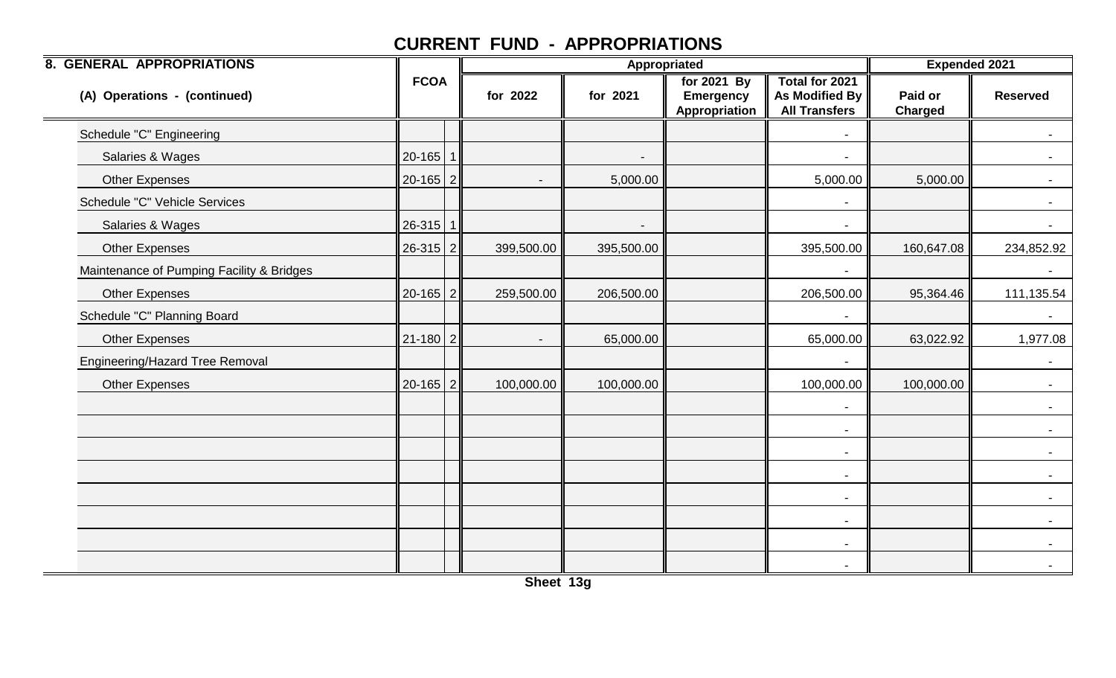| <b>8. GENERAL APPROPRIATIONS</b>          |                |                          |            | Appropriated                                     |                                                                 |                           | <b>Expended 2021</b> |
|-------------------------------------------|----------------|--------------------------|------------|--------------------------------------------------|-----------------------------------------------------------------|---------------------------|----------------------|
| (A) Operations - (continued)              | <b>FCOA</b>    | for 2022                 | for 2021   | for 2021 By<br><b>Emergency</b><br>Appropriation | Total for 2021<br><b>As Modified By</b><br><b>All Transfers</b> | Paid or<br><b>Charged</b> | <b>Reserved</b>      |
| Schedule "C" Engineering                  |                |                          |            |                                                  |                                                                 |                           |                      |
| Salaries & Wages                          | $20-165$ 1     |                          |            |                                                  |                                                                 |                           |                      |
| <b>Other Expenses</b>                     | $20 - 165$ 2   |                          | 5,000.00   |                                                  | 5,000.00                                                        | 5,000.00                  |                      |
| Schedule "C" Vehicle Services             |                |                          |            |                                                  | $\overline{\phantom{a}}$                                        |                           | $\sim$               |
| Salaries & Wages                          | $26-315$   1   |                          |            |                                                  |                                                                 |                           | $\sim$               |
| <b>Other Expenses</b>                     | $26-315$   2   | 399,500.00               | 395,500.00 |                                                  | 395,500.00                                                      | 160,647.08                | 234,852.92           |
| Maintenance of Pumping Facility & Bridges |                |                          |            |                                                  |                                                                 |                           |                      |
| <b>Other Expenses</b>                     | $20-165$   2   | 259,500.00               | 206,500.00 |                                                  | 206,500.00                                                      | 95,364.46                 | 111,135.54           |
| Schedule "C" Planning Board               |                |                          |            |                                                  |                                                                 |                           |                      |
| <b>Other Expenses</b>                     | $21 - 180$   2 | $\overline{\phantom{a}}$ | 65,000.00  |                                                  | 65,000.00                                                       | 63,022.92                 | 1,977.08             |
| Engineering/Hazard Tree Removal           |                |                          |            |                                                  |                                                                 |                           |                      |
| <b>Other Expenses</b>                     | $20 - 165$   2 | 100,000.00               | 100,000.00 |                                                  | 100,000.00                                                      | 100,000.00                | $\sim$               |
|                                           |                |                          |            |                                                  |                                                                 |                           | $\sim$ 10 $\pm$      |
|                                           |                |                          |            |                                                  | $\blacksquare$                                                  |                           |                      |
|                                           |                |                          |            |                                                  | $\overline{\phantom{a}}$                                        |                           |                      |
|                                           |                |                          |            |                                                  | $\blacksquare$                                                  |                           | $\sim$               |
|                                           |                |                          |            |                                                  | $\overline{\phantom{a}}$                                        |                           |                      |
|                                           |                |                          |            |                                                  | $\overline{\phantom{a}}$                                        |                           |                      |
|                                           |                |                          |            |                                                  | $\overline{\phantom{a}}$                                        |                           | $\sim$               |
|                                           |                |                          |            |                                                  |                                                                 |                           |                      |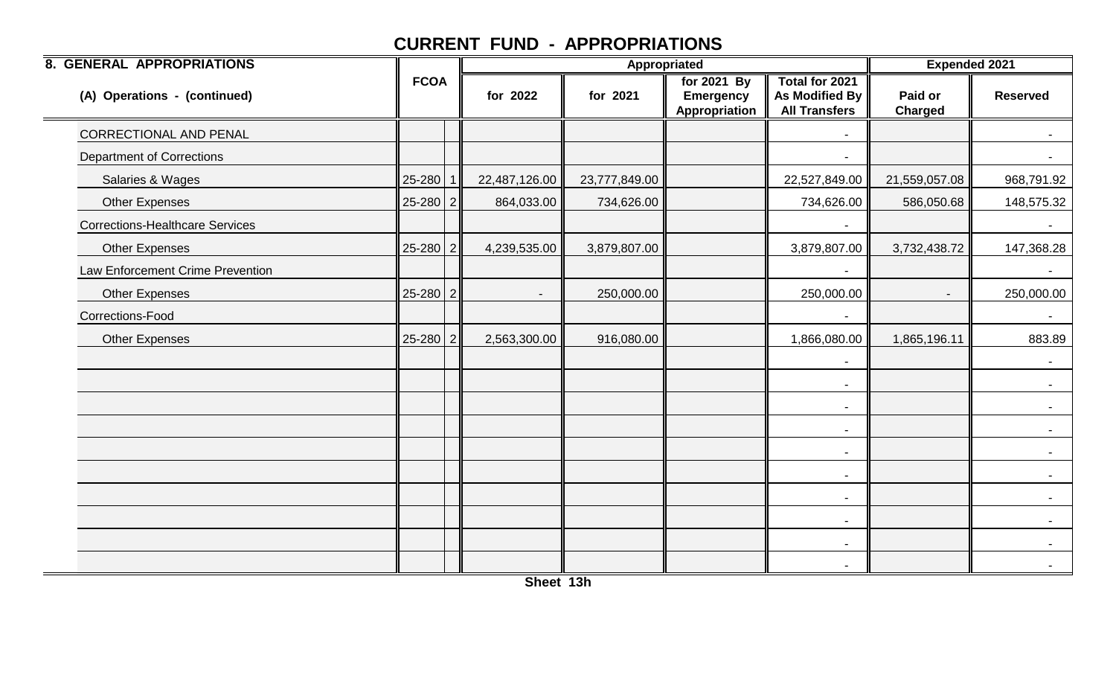| <b>8. GENERAL APPROPRIATIONS</b>       |                |              |                          | <b>Appropriated</b> |                                                  |                                                                 |                           | <b>Expended 2021</b>     |
|----------------------------------------|----------------|--------------|--------------------------|---------------------|--------------------------------------------------|-----------------------------------------------------------------|---------------------------|--------------------------|
| (A) Operations - (continued)           | <b>FCOA</b>    |              | for 2022                 | for 2021            | for 2021 By<br><b>Emergency</b><br>Appropriation | <b>Total for 2021</b><br>As Modified By<br><b>All Transfers</b> | Paid or<br><b>Charged</b> | <b>Reserved</b>          |
| <b>CORRECTIONAL AND PENAL</b>          |                |              |                          |                     |                                                  | -                                                               |                           | $\sim$                   |
| <b>Department of Corrections</b>       |                |              |                          |                     |                                                  |                                                                 |                           |                          |
| Salaries & Wages                       | 25-280         | $\mathbf{1}$ | 22,487,126.00            | 23,777,849.00       |                                                  | 22,527,849.00                                                   | 21,559,057.08             | 968,791.92               |
| <b>Other Expenses</b>                  | $25 - 280$   2 |              | 864,033.00               | 734,626.00          |                                                  | 734,626.00                                                      | 586,050.68                | 148,575.32               |
| <b>Corrections-Healthcare Services</b> |                |              |                          |                     |                                                  |                                                                 |                           | $\sim$                   |
| <b>Other Expenses</b>                  | $25 - 280$ 2   |              | 4,239,535.00             | 3,879,807.00        |                                                  | 3,879,807.00                                                    | 3,732,438.72              | 147,368.28               |
| Law Enforcement Crime Prevention       |                |              |                          |                     |                                                  |                                                                 |                           |                          |
| Other Expenses                         | $25 - 280$   2 |              | $\overline{\phantom{a}}$ | 250,000.00          |                                                  | 250,000.00                                                      |                           | 250,000.00               |
| Corrections-Food                       |                |              |                          |                     |                                                  |                                                                 |                           | $\sim$                   |
| <b>Other Expenses</b>                  | $25 - 280$ 2   |              | 2,563,300.00             | 916,080.00          |                                                  | 1,866,080.00                                                    | 1,865,196.11              | 883.89                   |
|                                        |                |              |                          |                     |                                                  | -                                                               |                           | $\sim$                   |
|                                        |                |              |                          |                     |                                                  | $\blacksquare$                                                  |                           | $\sim$                   |
|                                        |                |              |                          |                     |                                                  | $\blacksquare$                                                  |                           | $\sim$                   |
|                                        |                |              |                          |                     |                                                  | $\overline{\phantom{a}}$                                        |                           |                          |
|                                        |                |              |                          |                     |                                                  | $\overline{\phantom{a}}$                                        |                           | $\blacksquare$           |
|                                        |                |              |                          |                     |                                                  | $\blacksquare$                                                  |                           | $\sim$                   |
|                                        |                |              |                          |                     |                                                  | $\overline{\phantom{a}}$                                        |                           | $\sim$                   |
|                                        |                |              |                          |                     |                                                  | $\blacksquare$                                                  |                           | $\sim$                   |
|                                        |                |              |                          |                     |                                                  | $\overline{\phantom{a}}$                                        |                           | $\blacksquare$           |
|                                        |                |              |                          |                     |                                                  | $\blacksquare$                                                  |                           | $\overline{\phantom{a}}$ |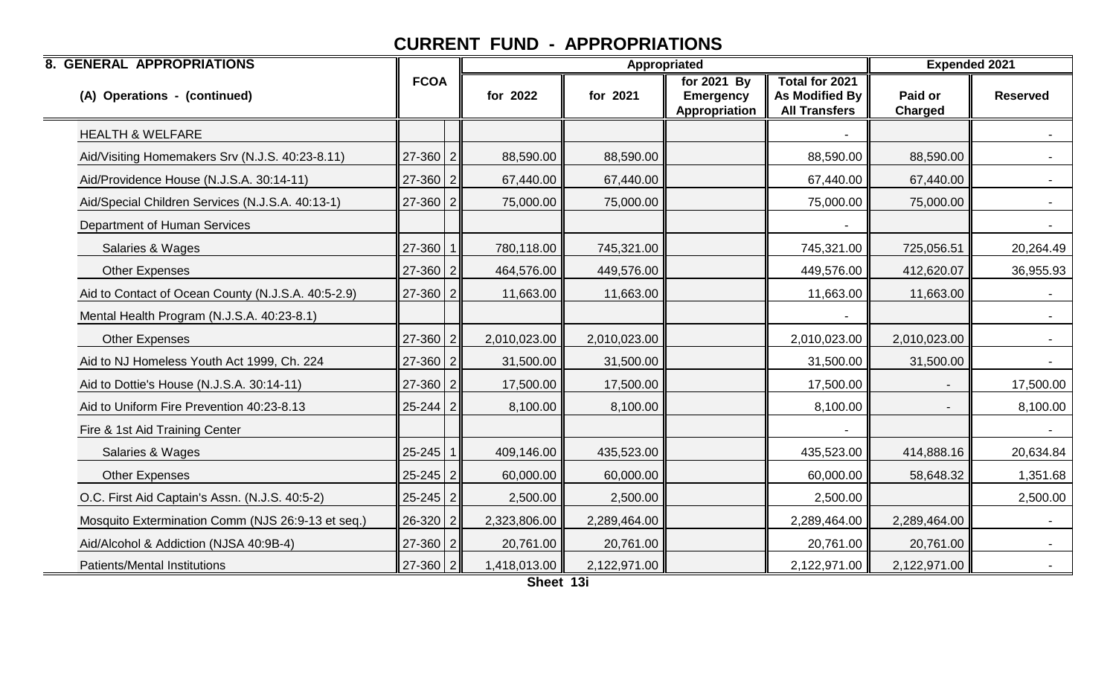| <b>8. GENERAL APPROPRIATIONS</b>                   |                |              |              | Appropriated                                     |                                                          | <b>Expended 2021</b>      |                 |
|----------------------------------------------------|----------------|--------------|--------------|--------------------------------------------------|----------------------------------------------------------|---------------------------|-----------------|
| (A) Operations - (continued)                       | <b>FCOA</b>    | for 2022     | for 2021     | for 2021 By<br><b>Emergency</b><br>Appropriation | Total for 2021<br>As Modified By<br><b>All Transfers</b> | Paid or<br><b>Charged</b> | <b>Reserved</b> |
| <b>HEALTH &amp; WELFARE</b>                        |                |              |              |                                                  |                                                          |                           |                 |
| Aid/Visiting Homemakers Srv (N.J.S. 40:23-8.11)    | $27 - 360$ 2   | 88,590.00    | 88,590.00    |                                                  | 88,590.00                                                | 88,590.00                 |                 |
| Aid/Providence House (N.J.S.A. 30:14-11)           | $27 - 360$ 2   | 67,440.00    | 67,440.00    |                                                  | 67,440.00                                                | 67,440.00                 |                 |
| Aid/Special Children Services (N.J.S.A. 40:13-1)   | $27 - 360$ 2   | 75,000.00    | 75,000.00    |                                                  | 75,000.00                                                | 75,000.00                 |                 |
| Department of Human Services                       |                |              |              |                                                  |                                                          |                           | $\sim$          |
| Salaries & Wages                                   | 27-360         | 780,118.00   | 745,321.00   |                                                  | 745,321.00                                               | 725,056.51                | 20,264.49       |
| <b>Other Expenses</b>                              | $27 - 360$ 2   | 464,576.00   | 449,576.00   |                                                  | 449,576.00                                               | 412,620.07                | 36,955.93       |
| Aid to Contact of Ocean County (N.J.S.A. 40:5-2.9) | $27 - 360$ 2   | 11,663.00    | 11,663.00    |                                                  | 11,663.00                                                | 11,663.00                 |                 |
| Mental Health Program (N.J.S.A. 40:23-8.1)         |                |              |              |                                                  |                                                          |                           | $\sim$          |
| <b>Other Expenses</b>                              | $27 - 360$ 2   | 2,010,023.00 | 2,010,023.00 |                                                  | 2,010,023.00                                             | 2,010,023.00              | $\sim$          |
| Aid to NJ Homeless Youth Act 1999, Ch. 224         | $27 - 360$ 2   | 31,500.00    | 31,500.00    |                                                  | 31,500.00                                                | 31,500.00                 |                 |
| Aid to Dottie's House (N.J.S.A. 30:14-11)          | $27 - 360$ 2   | 17,500.00    | 17,500.00    |                                                  | 17,500.00                                                |                           | 17,500.00       |
| Aid to Uniform Fire Prevention 40:23-8.13          | $25 - 244$ 2   | 8,100.00     | 8,100.00     |                                                  | 8,100.00                                                 |                           | 8,100.00        |
| Fire & 1st Aid Training Center                     |                |              |              |                                                  |                                                          |                           |                 |
| Salaries & Wages                                   | $25 - 245$ 1   | 409,146.00   | 435,523.00   |                                                  | 435,523.00                                               | 414,888.16                | 20,634.84       |
| <b>Other Expenses</b>                              | $25 - 245$ 2   | 60,000.00    | 60,000.00    |                                                  | 60,000.00                                                | 58,648.32                 | 1,351.68        |
| O.C. First Aid Captain's Assn. (N.J.S. 40:5-2)     | $25 - 245$ 2   | 2,500.00     | 2,500.00     |                                                  | 2,500.00                                                 |                           | 2,500.00        |
| Mosquito Extermination Comm (NJS 26:9-13 et seq.)  | 26-320   2     | 2,323,806.00 | 2,289,464.00 |                                                  | 2,289,464.00                                             | 2,289,464.00              | $\sim$          |
| Aid/Alcohol & Addiction (NJSA 40:9B-4)             | $27 - 360$ 2   | 20,761.00    | 20,761.00    |                                                  | 20,761.00                                                | 20,761.00                 |                 |
| <b>Patients/Mental Institutions</b>                | $27 - 360$   2 | 1,418,013.00 | 2,122,971.00 |                                                  | 2,122,971.00                                             | 2,122,971.00              |                 |

**Sheet 13i**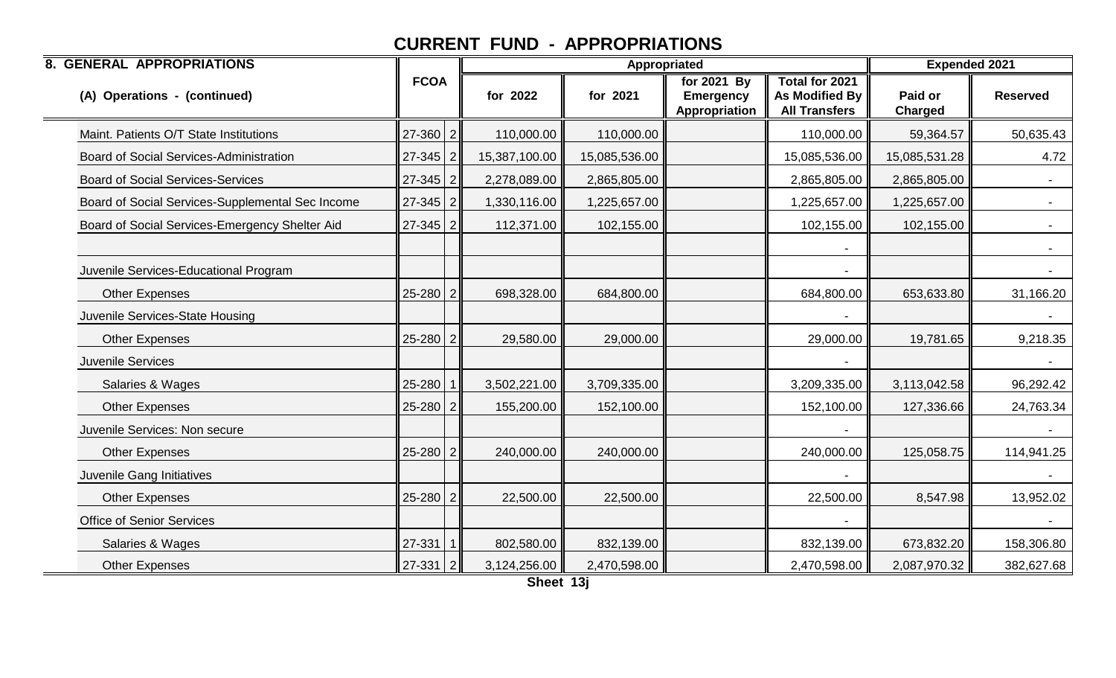| <b>8. GENERAL APPROPRIATIONS</b>                 |                |               | Appropriated  |                                                  |                                                                 | <b>Expended 2021</b>      |                 |
|--------------------------------------------------|----------------|---------------|---------------|--------------------------------------------------|-----------------------------------------------------------------|---------------------------|-----------------|
| (A) Operations - (continued)                     | <b>FCOA</b>    | for 2022      | for 2021      | for 2021 By<br><b>Emergency</b><br>Appropriation | Total for 2021<br><b>As Modified By</b><br><b>All Transfers</b> | Paid or<br><b>Charged</b> | <b>Reserved</b> |
| Maint. Patients O/T State Institutions           | $27 - 360$ 2   | 110,000.00    | 110,000.00    |                                                  | 110,000.00                                                      | 59,364.57                 | 50,635.43       |
| Board of Social Services-Administration          | $27 - 345$ 2   | 15,387,100.00 | 15,085,536.00 |                                                  | 15,085,536.00                                                   | 15,085,531.28             | 4.72            |
| <b>Board of Social Services-Services</b>         | $27 - 345$ 2   | 2,278,089.00  | 2,865,805.00  |                                                  | 2,865,805.00                                                    | 2,865,805.00              |                 |
| Board of Social Services-Supplemental Sec Income | $27 - 345$ 2   | 1,330,116.00  | 1,225,657.00  |                                                  | 1,225,657.00                                                    | 1,225,657.00              | $\sim 100$      |
| Board of Social Services-Emergency Shelter Aid   | $27 - 345$ 2   | 112,371.00    | 102,155.00    |                                                  | 102,155.00                                                      | 102,155.00                | $\sim$ $-$      |
|                                                  |                |               |               |                                                  |                                                                 |                           |                 |
| Juvenile Services-Educational Program            |                |               |               |                                                  |                                                                 |                           |                 |
| <b>Other Expenses</b>                            | $25 - 280$ 2   | 698,328.00    | 684,800.00    |                                                  | 684,800.00                                                      | 653,633.80                | 31,166.20       |
| Juvenile Services-State Housing                  |                |               |               |                                                  |                                                                 |                           |                 |
| <b>Other Expenses</b>                            | 25-280 2       | 29,580.00     | 29,000.00     |                                                  | 29,000.00                                                       | 19,781.65                 | 9,218.35        |
| Juvenile Services                                |                |               |               |                                                  |                                                                 |                           |                 |
| Salaries & Wages                                 | 25-280         | 3,502,221.00  | 3,709,335.00  |                                                  | 3,209,335.00                                                    | 3,113,042.58              | 96,292.42       |
| <b>Other Expenses</b>                            | 25-280 2       | 155,200.00    | 152,100.00    |                                                  | 152,100.00                                                      | 127,336.66                | 24,763.34       |
| Juvenile Services: Non secure                    |                |               |               |                                                  |                                                                 |                           |                 |
| <b>Other Expenses</b>                            | $25 - 280$ 2   | 240,000.00    | 240,000.00    |                                                  | 240,000.00                                                      | 125,058.75                | 114,941.25      |
| Juvenile Gang Initiatives                        |                |               |               |                                                  |                                                                 |                           |                 |
| <b>Other Expenses</b>                            | $25 - 280$ 2   | 22,500.00     | 22,500.00     |                                                  | 22,500.00                                                       | 8,547.98                  | 13,952.02       |
| <b>Office of Senior Services</b>                 |                |               |               |                                                  |                                                                 |                           |                 |
| Salaries & Wages                                 | $27 - 331$ 1   | 802,580.00    | 832,139.00    |                                                  | 832,139.00                                                      | 673,832.20                | 158,306.80      |
| <b>Other Expenses</b>                            | $27 - 331$   2 | 3,124,256.00  | 2,470,598.00  |                                                  | 2,470,598.00                                                    | 2,087,970.32              | 382,627.68      |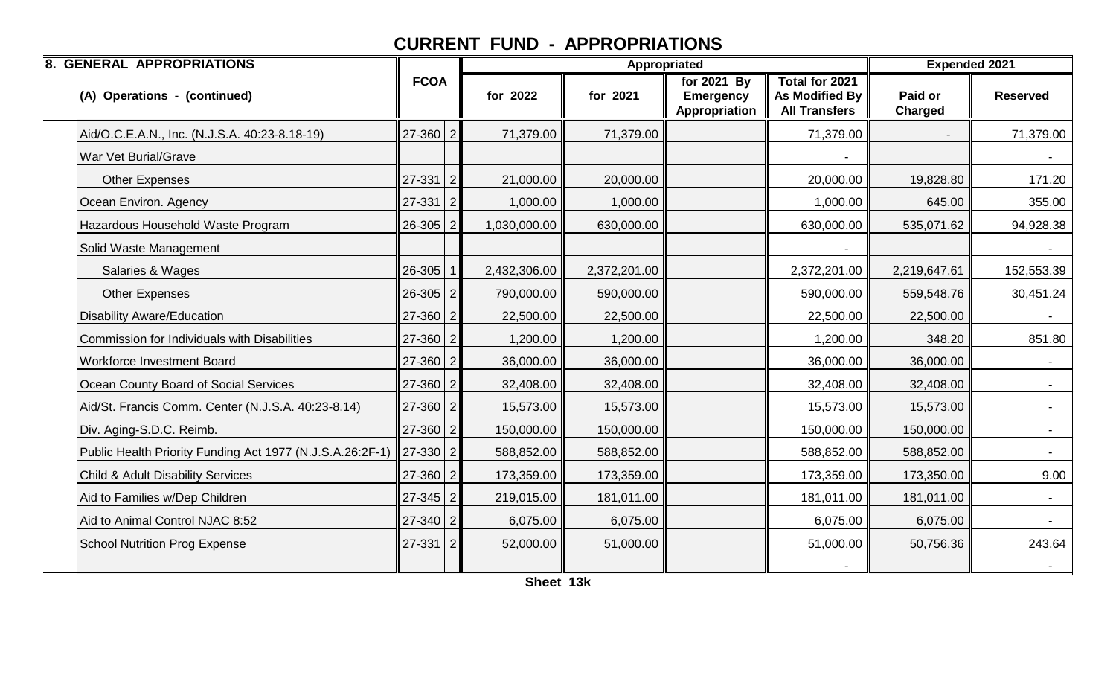| <b>8. GENERAL APPROPRIATIONS</b>                          |                |                |              |              | Appropriated                                     |                                                          | <b>Expended 2021</b>      |                 |
|-----------------------------------------------------------|----------------|----------------|--------------|--------------|--------------------------------------------------|----------------------------------------------------------|---------------------------|-----------------|
| (A) Operations - (continued)                              | <b>FCOA</b>    |                | for 2022     | for 2021     | for 2021 By<br><b>Emergency</b><br>Appropriation | Total for 2021<br>As Modified By<br><b>All Transfers</b> | Paid or<br><b>Charged</b> | <b>Reserved</b> |
| Aid/O.C.E.A.N., Inc. (N.J.S.A. 40:23-8.18-19)             | $27 - 360$ 2   |                | 71,379.00    | 71,379.00    |                                                  | 71,379.00                                                |                           | 71,379.00       |
| War Vet Burial/Grave                                      |                |                |              |              |                                                  |                                                          |                           |                 |
| <b>Other Expenses</b>                                     | $27 - 331$ 2   |                | 21,000.00    | 20,000.00    |                                                  | 20,000.00                                                | 19,828.80                 | 171.20          |
| Ocean Environ. Agency                                     | $27 - 331$   2 |                | 1,000.00     | 1,000.00     |                                                  | 1,000.00                                                 | 645.00                    | 355.00          |
| Hazardous Household Waste Program                         | 26-305         | 2              | 1,030,000.00 | 630,000.00   |                                                  | 630,000.00                                               | 535,071.62                | 94,928.38       |
| Solid Waste Management                                    |                |                |              |              |                                                  |                                                          |                           |                 |
| Salaries & Wages                                          | 26-305         |                | 2,432,306.00 | 2,372,201.00 |                                                  | 2,372,201.00                                             | 2,219,647.61              | 152,553.39      |
| <b>Other Expenses</b>                                     | $26 - 305$   2 |                | 790,000.00   | 590,000.00   |                                                  | 590,000.00                                               | 559,548.76                | 30,451.24       |
| <b>Disability Aware/Education</b>                         | $27 - 360$ 2   |                | 22,500.00    | 22,500.00    |                                                  | 22,500.00                                                | 22,500.00                 |                 |
| Commission for Individuals with Disabilities              | $27 - 360$ 2   |                | 1,200.00     | 1,200.00     |                                                  | 1,200.00                                                 | 348.20                    | 851.80          |
| Workforce Investment Board                                | 27-360         | $\overline{2}$ | 36,000.00    | 36,000.00    |                                                  | 36,000.00                                                | 36,000.00                 | $\sim$          |
| Ocean County Board of Social Services                     | $27 - 360$ 2   |                | 32,408.00    | 32,408.00    |                                                  | 32,408.00                                                | 32,408.00                 | $\sim$ $^{-1}$  |
| Aid/St. Francis Comm. Center (N.J.S.A. 40:23-8.14)        | $27 - 360$ 2   |                | 15,573.00    | 15,573.00    |                                                  | 15,573.00                                                | 15,573.00                 |                 |
| Div. Aging-S.D.C. Reimb.                                  | $27 - 360$ 2   |                | 150,000.00   | 150,000.00   |                                                  | 150,000.00                                               | 150,000.00                | $\blacksquare$  |
| Public Health Priority Funding Act 1977 (N.J.S.A.26:2F-1) | $27-330$   2   |                | 588,852.00   | 588,852.00   |                                                  | 588,852.00                                               | 588,852.00                |                 |
| <b>Child &amp; Adult Disability Services</b>              | $27 - 360$ 2   |                | 173,359.00   | 173,359.00   |                                                  | 173,359.00                                               | 173,350.00                | 9.00            |
| Aid to Families w/Dep Children                            | $27 - 345$ 2   |                | 219,015.00   | 181,011.00   |                                                  | 181,011.00                                               | 181,011.00                |                 |
| Aid to Animal Control NJAC 8:52                           | $27 - 340$ 2   |                | 6,075.00     | 6,075.00     |                                                  | 6,075.00                                                 | 6,075.00                  |                 |
| <b>School Nutrition Prog Expense</b>                      | $27 - 331$ 2   |                | 52,000.00    | 51,000.00    |                                                  | 51,000.00                                                | 50,756.36                 | 243.64          |
|                                                           |                |                |              |              |                                                  |                                                          |                           |                 |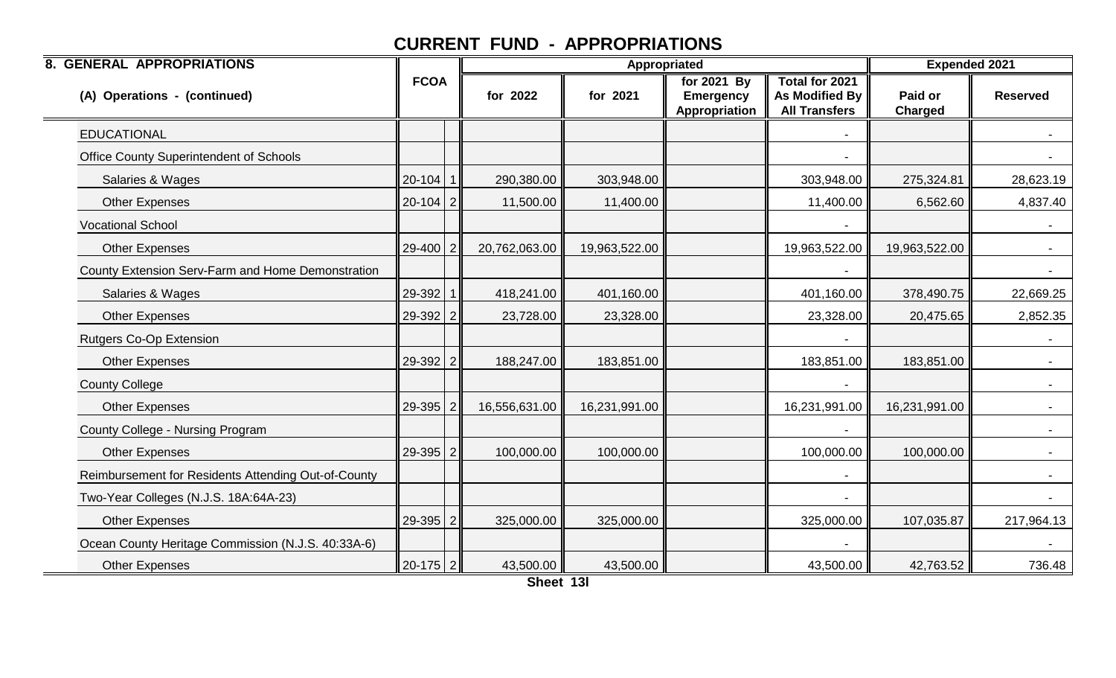| <b>8. GENERAL APPROPRIATIONS</b>                    |              |               |               | Appropriated                                     |                                                                        | <b>Expended 2021</b> |                 |
|-----------------------------------------------------|--------------|---------------|---------------|--------------------------------------------------|------------------------------------------------------------------------|----------------------|-----------------|
| (A) Operations - (continued)                        | <b>FCOA</b>  | for 2022      | for 2021      | for 2021 By<br><b>Emergency</b><br>Appropriation | <b>Total for 2021</b><br><b>As Modified By</b><br><b>All Transfers</b> | Paid or<br>Charged   | <b>Reserved</b> |
| <b>EDUCATIONAL</b>                                  |              |               |               |                                                  |                                                                        |                      |                 |
| Office County Superintendent of Schools             |              |               |               |                                                  |                                                                        |                      |                 |
| Salaries & Wages                                    | 20-104       | 290,380.00    | 303,948.00    |                                                  | 303,948.00                                                             | 275,324.81           | 28,623.19       |
| Other Expenses                                      | $20-104$ 2   | 11,500.00     | 11,400.00     |                                                  | 11,400.00                                                              | 6,562.60             | 4,837.40        |
| <b>Vocational School</b>                            |              |               |               |                                                  |                                                                        |                      | $\sim$          |
| <b>Other Expenses</b>                               | 29-400       | 20,762,063.00 | 19,963,522.00 |                                                  | 19,963,522.00                                                          | 19,963,522.00        |                 |
| County Extension Serv-Farm and Home Demonstration   |              |               |               |                                                  |                                                                        |                      |                 |
| Salaries & Wages                                    | 29-392       | 418,241.00    | 401,160.00    |                                                  | 401,160.00                                                             | 378,490.75           | 22,669.25       |
| <b>Other Expenses</b>                               | $29-392$ 2   | 23,728.00     | 23,328.00     |                                                  | 23,328.00                                                              | 20,475.65            | 2,852.35        |
| <b>Rutgers Co-Op Extension</b>                      |              |               |               |                                                  |                                                                        |                      |                 |
| <b>Other Expenses</b>                               | 29-392 2     | 188,247.00    | 183,851.00    |                                                  | 183,851.00                                                             | 183,851.00           |                 |
| <b>County College</b>                               |              |               |               |                                                  |                                                                        |                      | $\sim$          |
| <b>Other Expenses</b>                               | $29-395$ 2   | 16,556,631.00 | 16,231,991.00 |                                                  | 16,231,991.00                                                          | 16,231,991.00        | $\sim$          |
| County College - Nursing Program                    |              |               |               |                                                  |                                                                        |                      |                 |
| <b>Other Expenses</b>                               | $29 - 395$ 2 | 100,000.00    | 100,000.00    |                                                  | 100,000.00                                                             | 100,000.00           |                 |
| Reimbursement for Residents Attending Out-of-County |              |               |               |                                                  | $\overline{\phantom{a}}$                                               |                      | $\sim$          |
| Two-Year Colleges (N.J.S. 18A:64A-23)               |              |               |               |                                                  |                                                                        |                      | $\sim$          |
| <b>Other Expenses</b>                               | 29-395   2   | 325,000.00    | 325,000.00    |                                                  | 325,000.00                                                             | 107,035.87           | 217,964.13      |
| Ocean County Heritage Commission (N.J.S. 40:33A-6)  |              |               |               |                                                  |                                                                        |                      |                 |
| <b>Other Expenses</b>                               | $20-175$ 2   | 43,500.00     | 43,500.00     |                                                  | 43,500.00                                                              | 42,763.52            | 736.48          |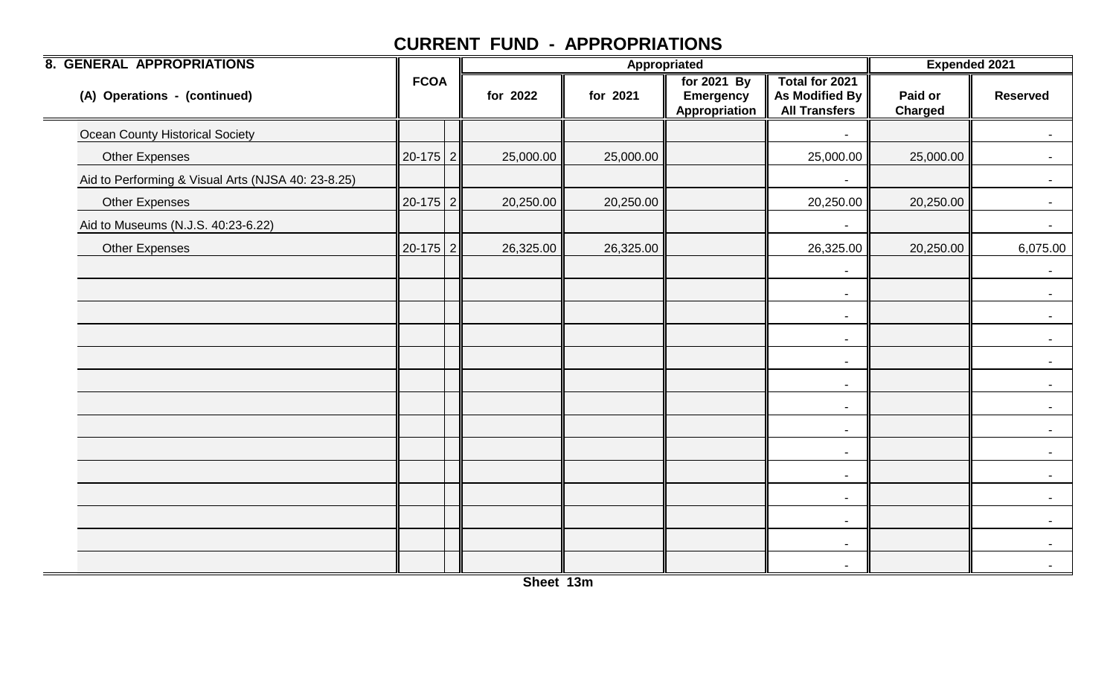| <b>8. GENERAL APPROPRIATIONS</b>                   |             |           |           | Appropriated                                     |                                                          | <b>Expended 2021</b> |                 |
|----------------------------------------------------|-------------|-----------|-----------|--------------------------------------------------|----------------------------------------------------------|----------------------|-----------------|
| (A) Operations - (continued)                       | <b>FCOA</b> | for 2022  | for 2021  | for 2021 By<br><b>Emergency</b><br>Appropriation | Total for 2021<br>As Modified By<br><b>All Transfers</b> | Paid or<br>Charged   | <b>Reserved</b> |
| <b>Ocean County Historical Society</b>             |             |           |           |                                                  |                                                          |                      | $\sim$          |
| <b>Other Expenses</b>                              | $20-175$ 2  | 25,000.00 | 25,000.00 |                                                  | 25,000.00                                                | 25,000.00            |                 |
| Aid to Performing & Visual Arts (NJSA 40: 23-8.25) |             |           |           |                                                  |                                                          |                      | $\sim$          |
| <b>Other Expenses</b>                              | $20-175$ 2  | 20,250.00 | 20,250.00 |                                                  | 20,250.00                                                | 20,250.00            | $\sim$ 10 $\pm$ |
| Aid to Museums (N.J.S. 40:23-6.22)                 |             |           |           |                                                  |                                                          |                      | $\sim$          |
| Other Expenses                                     | $20-175$ 2  | 26,325.00 | 26,325.00 |                                                  | 26,325.00                                                | 20,250.00            | 6,075.00        |
|                                                    |             |           |           |                                                  | $\overline{\phantom{a}}$                                 |                      | $\sim$          |
|                                                    |             |           |           |                                                  | $\blacksquare$                                           |                      | $\sim$          |
|                                                    |             |           |           |                                                  | $\blacksquare$                                           |                      | $\sim$          |
|                                                    |             |           |           |                                                  | $\blacksquare$                                           |                      |                 |
|                                                    |             |           |           |                                                  | $\blacksquare$                                           |                      |                 |
|                                                    |             |           |           |                                                  | $\overline{\phantom{a}}$                                 |                      |                 |
|                                                    |             |           |           |                                                  | $\blacksquare$                                           |                      | $\sim$          |
|                                                    |             |           |           |                                                  | $\overline{\phantom{a}}$                                 |                      |                 |
|                                                    |             |           |           |                                                  | $\blacksquare$                                           |                      |                 |
|                                                    |             |           |           |                                                  | $\blacksquare$                                           |                      |                 |
|                                                    |             |           |           |                                                  | $\overline{\phantom{a}}$                                 |                      | $\sim$          |
|                                                    |             |           |           |                                                  | $\sim$                                                   |                      |                 |
|                                                    |             |           |           |                                                  | $\overline{\phantom{a}}$                                 |                      |                 |
|                                                    |             |           |           |                                                  |                                                          |                      |                 |

**Sheet 13m**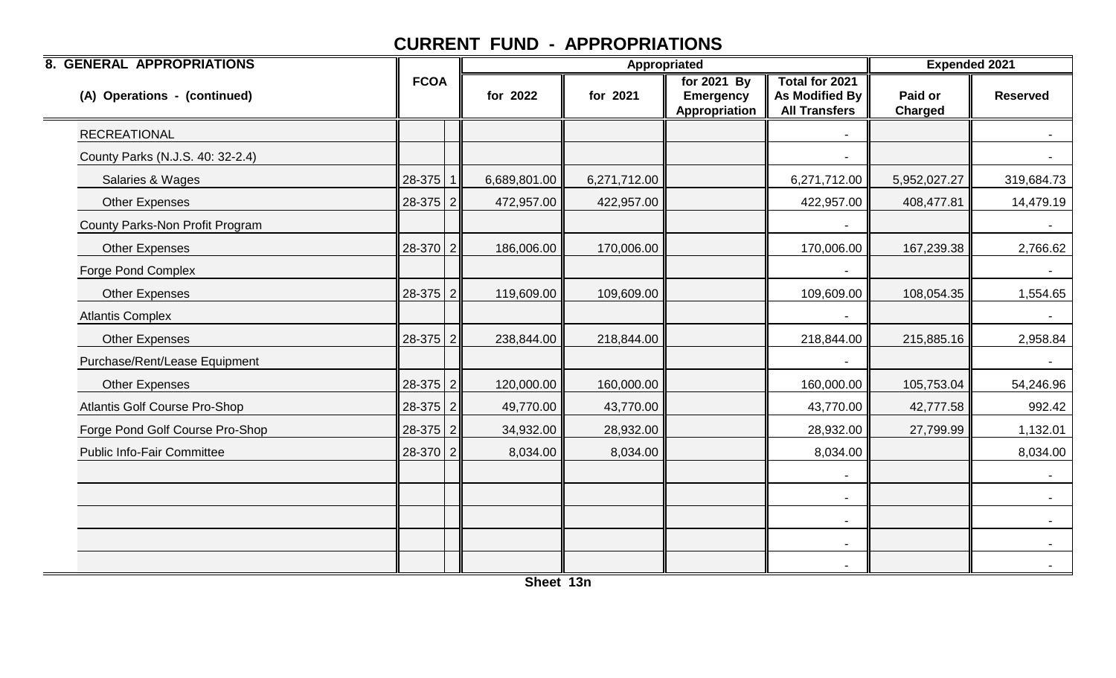| <b>8. GENERAL APPROPRIATIONS</b>     |              |              |              | <b>Appropriated</b>                              |                                                          | <b>Expended 2021</b>      |                 |
|--------------------------------------|--------------|--------------|--------------|--------------------------------------------------|----------------------------------------------------------|---------------------------|-----------------|
| (A) Operations - (continued)         | <b>FCOA</b>  | for 2022     | for 2021     | for 2021 By<br><b>Emergency</b><br>Appropriation | Total for 2021<br>As Modified By<br><b>All Transfers</b> | Paid or<br><b>Charged</b> | <b>Reserved</b> |
| <b>RECREATIONAL</b>                  |              |              |              |                                                  |                                                          |                           |                 |
| County Parks (N.J.S. 40: 32-2.4)     |              |              |              |                                                  |                                                          |                           |                 |
| Salaries & Wages                     | $28-375$   1 | 6,689,801.00 | 6,271,712.00 |                                                  | 6,271,712.00                                             | 5,952,027.27              | 319,684.73      |
| <b>Other Expenses</b>                | $28-375$   2 | 472,957.00   | 422,957.00   |                                                  | 422,957.00                                               | 408,477.81                | 14,479.19       |
| County Parks-Non Profit Program      |              |              |              |                                                  |                                                          |                           |                 |
| <b>Other Expenses</b>                | $28-370$ 2   | 186,006.00   | 170,006.00   |                                                  | 170,006.00                                               | 167,239.38                | 2,766.62        |
| Forge Pond Complex                   |              |              |              |                                                  |                                                          |                           |                 |
| <b>Other Expenses</b>                | $28-375$   2 | 119,609.00   | 109,609.00   |                                                  | 109,609.00                                               | 108,054.35                | 1,554.65        |
| <b>Atlantis Complex</b>              |              |              |              |                                                  |                                                          |                           |                 |
| <b>Other Expenses</b>                | $28-375$ 2   | 238,844.00   | 218,844.00   |                                                  | 218,844.00                                               | 215,885.16                | 2,958.84        |
| Purchase/Rent/Lease Equipment        |              |              |              |                                                  |                                                          |                           | $\sim$          |
| Other Expenses                       | $28-375$ 2   | 120,000.00   | 160,000.00   |                                                  | 160,000.00                                               | 105,753.04                | 54,246.96       |
| <b>Atlantis Golf Course Pro-Shop</b> | $28-375$   2 | 49,770.00    | 43,770.00    |                                                  | 43,770.00                                                | 42,777.58                 | 992.42          |
| Forge Pond Golf Course Pro-Shop      | $28-375$ 2   | 34,932.00    | 28,932.00    |                                                  | 28,932.00                                                | 27,799.99                 | 1,132.01        |
| <b>Public Info-Fair Committee</b>    | $28-370$ 2   | 8,034.00     | 8,034.00     |                                                  | 8,034.00                                                 |                           | 8,034.00        |
|                                      |              |              |              |                                                  |                                                          |                           |                 |
|                                      |              |              |              |                                                  | $\blacksquare$                                           |                           |                 |
|                                      |              |              |              |                                                  | $\overline{\phantom{a}}$                                 |                           | $\sim 100$      |
|                                      |              |              |              |                                                  | $\overline{\phantom{a}}$                                 |                           | $\sim$          |
|                                      |              |              |              |                                                  |                                                          |                           | $\sim$          |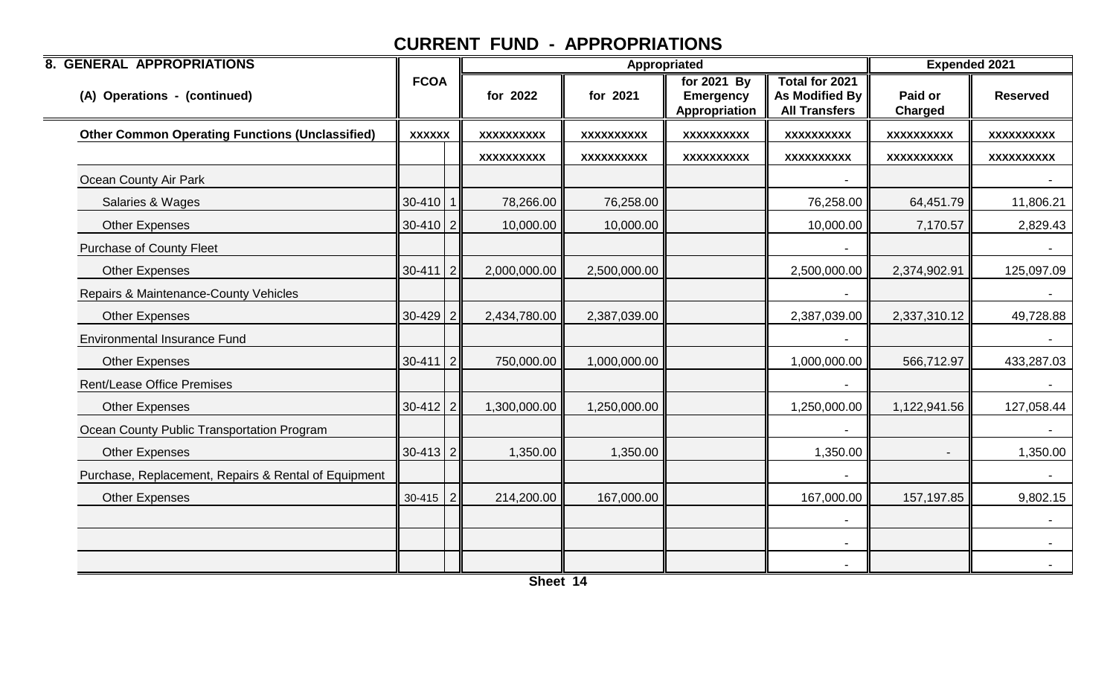| <b>8. GENERAL APPROPRIATIONS</b>                       |               |                   |                   | <b>Appropriated</b>                              |                                                                        | <b>Expended 2021</b>      |                   |
|--------------------------------------------------------|---------------|-------------------|-------------------|--------------------------------------------------|------------------------------------------------------------------------|---------------------------|-------------------|
| (A) Operations - (continued)                           | <b>FCOA</b>   | for 2022          | for 2021          | for 2021 By<br><b>Emergency</b><br>Appropriation | <b>Total for 2021</b><br><b>As Modified By</b><br><b>All Transfers</b> | Paid or<br><b>Charged</b> | <b>Reserved</b>   |
| <b>Other Common Operating Functions (Unclassified)</b> | <b>XXXXXX</b> | <b>XXXXXXXXXX</b> | <b>XXXXXXXXXX</b> | <b>XXXXXXXXXX</b>                                | <b>XXXXXXXXXX</b>                                                      | XXXXXXXXX                 | <b>XXXXXXXXXX</b> |
|                                                        |               | <b>XXXXXXXXXX</b> | <b>XXXXXXXXXX</b> | <b>XXXXXXXXXX</b>                                | <b>XXXXXXXXXX</b>                                                      | <b>XXXXXXXXXX</b>         | <b>XXXXXXXXXX</b> |
| Ocean County Air Park                                  |               |                   |                   |                                                  |                                                                        |                           |                   |
| Salaries & Wages                                       | $30-410$ 1    | 78,266.00         | 76,258.00         |                                                  | 76,258.00                                                              | 64,451.79                 | 11,806.21         |
| <b>Other Expenses</b>                                  | $30-410$   2  | 10,000.00         | 10,000.00         |                                                  | 10,000.00                                                              | 7,170.57                  | 2,829.43          |
| <b>Purchase of County Fleet</b>                        |               |                   |                   |                                                  |                                                                        |                           |                   |
| <b>Other Expenses</b>                                  | $30-411$   2  | 2,000,000.00      | 2,500,000.00      |                                                  | 2,500,000.00                                                           | 2,374,902.91              | 125,097.09        |
| Repairs & Maintenance-County Vehicles                  |               |                   |                   |                                                  |                                                                        |                           |                   |
| <b>Other Expenses</b>                                  | $30-429$ 2    | 2,434,780.00      | 2,387,039.00      |                                                  | 2,387,039.00                                                           | 2,337,310.12              | 49,728.88         |
| <b>Environmental Insurance Fund</b>                    |               |                   |                   |                                                  |                                                                        |                           |                   |
| <b>Other Expenses</b>                                  | $30-411$   2  | 750,000.00        | 1,000,000.00      |                                                  | 1,000,000.00                                                           | 566,712.97                | 433,287.03        |
| <b>Rent/Lease Office Premises</b>                      |               |                   |                   |                                                  |                                                                        |                           |                   |
| <b>Other Expenses</b>                                  | $30-412$ 2    | 1,300,000.00      | 1,250,000.00      |                                                  | 1,250,000.00                                                           | 1,122,941.56              | 127,058.44        |
| Ocean County Public Transportation Program             |               |                   |                   |                                                  |                                                                        |                           |                   |
| <b>Other Expenses</b>                                  | $30-413$   2  | 1,350.00          | 1,350.00          |                                                  | 1,350.00                                                               | $\blacksquare$            | 1,350.00          |
| Purchase, Replacement, Repairs & Rental of Equipment   |               |                   |                   |                                                  |                                                                        |                           |                   |
| <b>Other Expenses</b>                                  | $30-415$   2  | 214,200.00        | 167,000.00        |                                                  | 167,000.00                                                             | 157,197.85                | 9,802.15          |
|                                                        |               |                   |                   |                                                  |                                                                        |                           |                   |
|                                                        |               |                   |                   |                                                  | $\overline{\phantom{a}}$                                               |                           |                   |
|                                                        |               |                   |                   |                                                  |                                                                        |                           |                   |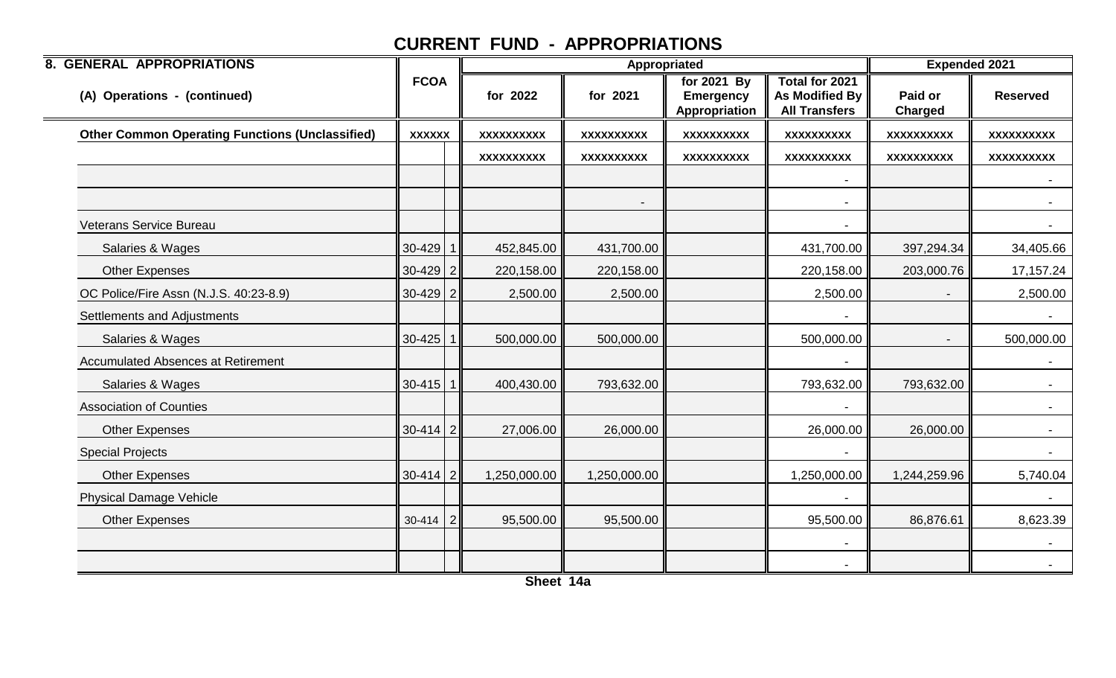| <b>8. GENERAL APPROPRIATIONS</b>                       |                |                   | Appropriated   |                                                  |                                                          | <b>Expended 2021</b>      |                   |
|--------------------------------------------------------|----------------|-------------------|----------------|--------------------------------------------------|----------------------------------------------------------|---------------------------|-------------------|
| (A) Operations - (continued)                           | <b>FCOA</b>    | for 2022          | for 2021       | for 2021 By<br><b>Emergency</b><br>Appropriation | Total for 2021<br>As Modified By<br><b>All Transfers</b> | Paid or<br><b>Charged</b> | <b>Reserved</b>   |
| <b>Other Common Operating Functions (Unclassified)</b> | <b>XXXXXX</b>  | <b>XXXXXXXXXX</b> | XXXXXXXXXX     | <b>XXXXXXXXXX</b>                                | <b>XXXXXXXXXX</b>                                        | <b>XXXXXXXXXX</b>         | <b>XXXXXXXXXX</b> |
|                                                        |                | XXXXXXXXXX        | XXXXXXXXXX     | XXXXXXXXXX                                       | XXXXXXXXX                                                | XXXXXXXXXX                | <b>XXXXXXXXXX</b> |
|                                                        |                |                   |                |                                                  |                                                          |                           |                   |
|                                                        |                |                   | $\blacksquare$ |                                                  | $\overline{\phantom{a}}$                                 |                           | $\sim$ $-$        |
| Veterans Service Bureau                                |                |                   |                |                                                  |                                                          |                           |                   |
| Salaries & Wages                                       | $30-429$ 1     | 452,845.00        | 431,700.00     |                                                  | 431,700.00                                               | 397,294.34                | 34,405.66         |
| <b>Other Expenses</b>                                  | $30-429$ 2     | 220,158.00        | 220,158.00     |                                                  | 220,158.00                                               | 203,000.76                | 17,157.24         |
| OC Police/Fire Assn (N.J.S. 40:23-8.9)                 | $30-429$ 2     | 2,500.00          | 2,500.00       |                                                  | 2,500.00                                                 |                           | 2,500.00          |
| Settlements and Adjustments                            |                |                   |                |                                                  |                                                          |                           |                   |
| Salaries & Wages                                       | $30 - 425$ 1   | 500,000.00        | 500,000.00     |                                                  | 500,000.00                                               |                           | 500,000.00        |
| <b>Accumulated Absences at Retirement</b>              |                |                   |                |                                                  | $\overline{\phantom{a}}$                                 |                           | $\sim$            |
| Salaries & Wages                                       | $30-415$   1   | 400,430.00        | 793,632.00     |                                                  | 793,632.00                                               | 793,632.00                | $\sim$            |
| <b>Association of Counties</b>                         |                |                   |                |                                                  |                                                          |                           |                   |
| <b>Other Expenses</b>                                  | $30 - 414$   2 | 27,006.00         | 26,000.00      |                                                  | 26,000.00                                                | 26,000.00                 |                   |
| <b>Special Projects</b>                                |                |                   |                |                                                  |                                                          |                           | $\sim$            |
| <b>Other Expenses</b>                                  | $30-414$ 2     | 1,250,000.00      | 1,250,000.00   |                                                  | 1,250,000.00                                             | 1,244,259.96              | 5,740.04          |
| <b>Physical Damage Vehicle</b>                         |                |                   |                |                                                  |                                                          |                           |                   |
| <b>Other Expenses</b>                                  | $30-414$   2   | 95,500.00         | 95,500.00      |                                                  | 95,500.00                                                | 86,876.61                 | 8,623.39          |
|                                                        |                |                   |                |                                                  | $\blacksquare$                                           |                           | $\sim$            |
|                                                        |                |                   |                |                                                  |                                                          |                           |                   |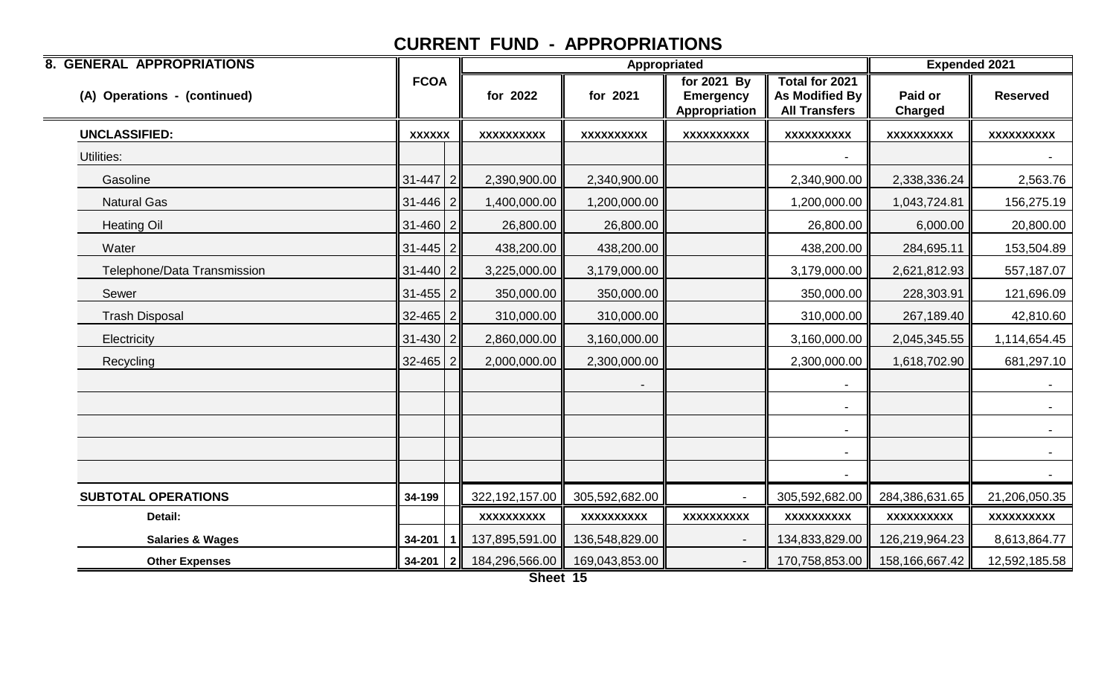| <b>8. GENERAL APPROPRIATIONS</b> |                |                   | Appropriated      |                                                    |                                                          | <b>Expended 2021</b>      |                 |
|----------------------------------|----------------|-------------------|-------------------|----------------------------------------------------|----------------------------------------------------------|---------------------------|-----------------|
| (A) Operations - (continued)     | <b>FCOA</b>    | for 2022          | for 2021          | for $2021$ By<br><b>Emergency</b><br>Appropriation | Total for 2021<br>As Modified By<br><b>All Transfers</b> | Paid or<br><b>Charged</b> | <b>Reserved</b> |
| <b>UNCLASSIFIED:</b>             | <b>XXXXXX</b>  | <b>XXXXXXXXXX</b> | <b>XXXXXXXXXX</b> | <b>XXXXXXXXXX</b>                                  | <b>XXXXXXXXXX</b>                                        | <b>XXXXXXXXXX</b>         | XXXXXXXXXX      |
| Utilities:                       |                |                   |                   |                                                    |                                                          |                           |                 |
| Gasoline                         | $31 - 447$ 2   | 2,390,900.00      | 2,340,900.00      |                                                    | 2,340,900.00                                             | 2,338,336.24              | 2,563.76        |
| <b>Natural Gas</b>               | $31 - 446$   2 | 1,400,000.00      | 1,200,000.00      |                                                    | 1,200,000.00                                             | 1,043,724.81              | 156,275.19      |
| <b>Heating Oil</b>               | $31 - 460$   2 | 26,800.00         | 26,800.00         |                                                    | 26,800.00                                                | 6,000.00                  | 20,800.00       |
| Water                            | $31 - 445$   2 | 438,200.00        | 438,200.00        |                                                    | 438,200.00                                               | 284,695.11                | 153,504.89      |
| Telephone/Data Transmission      | $31 - 440$ 2   | 3,225,000.00      | 3,179,000.00      |                                                    | 3,179,000.00                                             | 2,621,812.93              | 557,187.07      |
| Sewer                            | $31 - 455$   2 | 350,000.00        | 350,000.00        |                                                    | 350,000.00                                               | 228,303.91                | 121,696.09      |
| <b>Trash Disposal</b>            | $32 - 465$ 2   | 310,000.00        | 310,000.00        |                                                    | 310,000.00                                               | 267,189.40                | 42,810.60       |
| Electricity                      | $31 - 430$   2 | 2,860,000.00      | 3,160,000.00      |                                                    | 3,160,000.00                                             | 2,045,345.55              | 1,114,654.45    |
| Recycling                        | $32 - 465$   2 | 2,000,000.00      | 2,300,000.00      |                                                    | 2,300,000.00                                             | 1,618,702.90              | 681,297.10      |
|                                  |                |                   |                   |                                                    |                                                          |                           |                 |
|                                  |                |                   |                   |                                                    |                                                          |                           |                 |
|                                  |                |                   |                   |                                                    |                                                          |                           | $\sim$          |
|                                  |                |                   |                   |                                                    | $\blacksquare$                                           |                           | $\sim$          |
|                                  |                |                   |                   |                                                    | $\blacksquare$                                           |                           | $\sim$ $-$      |
| <b>SUBTOTAL OPERATIONS</b>       | 34-199         | 322,192,157.00    | 305,592,682.00    |                                                    | 305,592,682.00                                           | 284,386,631.65            | 21,206,050.35   |
| Detail:                          |                | <b>XXXXXXXXXX</b> | XXXXXXXXXX        | <b>XXXXXXXXXX</b>                                  | <b>XXXXXXXXXX</b>                                        | <b>XXXXXXXXXX</b>         | XXXXXXXXXX      |
| <b>Salaries &amp; Wages</b>      | 34-201         | 137,895,591.00    | 136,548,829.00    |                                                    | 134,833,829.00                                           | 126,219,964.23            | 8,613,864.77    |
| <b>Other Expenses</b>            | $34-201$   2   | 184,296,566.00    | 169,043,853.00    |                                                    | 170,758,853.00                                           | 158,166,667.42            | 12,592,185.58   |

**Sheet 15**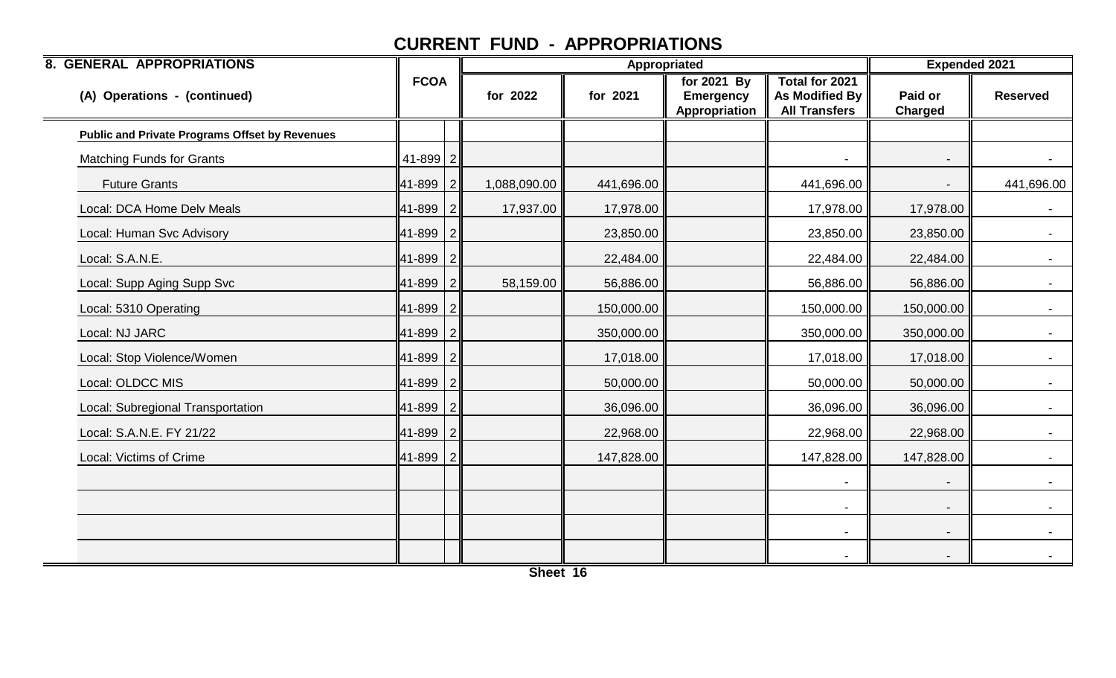| <b>8. GENERAL APPROPRIATIONS</b>                      |              |                |              |            | Appropriated                                     |                                                          | <b>Expended 2021</b>      |                  |
|-------------------------------------------------------|--------------|----------------|--------------|------------|--------------------------------------------------|----------------------------------------------------------|---------------------------|------------------|
| (A) Operations - (continued)                          | <b>FCOA</b>  |                | for 2022     | for 2021   | for 2021 By<br><b>Emergency</b><br>Appropriation | Total for 2021<br>As Modified By<br><b>All Transfers</b> | Paid or<br><b>Charged</b> | <b>Reserved</b>  |
| <b>Public and Private Programs Offset by Revenues</b> |              |                |              |            |                                                  |                                                          |                           |                  |
| <b>Matching Funds for Grants</b>                      | $41 - 899$ 2 |                |              |            |                                                  |                                                          |                           | $\sim$ 100 $\mu$ |
| <b>Future Grants</b>                                  | 41-899       | $\overline{2}$ | 1,088,090.00 | 441,696.00 |                                                  | 441,696.00                                               |                           | 441,696.00       |
| Local: DCA Home Delv Meals                            | 41-899       | $\overline{2}$ | 17,937.00    | 17,978.00  |                                                  | 17,978.00                                                | 17,978.00                 |                  |
| Local: Human Svc Advisory                             | 41-899       | 2              |              | 23,850.00  |                                                  | 23,850.00                                                | 23,850.00                 | $\sim$           |
| Local: S.A.N.E.                                       | 41-899       | 2              |              | 22,484.00  |                                                  | 22,484.00                                                | 22,484.00                 |                  |
| Local: Supp Aging Supp Svc                            | 41-899       | 2              | 58,159.00    | 56,886.00  |                                                  | 56,886.00                                                | 56,886.00                 |                  |
| Local: 5310 Operating                                 | 41-899       | 2              |              | 150,000.00 |                                                  | 150,000.00                                               | 150,000.00                | $\sim 100$       |
| Local: NJ JARC                                        | 41-899       | $\overline{2}$ |              | 350,000.00 |                                                  | 350,000.00                                               | 350,000.00                |                  |
| Local: Stop Violence/Women                            | 41-899       | 2              |              | 17,018.00  |                                                  | 17,018.00                                                | 17,018.00                 |                  |
| Local: OLDCC MIS                                      | 41-899       | 2              |              | 50,000.00  |                                                  | 50,000.00                                                | 50,000.00                 | $\sim$           |
| Local: Subregional Transportation                     | 41-899       | 2              |              | 36,096.00  |                                                  | 36,096.00                                                | 36,096.00                 |                  |
| Local: S.A.N.E. FY 21/22                              | 41-899       | 2              |              | 22,968.00  |                                                  | 22,968.00                                                | 22,968.00                 |                  |
| Local: Victims of Crime                               | 41-899       | $\mathcal{P}$  |              | 147,828.00 |                                                  | 147,828.00                                               | 147,828.00                |                  |
|                                                       |              |                |              |            |                                                  |                                                          |                           |                  |
|                                                       |              |                |              |            |                                                  |                                                          |                           |                  |
|                                                       |              |                |              |            |                                                  | $\overline{\phantom{a}}$                                 | $\overline{\phantom{a}}$  | $\sim$           |
|                                                       |              |                |              |            |                                                  |                                                          |                           |                  |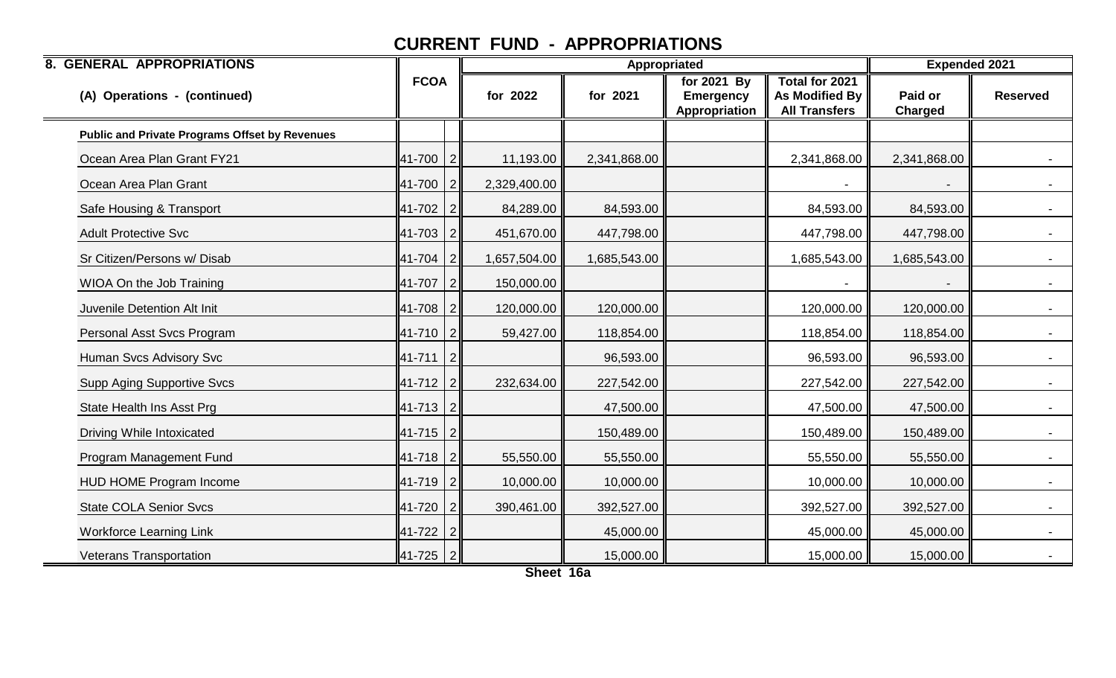| <b>8. GENERAL APPROPRIATIONS</b>                      |                |                |              | Appropriated |                                                  | <b>Expended 2021</b>                                                   |                           |                 |
|-------------------------------------------------------|----------------|----------------|--------------|--------------|--------------------------------------------------|------------------------------------------------------------------------|---------------------------|-----------------|
| (A) Operations - (continued)                          | <b>FCOA</b>    |                | for 2022     | for 2021     | for 2021 By<br><b>Emergency</b><br>Appropriation | <b>Total for 2021</b><br><b>As Modified By</b><br><b>All Transfers</b> | Paid or<br><b>Charged</b> | <b>Reserved</b> |
| <b>Public and Private Programs Offset by Revenues</b> |                |                |              |              |                                                  |                                                                        |                           |                 |
| Ocean Area Plan Grant FY21                            | 41-700         | l 2            | 11,193.00    | 2,341,868.00 |                                                  | 2,341,868.00                                                           | 2,341,868.00              |                 |
| Ocean Area Plan Grant                                 | 41-700         | $\overline{2}$ | 2,329,400.00 |              |                                                  |                                                                        |                           |                 |
| Safe Housing & Transport                              | 41-702         | $\overline{2}$ | 84,289.00    | 84,593.00    |                                                  | 84,593.00                                                              | 84,593.00                 |                 |
| <b>Adult Protective Svc</b>                           | 41-703         | $\overline{2}$ | 451,670.00   | 447,798.00   |                                                  | 447,798.00                                                             | 447,798.00                |                 |
| Sr Citizen/Persons w/ Disab                           | 41-704         |                | 1,657,504.00 | 1,685,543.00 |                                                  | 1,685,543.00                                                           | 1,685,543.00              |                 |
| WIOA On the Job Training                              | 41-707         | l 2            | 150,000.00   |              |                                                  |                                                                        |                           |                 |
| Juvenile Detention Alt Init                           | 41-708         | $\overline{2}$ | 120,000.00   | 120,000.00   |                                                  | 120,000.00                                                             | 120,000.00                |                 |
| Personal Asst Svcs Program                            | 41-710         | $\overline{2}$ | 59,427.00    | 118,854.00   |                                                  | 118,854.00                                                             | 118,854.00                |                 |
| Human Svcs Advisory Svc                               | $ 41-711 2$    |                |              | 96,593.00    |                                                  | 96,593.00                                                              | 96,593.00                 | $\blacksquare$  |
| <b>Supp Aging Supportive Svcs</b>                     | 41-712         | $\overline{2}$ | 232,634.00   | 227,542.00   |                                                  | 227,542.00                                                             | 227,542.00                |                 |
| State Health Ins Asst Prg                             | $ 41-713 2$    |                |              | 47,500.00    |                                                  | 47,500.00                                                              | 47,500.00                 |                 |
| Driving While Intoxicated                             | $41 - 715$   2 |                |              | 150,489.00   |                                                  | 150,489.00                                                             | 150,489.00                |                 |
| Program Management Fund                               | 41-718         | $\overline{2}$ | 55,550.00    | 55,550.00    |                                                  | 55,550.00                                                              | 55,550.00                 |                 |
| HUD HOME Program Income                               | 41-719         | 2              | 10,000.00    | 10,000.00    |                                                  | 10,000.00                                                              | 10,000.00                 | $\sim$          |
| <b>State COLA Senior Svcs</b>                         | 41-720         | $\overline{2}$ | 390,461.00   | 392,527.00   |                                                  | 392,527.00                                                             | 392,527.00                |                 |
| <b>Workforce Learning Link</b>                        | 41-722         |                |              | 45,000.00    |                                                  | 45,000.00                                                              | 45,000.00                 |                 |
| Veterans Transportation                               | $41-725$   2   |                |              | 15,000.00    |                                                  | 15,000.00                                                              | 15,000.00                 |                 |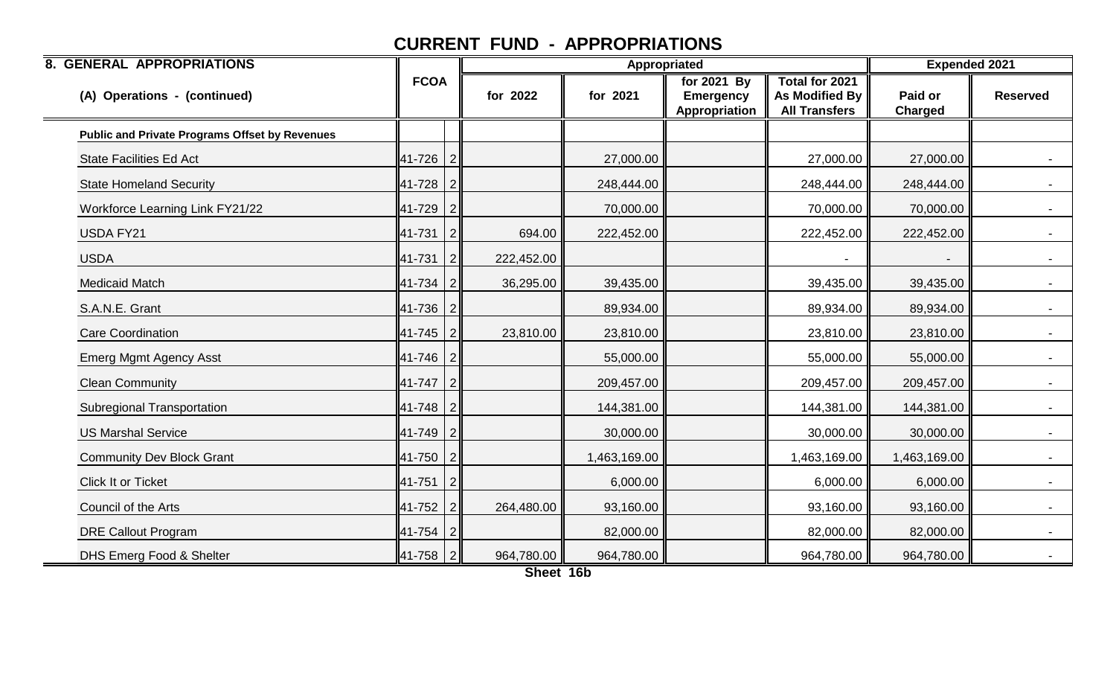| <b>8. GENERAL APPROPRIATIONS</b>                      |                |                |            |              | Appropriated                                     |                                                                 | <b>Expended 2021</b>      |                 |
|-------------------------------------------------------|----------------|----------------|------------|--------------|--------------------------------------------------|-----------------------------------------------------------------|---------------------------|-----------------|
| (A) Operations - (continued)                          | <b>FCOA</b>    |                | for 2022   | for 2021     | for 2021 By<br><b>Emergency</b><br>Appropriation | Total for 2021<br><b>As Modified By</b><br><b>All Transfers</b> | Paid or<br><b>Charged</b> | <b>Reserved</b> |
| <b>Public and Private Programs Offset by Revenues</b> |                |                |            |              |                                                  |                                                                 |                           |                 |
| <b>State Facilities Ed Act</b>                        | 41-726         | 2              |            | 27,000.00    |                                                  | 27,000.00                                                       | 27,000.00                 | $\sim$          |
| <b>State Homeland Security</b>                        | $ 41-728 2$    |                |            | 248,444.00   |                                                  | 248,444.00                                                      | 248,444.00                |                 |
| Workforce Learning Link FY21/22                       | 41-729         | $\overline{2}$ |            | 70,000.00    |                                                  | 70,000.00                                                       | 70,000.00                 |                 |
| <b>USDA FY21</b>                                      | 41-731         | 2              | 694.00     | 222,452.00   |                                                  | 222,452.00                                                      | 222,452.00                |                 |
| <b>USDA</b>                                           | 41-731         | 2              | 222,452.00 |              |                                                  |                                                                 |                           |                 |
| <b>Medicaid Match</b>                                 | $ 41 - 734 $   | 2              | 36,295.00  | 39,435.00    |                                                  | 39,435.00                                                       | 39,435.00                 | $\sim$          |
| S.A.N.E. Grant                                        | 41-736         | 2              |            | 89,934.00    |                                                  | 89,934.00                                                       | 89,934.00                 | $\blacksquare$  |
| <b>Care Coordination</b>                              | 41-745         | 2              | 23,810.00  | 23,810.00    |                                                  | 23,810.00                                                       | 23,810.00                 |                 |
| <b>Emerg Mgmt Agency Asst</b>                         | 41-746         | $\overline{2}$ |            | 55,000.00    |                                                  | 55,000.00                                                       | 55,000.00                 | $\sim$          |
| <b>Clean Community</b>                                | 41-747         | 2              |            | 209,457.00   |                                                  | 209,457.00                                                      | 209,457.00                | $\blacksquare$  |
| <b>Subregional Transportation</b>                     | 41-748         | $\overline{2}$ |            | 144,381.00   |                                                  | 144,381.00                                                      | 144,381.00                | $\sim$          |
| <b>US Marshal Service</b>                             | $41 - 749$   2 |                |            | 30,000.00    |                                                  | 30,000.00                                                       | 30,000.00                 |                 |
| <b>Community Dev Block Grant</b>                      | $ 41 - 750 2$  |                |            | 1,463,169.00 |                                                  | 1,463,169.00                                                    | 1,463,169.00              |                 |
| Click It or Ticket                                    | $ 41 - 751 2 $ |                |            | 6,000.00     |                                                  | 6,000.00                                                        | 6,000.00                  | $\sim$          |
| Council of the Arts                                   | 41-752         | $\overline{2}$ | 264,480.00 | 93,160.00    |                                                  | 93,160.00                                                       | 93,160.00                 |                 |
| <b>DRE Callout Program</b>                            | 41-754         |                |            | 82,000.00    |                                                  | 82,000.00                                                       | 82,000.00                 | $\sim$          |
| DHS Emerg Food & Shelter                              | 41-758         | 2              | 964,780.00 | 964,780.00   |                                                  | 964,780.00                                                      | 964,780.00                |                 |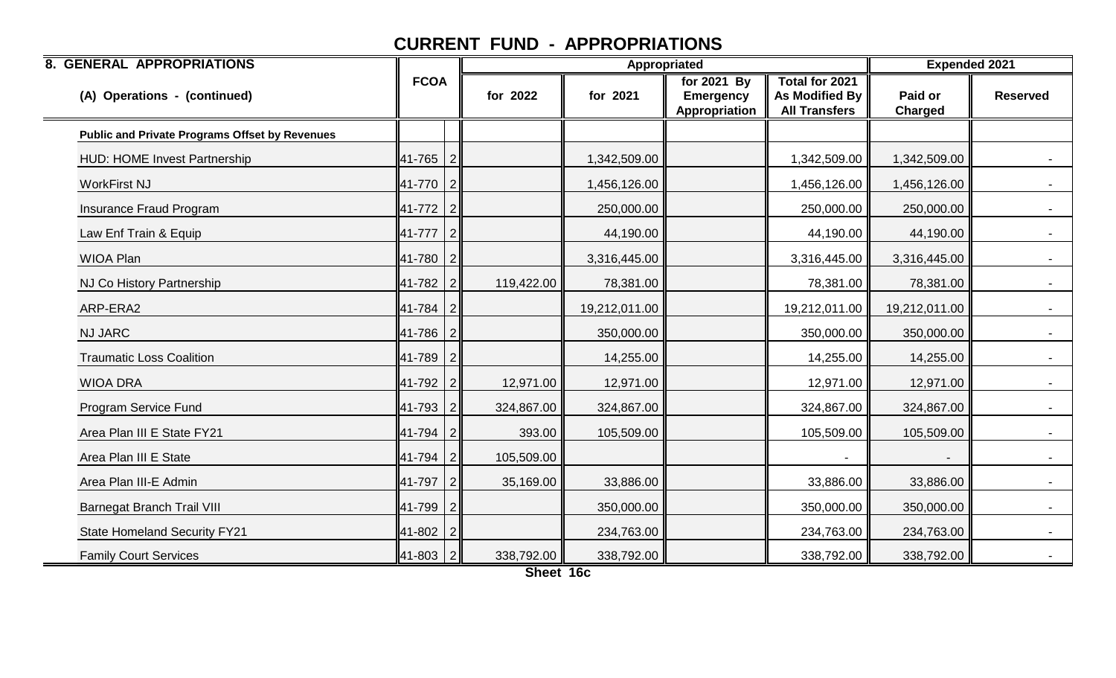| <b>8. GENERAL APPROPRIATIONS</b>                      |                |                |            |               | Appropriated                                     |                                                          | <b>Expended 2021</b>      |                 |
|-------------------------------------------------------|----------------|----------------|------------|---------------|--------------------------------------------------|----------------------------------------------------------|---------------------------|-----------------|
| (A) Operations - (continued)                          | <b>FCOA</b>    |                | for 2022   | for 2021      | for 2021 By<br><b>Emergency</b><br>Appropriation | Total for 2021<br>As Modified By<br><b>All Transfers</b> | Paid or<br><b>Charged</b> | <b>Reserved</b> |
| <b>Public and Private Programs Offset by Revenues</b> |                |                |            |               |                                                  |                                                          |                           |                 |
| <b>HUD: HOME Invest Partnership</b>                   | 41-765         | 2              |            | 1,342,509.00  |                                                  | 1,342,509.00                                             | 1,342,509.00              | $-$             |
| <b>WorkFirst NJ</b>                                   | 41-770 2       |                |            | 1,456,126.00  |                                                  | 1,456,126.00                                             | 1,456,126.00              |                 |
| Insurance Fraud Program                               | 41-772 2       |                |            | 250,000.00    |                                                  | 250,000.00                                               | 250,000.00                | $\blacksquare$  |
| Law Enf Train & Equip                                 | 41-777 2       |                |            | 44,190.00     |                                                  | 44,190.00                                                | 44,190.00                 | $\sim 100$      |
| <b>WIOA Plan</b>                                      | 41-780         | $\overline{2}$ |            | 3,316,445.00  |                                                  | 3,316,445.00                                             | 3,316,445.00              |                 |
| NJ Co History Partnership                             | 41-782 2       |                | 119,422.00 | 78,381.00     |                                                  | 78,381.00                                                | 78,381.00                 | $\sim$          |
| ARP-ERA2                                              | $41 - 784$   2 |                |            | 19,212,011.00 |                                                  | 19,212,011.00                                            | 19,212,011.00             |                 |
| <b>NJ JARC</b>                                        | 41-786         | 2              |            | 350,000.00    |                                                  | 350,000.00                                               | 350,000.00                |                 |
| <b>Traumatic Loss Coalition</b>                       | 41-789 2       |                |            | 14,255.00     |                                                  | 14,255.00                                                | 14,255.00                 | $\sim$          |
| <b>WIOA DRA</b>                                       | 41-792         | $\overline{2}$ | 12,971.00  | 12,971.00     |                                                  | 12,971.00                                                | 12,971.00                 |                 |
| Program Service Fund                                  | 41-793         | $\mathcal{P}$  | 324,867.00 | 324,867.00    |                                                  | 324,867.00                                               | 324,867.00                | $\sim$          |
| Area Plan III E State FY21                            | 41-794 2       |                | 393.00     | 105,509.00    |                                                  | 105,509.00                                               | 105,509.00                | $\sim 100$      |
| Area Plan III E State                                 | 41-794         | 2              | 105,509.00 |               |                                                  |                                                          |                           |                 |
| Area Plan III-E Admin                                 | 41-797         | 2              | 35,169.00  | 33,886.00     |                                                  | 33,886.00                                                | 33,886.00                 | $\sim$          |
| <b>Barnegat Branch Trail VIII</b>                     | 41-799         |                |            | 350,000.00    |                                                  | 350,000.00                                               | 350,000.00                |                 |
| <b>State Homeland Security FY21</b>                   | 41-802         | 2              |            | 234,763.00    |                                                  | 234,763.00                                               | 234,763.00                | $-$             |
| <b>Family Court Services</b>                          | 41-803 2       |                | 338,792.00 | 338,792.00    |                                                  | 338,792.00                                               | 338,792.00                |                 |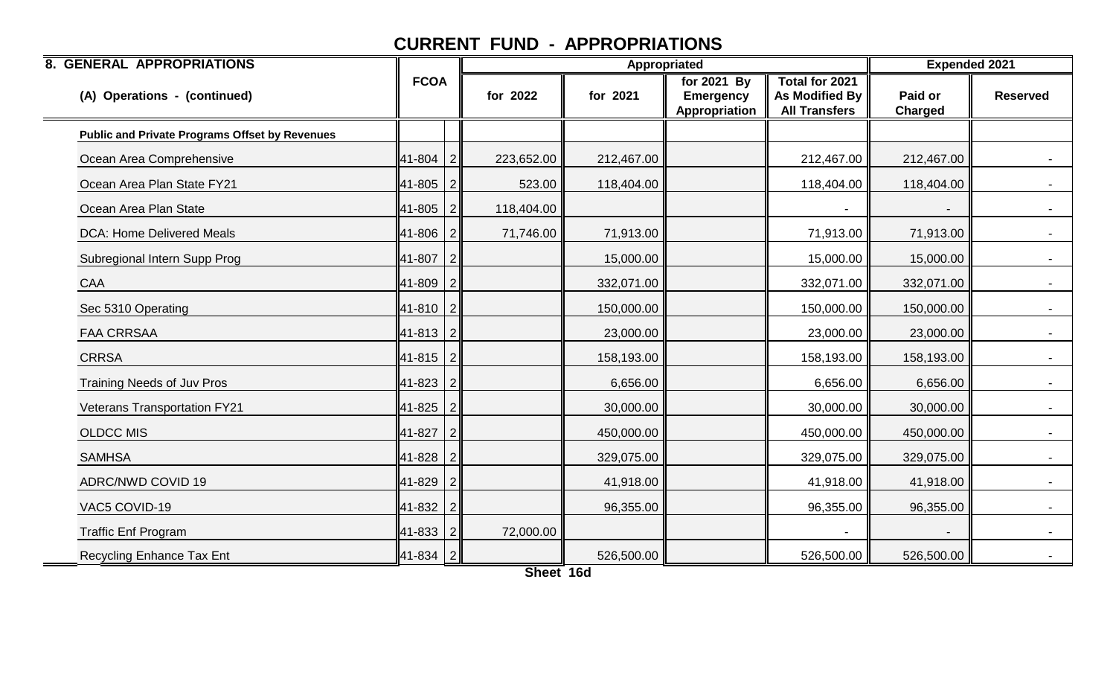| <b>8. GENERAL APPROPRIATIONS</b>                      |              |                |            |            | Appropriated                                     |                                                                 | <b>Expended 2021</b>      |                 |
|-------------------------------------------------------|--------------|----------------|------------|------------|--------------------------------------------------|-----------------------------------------------------------------|---------------------------|-----------------|
| (A) Operations - (continued)                          | <b>FCOA</b>  |                | for 2022   | for 2021   | for 2021 By<br><b>Emergency</b><br>Appropriation | Total for 2021<br><b>As Modified By</b><br><b>All Transfers</b> | Paid or<br><b>Charged</b> | <b>Reserved</b> |
| <b>Public and Private Programs Offset by Revenues</b> |              |                |            |            |                                                  |                                                                 |                           |                 |
| Ocean Area Comprehensive                              | 41-804       | $\overline{2}$ | 223,652.00 | 212,467.00 |                                                  | 212,467.00                                                      | 212,467.00                |                 |
| Ocean Area Plan State FY21                            | 41-805       | $\overline{2}$ | 523.00     | 118,404.00 |                                                  | 118,404.00                                                      | 118,404.00                |                 |
| Ocean Area Plan State                                 | 41-805       | $\overline{2}$ | 118,404.00 |            |                                                  |                                                                 |                           |                 |
| <b>DCA: Home Delivered Meals</b>                      | 41-806       | 2              | 71,746.00  | 71,913.00  |                                                  | 71,913.00                                                       | 71,913.00                 | $\sim$          |
| Subregional Intern Supp Prog                          | 41-807       |                |            | 15,000.00  |                                                  | 15,000.00                                                       | 15,000.00                 |                 |
| CAA                                                   | 41-809       | $\overline{2}$ |            | 332,071.00 |                                                  | 332,071.00                                                      | 332,071.00                |                 |
| Sec 5310 Operating                                    | 41-810       | l 2            |            | 150,000.00 |                                                  | 150,000.00                                                      | 150,000.00                |                 |
| <b>FAA CRRSAA</b>                                     | 41-813       | $\overline{2}$ |            | 23,000.00  |                                                  | 23,000.00                                                       | 23,000.00                 |                 |
| <b>CRRSA</b>                                          | $41-815$   2 |                |            | 158,193.00 |                                                  | 158,193.00                                                      | 158,193.00                |                 |
| <b>Training Needs of Juv Pros</b>                     | 41-823       | $\vert$ 2      |            | 6,656.00   |                                                  | 6,656.00                                                        | 6,656.00                  |                 |
| <b>Veterans Transportation FY21</b>                   | 41-825       | $\overline{2}$ |            | 30,000.00  |                                                  | 30,000.00                                                       | 30,000.00                 |                 |
| <b>OLDCC MIS</b>                                      | 41-827       | $\overline{2}$ |            | 450,000.00 |                                                  | 450,000.00                                                      | 450,000.00                | $\sim 100$      |
| <b>SAMHSA</b>                                         | 41-828       | $\overline{2}$ |            | 329,075.00 |                                                  | 329,075.00                                                      | 329,075.00                |                 |
| <b>ADRC/NWD COVID 19</b>                              | 41-829       | $\overline{2}$ |            | 41,918.00  |                                                  | 41,918.00                                                       | 41,918.00                 |                 |
| VAC5 COVID-19                                         | 41-832       | $\overline{2}$ |            | 96,355.00  |                                                  | 96,355.00                                                       | 96,355.00                 | $\sim$          |
| <b>Traffic Enf Program</b>                            | 41-833       | $\overline{2}$ | 72,000.00  |            |                                                  |                                                                 |                           |                 |
| <b>Recycling Enhance Tax Ent</b>                      | $ 41-834 2$  |                |            | 526,500.00 |                                                  | 526,500.00                                                      | 526,500.00                |                 |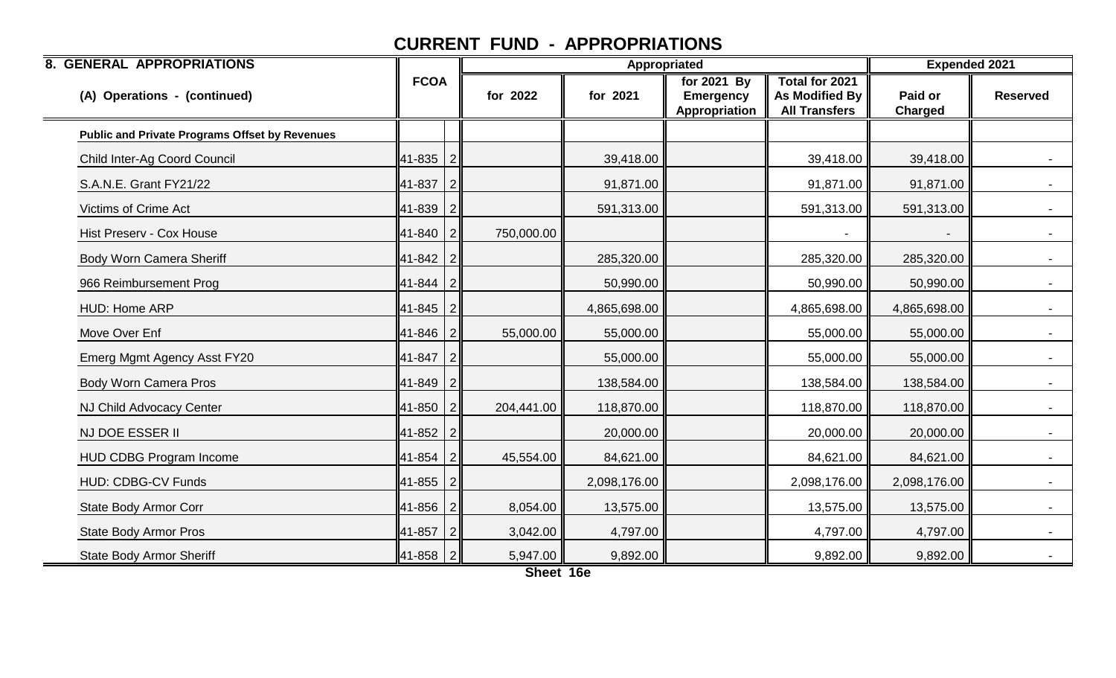| <b>8. GENERAL APPROPRIATIONS</b>                      |             |                |            |              | Appropriated                                     |                                                                        | <b>Expended 2021</b>      |                 |
|-------------------------------------------------------|-------------|----------------|------------|--------------|--------------------------------------------------|------------------------------------------------------------------------|---------------------------|-----------------|
| (A) Operations - (continued)                          | <b>FCOA</b> |                | for 2022   | for 2021     | for 2021 By<br><b>Emergency</b><br>Appropriation | <b>Total for 2021</b><br><b>As Modified By</b><br><b>All Transfers</b> | Paid or<br><b>Charged</b> | <b>Reserved</b> |
| <b>Public and Private Programs Offset by Revenues</b> |             |                |            |              |                                                  |                                                                        |                           |                 |
| Child Inter-Ag Coord Council                          | 41-835      | $\overline{2}$ |            | 39,418.00    |                                                  | 39,418.00                                                              | 39,418.00                 |                 |
| S.A.N.E. Grant FY21/22                                | 41-837      | $\overline{2}$ |            | 91,871.00    |                                                  | 91,871.00                                                              | 91,871.00                 |                 |
| <b>Victims of Crime Act</b>                           | 41-839      | $\overline{2}$ |            | 591,313.00   |                                                  | 591,313.00                                                             | 591,313.00                |                 |
| Hist Preserv - Cox House                              | 41-840      | $\overline{2}$ | 750,000.00 |              |                                                  |                                                                        |                           |                 |
| <b>Body Worn Camera Sheriff</b>                       | 41-842      | $\overline{2}$ |            | 285,320.00   |                                                  | 285,320.00                                                             | 285,320.00                |                 |
| 966 Reimbursement Prog                                | 41-844      | -2             |            | 50,990.00    |                                                  | 50,990.00                                                              | 50,990.00                 | $\sim$          |
| HUD: Home ARP                                         | 41-845      | $\overline{2}$ |            | 4,865,698.00 |                                                  | 4,865,698.00                                                           | 4,865,698.00              |                 |
| Move Over Enf                                         | 41-846      | $\overline{2}$ | 55,000.00  | 55,000.00    |                                                  | 55,000.00                                                              | 55,000.00                 |                 |
| Emerg Mgmt Agency Asst FY20                           | 41-847      | $\overline{2}$ |            | 55,000.00    |                                                  | 55,000.00                                                              | 55,000.00                 |                 |
| <b>Body Worn Camera Pros</b>                          | 41-849      | $\overline{2}$ |            | 138,584.00   |                                                  | 138,584.00                                                             | 138,584.00                |                 |
| NJ Child Advocacy Center                              | 41-850      | -2             | 204,441.00 | 118,870.00   |                                                  | 118,870.00                                                             | 118,870.00                |                 |
| NJ DOE ESSER II                                       | 41-852      | $\overline{2}$ |            | 20,000.00    |                                                  | 20,000.00                                                              | 20,000.00                 |                 |
| <b>HUD CDBG Program Income</b>                        | 41-854      | $\overline{2}$ | 45,554.00  | 84,621.00    |                                                  | 84,621.00                                                              | 84,621.00                 |                 |
| <b>HUD: CDBG-CV Funds</b>                             | 41-855      | $\sqrt{2}$     |            | 2,098,176.00 |                                                  | 2,098,176.00                                                           | 2,098,176.00              | $\sim$          |
| State Body Armor Corr                                 | 41-856      | 2              | 8,054.00   | 13,575.00    |                                                  | 13,575.00                                                              | 13,575.00                 |                 |
| <b>State Body Armor Pros</b>                          | 41-857      |                | 3,042.00   | 4,797.00     |                                                  | 4,797.00                                                               | 4,797.00                  |                 |
| <b>State Body Armor Sheriff</b>                       | 41-858      | $\overline{2}$ | 5,947.00   | 9,892.00     |                                                  | 9,892.00                                                               | 9,892.00                  |                 |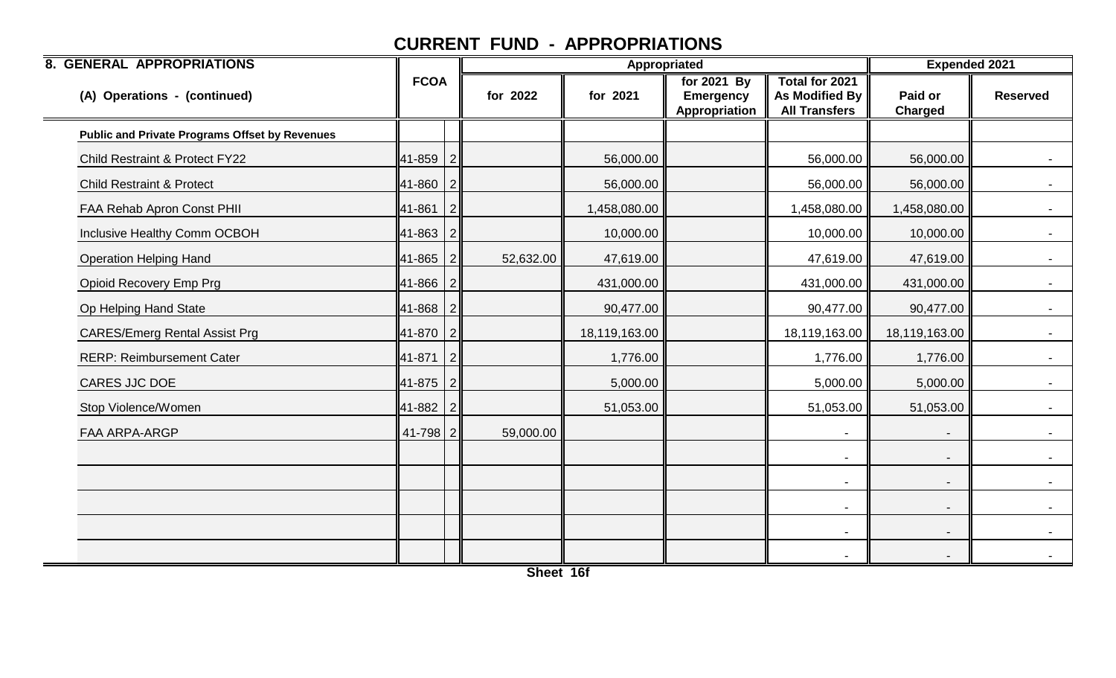| <b>8. GENERAL APPROPRIATIONS</b>                      |             |                |           |               | Appropriated                                     |                                                          | <b>Expended 2021</b>      |                 |
|-------------------------------------------------------|-------------|----------------|-----------|---------------|--------------------------------------------------|----------------------------------------------------------|---------------------------|-----------------|
| (A) Operations - (continued)                          | <b>FCOA</b> |                | for 2022  | for 2021      | for 2021 By<br><b>Emergency</b><br>Appropriation | Total for 2021<br>As Modified By<br><b>All Transfers</b> | Paid or<br><b>Charged</b> | <b>Reserved</b> |
| <b>Public and Private Programs Offset by Revenues</b> |             |                |           |               |                                                  |                                                          |                           |                 |
| <b>Child Restraint &amp; Protect FY22</b>             | 41-859      | 2              |           | 56,000.00     |                                                  | 56,000.00                                                | 56,000.00                 | $\sim 100$      |
| <b>Child Restraint &amp; Protect</b>                  | 41-860      | 2              |           | 56,000.00     |                                                  | 56,000.00                                                | 56,000.00                 | $\sim$          |
| FAA Rehab Apron Const PHII                            | 41-861      | $\overline{2}$ |           | 1,458,080.00  |                                                  | 1,458,080.00                                             | 1,458,080.00              |                 |
| Inclusive Healthy Comm OCBOH                          | 41-863      | 2              |           | 10,000.00     |                                                  | 10,000.00                                                | 10,000.00                 | $\sim$          |
| <b>Operation Helping Hand</b>                         | 41-865      | 2              | 52,632.00 | 47,619.00     |                                                  | 47,619.00                                                | 47,619.00                 | $\sim$          |
| <b>Opioid Recovery Emp Prg</b>                        | 41-866      |                |           | 431,000.00    |                                                  | 431,000.00                                               | 431,000.00                |                 |
| Op Helping Hand State                                 | 41-868      | $\mathcal{P}$  |           | 90,477.00     |                                                  | 90,477.00                                                | 90,477.00                 | $\sim$ $-$      |
| <b>CARES/Emerg Rental Assist Prg</b>                  | 41-870      | $\overline{2}$ |           | 18,119,163.00 |                                                  | 18,119,163.00                                            | 18,119,163.00             | $\sim$ $-$      |
| <b>RERP: Reimbursement Cater</b>                      | 41-871      | 2              |           | 1,776.00      |                                                  | 1,776.00                                                 | 1,776.00                  | $\sim$ 10 $\pm$ |
| CARES JJC DOE                                         | 41-875      | 2              |           | 5,000.00      |                                                  | 5,000.00                                                 | 5,000.00                  | $\sim$          |
| Stop Violence/Women                                   | 41-882      | 2              |           | 51,053.00     |                                                  | 51,053.00                                                | 51,053.00                 | $\sim$          |
| FAA ARPA-ARGP                                         | 41-798      | $\overline{2}$ | 59,000.00 |               |                                                  |                                                          |                           | $\sim$ 10 $\pm$ |
|                                                       |             |                |           |               |                                                  | $\overline{\phantom{a}}$                                 |                           |                 |
|                                                       |             |                |           |               |                                                  | $\blacksquare$                                           |                           |                 |
|                                                       |             |                |           |               |                                                  | $\blacksquare$                                           |                           | $\sim$ $-$      |
|                                                       |             |                |           |               |                                                  |                                                          |                           | $\sim$          |
|                                                       |             |                |           |               |                                                  |                                                          |                           | $\sim$ $-$      |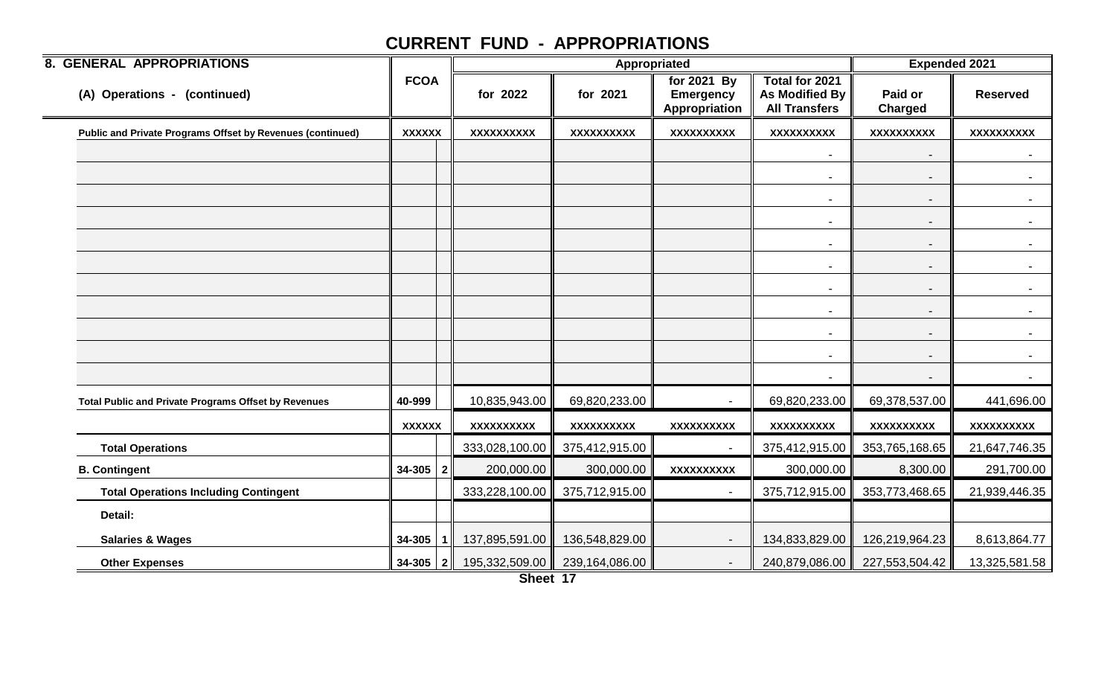| <b>8. GENERAL APPROPRIATIONS</b>                            |               |                   | Appropriated      |                                                  |                                                                 | <b>Expended 2021</b>      |                   |
|-------------------------------------------------------------|---------------|-------------------|-------------------|--------------------------------------------------|-----------------------------------------------------------------|---------------------------|-------------------|
| (A) Operations - (continued)                                | <b>FCOA</b>   | for 2022          | for 2021          | for 2021 By<br><b>Emergency</b><br>Appropriation | <b>Total for 2021</b><br>As Modified By<br><b>All Transfers</b> | Paid or<br><b>Charged</b> | <b>Reserved</b>   |
| Public and Private Programs Offset by Revenues (continued)  | <b>XXXXXX</b> | <b>XXXXXXXXXX</b> | <b>XXXXXXXXXX</b> | XXXXXXXXX                                        | <b>XXXXXXXXXX</b>                                               | <b>XXXXXXXXXX</b>         | <b>XXXXXXXXXX</b> |
|                                                             |               |                   |                   |                                                  | $\blacksquare$                                                  |                           | $\blacksquare$    |
|                                                             |               |                   |                   |                                                  | $\overline{\phantom{a}}$                                        |                           |                   |
|                                                             |               |                   |                   |                                                  | $\overline{\phantom{a}}$                                        |                           | $\sim$            |
|                                                             |               |                   |                   |                                                  | $\overline{\phantom{a}}$                                        |                           | $\sim$            |
|                                                             |               |                   |                   |                                                  | $\overline{\phantom{a}}$                                        | $\overline{\phantom{a}}$  | $\sim$            |
|                                                             |               |                   |                   |                                                  | $\overline{\phantom{a}}$                                        |                           | $\sim$            |
|                                                             |               |                   |                   |                                                  | $\overline{\phantom{a}}$                                        | $\blacksquare$            | $\blacksquare$    |
|                                                             |               |                   |                   |                                                  | $\overline{\phantom{a}}$                                        | $\overline{\phantom{a}}$  | $\sim$            |
|                                                             |               |                   |                   |                                                  | $\overline{\phantom{a}}$                                        | $\overline{\phantom{a}}$  | $\sim$            |
|                                                             |               |                   |                   |                                                  | $\overline{\phantom{a}}$                                        | $\overline{\phantom{a}}$  | $\sim$            |
|                                                             |               |                   |                   |                                                  | $\overline{\phantom{a}}$                                        |                           | $\blacksquare$    |
| <b>Total Public and Private Programs Offset by Revenues</b> | 40-999        | 10,835,943.00     | 69,820,233.00     |                                                  | 69,820,233.00                                                   | 69,378,537.00             | 441,696.00        |
|                                                             | <b>XXXXXX</b> | <b>XXXXXXXXXX</b> | XXXXXXXXX         | XXXXXXXXX                                        | XXXXXXXXX                                                       | XXXXXXXXX                 | XXXXXXXXX         |
| <b>Total Operations</b>                                     |               | 333,028,100.00    | 375,412,915.00    |                                                  | 375,412,915.00                                                  | 353,765,168.65            | 21,647,746.35     |
| <b>B. Contingent</b>                                        | $34-305$   2  | 200,000.00        | 300,000.00        | <b>XXXXXXXXXX</b>                                | 300,000.00                                                      | 8,300.00                  | 291,700.00        |
| <b>Total Operations Including Contingent</b>                |               | 333,228,100.00    | 375,712,915.00    | $\overline{\phantom{a}}$                         | 375,712,915.00                                                  | 353,773,468.65            | 21,939,446.35     |
| Detail:                                                     |               |                   |                   |                                                  |                                                                 |                           |                   |
| <b>Salaries &amp; Wages</b>                                 | 34-305        | 137,895,591.00    | 136,548,829.00    | $\overline{\phantom{a}}$                         | 134,833,829.00                                                  | 126,219,964.23            | 8,613,864.77      |
| <b>Other Expenses</b>                                       | $34-305$   2  | 195,332,509.00    | 239,164,086.00    | $\overline{\phantom{a}}$                         | 240,879,086.00                                                  | 227,553,504.42            | 13,325,581.58     |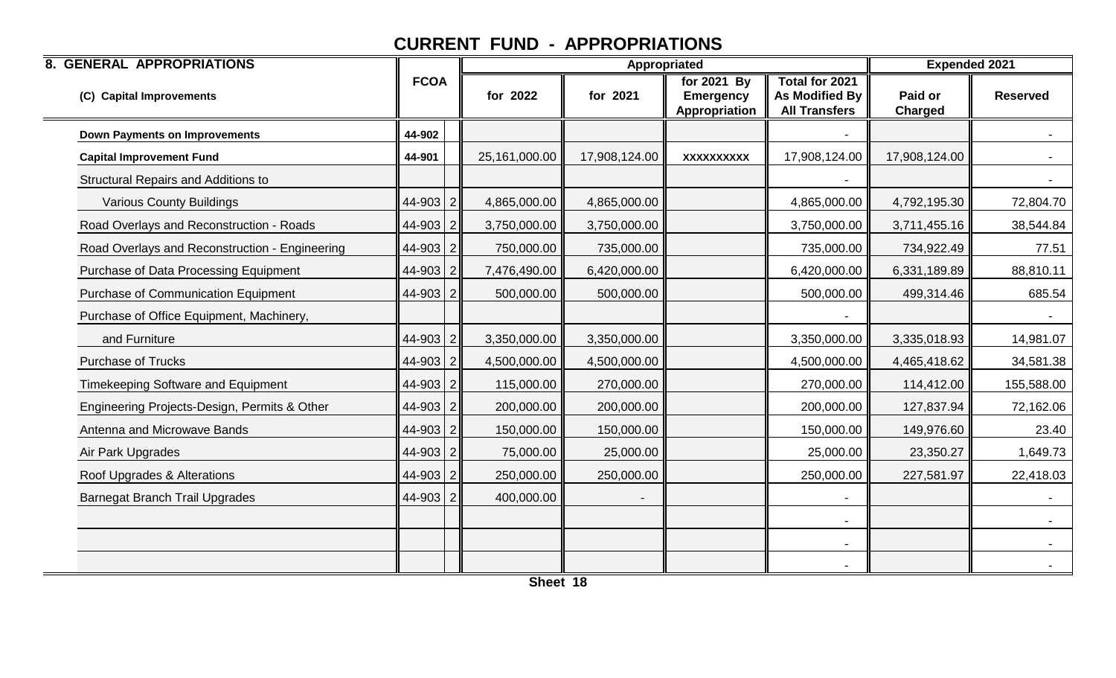| <b>8. GENERAL APPROPRIATIONS</b>               |              |               | Appropriated  |                                                  |                                                          | <b>Expended 2021</b>      |                 |
|------------------------------------------------|--------------|---------------|---------------|--------------------------------------------------|----------------------------------------------------------|---------------------------|-----------------|
| (C) Capital Improvements                       | <b>FCOA</b>  | for 2022      | for 2021      | for 2021 By<br><b>Emergency</b><br>Appropriation | Total for 2021<br>As Modified By<br><b>All Transfers</b> | Paid or<br><b>Charged</b> | <b>Reserved</b> |
| <b>Down Payments on Improvements</b>           | 44-902       |               |               |                                                  |                                                          |                           |                 |
| <b>Capital Improvement Fund</b>                | 44-901       | 25,161,000.00 | 17,908,124.00 | <b>XXXXXXXXXX</b>                                | 17,908,124.00                                            | 17,908,124.00             |                 |
| <b>Structural Repairs and Additions to</b>     |              |               |               |                                                  |                                                          |                           |                 |
| <b>Various County Buildings</b>                | $44-903$ 2   | 4,865,000.00  | 4,865,000.00  |                                                  | 4,865,000.00                                             | 4,792,195.30              | 72,804.70       |
| Road Overlays and Reconstruction - Roads       | $44 - 903$ 2 | 3,750,000.00  | 3,750,000.00  |                                                  | 3,750,000.00                                             | 3,711,455.16              | 38,544.84       |
| Road Overlays and Reconstruction - Engineering | 44-903 2     | 750,000.00    | 735,000.00    |                                                  | 735,000.00                                               | 734,922.49                | 77.51           |
| Purchase of Data Processing Equipment          | $44-903$ 2   | 7,476,490.00  | 6,420,000.00  |                                                  | 6,420,000.00                                             | 6,331,189.89              | 88,810.11       |
| <b>Purchase of Communication Equipment</b>     | 44-903 2     | 500,000.00    | 500,000.00    |                                                  | 500,000.00                                               | 499,314.46                | 685.54          |
| Purchase of Office Equipment, Machinery,       |              |               |               |                                                  |                                                          |                           |                 |
| and Furniture                                  | $44-903$ 2   | 3,350,000.00  | 3,350,000.00  |                                                  | 3,350,000.00                                             | 3,335,018.93              | 14,981.07       |
| <b>Purchase of Trucks</b>                      | 44-903 2     | 4,500,000.00  | 4,500,000.00  |                                                  | 4,500,000.00                                             | 4,465,418.62              | 34,581.38       |
| <b>Timekeeping Software and Equipment</b>      | 44-903 2     | 115,000.00    | 270,000.00    |                                                  | 270,000.00                                               | 114,412.00                | 155,588.00      |
| Engineering Projects-Design, Permits & Other   | 44-903 2     | 200,000.00    | 200,000.00    |                                                  | 200,000.00                                               | 127,837.94                | 72,162.06       |
| Antenna and Microwave Bands                    | 44-903 2     | 150,000.00    | 150,000.00    |                                                  | 150,000.00                                               | 149,976.60                | 23.40           |
| Air Park Upgrades                              | 44-903 2     | 75,000.00     | 25,000.00     |                                                  | 25,000.00                                                | 23,350.27                 | 1,649.73        |
| Roof Upgrades & Alterations                    | 44-903 2     | 250,000.00    | 250,000.00    |                                                  | 250,000.00                                               | 227,581.97                | 22,418.03       |
| <b>Barnegat Branch Trail Upgrades</b>          | $44 - 903$ 2 | 400,000.00    |               |                                                  |                                                          |                           |                 |
|                                                |              |               |               |                                                  | $\blacksquare$                                           |                           |                 |
|                                                |              |               |               |                                                  |                                                          |                           | $\sim$          |
|                                                |              |               |               |                                                  |                                                          |                           |                 |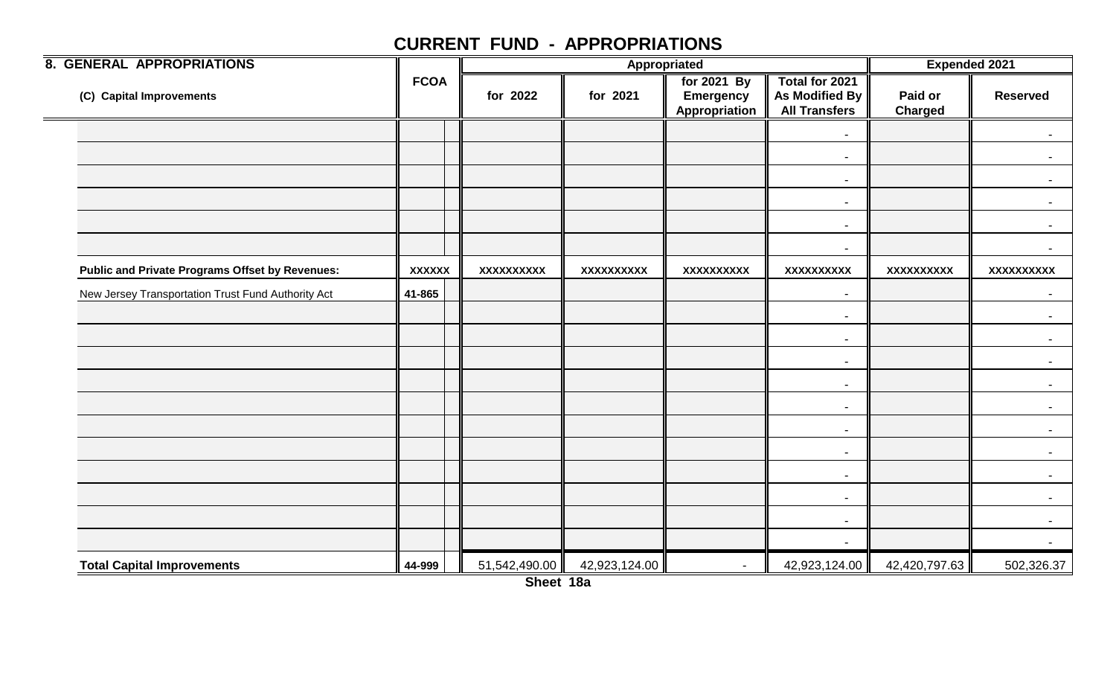| <b>8. GENERAL APPROPRIATIONS</b>                       |               |               |               | Appropriated                                     |                                                          | <b>Expended 2021</b>      |                          |
|--------------------------------------------------------|---------------|---------------|---------------|--------------------------------------------------|----------------------------------------------------------|---------------------------|--------------------------|
| (C) Capital Improvements                               | <b>FCOA</b>   | for 2022      | for 2021      | for 2021 By<br><b>Emergency</b><br>Appropriation | Total for 2021<br>As Modified By<br><b>All Transfers</b> | Paid or<br><b>Charged</b> | <b>Reserved</b>          |
|                                                        |               |               |               |                                                  | $\blacksquare$                                           |                           | $\sim$                   |
|                                                        |               |               |               |                                                  | $\blacksquare$                                           |                           | $\sim$                   |
|                                                        |               |               |               |                                                  | $\blacksquare$                                           |                           |                          |
|                                                        |               |               |               |                                                  | $\overline{\phantom{a}}$                                 |                           |                          |
|                                                        |               |               |               |                                                  | $\blacksquare$                                           |                           | $\sim$                   |
|                                                        |               |               |               |                                                  | $\blacksquare$                                           |                           | $\sim$                   |
| <b>Public and Private Programs Offset by Revenues:</b> | <b>XXXXXX</b> | XXXXXXXXXX    | XXXXXXXXXX    | XXXXXXXXX                                        | XXXXXXXXXX                                               | XXXXXXXXXX                | XXXXXXXXXX               |
| New Jersey Transportation Trust Fund Authority Act     | 41-865        |               |               |                                                  | $\blacksquare$                                           |                           | $\blacksquare$           |
|                                                        |               |               |               |                                                  | $\sim$                                                   |                           | $\sim$ $-$               |
|                                                        |               |               |               |                                                  | $\overline{\phantom{a}}$                                 |                           | $\sim$                   |
|                                                        |               |               |               |                                                  | $\blacksquare$                                           |                           |                          |
|                                                        |               |               |               |                                                  | $\overline{\phantom{a}}$                                 |                           | $\blacksquare$           |
|                                                        |               |               |               |                                                  | $\blacksquare$                                           |                           | $\sim$                   |
|                                                        |               |               |               |                                                  | $\blacksquare$                                           |                           | $\sim$                   |
|                                                        |               |               |               |                                                  | $\overline{\phantom{a}}$                                 |                           |                          |
|                                                        |               |               |               |                                                  | $\overline{\phantom{a}}$                                 |                           | $\overline{\phantom{0}}$ |
|                                                        |               |               |               |                                                  | $\blacksquare$                                           |                           | $\sim$                   |
|                                                        |               |               |               |                                                  | $\overline{\phantom{a}}$                                 |                           | $\sim$                   |
|                                                        |               |               |               |                                                  | $\blacksquare$                                           |                           | $\blacksquare$           |
| <b>Total Capital Improvements</b>                      | 44-999        | 51,542,490.00 | 42,923,124.00 |                                                  | 42,923,124.00                                            | 42,420,797.63             | 502,326.37               |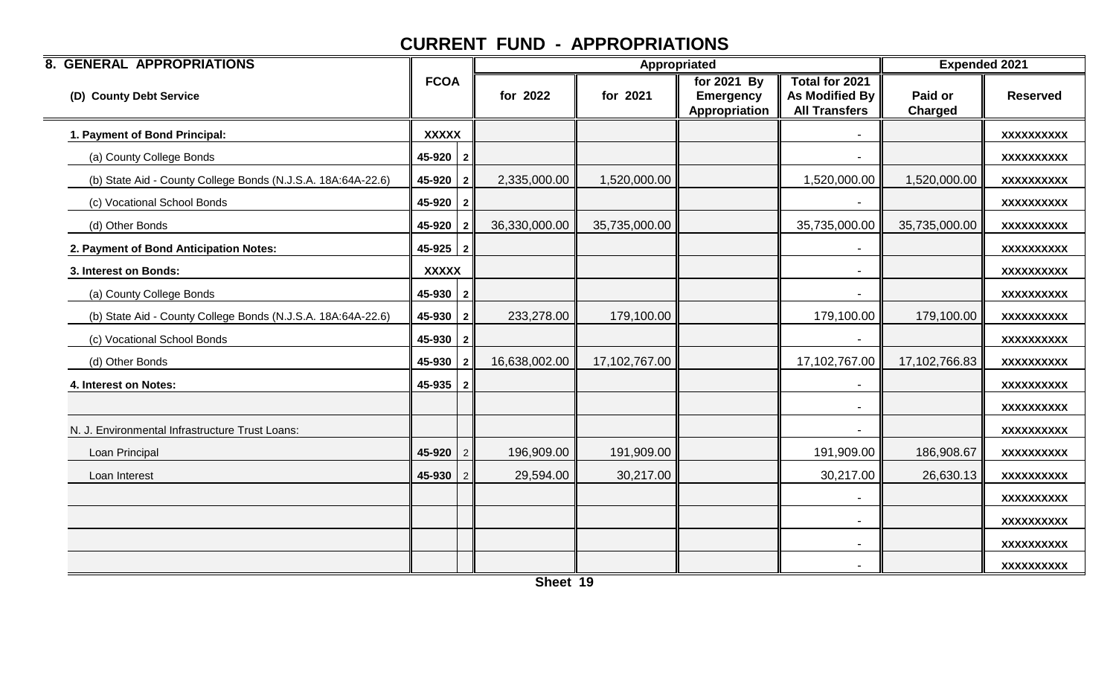| <b>8. GENERAL APPROPRIATIONS</b>                             |              |                |               |               | Appropriated                                     |                                                                 | <b>Expended 2021</b>      |                   |
|--------------------------------------------------------------|--------------|----------------|---------------|---------------|--------------------------------------------------|-----------------------------------------------------------------|---------------------------|-------------------|
| (D) County Debt Service                                      | <b>FCOA</b>  |                | for 2022      | for 2021      | for 2021 By<br><b>Emergency</b><br>Appropriation | Total for 2021<br><b>As Modified By</b><br><b>All Transfers</b> | Paid or<br><b>Charged</b> | <b>Reserved</b>   |
| 1. Payment of Bond Principal:                                | <b>XXXXX</b> |                |               |               |                                                  |                                                                 |                           | XXXXXXXXXX        |
| (a) County College Bonds                                     | $45-920$   2 |                |               |               |                                                  |                                                                 |                           | <b>XXXXXXXXXX</b> |
| (b) State Aid - County College Bonds (N.J.S.A. 18A:64A-22.6) | 45-920       | $\overline{2}$ | 2,335,000.00  | 1,520,000.00  |                                                  | 1,520,000.00                                                    | 1,520,000.00              | <b>XXXXXXXXXX</b> |
| (c) Vocational School Bonds                                  | $45-920$   2 |                |               |               |                                                  |                                                                 |                           | XXXXXXXXXX        |
| (d) Other Bonds                                              | 45-920 2     |                | 36,330,000.00 | 35,735,000.00 |                                                  | 35,735,000.00                                                   | 35,735,000.00             | <b>XXXXXXXXXX</b> |
| 2. Payment of Bond Anticipation Notes:                       | $45-925$   2 |                |               |               |                                                  |                                                                 |                           | <b>XXXXXXXXXX</b> |
| 3. Interest on Bonds:                                        | <b>XXXXX</b> |                |               |               |                                                  |                                                                 |                           | <b>XXXXXXXXXX</b> |
| (a) County College Bonds                                     | $45-930$   2 |                |               |               |                                                  |                                                                 |                           | <b>XXXXXXXXXX</b> |
| (b) State Aid - County College Bonds (N.J.S.A. 18A:64A-22.6) | $45-930$   2 |                | 233,278.00    | 179,100.00    |                                                  | 179,100.00                                                      | 179,100.00                | <b>XXXXXXXXXX</b> |
| (c) Vocational School Bonds                                  | $45-930$   2 |                |               |               |                                                  |                                                                 |                           | XXXXXXXXXX        |
| (d) Other Bonds                                              | 45-930       | $\overline{2}$ | 16,638,002.00 | 17,102,767.00 |                                                  | 17,102,767.00                                                   | 17,102,766.83             | XXXXXXXXXX        |
| 4. Interest on Notes:                                        | $45-935$   2 |                |               |               |                                                  |                                                                 |                           | <b>XXXXXXXXXX</b> |
|                                                              |              |                |               |               |                                                  |                                                                 |                           | <b>XXXXXXXXXX</b> |
| N. J. Environmental Infrastructure Trust Loans:              |              |                |               |               |                                                  |                                                                 |                           | <b>XXXXXXXXXX</b> |
| Loan Principal                                               | 45-920       | 2              | 196,909.00    | 191,909.00    |                                                  | 191,909.00                                                      | 186,908.67                | XXXXXXXXXX        |
| Loan Interest                                                | 45-930       | 2              | 29,594.00     | 30,217.00     |                                                  | 30,217.00                                                       | 26,630.13                 | <b>XXXXXXXXXX</b> |
|                                                              |              |                |               |               |                                                  |                                                                 |                           | <b>XXXXXXXXXX</b> |
|                                                              |              |                |               |               |                                                  |                                                                 |                           | <b>XXXXXXXXXX</b> |
|                                                              |              |                |               |               |                                                  |                                                                 |                           | XXXXXXXXXX        |
|                                                              |              |                |               |               |                                                  |                                                                 |                           | <b>XXXXXXXXXX</b> |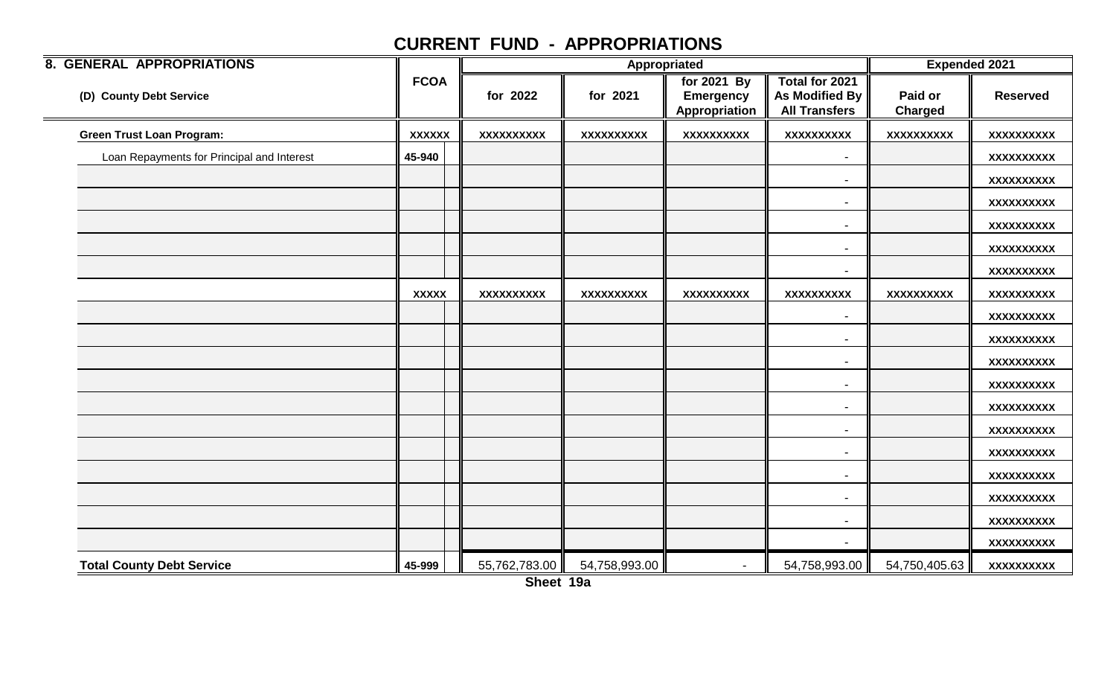| <b>8. GENERAL APPROPRIATIONS</b>           |               |                   | Appropriated      |                                                  | <b>Expended 2021</b>                                     |                    |                   |
|--------------------------------------------|---------------|-------------------|-------------------|--------------------------------------------------|----------------------------------------------------------|--------------------|-------------------|
| (D) County Debt Service                    | <b>FCOA</b>   | for 2022          | for 2021          | for 2021 By<br><b>Emergency</b><br>Appropriation | Total for 2021<br>As Modified By<br><b>All Transfers</b> | Paid or<br>Charged | <b>Reserved</b>   |
| <b>Green Trust Loan Program:</b>           | <b>XXXXXX</b> | <b>XXXXXXXXXX</b> | <b>XXXXXXXXXX</b> | <b>XXXXXXXXXX</b>                                | <b>XXXXXXXXXX</b>                                        | <b>XXXXXXXXXX</b>  | <b>XXXXXXXXXX</b> |
| Loan Repayments for Principal and Interest | 45-940        |                   |                   |                                                  | $\overline{\phantom{a}}$                                 |                    | XXXXXXXXXX        |
|                                            |               |                   |                   |                                                  | $\overline{\phantom{0}}$                                 |                    | XXXXXXXXXX        |
|                                            |               |                   |                   |                                                  |                                                          |                    | XXXXXXXXX         |
|                                            |               |                   |                   |                                                  | $\blacksquare$                                           |                    | XXXXXXXXXX        |
|                                            |               |                   |                   |                                                  | $\overline{\phantom{a}}$                                 |                    | <b>XXXXXXXXXX</b> |
|                                            |               |                   |                   |                                                  | $\overline{\phantom{a}}$                                 |                    | XXXXXXXXXX        |
|                                            | <b>XXXXX</b>  | <b>XXXXXXXXXX</b> | <b>XXXXXXXXXX</b> | <b>XXXXXXXXXX</b>                                | <b>XXXXXXXXXX</b>                                        | XXXXXXXXXX         | <b>XXXXXXXXXX</b> |
|                                            |               |                   |                   |                                                  | $\overline{\phantom{a}}$                                 |                    | XXXXXXXXXX        |
|                                            |               |                   |                   |                                                  | $\blacksquare$                                           |                    | XXXXXXXXXX        |
|                                            |               |                   |                   |                                                  | $\overline{\phantom{0}}$                                 |                    | <b>XXXXXXXXXX</b> |
|                                            |               |                   |                   |                                                  | $\overline{\phantom{a}}$                                 |                    | XXXXXXXXXX        |
|                                            |               |                   |                   |                                                  | $\overline{\phantom{a}}$                                 |                    | <b>XXXXXXXXXX</b> |
|                                            |               |                   |                   |                                                  |                                                          |                    | <b>XXXXXXXXXX</b> |
|                                            |               |                   |                   |                                                  | $\overline{\phantom{a}}$                                 |                    | XXXXXXXXXX        |
|                                            |               |                   |                   |                                                  | $\overline{\phantom{a}}$                                 |                    | <b>XXXXXXXXXX</b> |
|                                            |               |                   |                   |                                                  | $\overline{\phantom{a}}$                                 |                    | XXXXXXXXXX        |
|                                            |               |                   |                   |                                                  | $\overline{\phantom{a}}$                                 |                    | XXXXXXXXXX        |
|                                            |               |                   |                   |                                                  |                                                          |                    | XXXXXXXXXX        |
| <b>Total County Debt Service</b>           | 45-999        | 55,762,783.00     | 54,758,993.00     | $\blacksquare$                                   | 54,758,993.00                                            | 54,750,405.63      | XXXXXXXXXX        |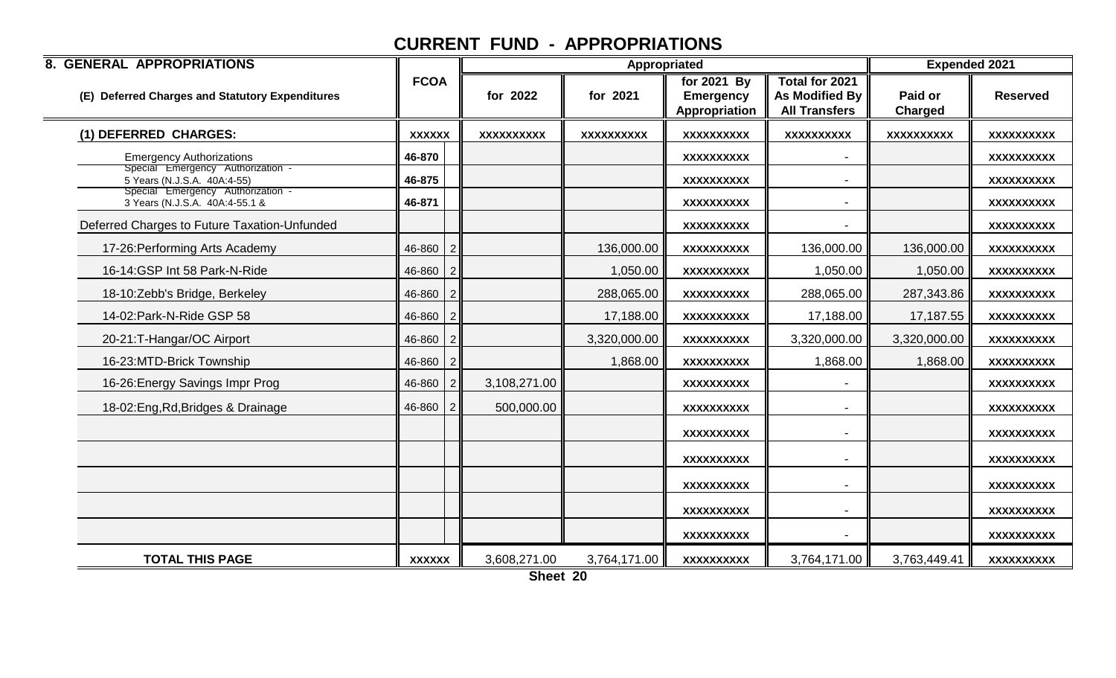| <b>8. GENERAL APPROPRIATIONS</b>                                    |                |                   |              | <b>Expended 2021</b><br>Appropriated             |                                                                 |                           |                   |  |  |
|---------------------------------------------------------------------|----------------|-------------------|--------------|--------------------------------------------------|-----------------------------------------------------------------|---------------------------|-------------------|--|--|
| (E) Deferred Charges and Statutory Expenditures                     | <b>FCOA</b>    | for 2022          | for 2021     | for 2021 By<br><b>Emergency</b><br>Appropriation | <b>Total for 2021</b><br>As Modified By<br><b>All Transfers</b> | Paid or<br><b>Charged</b> | <b>Reserved</b>   |  |  |
| (1) DEFERRED CHARGES:                                               | <b>XXXXXX</b>  | <b>XXXXXXXXXX</b> | XXXXXXXXXX   | <b>XXXXXXXXXX</b>                                | <b>XXXXXXXXXX</b>                                               | <b>XXXXXXXXXX</b>         | <b>XXXXXXXXXX</b> |  |  |
| <b>Emergency Authorizations</b>                                     | 46-870         |                   |              | <b>XXXXXXXXXX</b>                                |                                                                 |                           | XXXXXXXXXX        |  |  |
| Special Emergency Authorization -<br>5 Years (N.J.S.A. 40A:4-55)    | 46-875         |                   |              | <b>XXXXXXXXXX</b>                                |                                                                 |                           | XXXXXXXXX         |  |  |
| Special Emergency Authorization -<br>3 Years (N.J.S.A. 40A:4-55.1 & | 46-871         |                   |              | <b>XXXXXXXXXX</b>                                | $\blacksquare$                                                  |                           | <b>XXXXXXXXXX</b> |  |  |
| Deferred Charges to Future Taxation-Unfunded                        |                |                   |              | XXXXXXXXXX                                       |                                                                 |                           | XXXXXXXXXX        |  |  |
| 17-26: Performing Arts Academy                                      | $46 - 860$   2 |                   | 136,000.00   | <b>XXXXXXXXXX</b>                                | 136,000.00                                                      | 136,000.00                | XXXXXXXXX         |  |  |
| 16-14:GSP Int 58 Park-N-Ride                                        | $46 - 860$   2 |                   | 1,050.00     | XXXXXXXXXX                                       | 1,050.00                                                        | 1,050.00                  | XXXXXXXXXX        |  |  |
| 18-10:Zebb's Bridge, Berkeley                                       | $46 - 860$   2 |                   | 288,065.00   | <b>XXXXXXXXXX</b>                                | 288,065.00                                                      | 287,343.86                | XXXXXXXXXX        |  |  |
| 14-02: Park-N-Ride GSP 58                                           | $46 - 860$   2 |                   | 17,188.00    | XXXXXXXXXX                                       | 17,188.00                                                       | 17,187.55                 | XXXXXXXXXX        |  |  |
| 20-21:T-Hangar/OC Airport                                           | $46 - 860$   2 |                   | 3,320,000.00 | XXXXXXXXXX                                       | 3,320,000.00                                                    | 3,320,000.00              | XXXXXXXXXX        |  |  |
| 16-23:MTD-Brick Township                                            | $46 - 860$   2 |                   | 1,868.00     | XXXXXXXXXX                                       | 1,868.00                                                        | 1,868.00                  | XXXXXXXXXX        |  |  |
| 16-26: Energy Savings Impr Prog                                     | $46 - 860$   2 | 3,108,271.00      |              | <b>XXXXXXXXXX</b>                                |                                                                 |                           | XXXXXXXXXX        |  |  |
| 18-02: Eng, Rd, Bridges & Drainage                                  | $46 - 860$   2 | 500,000.00        |              | XXXXXXXXXX                                       |                                                                 |                           | XXXXXXXXXX        |  |  |
|                                                                     |                |                   |              | XXXXXXXXXX                                       |                                                                 |                           | XXXXXXXXXX        |  |  |
|                                                                     |                |                   |              | <b>XXXXXXXXXX</b>                                | $\blacksquare$                                                  |                           | <b>XXXXXXXXXX</b> |  |  |
|                                                                     |                |                   |              | XXXXXXXXXX                                       |                                                                 |                           | XXXXXXXXXX        |  |  |
|                                                                     |                |                   |              | <b>XXXXXXXXXX</b>                                |                                                                 |                           | XXXXXXXXXX        |  |  |
|                                                                     |                |                   |              | <b>XXXXXXXXXX</b>                                |                                                                 |                           | XXXXXXXXXX        |  |  |
| <b>TOTAL THIS PAGE</b>                                              | <b>XXXXXX</b>  | 3,608,271.00      | 3,764,171.00 | <b>XXXXXXXXXX</b>                                | 3,764,171.00                                                    | 3,763,449.41              | XXXXXXXXXX        |  |  |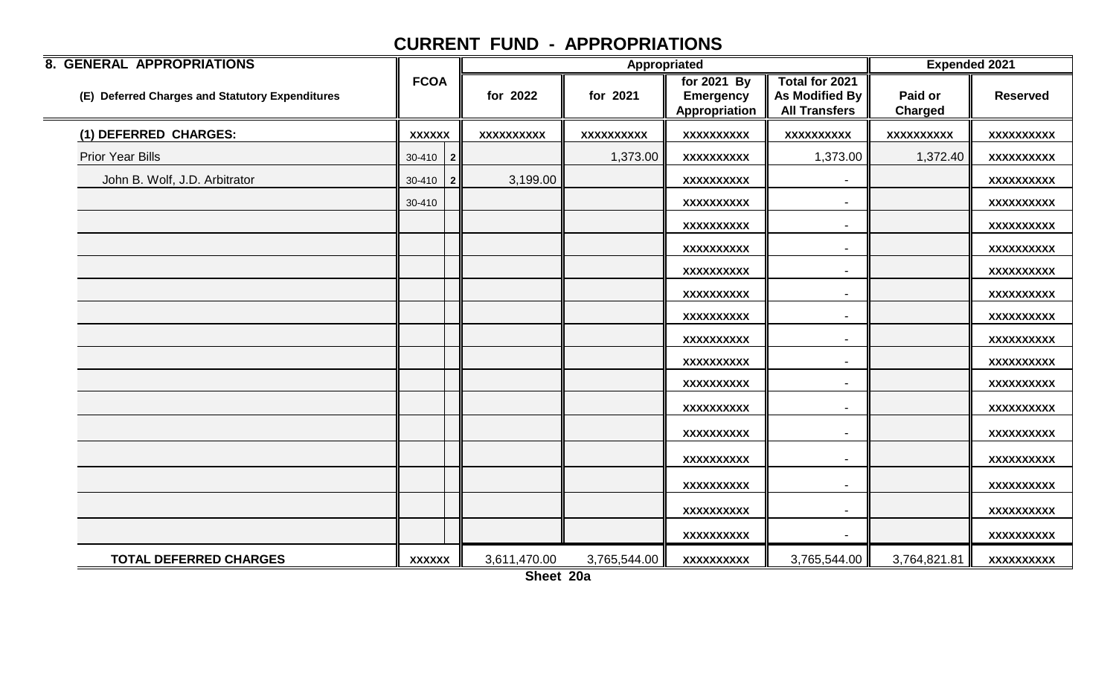| <b>8. GENERAL APPROPRIATIONS</b>                |               |              |                   | Appropriated      |                                                  | <b>Expended 2021</b>                                            |                           |                   |
|-------------------------------------------------|---------------|--------------|-------------------|-------------------|--------------------------------------------------|-----------------------------------------------------------------|---------------------------|-------------------|
| (E) Deferred Charges and Statutory Expenditures | <b>FCOA</b>   |              | for 2022          | for 2021          | for 2021 By<br><b>Emergency</b><br>Appropriation | Total for 2021<br><b>As Modified By</b><br><b>All Transfers</b> | Paid or<br><b>Charged</b> | <b>Reserved</b>   |
| (1) DEFERRED CHARGES:                           | <b>XXXXXX</b> |              | <b>XXXXXXXXXX</b> | <b>XXXXXXXXXX</b> | <b>XXXXXXXXXX</b>                                | <b>XXXXXXXXXX</b>                                               | <b>XXXXXXXXXX</b>         | <b>XXXXXXXXXX</b> |
| <b>Prior Year Bills</b>                         | 30-410        | $\mathbf{2}$ |                   | 1,373.00          | XXXXXXXXXX                                       | 1,373.00                                                        | 1,372.40                  | XXXXXXXXXX        |
| John B. Wolf, J.D. Arbitrator                   | $30-410$ 2    |              | 3,199.00          |                   | <b>XXXXXXXXXX</b>                                |                                                                 |                           | <b>XXXXXXXXXX</b> |
|                                                 | 30-410        |              |                   |                   | <b>XXXXXXXXXX</b>                                | $\overline{\phantom{a}}$                                        |                           | <b>XXXXXXXXXX</b> |
|                                                 |               |              |                   |                   | XXXXXXXXXX                                       |                                                                 |                           | XXXXXXXXXX        |
|                                                 |               |              |                   |                   | XXXXXXXXXX                                       |                                                                 |                           | XXXXXXXXXX        |
|                                                 |               |              |                   |                   | XXXXXXXXXX                                       | $\overline{\phantom{a}}$                                        |                           | XXXXXXXXXX        |
|                                                 |               |              |                   |                   | XXXXXXXXXX                                       |                                                                 |                           | <b>XXXXXXXXXX</b> |
|                                                 |               |              |                   |                   | <b>XXXXXXXXXX</b>                                | $\overline{\phantom{a}}$                                        |                           | <b>XXXXXXXXXX</b> |
|                                                 |               |              |                   |                   | XXXXXXXXXX                                       |                                                                 |                           | XXXXXXXXXX        |
|                                                 |               |              |                   |                   | <b>XXXXXXXXXX</b>                                | $\blacksquare$                                                  |                           | <b>XXXXXXXXXX</b> |
|                                                 |               |              |                   |                   | <b>XXXXXXXXXX</b>                                |                                                                 |                           | <b>XXXXXXXXXX</b> |
|                                                 |               |              |                   |                   | XXXXXXXXXX                                       |                                                                 |                           | XXXXXXXXXX        |
|                                                 |               |              |                   |                   | XXXXXXXXXX                                       |                                                                 |                           | <b>XXXXXXXXXX</b> |
|                                                 |               |              |                   |                   | XXXXXXXXXX                                       | $\overline{\phantom{a}}$                                        |                           | <b>XXXXXXXXXX</b> |
|                                                 |               |              |                   |                   | <b>XXXXXXXXXX</b>                                | $\overline{\phantom{a}}$                                        |                           | <b>XXXXXXXXXX</b> |
|                                                 |               |              |                   |                   | <b>XXXXXXXXXX</b>                                | $\overline{\phantom{0}}$                                        |                           | <b>XXXXXXXXXX</b> |
|                                                 |               |              |                   |                   | XXXXXXXXXX                                       | $\blacksquare$                                                  |                           | <b>XXXXXXXXXX</b> |
| <b>TOTAL DEFERRED CHARGES</b>                   | <b>XXXXXX</b> |              | 3,611,470.00      | 3,765,544.00      | <b>XXXXXXXXXX</b>                                | 3,765,544.00                                                    | 3,764,821.81              | XXXXXXXXXX        |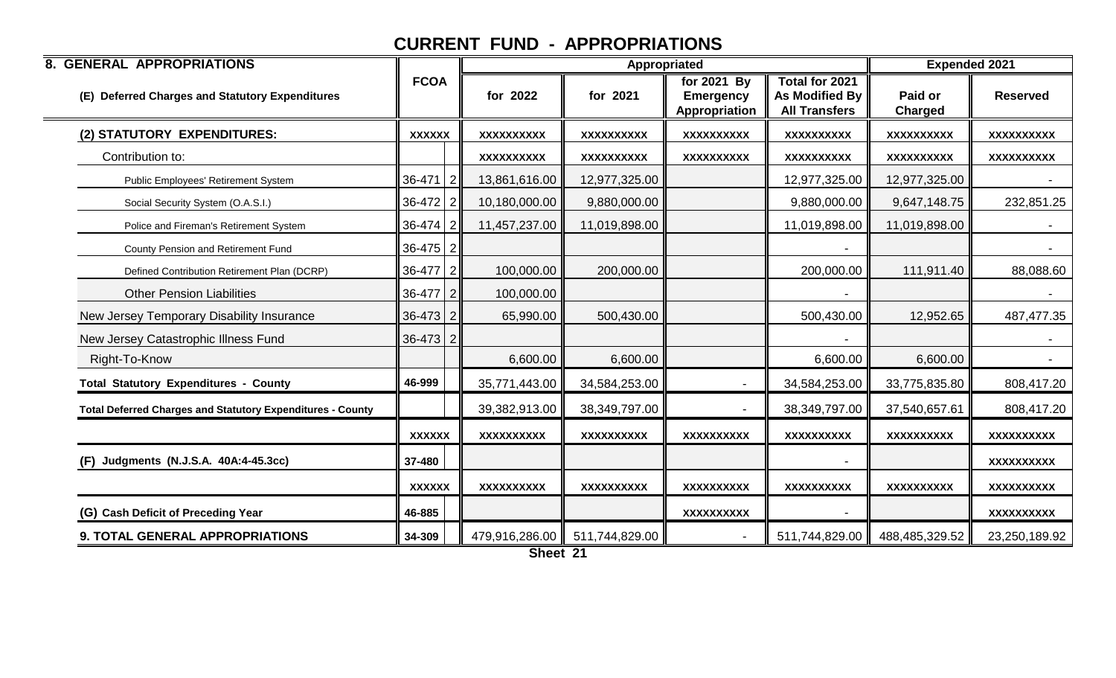| <b>8. GENERAL APPROPRIATIONS</b>                                  |               |                   | Appropriated      |                                                  | <b>Expended 2021</b>                                     |                           |                 |
|-------------------------------------------------------------------|---------------|-------------------|-------------------|--------------------------------------------------|----------------------------------------------------------|---------------------------|-----------------|
| (E) Deferred Charges and Statutory Expenditures                   | <b>FCOA</b>   | for 2022          | for 2021          | for 2021 By<br><b>Emergency</b><br>Appropriation | Total for 2021<br>As Modified By<br><b>All Transfers</b> | Paid or<br><b>Charged</b> | <b>Reserved</b> |
| (2) STATUTORY EXPENDITURES:                                       | <b>XXXXXX</b> | XXXXXXXXXX        | XXXXXXXXXX        | <b>XXXXXXXXXX</b>                                | <b>XXXXXXXXXX</b>                                        | <b>XXXXXXXXXX</b>         | XXXXXXXXXX      |
| Contribution to:                                                  |               | <b>XXXXXXXXXX</b> | <b>XXXXXXXXXX</b> | XXXXXXXXXX                                       | <b>XXXXXXXXXX</b>                                        | <b>XXXXXXXXXX</b>         | XXXXXXXXXX      |
| Public Employees' Retirement System                               | $36-471$   2  | 13,861,616.00     | 12,977,325.00     |                                                  | 12,977,325.00                                            | 12,977,325.00             |                 |
| Social Security System (O.A.S.I.)                                 | $36-472$ 2    | 10,180,000.00     | 9,880,000.00      |                                                  | 9,880,000.00                                             | 9,647,148.75              | 232,851.25      |
| Police and Fireman's Retirement System                            | $36-474$ 2    | 11,457,237.00     | 11,019,898.00     |                                                  | 11,019,898.00                                            | 11,019,898.00             |                 |
| County Pension and Retirement Fund                                | $36-475$ 2    |                   |                   |                                                  |                                                          |                           |                 |
| Defined Contribution Retirement Plan (DCRP)                       | 36-477 2      | 100,000.00        | 200,000.00        |                                                  | 200,000.00                                               | 111,911.40                | 88,088.60       |
| <b>Other Pension Liabilities</b>                                  | $36-477$ 2    | 100,000.00        |                   |                                                  |                                                          |                           |                 |
| New Jersey Temporary Disability Insurance                         | $36-473$ 2    | 65,990.00         | 500,430.00        |                                                  | 500,430.00                                               | 12,952.65                 | 487,477.35      |
| New Jersey Catastrophic Illness Fund                              | $36-473$ 2    |                   |                   |                                                  |                                                          |                           |                 |
| Right-To-Know                                                     |               | 6,600.00          | 6,600.00          |                                                  | 6,600.00                                                 | 6,600.00                  |                 |
| <b>Total Statutory Expenditures - County</b>                      | 46-999        | 35,771,443.00     | 34,584,253.00     | $\blacksquare$                                   | 34,584,253.00                                            | 33,775,835.80             | 808,417.20      |
| <b>Total Deferred Charges and Statutory Expenditures - County</b> |               | 39,382,913.00     | 38,349,797.00     |                                                  | 38,349,797.00                                            | 37,540,657.61             | 808,417.20      |
|                                                                   | <b>XXXXXX</b> | <b>XXXXXXXXXX</b> | <b>XXXXXXXXXX</b> | <b>XXXXXXXXXX</b>                                | <b>XXXXXXXXXX</b>                                        | XXXXXXXXXX                | XXXXXXXXXX      |
| Judgments (N.J.S.A. 40A:4-45.3cc)<br>(F)                          | 37-480        |                   |                   |                                                  |                                                          |                           | XXXXXXXXXX      |
|                                                                   | <b>XXXXXX</b> | <b>XXXXXXXXXX</b> | XXXXXXXXXX        | <b>XXXXXXXXXX</b>                                | XXXXXXXXXX                                               | <b>XXXXXXXXXX</b>         | XXXXXXXXXX      |
| (G) Cash Deficit of Preceding Year                                | 46-885        |                   |                   | <b>XXXXXXXXXX</b>                                |                                                          |                           | XXXXXXXXXX      |
| 9. TOTAL GENERAL APPROPRIATIONS                                   | 34-309        | 479,916,286.00    | 511,744,829.00    |                                                  | 511,744,829.00                                           | 488,485,329.52            | 23,250,189.92   |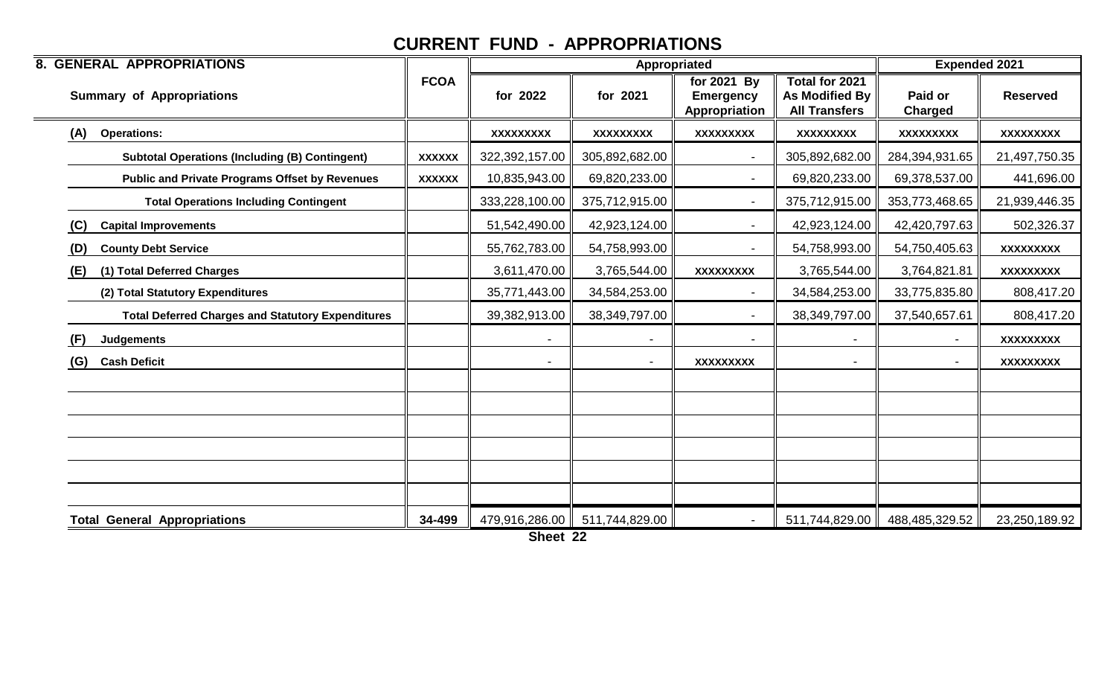| <b>8. GENERAL APPROPRIATIONS</b>                         |               |                | Appropriated                    |                                                    | <b>Expended 2021</b>                                     |                           |                  |
|----------------------------------------------------------|---------------|----------------|---------------------------------|----------------------------------------------------|----------------------------------------------------------|---------------------------|------------------|
| <b>Summary of Appropriations</b>                         | <b>FCOA</b>   | for 2022       | for 2021                        | for $2021$ By<br><b>Emergency</b><br>Appropriation | Total for 2021<br>As Modified By<br><b>All Transfers</b> | Paid or<br><b>Charged</b> | <b>Reserved</b>  |
| (A)<br><b>Operations:</b>                                |               | XXXXXXXXX      | <b>XXXXXXXXX</b>                | <b>XXXXXXXXX</b>                                   | <b>XXXXXXXXX</b>                                         | XXXXXXXXX                 | <b>XXXXXXXXX</b> |
| <b>Subtotal Operations (Including (B) Contingent)</b>    | <b>XXXXXX</b> | 322,392,157.00 | 305,892,682.00                  |                                                    | 305,892,682.00                                           | 284,394,931.65            | 21,497,750.35    |
| <b>Public and Private Programs Offset by Revenues</b>    | <b>XXXXXX</b> | 10,835,943.00  | 69,820,233.00                   |                                                    | 69,820,233.00                                            | 69,378,537.00             | 441,696.00       |
| <b>Total Operations Including Contingent</b>             |               | 333,228,100.00 | 375,712,915.00                  |                                                    | 375,712,915.00                                           | 353,773,468.65            | 21,939,446.35    |
| <b>Capital Improvements</b><br>(C)                       |               | 51,542,490.00  | 42,923,124.00                   |                                                    | 42,923,124.00                                            | 42,420,797.63             | 502,326.37       |
| <b>County Debt Service</b><br>(D)                        |               | 55,762,783.00  | 54,758,993.00                   |                                                    | 54,758,993.00                                            | 54,750,405.63             | <b>XXXXXXXXX</b> |
| (1) Total Deferred Charges<br>(E)                        |               | 3,611,470.00   | 3,765,544.00                    | <b>XXXXXXXXX</b>                                   | 3,765,544.00                                             | 3,764,821.81              | <b>XXXXXXXXX</b> |
| (2) Total Statutory Expenditures                         |               | 35,771,443.00  | 34,584,253.00                   |                                                    | 34,584,253.00                                            | 33,775,835.80             | 808,417.20       |
| <b>Total Deferred Charges and Statutory Expenditures</b> |               | 39,382,913.00  | 38,349,797.00                   |                                                    | 38,349,797.00                                            | 37,540,657.61             | 808,417.20       |
| (F)<br><b>Judgements</b>                                 |               | $\blacksquare$ | $\overline{\phantom{a}}$        |                                                    |                                                          | $\sim$                    | <b>XXXXXXXXX</b> |
| (G)<br><b>Cash Deficit</b>                               |               |                | $\blacksquare$                  | <b>XXXXXXXXX</b>                                   |                                                          | $\blacksquare$            | <b>XXXXXXXXX</b> |
|                                                          |               |                |                                 |                                                    |                                                          |                           |                  |
|                                                          |               |                |                                 |                                                    |                                                          |                           |                  |
|                                                          |               |                |                                 |                                                    |                                                          |                           |                  |
|                                                          |               |                |                                 |                                                    |                                                          |                           |                  |
|                                                          |               |                |                                 |                                                    |                                                          |                           |                  |
|                                                          |               |                |                                 |                                                    |                                                          |                           |                  |
| <b>Total General Appropriations</b>                      | 34-499        |                | 479,916,286.00   511,744,829.00 |                                                    | 511,744,829.00                                           | 488,485,329.52            | 23,250,189.92    |

**Sheet 22**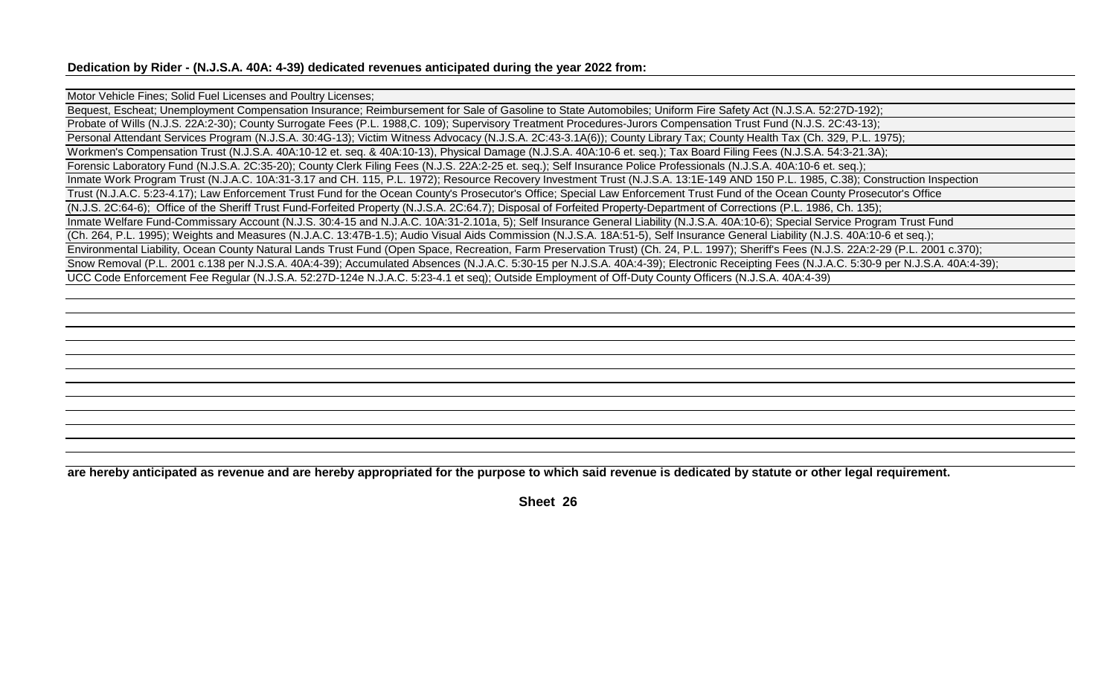#### Motor Vehicle Fines; Solid Fuel Licenses and Poultry Licenses;

Bequest, Escheat; Unemployment Compensation Insurance; Reimbursement for Sale of Gasoline to State Automobiles; Uniform Fire Safety Act (N.J.S.A. 52:27D-192); Probate of Wills (N.J.S. 22A:2-30); County Surrogate Fees (P.L. 1988,C. 109); Supervisory Treatment Procedures-Jurors Compensation Trust Fund (N.J.S. 2C:43-13); Personal Attendant Services Program (N.J.S.A. 30:4G-13); Victim Witness Advocacy (N.J.S.A. 2C:43-3.1A(6)); County Library Tax; County Health Tax (Ch. 329, P.L. 1975); Workmen's Compensation Trust (N.J.S.A. 40A:10-12 et. seq. & 40A:10-13), Physical Damage (N.J.S.A. 40A:10-6 et. seq.); Tax Board Filing Fees (N.J.S.A. 54:3-21.3A); Forensic Laboratory Fund (N.J.S.A. 2C:35-20); County Clerk Filing Fees (N.J.S. 22A:2-25 et. seq.); Self Insurance Police Professionals (N.J.S.A. 40A:10-6 et. seq.); Inmate Work Program Trust (N.J.A.C. 10A:31-3.17 and CH. 115, P.L. 1972); Resource Recovery Investment Trust (N.J.S.A. 13:1E-149 AND 150 P.L. 1985, C.38); Construction Inspection Trust (N.J.A.C. 5:23-4.17); Law Enforcement Trust Fund for the Ocean County's Prosecutor's Office; Special Law Enforcement Trust Fund of the Ocean County Prosecutor's Office (N.J.S. 2C:64-6); Office of the Sheriff Trust Fund-Forfeited Property (N.J.S.A. 2C:64.7); Disposal of Forfeited Property-Department of Corrections (P.L. 1986, Ch. 135); Inmate Welfare Fund-Commissary Account (N.J.S. 30:4-15 and N.J.A.C. 10A:31-2.101a, 5); Self Insurance General Liability (N.J.S.A. 40A:10-6); Special Service Program Trust Fund (Ch. 264, P.L. 1995); Weights and Measures (N.J.A.C. 13:47B-1.5); Audio Visual Aids Commission (N.J.S.A. 18A:51-5), Self Insurance General Liability (N.J.S. 40A:10-6 et seq.); Environmental Liability, Ocean County Natural Lands Trust Fund (Open Space, Recreation, Farm Preservation Trust) (Ch. 24, P.L. 1997); Sheriff's Fees (N.J.S. 22A:2-29 (P.L. 2001 c.370); Snow Removal (P.L. 2001 c.138 per N.J.S.A. 40A:4-39); Accumulated Absences (N.J.A.C. 5:30-15 per N.J.S.A. 40A:4-39); Electronic Receipting Fees (N.J.A.C. 5:30-9 per N.J.S.A. 40A:4-39); UCC Code Enforcement Fee Regular (N.J.S.A. 52:27D-124e N.J.A.C. 5:23-4.1 et seq); Outside Employment of Off-Duty County Officers (N.J.S.A. 40A:4-39)

**are hereby anticipated as revenue and are hereby appropriated for the purpose to which said revenue is dedicated by statute or other legal requirement.**

**Sheet 26**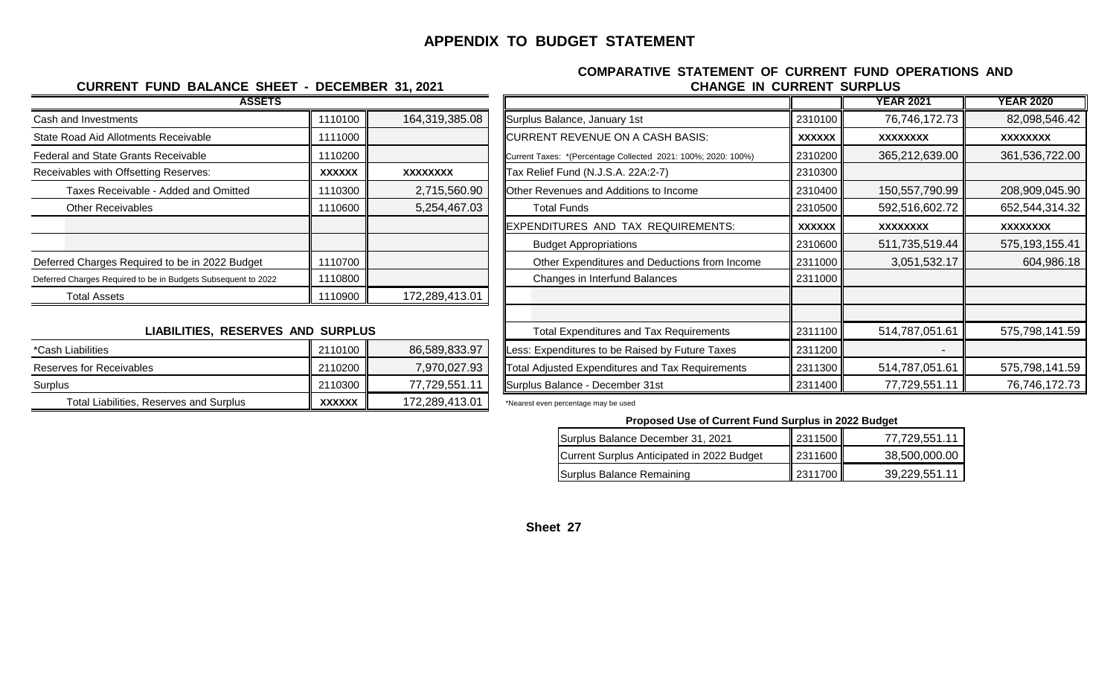#### **APPENDIX TO BUDGET STATEMENT**

#### **ASSETS CURRENT FUND BALANCE SHEET - DECEMBER 31, 2021**

#### **CHANGE IN CURRENT SURPLUS COMPARATIVE STATEMENT OF CURRENT FUND OPERATIONS AND**

| ASSEIS                                                        |               |                 |                                                               |               |
|---------------------------------------------------------------|---------------|-----------------|---------------------------------------------------------------|---------------|
| Cash and Investments                                          | 1110100       | 164,319,385.08  | Surplus Balance, January 1st                                  | 2310100       |
| State Road Aid Allotments Receivable                          | 1111000       |                 | <b>ICURRENT REVENUE ON A CASH BASIS:</b>                      | <b>XXXXXX</b> |
| Federal and State Grants Receivable                           | 1110200       |                 | Current Taxes: *(Percentage Collected 2021: 100%; 2020: 100%) | 2310200       |
| Receivables with Offsetting Reserves:                         | <b>XXXXXX</b> | <b>XXXXXXXX</b> | Tax Relief Fund (N.J.S.A. 22A:2-7)                            | 2310300       |
| Taxes Receivable - Added and Omitted                          | 1110300       | 2,715,560.90    | <b>Other Revenues and Additions to Income</b>                 | 2310400       |
| <b>Other Receivables</b>                                      | 1110600       | 5,254,467.03    | <b>Total Funds</b>                                            | 2310500       |
|                                                               |               |                 | EXPENDITURES AND TAX REQUIREMENTS:                            | <b>XXXXXX</b> |
|                                                               |               |                 | <b>Budget Appropriations</b>                                  | 2310600       |
| Deferred Charges Required to be in 2022 Budget                | 1110700       |                 | Other Expenditures and Deductions from Income                 | 2311000       |
| Deferred Charges Required to be in Budgets Subsequent to 2022 | 1110800       |                 | Changes in Interfund Balances                                 | 2311000       |
| <b>Total Assets</b>                                           | 1110900       | 172,289,413.01  |                                                               |               |
|                                                               |               |                 |                                                               |               |

#### **LIABILITIES, RESERVES AND SURPLUS**

| *Cash Liabilities                       | 2110100 L     | 86,589,833.97  | <b>ILess: Expenditures to be Raised by Future Taxes</b> | 2311200 |              |
|-----------------------------------------|---------------|----------------|---------------------------------------------------------|---------|--------------|
| Reserves for Receivables                | 2110200       | 7,970,027.93   | Total Adjusted Expenditures and Tax Requirements        | 2311300 | 514,787,051. |
| Surplus                                 | 2110300       | 77,729,551.    | Surplus Balance - December 31st                         | 2311400 | 77,729,551.  |
| Total Liabilities, Reserves and Surplus | <b>XXXXXX</b> | 172,289,413.01 | *Nearest even percentage may be used                    |         |              |

| <b>ASSETS</b>                                                 |               |                |                                                               |               | <b>YEAR 2021</b> | <b>YEAR 2020</b> |
|---------------------------------------------------------------|---------------|----------------|---------------------------------------------------------------|---------------|------------------|------------------|
| Cash and Investments                                          | 1110100       | 164,319,385.08 | Surplus Balance, January 1st                                  | 2310100       | 76,746,172.73    | 82,098,546.42    |
| State Road Aid Allotments Receivable                          | 1111000       |                | CURRENT REVENUE ON A CASH BASIS:                              | <b>XXXXXX</b> | XXXXXXXX         | XXXXXXXX         |
| Federal and State Grants Receivable                           | 1110200       |                | Current Taxes: *(Percentage Collected 2021: 100%; 2020: 100%) | 2310200       | 365,212,639.00   | 361,536,722.00   |
| Receivables with Offsetting Reserves:                         | <b>XXXXXX</b> | XXXXXXXX       | Tax Relief Fund (N.J.S.A. 22A:2-7)                            | 2310300       |                  |                  |
| Taxes Receivable - Added and Omitted                          | 1110300       | 2,715,560.90   | <b>Other Revenues and Additions to Income</b>                 | 2310400       | 150,557,790.99   | 208,909,045.90   |
| <b>Other Receivables</b>                                      | 1110600       | 5,254,467.03   | <b>Total Funds</b>                                            | 2310500       | 592,516,602.72   | 652,544,314.32   |
|                                                               |               |                | EXPENDITURES AND TAX REQUIREMENTS:                            | <b>XXXXXX</b> | <b>XXXXXXXX</b>  | <b>XXXXXXXX</b>  |
|                                                               |               |                | <b>Budget Appropriations</b>                                  | 2310600       | 511,735,519.44   | 575, 193, 155.41 |
| Deferred Charges Required to be in 2022 Budget                | 1110700       |                | Other Expenditures and Deductions from Income                 | 2311000       | 3,051,532.17     | 604,986.18       |
| Deferred Charges Required to be in Budgets Subsequent to 2022 | 1110800       |                | Changes in Interfund Balances                                 | 2311000       |                  |                  |
| <b>Total Assets</b>                                           | 1110900       | 172,289,413.01 |                                                               |               |                  |                  |
|                                                               |               |                |                                                               |               |                  |                  |
| <b>LIABILITIES, RESERVES AND SURPLUS</b>                      |               |                | <b>Total Expenditures and Tax Requirements</b>                | 2311100       | 514,787,051.61   | 575,798,141.59   |
| *Cash Liabilities                                             | 2110100       | 86,589,833.97  | Less: Expenditures to be Raised by Future Taxes               | 2311200       |                  |                  |
| <b>Reserves for Receivables</b>                               | 2110200       | 7,970,027.93   | Total Adjusted Expenditures and Tax Requirements              | 2311300       | 514,787,051.61   | 575,798,141.59   |
| Surplus                                                       | 2110300       | 77,729,551.11  | Surplus Balance - December 31st                               | 2311400       | 77,729,551.11    | 76,746,172.73    |
|                                                               |               |                |                                                               |               |                  |                  |

**Proposed Use of Current Fund Surplus in 2022 Budget**

| Surplus Balance December 31, 2021          | 2311500 | 77,729,551.11 |
|--------------------------------------------|---------|---------------|
| Current Surplus Anticipated in 2022 Budget | 2311600 | 38,500,000.00 |
| Surplus Balance Remaining                  | 2311700 | 39,229,551.11 |

#### **Sheet 27**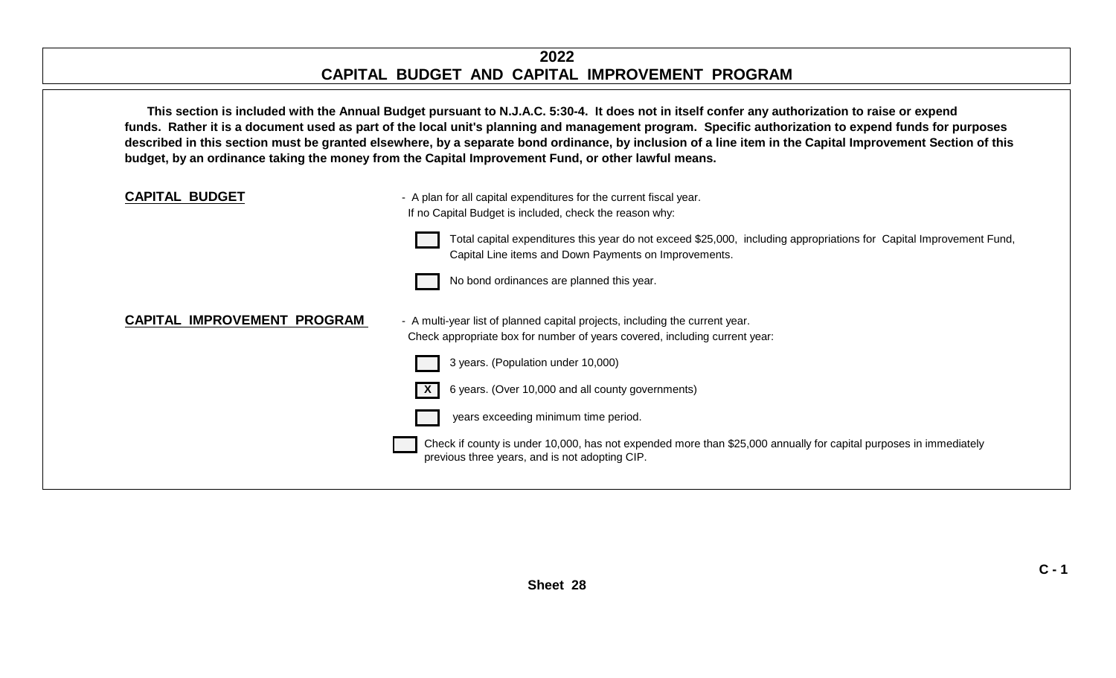#### **2022 CAPITAL BUDGET AND CAPITAL IMPROVEMENT PROGRAM**

**This section is included with the Annual Budget pursuant to N.J.A.C. 5:30-4. It does not in itself confer any authorization to raise or expend funds. Rather it is a document used as part of the local unit's planning and management program. Specific authorization to expend funds for purposes described in this section must be granted elsewhere, by a separate bond ordinance, by inclusion of a line item in the Capital Improvement Section of this budget, by an ordinance taking the money from the Capital Improvement Fund, or other lawful means.**

| <b>CAPITAL BUDGET</b>              | - A plan for all capital expenditures for the current fiscal year.<br>If no Capital Budget is included, check the reason why:                                                |
|------------------------------------|------------------------------------------------------------------------------------------------------------------------------------------------------------------------------|
|                                    | Total capital expenditures this year do not exceed \$25,000, including appropriations for Capital Improvement Fund,<br>Capital Line items and Down Payments on Improvements. |
|                                    | No bond ordinances are planned this year.                                                                                                                                    |
| <b>CAPITAL IMPROVEMENT PROGRAM</b> | - A multi-year list of planned capital projects, including the current year.<br>Check appropriate box for number of years covered, including current year:                   |
|                                    | 3 years. (Population under 10,000)                                                                                                                                           |
|                                    | 6 years. (Over 10,000 and all county governments)                                                                                                                            |
|                                    | years exceeding minimum time period.                                                                                                                                         |
|                                    | Check if county is under 10,000, has not expended more than \$25,000 annually for capital purposes in immediately<br>previous three years, and is not adopting CIP.          |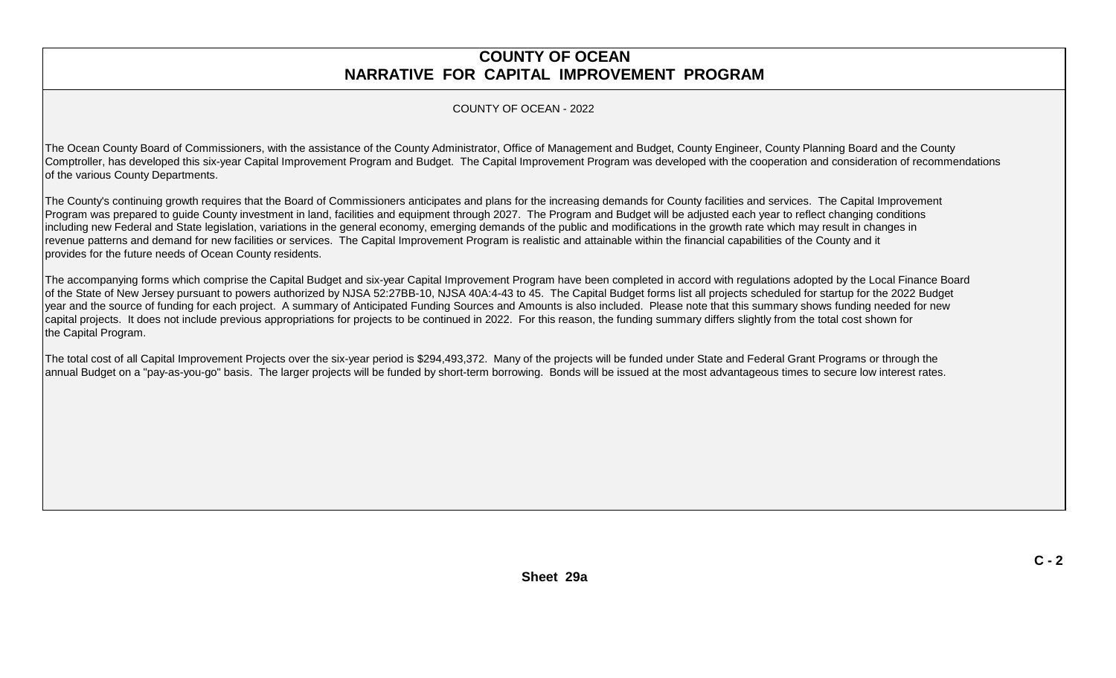#### **COUNTY OF OCEAN NARRATIVE FOR CAPITAL IMPROVEMENT PROGRAM**

#### COUNTY OF OCEAN - 2022

The Ocean County Board of Commissioners, with the assistance of the County Administrator, Office of Management and Budget, County Engineer, County Planning Board and the County Comptroller, has developed this six-year Capital Improvement Program and Budget. The Capital Improvement Program was developed with the cooperation and consideration of recommendations of the various County Departments.

The County's continuing growth requires that the Board of Commissioners anticipates and plans for the increasing demands for County facilities and services. The Capital Improvement Program was prepared to guide County investment in land, facilities and equipment through 2027. The Program and Budget will be adjusted each year to reflect changing conditions including new Federal and State legislation, variations in the general economy, emerging demands of the public and modifications in the growth rate which may result in changes in revenue patterns and demand for new facilities or services. The Capital Improvement Program is realistic and attainable within the financial capabilities of the County and it provides for the future needs of Ocean County residents.

The accompanying forms which comprise the Capital Budget and six-year Capital Improvement Program have been completed in accord with regulations adopted by the Local Finance Board of the State of New Jersey pursuant to powers authorized by NJSA 52:27BB-10, NJSA 40A:4-43 to 45. The Capital Budget forms list all projects scheduled for startup for the 2022 Budget year and the source of funding for each project. A summary of Anticipated Funding Sources and Amounts is also included. Please note that this summary shows funding needed for new capital projects. It does not include previous appropriations for projects to be continued in 2022. For this reason, the funding summary differs slightly from the total cost shown for the Capital Program.

The total cost of all Capital Improvement Projects over the six-year period is \$294,493,372. Many of the projects will be funded under State and Federal Grant Programs or through the annual Budget on a "pay-as-you-go" basis. The larger projects will be funded by short-term borrowing. Bonds will be issued at the most advantageous times to secure low interest rates.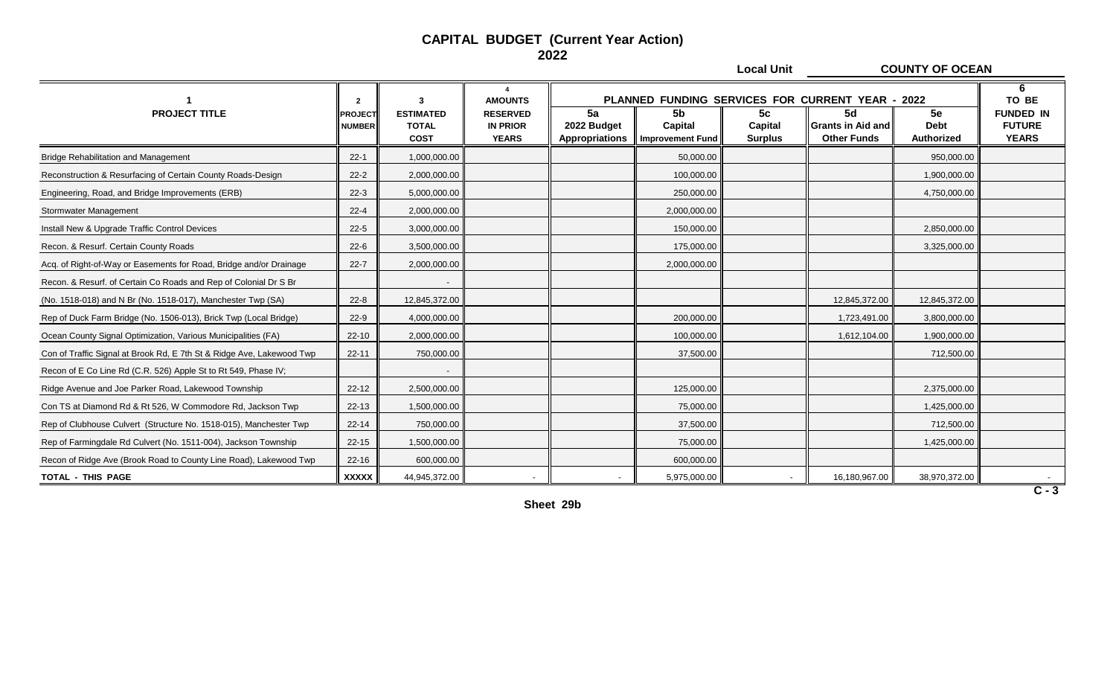#### **CAPITAL BUDGET (Current Year Action) 2022**

**Local Unit COUNTY OF OCEAN**

|                                                                       | $\overline{2}$                  |                                                 | <b>AMOUNTS</b>                                     |                                     |                                   |                                 | PLANNED FUNDING SERVICES FOR CURRENT YEAR - 2022 |                                 | 6<br>TO BE                                        |
|-----------------------------------------------------------------------|---------------------------------|-------------------------------------------------|----------------------------------------------------|-------------------------------------|-----------------------------------|---------------------------------|--------------------------------------------------|---------------------------------|---------------------------------------------------|
| <b>PROJECT TITLE</b>                                                  | <b>PROJECT</b><br><b>NUMBER</b> | <b>ESTIMATED</b><br><b>TOTAL</b><br><b>COST</b> | <b>RESERVED</b><br><b>IN PRIOR</b><br><b>YEARS</b> | 5a<br>2022 Budget<br>Appropriations | 5b<br>Capital<br>Improvement Fund | 5c<br>Capital<br><b>Surplus</b> | 5d<br>l Grants in Aid and<br><b>Other Funds</b>  | 5e<br><b>Debt</b><br>Authorized | <b>FUNDED IN</b><br><b>FUTURE</b><br><b>YEARS</b> |
| <b>Bridge Rehabilitation and Management</b>                           | $22 - 1$                        | 1,000,000.00                                    |                                                    |                                     | 50,000.00                         |                                 |                                                  | 950,000.00                      |                                                   |
| Reconstruction & Resurfacing of Certain County Roads-Design           | $22 - 2$                        | 2,000,000.00                                    |                                                    |                                     | 100,000.00                        |                                 |                                                  | 1,900,000.00                    |                                                   |
| Engineering, Road, and Bridge Improvements (ERB)                      | $22-3$                          | 5,000,000.00                                    |                                                    |                                     | 250,000.00                        |                                 |                                                  | 4,750,000.00                    |                                                   |
| <b>Stormwater Management</b>                                          | $22 - 4$                        | 2,000,000.00                                    |                                                    |                                     | 2,000,000.00                      |                                 |                                                  |                                 |                                                   |
| Install New & Upgrade Traffic Control Devices                         | $22 - 5$                        | 3,000,000.00                                    |                                                    |                                     | 150,000.00                        |                                 |                                                  | 2,850,000.00                    |                                                   |
| Recon. & Resurf. Certain County Roads                                 | $22 - 6$                        | 3,500,000.00                                    |                                                    |                                     | 175,000.00                        |                                 |                                                  | 3,325,000.00                    |                                                   |
| Acq. of Right-of-Way or Easements for Road, Bridge and/or Drainage    | $22 - 7$                        | 2,000,000.00                                    |                                                    |                                     | 2,000,000.00                      |                                 |                                                  |                                 |                                                   |
| Recon. & Resurf. of Certain Co Roads and Rep of Colonial Dr S Br      |                                 |                                                 |                                                    |                                     |                                   |                                 |                                                  |                                 |                                                   |
| (No. 1518-018) and N Br (No. 1518-017), Manchester Twp (SA)           | $22 - 8$                        | 12,845,372.00                                   |                                                    |                                     |                                   |                                 | 12,845,372.00                                    | 12,845,372.00                   |                                                   |
| Rep of Duck Farm Bridge (No. 1506-013), Brick Twp (Local Bridge)      | $22-9$                          | 4,000,000.00                                    |                                                    |                                     | 200,000.00                        |                                 | 1,723,491.00                                     | 3,800,000.00                    |                                                   |
| Ocean County Signal Optimization, Various Municipalities (FA)         | $22 - 10$                       | 2,000,000.00                                    |                                                    |                                     | 100,000.00                        |                                 | 1,612,104.00                                     | 1,900,000.00                    |                                                   |
| Con of Traffic Signal at Brook Rd, E 7th St & Ridge Ave, Lakewood Twp | $22 - 11$                       | 750,000.00                                      |                                                    |                                     | 37,500.00                         |                                 |                                                  | 712,500.00                      |                                                   |
| Recon of E Co Line Rd (C.R. 526) Apple St to Rt 549, Phase IV;        |                                 |                                                 |                                                    |                                     |                                   |                                 |                                                  |                                 |                                                   |
| Ridge Avenue and Joe Parker Road, Lakewood Township                   | $22 - 12$                       | 2,500,000.00                                    |                                                    |                                     | 125,000.00                        |                                 |                                                  | 2,375,000.00                    |                                                   |
| Con TS at Diamond Rd & Rt 526, W Commodore Rd, Jackson Twp            | $22 - 13$                       | 1,500,000.00                                    |                                                    |                                     | 75,000.00                         |                                 |                                                  | 1,425,000.00                    |                                                   |
| Rep of Clubhouse Culvert (Structure No. 1518-015), Manchester Twp     | $22 - 14$                       | 750,000.00                                      |                                                    |                                     | 37,500.00                         |                                 |                                                  | 712,500.00                      |                                                   |
| Rep of Farmingdale Rd Culvert (No. 1511-004), Jackson Township        | $22 - 15$                       | 1,500,000.00                                    |                                                    |                                     | 75,000.00                         |                                 |                                                  | 1,425,000.00                    |                                                   |
| Recon of Ridge Ave (Brook Road to County Line Road), Lakewood Twp     | $22 - 16$                       | 600,000.00                                      |                                                    |                                     | 600,000.00                        |                                 |                                                  |                                 |                                                   |
| <b>TOTAL - THIS PAGE</b>                                              | <b>XXXXX</b>                    | 44,945,372.00                                   |                                                    | $\overline{\phantom{a}}$            | 5,975,000.00                      |                                 | 16,180,967.00                                    | 38,970,372.00                   |                                                   |

**Sheet 29b**

**C - 3**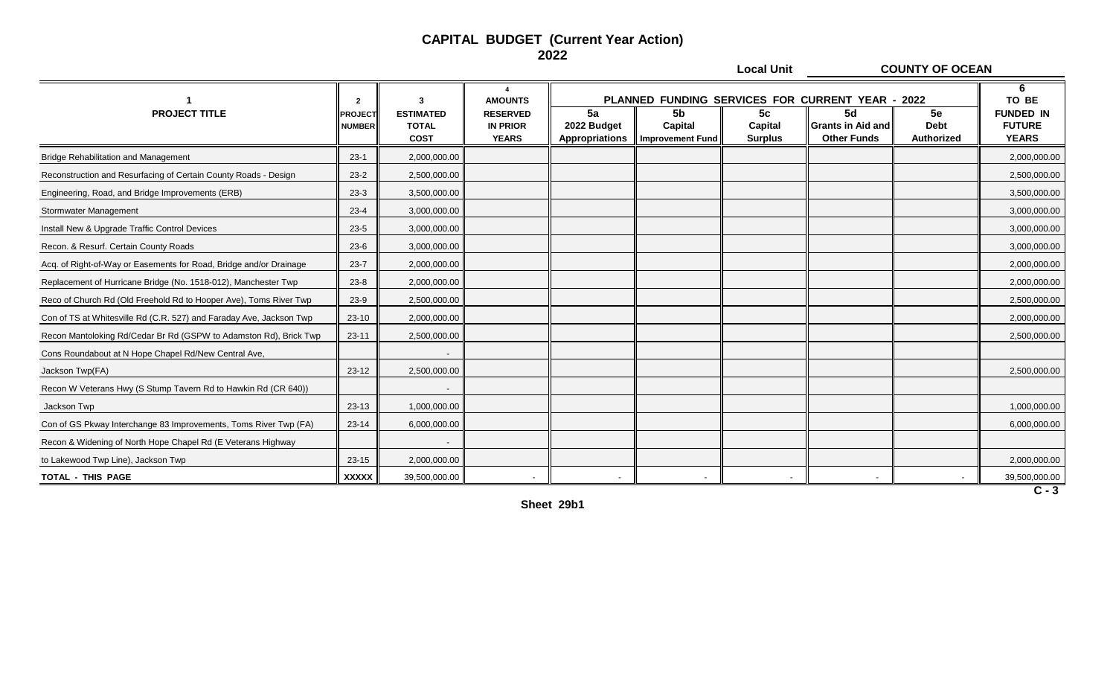#### **CAPITAL BUDGET (Current Year Action) 2022**

**Local Unit COUNTY OF OCEAN**

|                                                                     | $\overline{\mathbf{2}}$         |                                                 | $\boldsymbol{\Lambda}$<br><b>AMOUNTS</b>           | PLANNED FUNDING SERVICES FOR CURRENT YEAR - 2022 |                                                      |                                             |                                                      |                                 | 6<br>TO BE                                        |
|---------------------------------------------------------------------|---------------------------------|-------------------------------------------------|----------------------------------------------------|--------------------------------------------------|------------------------------------------------------|---------------------------------------------|------------------------------------------------------|---------------------------------|---------------------------------------------------|
| <b>PROJECT TITLE</b>                                                | <b>PROJECT</b><br><b>NUMBER</b> | <b>ESTIMATED</b><br><b>TOTAL</b><br><b>COST</b> | <b>RESERVED</b><br><b>IN PRIOR</b><br><b>YEARS</b> | 5a<br>2022 Budget<br><b>Appropriations</b>       | 5 <sub>b</sub><br>Capital<br><b>Improvement Fund</b> | 5 <sub>c</sub><br>Capital<br><b>Surplus</b> | 5d<br><b>Grants in Aid and</b><br><b>Other Funds</b> | 5e<br><b>Debt</b><br>Authorized | <b>FUNDED IN</b><br><b>FUTURE</b><br><b>YEARS</b> |
| <b>Bridge Rehabilitation and Management</b>                         | $23-1$                          | 2,000,000.00                                    |                                                    |                                                  |                                                      |                                             |                                                      |                                 | 2,000,000.00                                      |
| Reconstruction and Resurfacing of Certain County Roads - Design     | $23 - 2$                        | 2,500,000.00                                    |                                                    |                                                  |                                                      |                                             |                                                      |                                 | 2,500,000.00                                      |
| Engineering, Road, and Bridge Improvements (ERB)                    | $23-3$                          | 3,500,000.00                                    |                                                    |                                                  |                                                      |                                             |                                                      |                                 | 3,500,000.00                                      |
| Stormwater Management                                               | $23 - 4$                        | 3,000,000.00                                    |                                                    |                                                  |                                                      |                                             |                                                      |                                 | 3,000,000.00                                      |
| Install New & Upgrade Traffic Control Devices                       | $23 - 5$                        | 3,000,000.00                                    |                                                    |                                                  |                                                      |                                             |                                                      |                                 | 3,000,000.00                                      |
| Recon. & Resurf. Certain County Roads                               | $23 - 6$                        | 3,000,000.00                                    |                                                    |                                                  |                                                      |                                             |                                                      |                                 | 3,000,000.00                                      |
| Acq. of Right-of-Way or Easements for Road, Bridge and/or Drainage  | $23 - 7$                        | 2,000,000.00                                    |                                                    |                                                  |                                                      |                                             |                                                      |                                 | 2,000,000.00                                      |
| Replacement of Hurricane Bridge (No. 1518-012), Manchester Twp      | $23 - 8$                        | 2,000,000.00                                    |                                                    |                                                  |                                                      |                                             |                                                      |                                 | 2,000,000.00                                      |
| Reco of Church Rd (Old Freehold Rd to Hooper Ave), Toms River Twp   | $23-9$                          | 2,500,000.00                                    |                                                    |                                                  |                                                      |                                             |                                                      |                                 | 2,500,000.00                                      |
| Con of TS at Whitesville Rd (C.R. 527) and Faraday Ave, Jackson Twp | $23 - 10$                       | 2,000,000.00                                    |                                                    |                                                  |                                                      |                                             |                                                      |                                 | 2,000,000.00                                      |
| Recon Mantoloking Rd/Cedar Br Rd (GSPW to Adamston Rd), Brick Twp   | $23 - 11$                       | 2,500,000.00                                    |                                                    |                                                  |                                                      |                                             |                                                      |                                 | 2,500,000.00                                      |
| Cons Roundabout at N Hope Chapel Rd/New Central Ave,                |                                 |                                                 |                                                    |                                                  |                                                      |                                             |                                                      |                                 |                                                   |
| Jackson Twp(FA)                                                     | 23-12                           | 2,500,000.00                                    |                                                    |                                                  |                                                      |                                             |                                                      |                                 | 2,500,000.00                                      |
| Recon W Veterans Hwy (S Stump Tavern Rd to Hawkin Rd (CR 640))      |                                 |                                                 |                                                    |                                                  |                                                      |                                             |                                                      |                                 |                                                   |
| Jackson Twp                                                         | 23-13                           | 1,000,000.00                                    |                                                    |                                                  |                                                      |                                             |                                                      |                                 | 1,000,000.00                                      |
| Con of GS Pkway Interchange 83 Improvements, Toms River Twp (FA)    | 23-14                           | 6,000,000.00                                    |                                                    |                                                  |                                                      |                                             |                                                      |                                 | 6,000,000.00                                      |
| Recon & Widening of North Hope Chapel Rd (E Veterans Highway        |                                 |                                                 |                                                    |                                                  |                                                      |                                             |                                                      |                                 |                                                   |
| to Lakewood Twp Line), Jackson Twp                                  | 23-15                           | 2,000,000.00                                    |                                                    |                                                  |                                                      |                                             |                                                      |                                 | 2,000,000.00                                      |
| <b>TOTAL - THIS PAGE</b>                                            | <b>XXXXX</b>                    | 39,500,000.00                                   |                                                    |                                                  |                                                      |                                             |                                                      |                                 | 39,500,000.00                                     |

**Sheet 29b1**

**C - 3**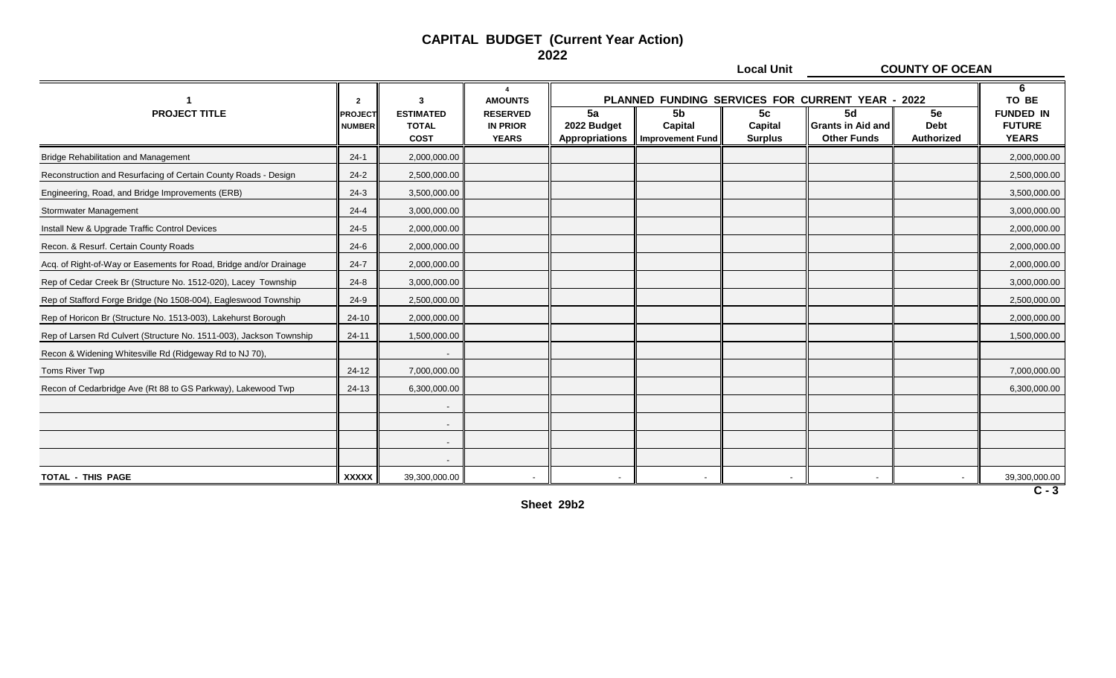#### **CAPITAL BUDGET (Current Year Action) 2022**

**Local Unit COUNTY OF OCEAN**

|                                                                     | $\overline{2}$                  |                                                 | $\boldsymbol{\Lambda}$<br><b>AMOUNTS</b>           | PLANNED FUNDING SERVICES FOR CURRENT YEAR - 2022 |                                                      |                                 |                                                      |                                 | 6<br>TO BE                                        |
|---------------------------------------------------------------------|---------------------------------|-------------------------------------------------|----------------------------------------------------|--------------------------------------------------|------------------------------------------------------|---------------------------------|------------------------------------------------------|---------------------------------|---------------------------------------------------|
| <b>PROJECT TITLE</b>                                                | <b>PROJECT</b><br><b>NUMBER</b> | <b>ESTIMATED</b><br><b>TOTAL</b><br><b>COST</b> | <b>RESERVED</b><br><b>IN PRIOR</b><br><b>YEARS</b> | 5a<br>2022 Budget<br>Appropriations              | 5 <sub>b</sub><br>Capital<br><b>Improvement Fund</b> | 5c<br>Capital<br><b>Surplus</b> | 5d<br><b>Grants in Aid and</b><br><b>Other Funds</b> | 5e<br><b>Debt</b><br>Authorized | <b>FUNDED IN</b><br><b>FUTURE</b><br><b>YEARS</b> |
| <b>Bridge Rehabilitation and Management</b>                         | $24-1$                          | 2,000,000.00                                    |                                                    |                                                  |                                                      |                                 |                                                      |                                 | 2,000,000.00                                      |
| Reconstruction and Resurfacing of Certain County Roads - Design     | $24 - 2$                        | 2,500,000.00                                    |                                                    |                                                  |                                                      |                                 |                                                      |                                 | 2,500,000.00                                      |
| Engineering, Road, and Bridge Improvements (ERB)                    | $24-3$                          | 3,500,000.00                                    |                                                    |                                                  |                                                      |                                 |                                                      |                                 | 3,500,000.00                                      |
| Stormwater Management                                               | $24 - 4$                        | 3,000,000.00                                    |                                                    |                                                  |                                                      |                                 |                                                      |                                 | 3,000,000.00                                      |
| Install New & Upgrade Traffic Control Devices                       | $24 - 5$                        | 2,000,000.00                                    |                                                    |                                                  |                                                      |                                 |                                                      |                                 | 2,000,000.00                                      |
| Recon. & Resurf. Certain County Roads                               | $24-6$                          | 2,000,000.00                                    |                                                    |                                                  |                                                      |                                 |                                                      |                                 | 2,000,000.00                                      |
| Acq. of Right-of-Way or Easements for Road, Bridge and/or Drainage  | $24 - 7$                        | 2,000,000.00                                    |                                                    |                                                  |                                                      |                                 |                                                      |                                 | 2,000,000.00                                      |
| Rep of Cedar Creek Br (Structure No. 1512-020), Lacey Township      | $24 - 8$                        | 3,000,000.00                                    |                                                    |                                                  |                                                      |                                 |                                                      |                                 | 3,000,000.00                                      |
| Rep of Stafford Forge Bridge (No 1508-004), Eagleswood Township     | $24-9$                          | 2,500,000.00                                    |                                                    |                                                  |                                                      |                                 |                                                      |                                 | 2,500,000.00                                      |
| Rep of Horicon Br (Structure No. 1513-003), Lakehurst Borough       | $24 - 10$                       | 2,000,000.00                                    |                                                    |                                                  |                                                      |                                 |                                                      |                                 | 2,000,000.00                                      |
| Rep of Larsen Rd Culvert (Structure No. 1511-003), Jackson Township | $24 - 11$                       | 1,500,000.00                                    |                                                    |                                                  |                                                      |                                 |                                                      |                                 | 1,500,000.00                                      |
| Recon & Widening Whitesville Rd (Ridgeway Rd to NJ 70),             |                                 | $\overline{\phantom{a}}$                        |                                                    |                                                  |                                                      |                                 |                                                      |                                 |                                                   |
| Toms River Twp                                                      | 24-12                           | 7,000,000.00                                    |                                                    |                                                  |                                                      |                                 |                                                      |                                 | 7,000,000.00                                      |
| Recon of Cedarbridge Ave (Rt 88 to GS Parkway), Lakewood Twp        | $24-13$                         | 6,300,000.00                                    |                                                    |                                                  |                                                      |                                 |                                                      |                                 | 6,300,000.00                                      |
|                                                                     |                                 | $\overline{\phantom{a}}$                        |                                                    |                                                  |                                                      |                                 |                                                      |                                 |                                                   |
|                                                                     |                                 | $\overline{\phantom{a}}$                        |                                                    |                                                  |                                                      |                                 |                                                      |                                 |                                                   |
|                                                                     |                                 | $\overline{\phantom{a}}$                        |                                                    |                                                  |                                                      |                                 |                                                      |                                 |                                                   |
|                                                                     |                                 |                                                 |                                                    |                                                  |                                                      |                                 |                                                      |                                 |                                                   |
| <b>TOTAL - THIS PAGE</b>                                            | <b>XXXXX</b>                    | 39,300,000.00                                   |                                                    |                                                  |                                                      |                                 |                                                      |                                 | 39,300,000.00                                     |

**Sheet 29b2**

**C - 3**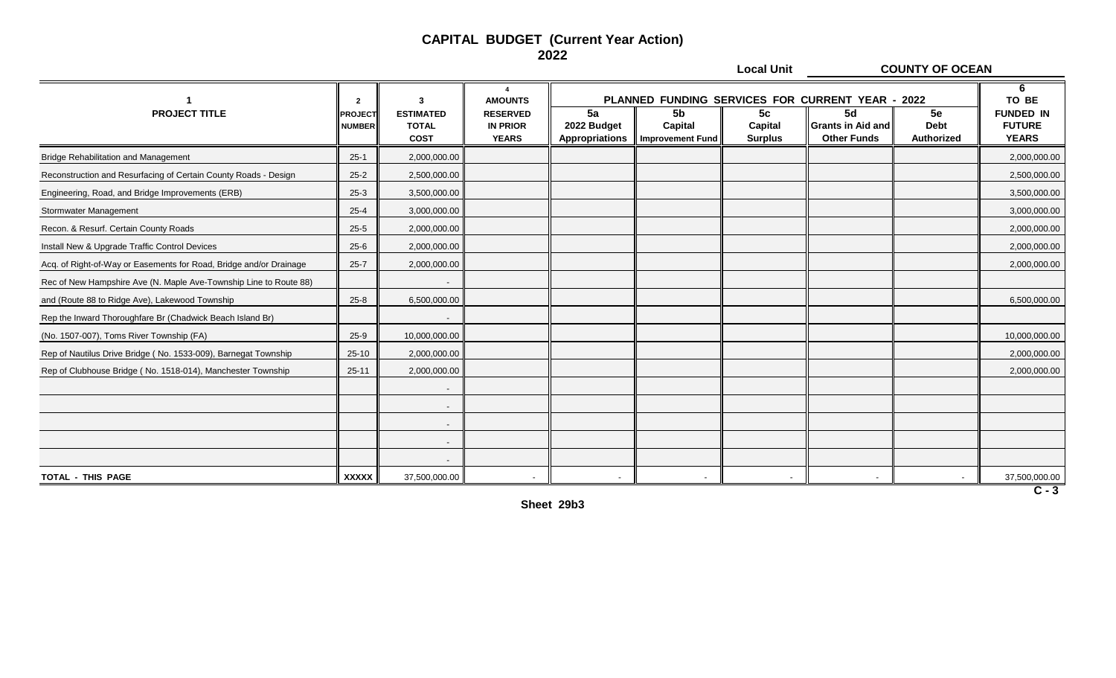**Local Unit COUNTY OF OCEAN**

|                                                                    | $\overline{2}$                  | 3                                               | <b>AMOUNTS</b>                                     |                                     |                                                 |                                 | PLANNED FUNDING SERVICES FOR CURRENT YEAR - 2022     |                                        | 6<br>TO BE                                        |
|--------------------------------------------------------------------|---------------------------------|-------------------------------------------------|----------------------------------------------------|-------------------------------------|-------------------------------------------------|---------------------------------|------------------------------------------------------|----------------------------------------|---------------------------------------------------|
| <b>PROJECT TITLE</b>                                               | <b>PROJECT</b><br><b>NUMBER</b> | <b>ESTIMATED</b><br><b>TOTAL</b><br><b>COST</b> | <b>RESERVED</b><br><b>IN PRIOR</b><br><b>YEARS</b> | 5a<br>2022 Budget<br>Appropriations | <b>5b</b><br>Capital<br><b>Improvement Fund</b> | 5c<br>Capital<br><b>Surplus</b> | 5d<br><b>Grants in Aid and</b><br><b>Other Funds</b> | 5e<br><b>Debt</b><br><b>Authorized</b> | <b>FUNDED IN</b><br><b>FUTURE</b><br><b>YEARS</b> |
| <b>Bridge Rehabilitation and Management</b>                        | $25-1$                          | 2,000,000.00                                    |                                                    |                                     |                                                 |                                 |                                                      |                                        | 2,000,000.00                                      |
| Reconstruction and Resurfacing of Certain County Roads - Design    | $25 - 2$                        | 2,500,000.00                                    |                                                    |                                     |                                                 |                                 |                                                      |                                        | 2,500,000.00                                      |
| Engineering, Road, and Bridge Improvements (ERB)                   | $25-3$                          | 3,500,000.00                                    |                                                    |                                     |                                                 |                                 |                                                      |                                        | 3,500,000.00                                      |
| Stormwater Management                                              | $25 - 4$                        | 3,000,000.00                                    |                                                    |                                     |                                                 |                                 |                                                      |                                        | 3,000,000.00                                      |
| Recon. & Resurf. Certain County Roads                              | $25 - 5$                        | 2,000,000.00                                    |                                                    |                                     |                                                 |                                 |                                                      |                                        | 2,000,000.00                                      |
| Install New & Upgrade Traffic Control Devices                      | $25 - 6$                        | 2,000,000.00                                    |                                                    |                                     |                                                 |                                 |                                                      |                                        | 2,000,000.00                                      |
| Acq. of Right-of-Way or Easements for Road, Bridge and/or Drainage | $25 - 7$                        | 2,000,000.00                                    |                                                    |                                     |                                                 |                                 |                                                      |                                        | 2,000,000.00                                      |
| Rec of New Hampshire Ave (N. Maple Ave-Township Line to Route 88)  |                                 |                                                 |                                                    |                                     |                                                 |                                 |                                                      |                                        |                                                   |
| and (Route 88 to Ridge Ave), Lakewood Township                     | $25 - 8$                        | 6,500,000.00                                    |                                                    |                                     |                                                 |                                 |                                                      |                                        | 6,500,000.00                                      |
| Rep the Inward Thoroughfare Br (Chadwick Beach Island Br)          |                                 |                                                 |                                                    |                                     |                                                 |                                 |                                                      |                                        |                                                   |
| (No. 1507-007), Toms River Township (FA)                           | $25-9$                          | 10,000,000.00                                   |                                                    |                                     |                                                 |                                 |                                                      |                                        | 10,000,000.00                                     |
| Rep of Nautilus Drive Bridge (No. 1533-009), Barnegat Township     | $25-10$                         | 2,000,000.00                                    |                                                    |                                     |                                                 |                                 |                                                      |                                        | 2,000,000.00                                      |
| Rep of Clubhouse Bridge (No. 1518-014), Manchester Township        | $25 - 11$                       | 2,000,000.00                                    |                                                    |                                     |                                                 |                                 |                                                      |                                        | 2,000,000.00                                      |
|                                                                    |                                 |                                                 |                                                    |                                     |                                                 |                                 |                                                      |                                        |                                                   |
|                                                                    |                                 |                                                 |                                                    |                                     |                                                 |                                 |                                                      |                                        |                                                   |
|                                                                    |                                 |                                                 |                                                    |                                     |                                                 |                                 |                                                      |                                        |                                                   |
|                                                                    |                                 |                                                 |                                                    |                                     |                                                 |                                 |                                                      |                                        |                                                   |
|                                                                    |                                 |                                                 |                                                    |                                     |                                                 |                                 |                                                      |                                        |                                                   |
| TOTAL - THIS PAGE                                                  | <b>XXXXX</b>                    | 37,500,000.00                                   |                                                    | $\overline{\phantom{0}}$            |                                                 |                                 |                                                      |                                        | 37,500,000.00                                     |

**Sheet 29b3**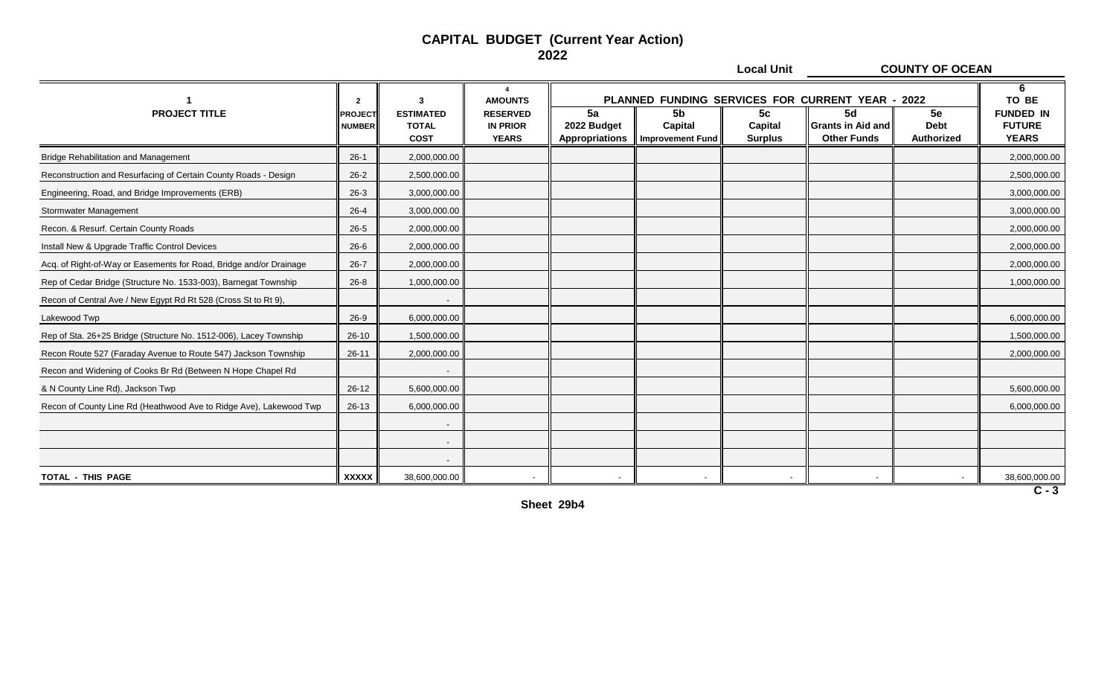**Local Unit COUNTY OF OCEAN**

|                                                                    | $\overline{2}$                  | 3                                               | $\boldsymbol{\Lambda}$<br><b>AMOUNTS</b>           |                                     |                                                 |                                 | PLANNED FUNDING SERVICES FOR CURRENT YEAR - 2022     |                                 | 6<br>TO BE                                        |
|--------------------------------------------------------------------|---------------------------------|-------------------------------------------------|----------------------------------------------------|-------------------------------------|-------------------------------------------------|---------------------------------|------------------------------------------------------|---------------------------------|---------------------------------------------------|
| <b>PROJECT TITLE</b>                                               | <b>PROJECT</b><br><b>NUMBER</b> | <b>ESTIMATED</b><br><b>TOTAL</b><br><b>COST</b> | <b>RESERVED</b><br><b>IN PRIOR</b><br><b>YEARS</b> | 5a<br>2022 Budget<br>Appropriations | <b>5b</b><br>Capital<br><b>Improvement Fund</b> | 5c<br>Capital<br><b>Surplus</b> | 5d<br><b>Grants in Aid and</b><br><b>Other Funds</b> | 5e<br><b>Debt</b><br>Authorized | <b>FUNDED IN</b><br><b>FUTURE</b><br><b>YEARS</b> |
| <b>Bridge Rehabilitation and Management</b>                        | $26-1$                          | 2,000,000.00                                    |                                                    |                                     |                                                 |                                 |                                                      |                                 | 2,000,000.00                                      |
| Reconstruction and Resurfacing of Certain County Roads - Design    | $26 - 2$                        | 2,500,000.00                                    |                                                    |                                     |                                                 |                                 |                                                      |                                 | 2,500,000.00                                      |
| Engineering, Road, and Bridge Improvements (ERB)                   | $26-3$                          | 3,000,000.00                                    |                                                    |                                     |                                                 |                                 |                                                      |                                 | 3,000,000.00                                      |
| Stormwater Management                                              | $26 - 4$                        | 3,000,000.00                                    |                                                    |                                     |                                                 |                                 |                                                      |                                 | 3,000,000.00                                      |
| Recon. & Resurf. Certain County Roads                              | $26 - 5$                        | 2,000,000.00                                    |                                                    |                                     |                                                 |                                 |                                                      |                                 | 2,000,000.00                                      |
| Install New & Upgrade Traffic Control Devices                      | $26 - 6$                        | 2,000,000.00                                    |                                                    |                                     |                                                 |                                 |                                                      |                                 | 2,000,000.00                                      |
| Acq. of Right-of-Way or Easements for Road, Bridge and/or Drainage | $26 - 7$                        | 2,000,000.00                                    |                                                    |                                     |                                                 |                                 |                                                      |                                 | 2,000,000.00                                      |
| Rep of Cedar Bridge (Structure No. 1533-003), Barnegat Township    | $26 - 8$                        | 1,000,000.00                                    |                                                    |                                     |                                                 |                                 |                                                      |                                 | 1,000,000.00                                      |
| Recon of Central Ave / New Egypt Rd Rt 528 (Cross St to Rt 9),     |                                 |                                                 |                                                    |                                     |                                                 |                                 |                                                      |                                 |                                                   |
| Lakewood Twp                                                       | $26-9$                          | 6,000,000.00                                    |                                                    |                                     |                                                 |                                 |                                                      |                                 | 6,000,000.00                                      |
| Rep of Sta. 26+25 Bridge (Structure No. 1512-006), Lacey Township  | $26 - 10$                       | 1,500,000.00                                    |                                                    |                                     |                                                 |                                 |                                                      |                                 | 1,500,000.00                                      |
| Recon Route 527 (Faraday Avenue to Route 547) Jackson Township     | $26 - 11$                       | 2,000,000.00                                    |                                                    |                                     |                                                 |                                 |                                                      |                                 | 2,000,000.00                                      |
| Recon and Widening of Cooks Br Rd (Between N Hope Chapel Rd        |                                 |                                                 |                                                    |                                     |                                                 |                                 |                                                      |                                 |                                                   |
| & N County Line Rd), Jackson Twp                                   | $26-12$                         | 5,600,000.00                                    |                                                    |                                     |                                                 |                                 |                                                      |                                 | 5,600,000.00                                      |
| Recon of County Line Rd (Heathwood Ave to Ridge Ave), Lakewood Twp | $26-13$                         | 6,000,000.00                                    |                                                    |                                     |                                                 |                                 |                                                      |                                 | 6,000,000.00                                      |
|                                                                    |                                 |                                                 |                                                    |                                     |                                                 |                                 |                                                      |                                 |                                                   |
|                                                                    |                                 |                                                 |                                                    |                                     |                                                 |                                 |                                                      |                                 |                                                   |
|                                                                    |                                 |                                                 |                                                    |                                     |                                                 |                                 |                                                      |                                 |                                                   |
| <b>TOTAL - THIS PAGE</b>                                           | <b>XXXXX</b>                    | 38,600,000.00                                   |                                                    |                                     |                                                 |                                 |                                                      |                                 | 38,600,000.00                                     |

**Sheet 29b4**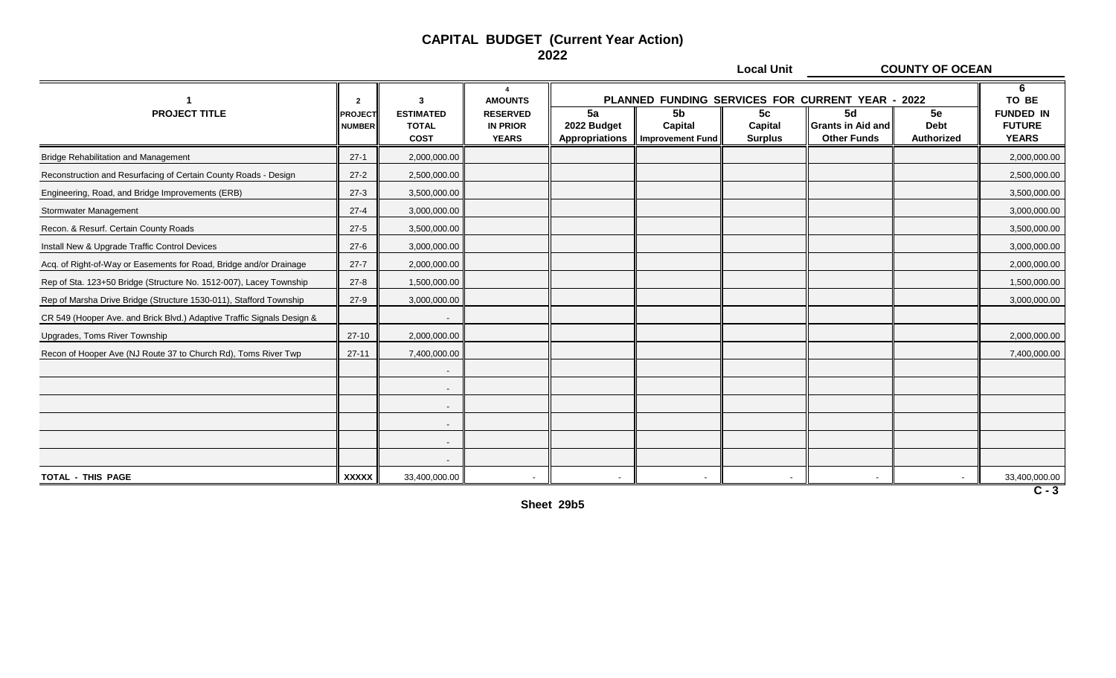**Local Unit COUNTY OF OCEAN**

|                                                                        | $\overline{2}$                  | 3                                               | $\boldsymbol{\Lambda}$<br><b>AMOUNTS</b>           |                                     |                                          |                                 | PLANNED FUNDING SERVICES FOR CURRENT YEAR - 2022     |                                 | 6<br>TO BE                                        |
|------------------------------------------------------------------------|---------------------------------|-------------------------------------------------|----------------------------------------------------|-------------------------------------|------------------------------------------|---------------------------------|------------------------------------------------------|---------------------------------|---------------------------------------------------|
| <b>PROJECT TITLE</b>                                                   | <b>PROJECT</b><br><b>NUMBER</b> | <b>ESTIMATED</b><br><b>TOTAL</b><br><b>COST</b> | <b>RESERVED</b><br><b>IN PRIOR</b><br><b>YEARS</b> | 5a<br>2022 Budget<br>Appropriations | 5b<br>Capital<br><b>Improvement Fund</b> | 5c<br>Capital<br><b>Surplus</b> | 5d<br><b>Grants in Aid and</b><br><b>Other Funds</b> | 5e<br><b>Debt</b><br>Authorized | <b>FUNDED IN</b><br><b>FUTURE</b><br><b>YEARS</b> |
| <b>Bridge Rehabilitation and Management</b>                            | $27-1$                          | 2,000,000.00                                    |                                                    |                                     |                                          |                                 |                                                      |                                 | 2,000,000.00                                      |
| Reconstruction and Resurfacing of Certain County Roads - Design        | $27-2$                          | 2,500,000.00                                    |                                                    |                                     |                                          |                                 |                                                      |                                 | 2,500,000.00                                      |
| Engineering, Road, and Bridge Improvements (ERB)                       | $27-3$                          | 3,500,000.00                                    |                                                    |                                     |                                          |                                 |                                                      |                                 | 3,500,000.00                                      |
| Stormwater Management                                                  | $27 - 4$                        | 3,000,000.00                                    |                                                    |                                     |                                          |                                 |                                                      |                                 | 3,000,000.00                                      |
| Recon. & Resurf. Certain County Roads                                  | $27-5$                          | 3,500,000.00                                    |                                                    |                                     |                                          |                                 |                                                      |                                 | 3,500,000.00                                      |
| Install New & Upgrade Traffic Control Devices                          | $27-6$                          | 3,000,000.00                                    |                                                    |                                     |                                          |                                 |                                                      |                                 | 3,000,000.00                                      |
| Acq. of Right-of-Way or Easements for Road, Bridge and/or Drainage     | $27 - 7$                        | 2,000,000.00                                    |                                                    |                                     |                                          |                                 |                                                      |                                 | 2,000,000.00                                      |
| Rep of Sta. 123+50 Bridge (Structure No. 1512-007), Lacey Township     | $27 - 8$                        | 1,500,000.00                                    |                                                    |                                     |                                          |                                 |                                                      |                                 | 1,500,000.00                                      |
| Rep of Marsha Drive Bridge (Structure 1530-011), Stafford Township     | $27-9$                          | 3,000,000.00                                    |                                                    |                                     |                                          |                                 |                                                      |                                 | 3,000,000.00                                      |
| CR 549 (Hooper Ave. and Brick Blvd.) Adaptive Traffic Signals Design & |                                 |                                                 |                                                    |                                     |                                          |                                 |                                                      |                                 |                                                   |
| Upgrades, Toms River Township                                          | $27-10$                         | 2,000,000.00                                    |                                                    |                                     |                                          |                                 |                                                      |                                 | 2,000,000.00                                      |
| Recon of Hooper Ave (NJ Route 37 to Church Rd), Toms River Twp         | $27 - 11$                       | 7,400,000.00                                    |                                                    |                                     |                                          |                                 |                                                      |                                 | 7,400,000.00                                      |
|                                                                        |                                 |                                                 |                                                    |                                     |                                          |                                 |                                                      |                                 |                                                   |
|                                                                        |                                 |                                                 |                                                    |                                     |                                          |                                 |                                                      |                                 |                                                   |
|                                                                        |                                 |                                                 |                                                    |                                     |                                          |                                 |                                                      |                                 |                                                   |
|                                                                        |                                 |                                                 |                                                    |                                     |                                          |                                 |                                                      |                                 |                                                   |
|                                                                        |                                 |                                                 |                                                    |                                     |                                          |                                 |                                                      |                                 |                                                   |
|                                                                        |                                 |                                                 |                                                    |                                     |                                          |                                 |                                                      |                                 |                                                   |
| TOTAL - THIS PAGE                                                      | <b>XXXXX</b>                    | 33,400,000.00                                   |                                                    | $\overline{\phantom{0}}$            |                                          |                                 |                                                      |                                 | 33,400,000.00                                     |

**Sheet 29b5**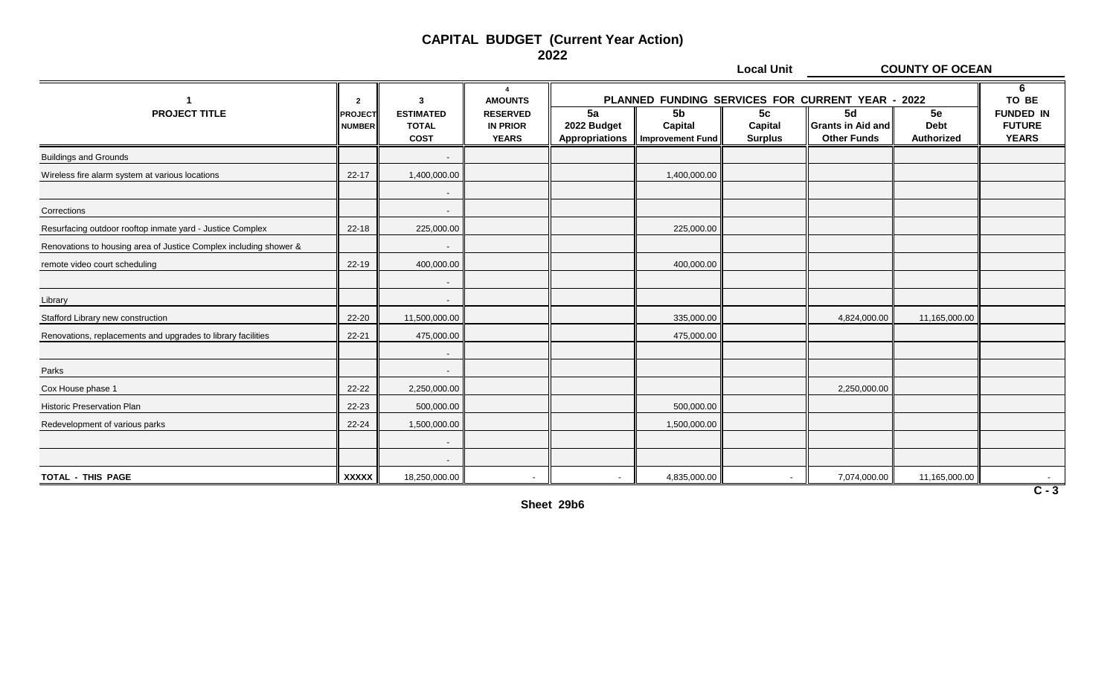**Local Unit COUNTY OF OCEAN**

|                                                                   | $\overline{2}$                  | 3                                               | $\boldsymbol{\Lambda}$<br><b>AMOUNTS</b>           |                                            |                                               |                                             |                                                      | PLANNED FUNDING SERVICES FOR CURRENT YEAR - 2022 |                                                            |  |
|-------------------------------------------------------------------|---------------------------------|-------------------------------------------------|----------------------------------------------------|--------------------------------------------|-----------------------------------------------|---------------------------------------------|------------------------------------------------------|--------------------------------------------------|------------------------------------------------------------|--|
| <b>PROJECT TITLE</b>                                              | <b>PROJECT</b><br><b>NUMBER</b> | <b>ESTIMATED</b><br><b>TOTAL</b><br><b>COST</b> | <b>RESERVED</b><br><b>IN PRIOR</b><br><b>YEARS</b> | 5a<br>2022 Budget<br><b>Appropriations</b> | 5 <sub>b</sub><br>Capital<br>Improvement Fund | 5 <sub>c</sub><br>Capital<br><b>Surplus</b> | 5d<br><b>Grants in Aid and</b><br><b>Other Funds</b> | 5e<br><b>Debt</b><br>Authorized                  | TO BE<br><b>FUNDED IN</b><br><b>FUTURE</b><br><b>YEARS</b> |  |
| <b>Buildings and Grounds</b>                                      |                                 |                                                 |                                                    |                                            |                                               |                                             |                                                      |                                                  |                                                            |  |
| Wireless fire alarm system at various locations                   | $22 - 17$                       | 1,400,000.00                                    |                                                    |                                            | 1,400,000.00                                  |                                             |                                                      |                                                  |                                                            |  |
|                                                                   |                                 | $\overline{\phantom{a}}$                        |                                                    |                                            |                                               |                                             |                                                      |                                                  |                                                            |  |
| Corrections                                                       |                                 | $\overline{\phantom{0}}$                        |                                                    |                                            |                                               |                                             |                                                      |                                                  |                                                            |  |
| Resurfacing outdoor rooftop inmate yard - Justice Complex         | 22-18                           | 225,000.00                                      |                                                    |                                            | 225,000.00                                    |                                             |                                                      |                                                  |                                                            |  |
| Renovations to housing area of Justice Complex including shower & |                                 |                                                 |                                                    |                                            |                                               |                                             |                                                      |                                                  |                                                            |  |
| remote video court scheduling                                     | 22-19                           | 400,000.00                                      |                                                    |                                            | 400,000.00                                    |                                             |                                                      |                                                  |                                                            |  |
|                                                                   |                                 |                                                 |                                                    |                                            |                                               |                                             |                                                      |                                                  |                                                            |  |
| Library                                                           |                                 |                                                 |                                                    |                                            |                                               |                                             |                                                      |                                                  |                                                            |  |
| Stafford Library new construction                                 | 22-20                           | 11,500,000.00                                   |                                                    |                                            | 335,000.00                                    |                                             | 4,824,000.00                                         | 11,165,000.00                                    |                                                            |  |
| Renovations, replacements and upgrades to library facilities      | $22 - 21$                       | 475,000.00                                      |                                                    |                                            | 475,000.00                                    |                                             |                                                      |                                                  |                                                            |  |
|                                                                   |                                 |                                                 |                                                    |                                            |                                               |                                             |                                                      |                                                  |                                                            |  |
| Parks                                                             |                                 | $\overline{\phantom{a}}$                        |                                                    |                                            |                                               |                                             |                                                      |                                                  |                                                            |  |
| Cox House phase 1                                                 | 22-22                           | 2,250,000.00                                    |                                                    |                                            |                                               |                                             | 2,250,000.00                                         |                                                  |                                                            |  |
| <b>Historic Preservation Plan</b>                                 | 22-23                           | 500,000.00                                      |                                                    |                                            | 500,000.00                                    |                                             |                                                      |                                                  |                                                            |  |
| Redevelopment of various parks                                    | 22-24                           | 1,500,000.00                                    |                                                    |                                            | 1,500,000.00                                  |                                             |                                                      |                                                  |                                                            |  |
|                                                                   |                                 |                                                 |                                                    |                                            |                                               |                                             |                                                      |                                                  |                                                            |  |
|                                                                   |                                 | $\sim$                                          |                                                    |                                            |                                               |                                             |                                                      |                                                  |                                                            |  |
| TOTAL - THIS PAGE                                                 | <b>XXXXX</b>                    | 18,250,000.00                                   | $\overline{\phantom{0}}$                           | $\sim$                                     | 4,835,000.00                                  |                                             | 7,074,000.00                                         | 11,165,000.00                                    | $\sim$ $-$                                                 |  |

**Sheet 29b6**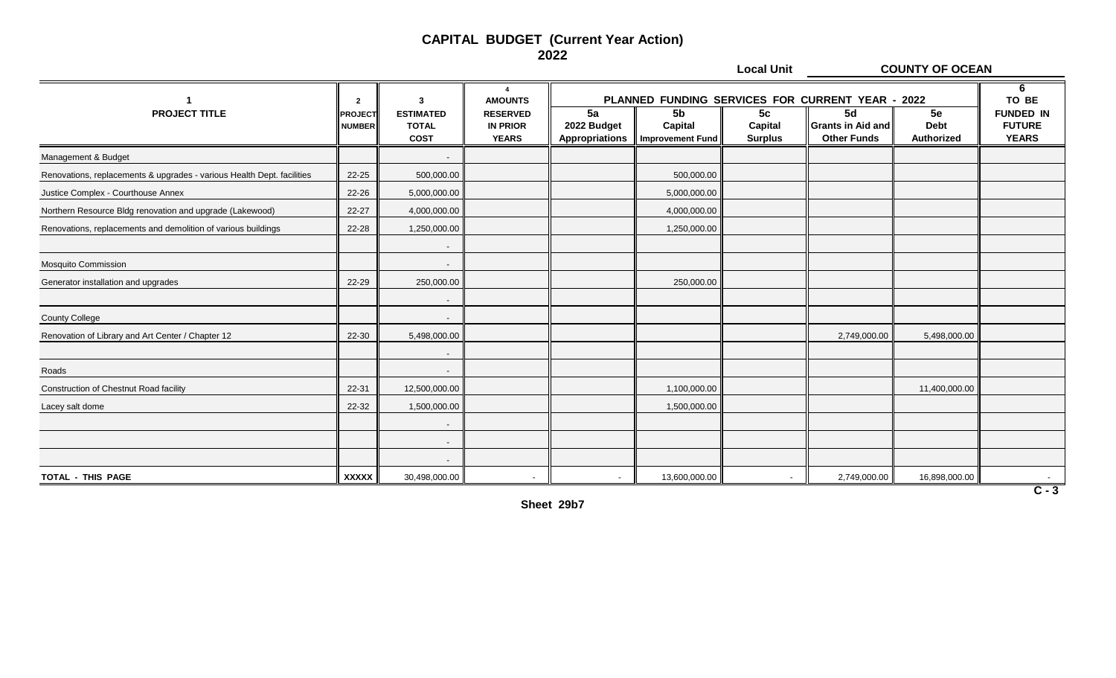**Local Unit COUNTY OF OCEAN**

|                                                                        | $\overline{2}$                  | 3                                               | $\boldsymbol{\Lambda}$<br><b>AMOUNTS</b>           |                                            |                                                      |                                             | PLANNED FUNDING SERVICES FOR CURRENT YEAR - 2022     |                                 | 6<br>TO BE                                        |
|------------------------------------------------------------------------|---------------------------------|-------------------------------------------------|----------------------------------------------------|--------------------------------------------|------------------------------------------------------|---------------------------------------------|------------------------------------------------------|---------------------------------|---------------------------------------------------|
| <b>PROJECT TITLE</b>                                                   | <b>PROJECT</b><br><b>NUMBER</b> | <b>ESTIMATED</b><br><b>TOTAL</b><br><b>COST</b> | <b>RESERVED</b><br><b>IN PRIOR</b><br><b>YEARS</b> | 5a<br>2022 Budget<br><b>Appropriations</b> | 5 <sub>b</sub><br>Capital<br><b>Improvement Fund</b> | 5 <sub>c</sub><br>Capital<br><b>Surplus</b> | 5d<br><b>Grants in Aid and</b><br><b>Other Funds</b> | 5e<br><b>Debt</b><br>Authorized | <b>FUNDED IN</b><br><b>FUTURE</b><br><b>YEARS</b> |
| Management & Budget                                                    |                                 |                                                 |                                                    |                                            |                                                      |                                             |                                                      |                                 |                                                   |
| Renovations, replacements & upgrades - various Health Dept. facilities | 22-25                           | 500,000.00                                      |                                                    |                                            | 500,000.00                                           |                                             |                                                      |                                 |                                                   |
| Justice Complex - Courthouse Annex                                     | 22-26                           | 5,000,000.00                                    |                                                    |                                            | 5,000,000.00                                         |                                             |                                                      |                                 |                                                   |
| Northern Resource Bldg renovation and upgrade (Lakewood)               | 22-27                           | 4,000,000.00                                    |                                                    |                                            | 4,000,000.00                                         |                                             |                                                      |                                 |                                                   |
| Renovations, replacements and demolition of various buildings          | 22-28                           | 1,250,000.00                                    |                                                    |                                            | 1,250,000.00                                         |                                             |                                                      |                                 |                                                   |
|                                                                        |                                 |                                                 |                                                    |                                            |                                                      |                                             |                                                      |                                 |                                                   |
| <b>Mosquito Commission</b>                                             |                                 | $\sim$                                          |                                                    |                                            |                                                      |                                             |                                                      |                                 |                                                   |
| Generator installation and upgrades                                    | 22-29                           | 250,000.00                                      |                                                    |                                            | 250,000.00                                           |                                             |                                                      |                                 |                                                   |
|                                                                        |                                 |                                                 |                                                    |                                            |                                                      |                                             |                                                      |                                 |                                                   |
| <b>County College</b>                                                  |                                 |                                                 |                                                    |                                            |                                                      |                                             |                                                      |                                 |                                                   |
| Renovation of Library and Art Center / Chapter 12                      | 22-30                           | 5,498,000.00                                    |                                                    |                                            |                                                      |                                             | 2,749,000.00                                         | 5,498,000.00                    |                                                   |
|                                                                        |                                 |                                                 |                                                    |                                            |                                                      |                                             |                                                      |                                 |                                                   |
| Roads                                                                  |                                 |                                                 |                                                    |                                            |                                                      |                                             |                                                      |                                 |                                                   |
| <b>Construction of Chestnut Road facility</b>                          | 22-31                           | 12,500,000.00                                   |                                                    |                                            | 1,100,000.00                                         |                                             |                                                      | 11,400,000.00                   |                                                   |
| Lacey salt dome                                                        | 22-32                           | 1,500,000.00                                    |                                                    |                                            | 1,500,000.00                                         |                                             |                                                      |                                 |                                                   |
|                                                                        |                                 |                                                 |                                                    |                                            |                                                      |                                             |                                                      |                                 |                                                   |
|                                                                        |                                 |                                                 |                                                    |                                            |                                                      |                                             |                                                      |                                 |                                                   |
|                                                                        |                                 |                                                 |                                                    |                                            |                                                      |                                             |                                                      |                                 |                                                   |
| TOTAL - THIS PAGE                                                      | <b>XXXXX</b>                    | 30,498,000.00                                   | $\sim$                                             | $\overline{\phantom{a}}$                   | 13,600,000.00                                        |                                             | 2,749,000.00                                         | 16,898,000.00                   | $\sim$                                            |

**Sheet 29b7**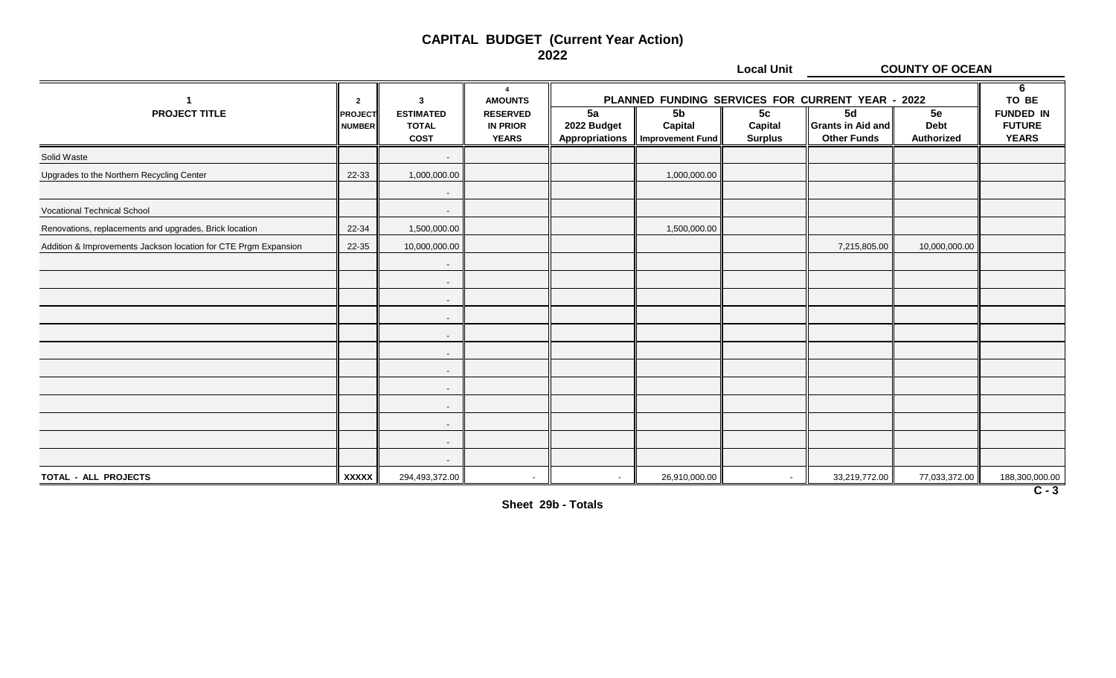**Local Unit COUNTY OF OCEAN**

|                                                                 | $\overline{2}$           | 3                                               | $\overline{\mathbf{A}}$<br><b>AMOUNTS</b>          |                                     | PLANNED FUNDING SERVICES FOR CURRENT YEAR - 2022 |                                             |                                                      |                                 | 6<br>TO BE                                        |
|-----------------------------------------------------------------|--------------------------|-------------------------------------------------|----------------------------------------------------|-------------------------------------|--------------------------------------------------|---------------------------------------------|------------------------------------------------------|---------------------------------|---------------------------------------------------|
| <b>PROJECT TITLE</b>                                            | PROJECT<br><b>NUMBER</b> | <b>ESTIMATED</b><br><b>TOTAL</b><br><b>COST</b> | <b>RESERVED</b><br><b>IN PRIOR</b><br><b>YEARS</b> | 5a<br>2022 Budget<br>Appropriations | 5 <sub>b</sub><br>Capital<br>Improvement Fund    | 5 <sub>c</sub><br>Capital<br><b>Surplus</b> | 5d<br><b>Grants in Aid and</b><br><b>Other Funds</b> | 5e<br><b>Debt</b><br>Authorized | <b>FUNDED IN</b><br><b>FUTURE</b><br><b>YEARS</b> |
| Solid Waste                                                     |                          | $\overline{\phantom{a}}$                        |                                                    |                                     |                                                  |                                             |                                                      |                                 |                                                   |
| Upgrades to the Northern Recycling Center                       | 22-33                    | 1,000,000.00                                    |                                                    |                                     | 1,000,000.00                                     |                                             |                                                      |                                 |                                                   |
|                                                                 |                          | $\overline{\phantom{a}}$                        |                                                    |                                     |                                                  |                                             |                                                      |                                 |                                                   |
| Vocational Technical School                                     |                          | $\overline{\phantom{a}}$                        |                                                    |                                     |                                                  |                                             |                                                      |                                 |                                                   |
| Renovations, replacements and upgrades, Brick location          | 22-34                    | 1,500,000.00                                    |                                                    |                                     | 1,500,000.00                                     |                                             |                                                      |                                 |                                                   |
| Addition & Improvements Jackson location for CTE Prgm Expansion | 22-35                    | 10,000,000.00                                   |                                                    |                                     |                                                  |                                             | 7,215,805.00                                         | 10,000,000.00                   |                                                   |
|                                                                 |                          | $\overline{\phantom{a}}$                        |                                                    |                                     |                                                  |                                             |                                                      |                                 |                                                   |
|                                                                 |                          | $\overline{\phantom{a}}$                        |                                                    |                                     |                                                  |                                             |                                                      |                                 |                                                   |
|                                                                 |                          | $\overline{\phantom{a}}$                        |                                                    |                                     |                                                  |                                             |                                                      |                                 |                                                   |
|                                                                 |                          | $\overline{\phantom{a}}$                        |                                                    |                                     |                                                  |                                             |                                                      |                                 |                                                   |
|                                                                 |                          | $\overline{\phantom{a}}$                        |                                                    |                                     |                                                  |                                             |                                                      |                                 |                                                   |
|                                                                 |                          | $\overline{\phantom{a}}$                        |                                                    |                                     |                                                  |                                             |                                                      |                                 |                                                   |
|                                                                 |                          | $\overline{\phantom{a}}$                        |                                                    |                                     |                                                  |                                             |                                                      |                                 |                                                   |
|                                                                 |                          | $\overline{\phantom{a}}$                        |                                                    |                                     |                                                  |                                             |                                                      |                                 |                                                   |
|                                                                 |                          | $\overline{\phantom{a}}$                        |                                                    |                                     |                                                  |                                             |                                                      |                                 |                                                   |
|                                                                 |                          | $\overline{\phantom{a}}$                        |                                                    |                                     |                                                  |                                             |                                                      |                                 |                                                   |
|                                                                 |                          | $\overline{\phantom{a}}$                        |                                                    |                                     |                                                  |                                             |                                                      |                                 |                                                   |
|                                                                 |                          | $\overline{\phantom{a}}$                        |                                                    |                                     |                                                  |                                             |                                                      |                                 |                                                   |
| TOTAL - ALL PROJECTS                                            | <b>XXXXX</b>             | 294,493,372.00                                  | $\sim$                                             | $\sim$                              | 26,910,000.00                                    |                                             | 33,219,772.00                                        | 77,033,372.00                   | 188,300,000.00                                    |

**Sheet 29b - Totals**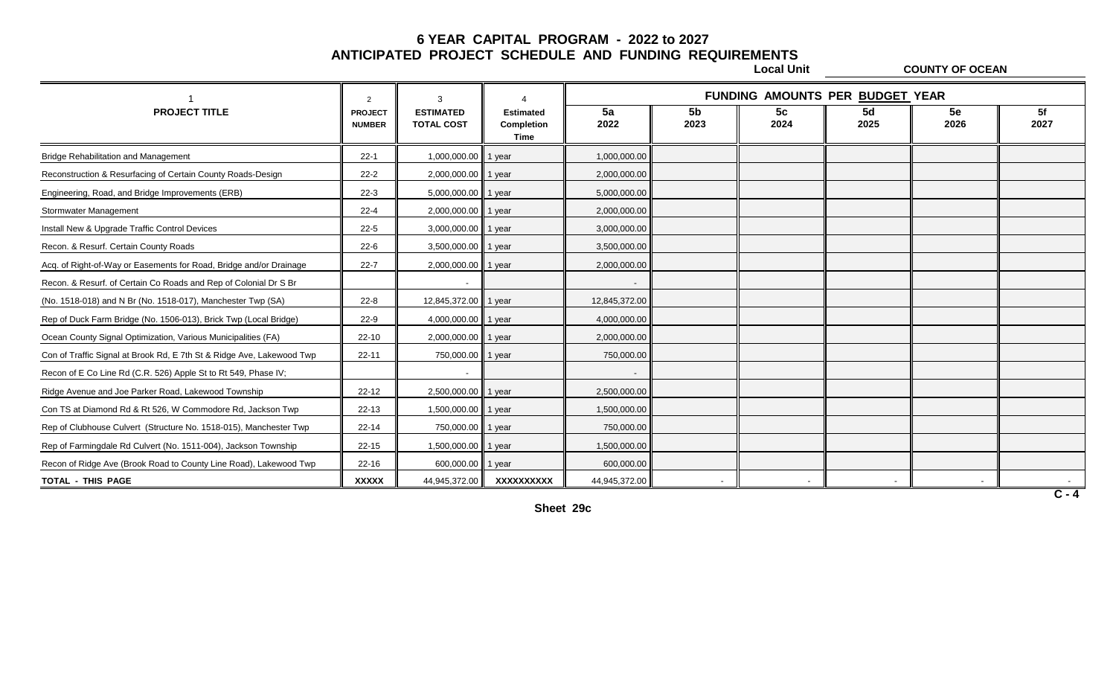**Local Unit COUNTY OF OCEAN**

|                                                                       | $\overline{2}$                  | 3                                     |                                        |                          |                        |            | FUNDING AMOUNTS PER BUDGET YEAR |                          |            |
|-----------------------------------------------------------------------|---------------------------------|---------------------------------------|----------------------------------------|--------------------------|------------------------|------------|---------------------------------|--------------------------|------------|
| <b>PROJECT TITLE</b>                                                  | <b>PROJECT</b><br><b>NUMBER</b> | <b>ESTIMATED</b><br><b>TOTAL COST</b> | <b>Estimated</b><br>Completion<br>Time | 5a<br>2022               | 5 <sub>b</sub><br>2023 | 5c<br>2024 | <b>5d</b><br>2025               | 5e<br>2026               | 5f<br>2027 |
| <b>Bridge Rehabilitation and Management</b>                           | $22 - 1$                        | 1,000,000.00 1 year                   |                                        | 1,000,000.00             |                        |            |                                 |                          |            |
| Reconstruction & Resurfacing of Certain County Roads-Design           | $22 - 2$                        | 2,000,000.00 1 year                   |                                        | 2,000,000.00             |                        |            |                                 |                          |            |
| Engineering, Road, and Bridge Improvements (ERB)                      | $22-3$                          | 5,000,000.00 1 year                   |                                        | 5,000,000.00             |                        |            |                                 |                          |            |
| Stormwater Management                                                 | $22 - 4$                        | 2,000,000.00 1 year                   |                                        | 2,000,000.00             |                        |            |                                 |                          |            |
| Install New & Upgrade Traffic Control Devices                         | $22 - 5$                        | 3,000,000.00 1 year                   |                                        | 3,000,000.00             |                        |            |                                 |                          |            |
| Recon. & Resurf. Certain County Roads                                 | $22 - 6$                        | 3,500,000.00 1 year                   |                                        | 3,500,000.00             |                        |            |                                 |                          |            |
| Acq. of Right-of-Way or Easements for Road, Bridge and/or Drainage    | $22 - 7$                        | 2,000,000.00 1 year                   |                                        | 2,000,000.00             |                        |            |                                 |                          |            |
| Recon. & Resurf. of Certain Co Roads and Rep of Colonial Dr S Br      |                                 | $\overline{\phantom{a}}$              |                                        | $\overline{\phantom{a}}$ |                        |            |                                 |                          |            |
| (No. 1518-018) and N Br (No. 1518-017), Manchester Twp (SA)           | $22 - 8$                        | 12,845,372.00 1 year                  |                                        | 12,845,372.00            |                        |            |                                 |                          |            |
| Rep of Duck Farm Bridge (No. 1506-013), Brick Twp (Local Bridge)      | $22-9$                          | 4,000,000.00 1 year                   |                                        | 4,000,000.00             |                        |            |                                 |                          |            |
| Ocean County Signal Optimization, Various Municipalities (FA)         | $22 - 10$                       | 2,000,000.00 1 year                   |                                        | 2,000,000.00             |                        |            |                                 |                          |            |
| Con of Traffic Signal at Brook Rd, E 7th St & Ridge Ave, Lakewood Twp | $22 - 11$                       | 750,000.00 1 year                     |                                        | 750,000.00               |                        |            |                                 |                          |            |
| Recon of E Co Line Rd (C.R. 526) Apple St to Rt 549, Phase IV;        |                                 | $\overline{\phantom{a}}$              |                                        |                          |                        |            |                                 |                          |            |
| Ridge Avenue and Joe Parker Road, Lakewood Township                   | $22 - 12$                       | 2,500,000.00 1 year                   |                                        | 2,500,000.00             |                        |            |                                 |                          |            |
| Con TS at Diamond Rd & Rt 526, W Commodore Rd, Jackson Twp            | $22 - 13$                       | 1,500,000.00 1 year                   |                                        | 1,500,000.00             |                        |            |                                 |                          |            |
| Rep of Clubhouse Culvert (Structure No. 1518-015), Manchester Twp     | $22 - 14$                       | 750,000.00 1 year                     |                                        | 750,000.00               |                        |            |                                 |                          |            |
| Rep of Farmingdale Rd Culvert (No. 1511-004), Jackson Township        | $22 - 15$                       | 1,500,000.00 1 year                   |                                        | 1,500,000.00             |                        |            |                                 |                          |            |
| Recon of Ridge Ave (Brook Road to County Line Road), Lakewood Twp     | $22 - 16$                       | 600,000.00                            | 1 year                                 | 600,000.00               |                        |            |                                 |                          |            |
| TOTAL - THIS PAGE                                                     | <b>XXXXX</b>                    | 44,945,372.00                         | XXXXXXXXXX                             | 44,945,372.00            |                        |            |                                 | $\overline{\phantom{a}}$ |            |

**Sheet 29c**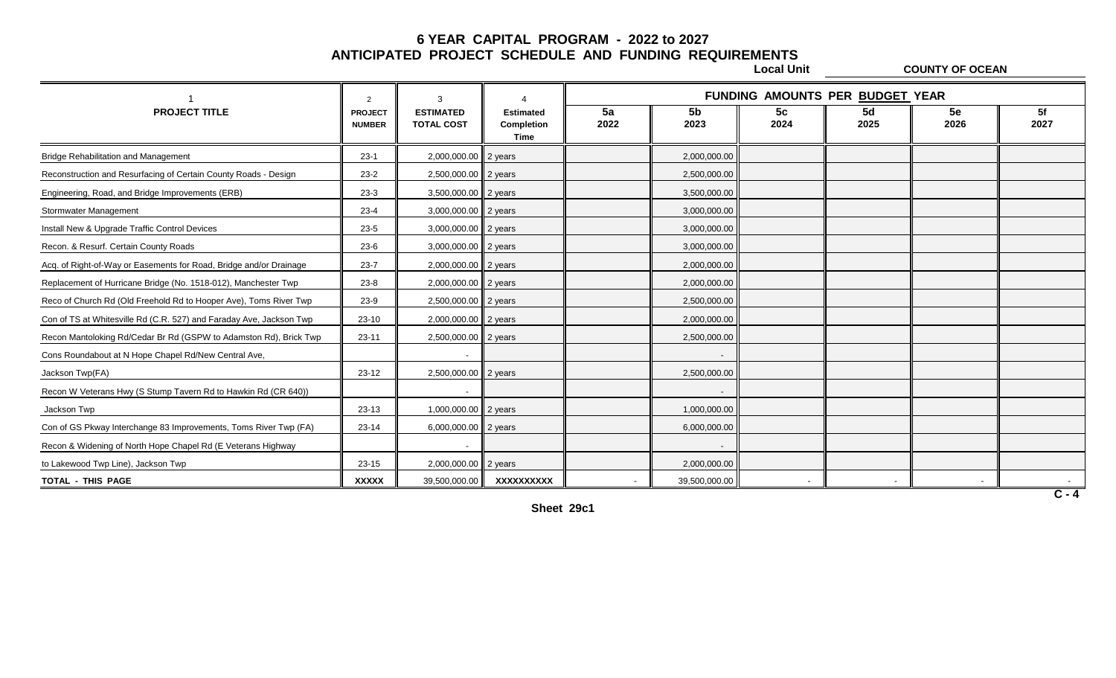**Local Unit COUNTY OF OCEAN**

|                                                                     | $\overline{2}$                  | 3                                     |                                        |            |                        |            | FUNDING AMOUNTS PER BUDGET YEAR |                          |            |
|---------------------------------------------------------------------|---------------------------------|---------------------------------------|----------------------------------------|------------|------------------------|------------|---------------------------------|--------------------------|------------|
| <b>PROJECT TITLE</b>                                                | <b>PROJECT</b><br><b>NUMBER</b> | <b>ESTIMATED</b><br><b>TOTAL COST</b> | <b>Estimated</b><br>Completion<br>Time | 5a<br>2022 | 5 <sub>b</sub><br>2023 | 5c<br>2024 | 5d<br>2025                      | 5e<br>2026               | 5f<br>2027 |
| <b>Bridge Rehabilitation and Management</b>                         | $23-1$                          | 2,000,000.00                          | 2 years                                |            | 2,000,000.00           |            |                                 |                          |            |
| Reconstruction and Resurfacing of Certain County Roads - Design     | $23-2$                          | 2,500,000.00 2 years                  |                                        |            | 2,500,000.00           |            |                                 |                          |            |
| Engineering, Road, and Bridge Improvements (ERB)                    | $23-3$                          | 3,500,000.00                          | 2 years                                |            | 3,500,000.00           |            |                                 |                          |            |
| Stormwater Management                                               | $23 - 4$                        | 3,000,000.00 2 years                  |                                        |            | 3,000,000.00           |            |                                 |                          |            |
| Install New & Upgrade Traffic Control Devices                       | $23 - 5$                        | 3,000,000.00 2 years                  |                                        |            | 3,000,000.00           |            |                                 |                          |            |
| Recon. & Resurf. Certain County Roads                               | $23-6$                          | 3,000,000.00                          | 2 years                                |            | 3,000,000.00           |            |                                 |                          |            |
| Acq. of Right-of-Way or Easements for Road, Bridge and/or Drainage  | $23 - 7$                        | 2,000,000.00 2 years                  |                                        |            | 2,000,000.00           |            |                                 |                          |            |
| Replacement of Hurricane Bridge (No. 1518-012), Manchester Twp      | $23 - 8$                        | 2,000,000.00 2 years                  |                                        |            | 2,000,000.00           |            |                                 |                          |            |
| Reco of Church Rd (Old Freehold Rd to Hooper Ave), Toms River Twp   | $23-9$                          | 2,500,000.00                          | 2 years                                |            | 2,500,000.00           |            |                                 |                          |            |
| Con of TS at Whitesville Rd (C.R. 527) and Faraday Ave, Jackson Twp | $23-10$                         | 2,000,000.00 2 years                  |                                        |            | 2,000,000.00           |            |                                 |                          |            |
| Recon Mantoloking Rd/Cedar Br Rd (GSPW to Adamston Rd), Brick Twp   | $23 - 11$                       | 2,500,000.00 2 years                  |                                        |            | 2,500,000.00           |            |                                 |                          |            |
| Cons Roundabout at N Hope Chapel Rd/New Central Ave,                |                                 |                                       |                                        |            |                        |            |                                 |                          |            |
| Jackson Twp(FA)                                                     | $23-12$                         | 2,500,000.00                          | 2 years                                |            | 2,500,000.00           |            |                                 |                          |            |
| Recon W Veterans Hwy (S Stump Tavern Rd to Hawkin Rd (CR 640))      |                                 |                                       |                                        |            |                        |            |                                 |                          |            |
| Jackson Twp                                                         | $23-13$                         | 1,000,000.00                          | 2 years                                |            | 1,000,000.00           |            |                                 |                          |            |
| Con of GS Pkway Interchange 83 Improvements, Toms River Twp (FA)    | $23 - 14$                       | 6,000,000.00 2 years                  |                                        |            | 6,000,000.00           |            |                                 |                          |            |
| Recon & Widening of North Hope Chapel Rd (E Veterans Highway        |                                 | $\overline{\phantom{a}}$              |                                        |            |                        |            |                                 |                          |            |
| to Lakewood Twp Line), Jackson Twp                                  | 23-15                           | 2,000,000.00                          | 2 years                                |            | 2,000,000.00           |            |                                 |                          |            |
| <b>TOTAL - THIS PAGE</b>                                            | <b>XXXXX</b>                    | 39,500,000.00                         | XXXXXXXXXX                             |            | 39,500,000.00          |            | $\sim$                          | $\overline{\phantom{a}}$ |            |

**Sheet 29c1**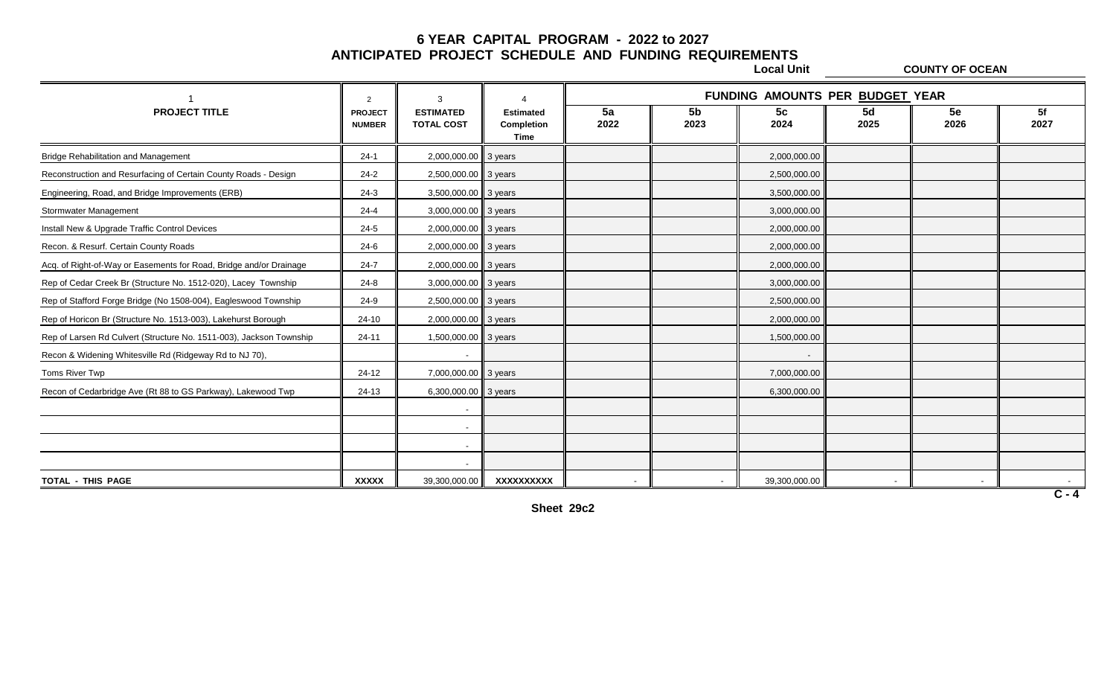**Local Unit COUNTY OF OCEAN**

| $\mathcal{R}$<br>2              |                                       |                                        |                                                                                                                                                                                                                                                                                                                      |                          |                          | FUNDING AMOUNTS PER BUDGET YEAR |                |            |  |  |  |  |
|---------------------------------|---------------------------------------|----------------------------------------|----------------------------------------------------------------------------------------------------------------------------------------------------------------------------------------------------------------------------------------------------------------------------------------------------------------------|--------------------------|--------------------------|---------------------------------|----------------|------------|--|--|--|--|
| <b>PROJECT</b><br><b>NUMBER</b> | <b>ESTIMATED</b><br><b>TOTAL COST</b> | <b>Estimated</b><br>Completion<br>Time | 5a<br>2022                                                                                                                                                                                                                                                                                                           | 5 <sub>b</sub><br>2023   | 5c<br>2024               | 5d<br>2025                      | 5e<br>2026     | 5f<br>2027 |  |  |  |  |
| $24-1$                          |                                       |                                        |                                                                                                                                                                                                                                                                                                                      |                          | 2,000,000.00             |                                 |                |            |  |  |  |  |
| $24-2$                          |                                       |                                        |                                                                                                                                                                                                                                                                                                                      |                          | 2,500,000.00             |                                 |                |            |  |  |  |  |
| $24-3$                          |                                       |                                        |                                                                                                                                                                                                                                                                                                                      |                          | 3,500,000.00             |                                 |                |            |  |  |  |  |
| $24 - 4$                        |                                       |                                        |                                                                                                                                                                                                                                                                                                                      |                          | 3,000,000.00             |                                 |                |            |  |  |  |  |
| $24 - 5$                        |                                       |                                        |                                                                                                                                                                                                                                                                                                                      |                          | 2,000,000.00             |                                 |                |            |  |  |  |  |
| $24-6$                          |                                       |                                        |                                                                                                                                                                                                                                                                                                                      |                          | 2,000,000.00             |                                 |                |            |  |  |  |  |
| $24 - 7$                        |                                       |                                        |                                                                                                                                                                                                                                                                                                                      |                          | 2,000,000.00             |                                 |                |            |  |  |  |  |
| $24 - 8$                        |                                       |                                        |                                                                                                                                                                                                                                                                                                                      |                          | 3,000,000.00             |                                 |                |            |  |  |  |  |
| $24-9$                          |                                       |                                        |                                                                                                                                                                                                                                                                                                                      |                          | 2,500,000.00             |                                 |                |            |  |  |  |  |
| $24-10$                         |                                       |                                        |                                                                                                                                                                                                                                                                                                                      |                          | 2,000,000.00             |                                 |                |            |  |  |  |  |
| $24 - 11$                       |                                       |                                        |                                                                                                                                                                                                                                                                                                                      |                          | 1,500,000.00             |                                 |                |            |  |  |  |  |
|                                 | $\overline{\phantom{a}}$              |                                        |                                                                                                                                                                                                                                                                                                                      |                          | $\overline{\phantom{a}}$ |                                 |                |            |  |  |  |  |
| 24-12                           |                                       |                                        |                                                                                                                                                                                                                                                                                                                      |                          | 7,000,000.00             |                                 |                |            |  |  |  |  |
| 24-13                           |                                       |                                        |                                                                                                                                                                                                                                                                                                                      |                          | 6,300,000.00             |                                 |                |            |  |  |  |  |
|                                 |                                       |                                        |                                                                                                                                                                                                                                                                                                                      |                          |                          |                                 |                |            |  |  |  |  |
|                                 | $\overline{\phantom{a}}$              |                                        |                                                                                                                                                                                                                                                                                                                      |                          |                          |                                 |                |            |  |  |  |  |
|                                 | $\sim$                                |                                        |                                                                                                                                                                                                                                                                                                                      |                          |                          |                                 |                |            |  |  |  |  |
|                                 |                                       |                                        |                                                                                                                                                                                                                                                                                                                      |                          |                          |                                 |                |            |  |  |  |  |
| <b>XXXXX</b>                    | 39,300,000.00                         | XXXXXXXXXX                             |                                                                                                                                                                                                                                                                                                                      | $\overline{\phantom{a}}$ | 39,300,000.00            |                                 | $\overline{a}$ | $C - 4$    |  |  |  |  |
|                                 |                                       |                                        | 2,000,000.00 3 years<br>2,500,000.00 3 years<br>3,500,000.00 3 years<br>3,000,000.00 3 years<br>2,000,000.00 3 years<br>2,000,000.00 3 years<br>2,000,000.00 3 years<br>3,000,000.00 3 years<br>2,500,000.00 3 years<br>2,000,000.00 3 years<br>1,500,000.00 3 years<br>7,000,000.00 3 years<br>6,300,000.00 3 years |                          |                          |                                 |                |            |  |  |  |  |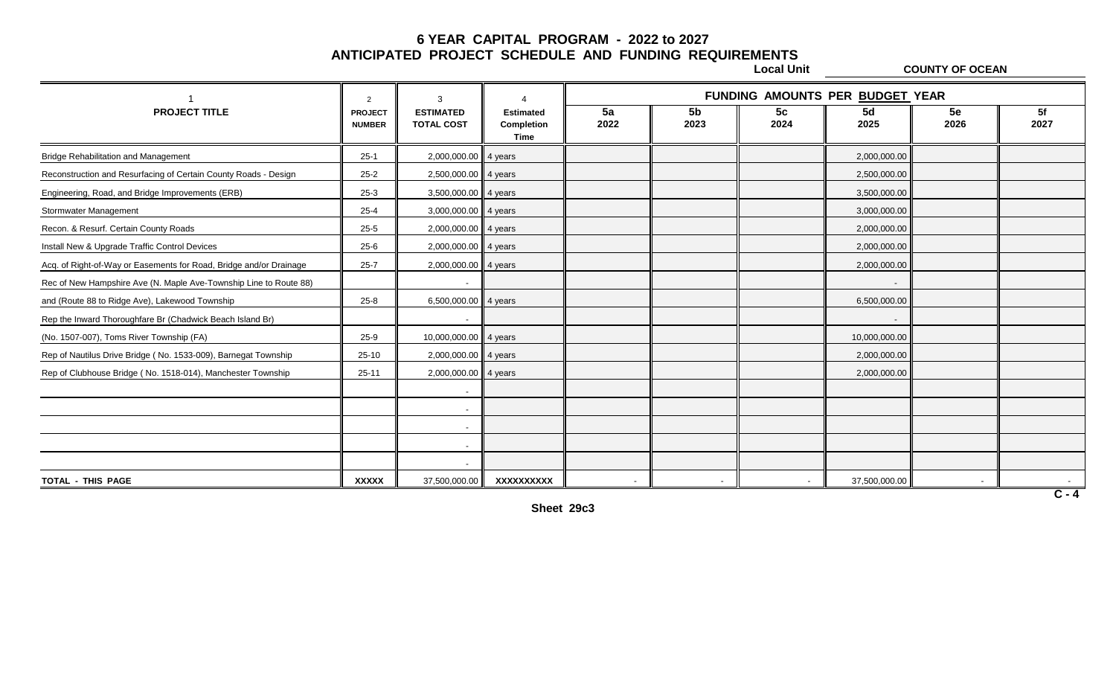**Local Unit COUNTY OF OCEAN**

|                                                                    | 2                               | 3                                     |                                        |                          |                        |                        | FUNDING AMOUNTS PER BUDGET YEAR |                |            |
|--------------------------------------------------------------------|---------------------------------|---------------------------------------|----------------------------------------|--------------------------|------------------------|------------------------|---------------------------------|----------------|------------|
| <b>PROJECT TITLE</b>                                               | <b>PROJECT</b><br><b>NUMBER</b> | <b>ESTIMATED</b><br><b>TOTAL COST</b> | <b>Estimated</b><br>Completion<br>Time | 5a<br>2022               | 5 <sub>b</sub><br>2023 | 5 <sub>c</sub><br>2024 | 5d<br>2025                      | 5e<br>2026     | 5f<br>2027 |
| <b>Bridge Rehabilitation and Management</b>                        | $25-1$                          | 2,000,000.00 4 years                  |                                        |                          |                        |                        | 2,000,000.00                    |                |            |
| Reconstruction and Resurfacing of Certain County Roads - Design    | $25 - 2$                        | 2,500,000.00 4 years                  |                                        |                          |                        |                        | 2,500,000.00                    |                |            |
| Engineering, Road, and Bridge Improvements (ERB)                   | $25-3$                          | 3,500,000.00 4 years                  |                                        |                          |                        |                        | 3,500,000.00                    |                |            |
| Stormwater Management                                              | $25 - 4$                        | 3,000,000.00 4 years                  |                                        |                          |                        |                        | 3,000,000.00                    |                |            |
| Recon. & Resurf. Certain County Roads                              | $25 - 5$                        | 2,000,000.00 4 years                  |                                        |                          |                        |                        | 2,000,000.00                    |                |            |
| Install New & Upgrade Traffic Control Devices                      | $25 - 6$                        | 2,000,000.00 4 years                  |                                        |                          |                        |                        | 2,000,000.00                    |                |            |
| Acq. of Right-of-Way or Easements for Road, Bridge and/or Drainage | $25 - 7$                        | 2,000,000.00 4 years                  |                                        |                          |                        |                        | 2,000,000.00                    |                |            |
| Rec of New Hampshire Ave (N. Maple Ave-Township Line to Route 88)  |                                 | $\sim$                                |                                        |                          |                        |                        | $\overline{\phantom{0}}$        |                |            |
| and (Route 88 to Ridge Ave), Lakewood Township                     | $25 - 8$                        | 6,500,000.00 4 years                  |                                        |                          |                        |                        | 6,500,000.00                    |                |            |
| Rep the Inward Thoroughfare Br (Chadwick Beach Island Br)          |                                 | $\overline{\phantom{a}}$              |                                        |                          |                        |                        |                                 |                |            |
| (No. 1507-007), Toms River Township (FA)                           | $25-9$                          | 10,000,000.00 4 years                 |                                        |                          |                        |                        | 10,000,000.00                   |                |            |
| Rep of Nautilus Drive Bridge (No. 1533-009), Barnegat Township     | $25-10$                         | 2,000,000.00 4 years                  |                                        |                          |                        |                        | 2,000,000.00                    |                |            |
| Rep of Clubhouse Bridge (No. 1518-014), Manchester Township        | $25 - 11$                       | 2,000,000.00 4 years                  |                                        |                          |                        |                        | 2,000,000.00                    |                |            |
|                                                                    |                                 | $\overline{\phantom{a}}$              |                                        |                          |                        |                        |                                 |                |            |
|                                                                    |                                 | $\overline{\phantom{a}}$              |                                        |                          |                        |                        |                                 |                |            |
|                                                                    |                                 | $\overline{\phantom{a}}$              |                                        |                          |                        |                        |                                 |                |            |
|                                                                    |                                 | $\sim$ $-$                            |                                        |                          |                        |                        |                                 |                |            |
|                                                                    |                                 | $\overline{\phantom{a}}$              |                                        |                          |                        |                        |                                 |                |            |
| TOTAL - THIS PAGE                                                  | <b>XXXXX</b>                    | 37,500,000.00                         | XXXXXXXXXX                             | $\overline{\phantom{a}}$ |                        |                        | 37,500,000.00                   | $\overline{a}$ |            |
|                                                                    |                                 |                                       |                                        |                          |                        |                        |                                 |                | $C - 4$    |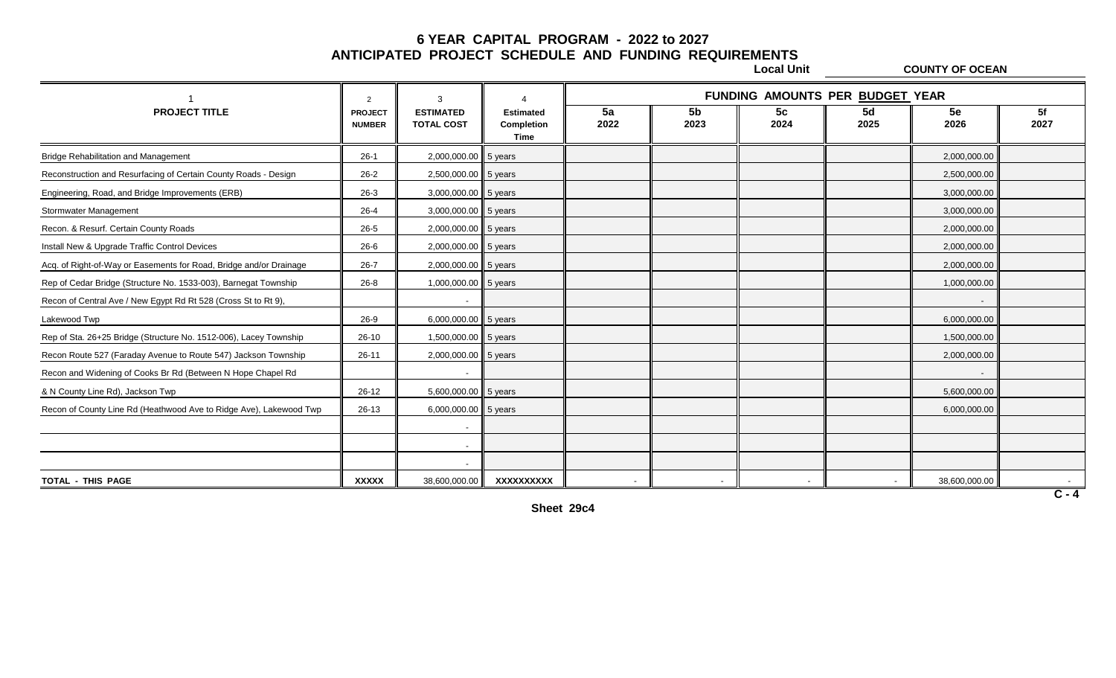**Local Unit COUNTY OF OCEAN**

|                                                                    | $\mathcal{P}$                   | 3                                     |                                        |                          |                        | FUNDING AMOUNTS PER BUDGET YEAR |            |                          |            |
|--------------------------------------------------------------------|---------------------------------|---------------------------------------|----------------------------------------|--------------------------|------------------------|---------------------------------|------------|--------------------------|------------|
| <b>PROJECT TITLE</b>                                               | <b>PROJECT</b><br><b>NUMBER</b> | <b>ESTIMATED</b><br><b>TOTAL COST</b> | <b>Estimated</b><br>Completion<br>Time | 5a<br>2022               | 5 <sub>b</sub><br>2023 | 5c<br>2024                      | 5d<br>2025 | 5e<br>2026               | 5f<br>2027 |
| <b>Bridge Rehabilitation and Management</b>                        | $26-1$                          | 2,000,000.00 5 years                  |                                        |                          |                        |                                 |            | 2,000,000.00             |            |
| Reconstruction and Resurfacing of Certain County Roads - Design    | $26 - 2$                        | 2,500,000.00 5 years                  |                                        |                          |                        |                                 |            | 2,500,000.00             |            |
| Engineering, Road, and Bridge Improvements (ERB)                   | $26-3$                          | 3,000,000.00 5 years                  |                                        |                          |                        |                                 |            | 3,000,000.00             |            |
| Stormwater Management                                              | $26 - 4$                        | 3,000,000.00 5 years                  |                                        |                          |                        |                                 |            | 3,000,000.00             |            |
| Recon. & Resurf. Certain County Roads                              | 26-5                            | 2,000,000.00 5 years                  |                                        |                          |                        |                                 |            | 2,000,000.00             |            |
| Install New & Upgrade Traffic Control Devices                      | 26-6                            | 2,000,000.00 5 years                  |                                        |                          |                        |                                 |            | 2,000,000.00             |            |
| Acq. of Right-of-Way or Easements for Road, Bridge and/or Drainage | $26 - 7$                        | 2,000,000.00 5 years                  |                                        |                          |                        |                                 |            | 2,000,000.00             |            |
| Rep of Cedar Bridge (Structure No. 1533-003), Barnegat Township    | $26 - 8$                        | 1,000,000.00 5 years                  |                                        |                          |                        |                                 |            | 1,000,000.00             |            |
| Recon of Central Ave / New Egypt Rd Rt 528 (Cross St to Rt 9),     |                                 |                                       |                                        |                          |                        |                                 |            |                          |            |
| Lakewood Twp                                                       | 26-9                            | 6,000,000.00 5 years                  |                                        |                          |                        |                                 |            | 6,000,000.00             |            |
| Rep of Sta. 26+25 Bridge (Structure No. 1512-006), Lacey Township  | $26-10$                         | 1,500,000.00 5 years                  |                                        |                          |                        |                                 |            | 1,500,000.00             |            |
| Recon Route 527 (Faraday Avenue to Route 547) Jackson Township     | $26 - 11$                       | 2,000,000.00 5 years                  |                                        |                          |                        |                                 |            | 2,000,000.00             |            |
| Recon and Widening of Cooks Br Rd (Between N Hope Chapel Rd        |                                 | $\overline{\phantom{a}}$              |                                        |                          |                        |                                 |            | $\overline{\phantom{a}}$ |            |
| & N County Line Rd), Jackson Twp                                   | 26-12                           | 5,600,000.00 5 years                  |                                        |                          |                        |                                 |            | 5,600,000.00             |            |
| Recon of County Line Rd (Heathwood Ave to Ridge Ave), Lakewood Twp | 26-13                           | 6,000,000.00 5 years                  |                                        |                          |                        |                                 |            | 6,000,000.00             |            |
|                                                                    |                                 |                                       |                                        |                          |                        |                                 |            |                          |            |
|                                                                    |                                 | $\overline{\phantom{a}}$              |                                        |                          |                        |                                 |            |                          |            |
|                                                                    |                                 |                                       |                                        |                          |                        |                                 |            |                          |            |
| TOTAL - THIS PAGE                                                  | <b>XXXXX</b>                    | 38,600,000.00                         | XXXXXXXXXX                             | $\overline{\phantom{a}}$ |                        |                                 |            | 38,600,000.00            | $C - 4$    |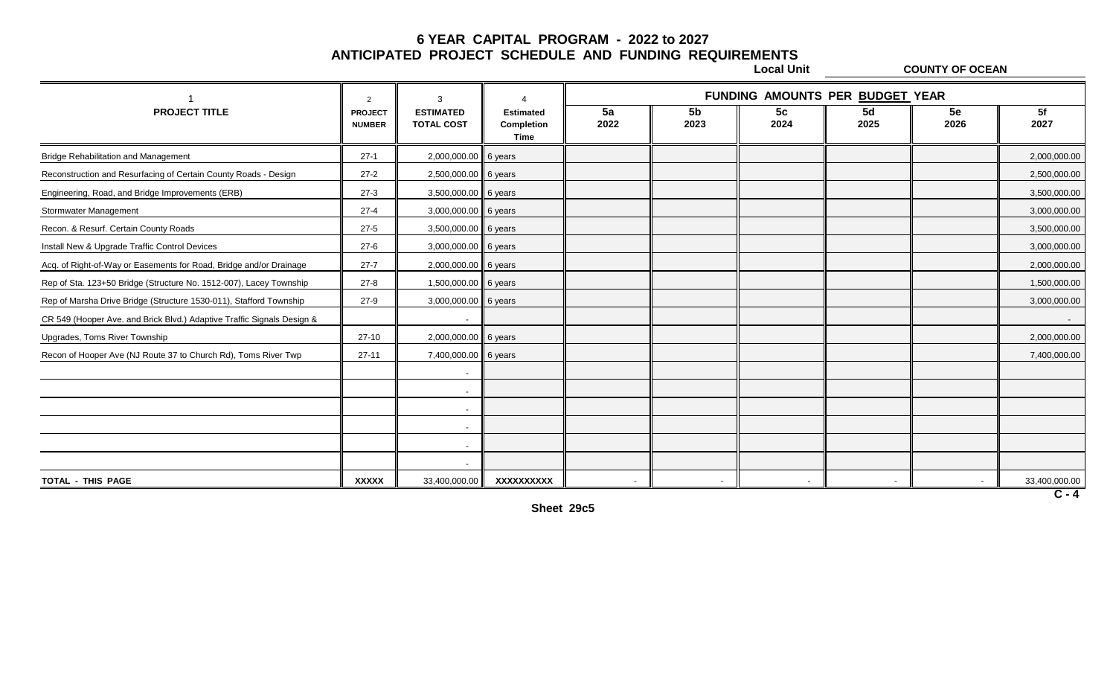**Local Unit COUNTY OF OCEAN**

|                                                                        | $\mathcal{P}$                   | 3                                     |                                        |            |                        | FUNDING AMOUNTS PER BUDGET YEAR |            |            |               |
|------------------------------------------------------------------------|---------------------------------|---------------------------------------|----------------------------------------|------------|------------------------|---------------------------------|------------|------------|---------------|
| <b>PROJECT TITLE</b>                                                   | <b>PROJECT</b><br><b>NUMBER</b> | <b>ESTIMATED</b><br><b>TOTAL COST</b> | <b>Estimated</b><br>Completion<br>Time | 5a<br>2022 | 5 <sub>b</sub><br>2023 | 5c<br>2024                      | 5d<br>2025 | 5e<br>2026 | 5f<br>2027    |
| <b>Bridge Rehabilitation and Management</b>                            | $27-1$                          | 2,000,000.00                          | 6 years                                |            |                        |                                 |            |            | 2,000,000.00  |
| Reconstruction and Resurfacing of Certain County Roads - Design        | $27-2$                          | 2,500,000.00 6 years                  |                                        |            |                        |                                 |            |            | 2,500,000.00  |
| Engineering, Road, and Bridge Improvements (ERB)                       | $27-3$                          | 3,500,000.00                          | 6 years                                |            |                        |                                 |            |            | 3,500,000.00  |
| Stormwater Management                                                  | $27 - 4$                        | 3,000,000.00 6 years                  |                                        |            |                        |                                 |            |            | 3,000,000.00  |
| Recon. & Resurf. Certain County Roads                                  | $27 - 5$                        | 3,500,000.00 6 years                  |                                        |            |                        |                                 |            |            | 3,500,000.00  |
| Install New & Upgrade Traffic Control Devices                          | $27 - 6$                        | 3,000,000.00 6 years                  |                                        |            |                        |                                 |            |            | 3,000,000.00  |
| Acq. of Right-of-Way or Easements for Road, Bridge and/or Drainage     | $27 - 7$                        | 2,000,000.00 6 years                  |                                        |            |                        |                                 |            |            | 2,000,000.00  |
| Rep of Sta. 123+50 Bridge (Structure No. 1512-007), Lacey Township     | $27 - 8$                        | 1,500,000.00 6 years                  |                                        |            |                        |                                 |            |            | 1,500,000.00  |
| Rep of Marsha Drive Bridge (Structure 1530-011), Stafford Township     | $27-9$                          | 3,000,000.00                          | 6 years                                |            |                        |                                 |            |            | 3,000,000.00  |
| CR 549 (Hooper Ave. and Brick Blvd.) Adaptive Traffic Signals Design & |                                 |                                       |                                        |            |                        |                                 |            |            |               |
| Upgrades, Toms River Township                                          | $27-10$                         | 2,000,000.00 6 years                  |                                        |            |                        |                                 |            |            | 2,000,000.00  |
| Recon of Hooper Ave (NJ Route 37 to Church Rd), Toms River Twp         | $27 - 11$                       | 7,400,000.00 6 years                  |                                        |            |                        |                                 |            |            | 7,400,000.00  |
|                                                                        |                                 |                                       |                                        |            |                        |                                 |            |            |               |
|                                                                        |                                 |                                       |                                        |            |                        |                                 |            |            |               |
|                                                                        |                                 | $\overline{\phantom{a}}$              |                                        |            |                        |                                 |            |            |               |
|                                                                        |                                 |                                       |                                        |            |                        |                                 |            |            |               |
|                                                                        |                                 |                                       |                                        |            |                        |                                 |            |            |               |
|                                                                        |                                 | $\overline{\phantom{a}}$              |                                        |            |                        |                                 |            |            |               |
| TOTAL - THIS PAGE                                                      | <b>XXXXX</b>                    | 33,400,000.00                         | XXXXXXXXXX                             |            |                        |                                 |            |            | 33,400,000.00 |

**C - 4**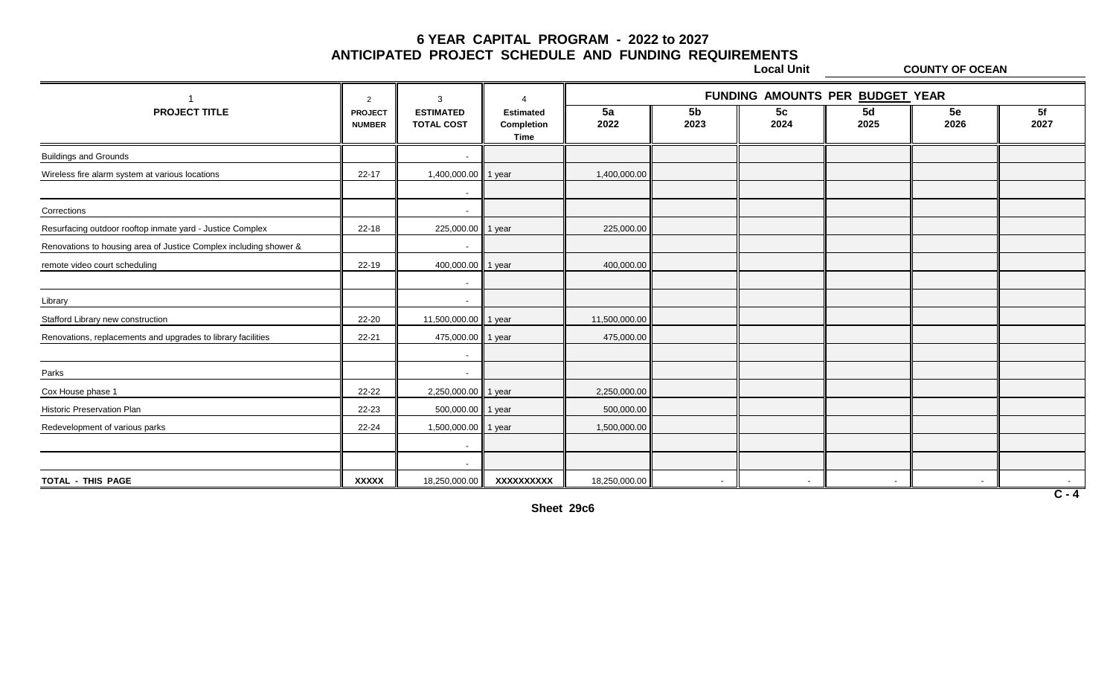**Local Unit COUNTY OF OCEAN**

|                                                                   | $\overline{2}$                  | 3                                     | Δ                                      |               |                        | FUNDING AMOUNTS PER BUDGET YEAR |            |            |            |
|-------------------------------------------------------------------|---------------------------------|---------------------------------------|----------------------------------------|---------------|------------------------|---------------------------------|------------|------------|------------|
| <b>PROJECT TITLE</b>                                              | <b>PROJECT</b><br><b>NUMBER</b> | <b>ESTIMATED</b><br><b>TOTAL COST</b> | <b>Estimated</b><br>Completion<br>Time | 5a<br>2022    | 5 <sub>b</sub><br>2023 | 5c<br>2024                      | 5d<br>2025 | 5e<br>2026 | 5f<br>2027 |
| <b>Buildings and Grounds</b>                                      |                                 |                                       |                                        |               |                        |                                 |            |            |            |
| Wireless fire alarm system at various locations                   | $22 - 17$                       | 1,400,000.00                          | 1 year                                 | 1,400,000.00  |                        |                                 |            |            |            |
|                                                                   |                                 | $\overline{\phantom{a}}$              |                                        |               |                        |                                 |            |            |            |
| Corrections                                                       |                                 | $\overline{\phantom{a}}$              |                                        |               |                        |                                 |            |            |            |
| Resurfacing outdoor rooftop inmate yard - Justice Complex         | $22 - 18$                       | 225,000.00                            | 1 year                                 | 225,000.00    |                        |                                 |            |            |            |
| Renovations to housing area of Justice Complex including shower & |                                 | $\overline{\phantom{a}}$              |                                        |               |                        |                                 |            |            |            |
| remote video court scheduling                                     | 22-19                           | 400,000.00                            | 1 year                                 | 400,000.00    |                        |                                 |            |            |            |
|                                                                   |                                 | $\overline{\phantom{a}}$              |                                        |               |                        |                                 |            |            |            |
| Library                                                           |                                 | $\overline{\phantom{a}}$              |                                        |               |                        |                                 |            |            |            |
| Stafford Library new construction                                 | 22-20                           | 11,500,000.00                         | 1 year                                 | 11,500,000.00 |                        |                                 |            |            |            |
| Renovations, replacements and upgrades to library facilities      | $22 - 21$                       | 475,000.00                            | 1 year                                 | 475,000.00    |                        |                                 |            |            |            |
|                                                                   |                                 | $\overline{\phantom{a}}$              |                                        |               |                        |                                 |            |            |            |
| Parks                                                             |                                 | $\overline{\phantom{a}}$              |                                        |               |                        |                                 |            |            |            |
| Cox House phase 1                                                 | $22 - 22$                       | 2,250,000.00                          | 1 year                                 | 2,250,000.00  |                        |                                 |            |            |            |
| Historic Preservation Plan                                        | 22-23                           | 500,000.00                            | 1 year                                 | 500,000.00    |                        |                                 |            |            |            |
| Redevelopment of various parks                                    | 22-24                           | 1,500,000.00                          | 1 year                                 | 1,500,000.00  |                        |                                 |            |            |            |
|                                                                   |                                 | $\sim$                                |                                        |               |                        |                                 |            |            |            |
|                                                                   |                                 | $\overline{\phantom{a}}$              |                                        |               |                        |                                 |            |            |            |
| <b>TOTAL - THIS PAGE</b>                                          | <b>XXXXX</b>                    | 18,250,000.00                         | XXXXXXXXXX                             | 18,250,000.00 |                        |                                 |            |            | $\sim$     |

**Sheet 29c6**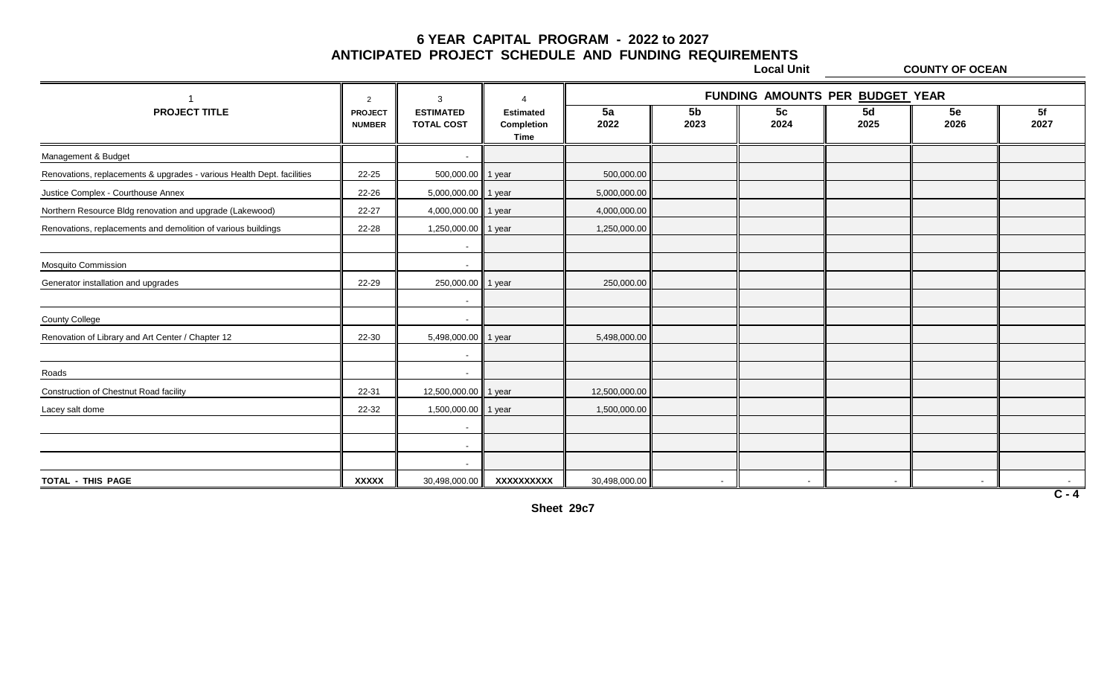**Local Unit COUNTY OF OCEAN**

|                                                                        | $\overline{2}$                  | 3                                     | $\Lambda$                              | FUNDING AMOUNTS PER BUDGET YEAR |                          |                        |            |            |            |  |
|------------------------------------------------------------------------|---------------------------------|---------------------------------------|----------------------------------------|---------------------------------|--------------------------|------------------------|------------|------------|------------|--|
| <b>PROJECT TITLE</b>                                                   | <b>PROJECT</b><br><b>NUMBER</b> | <b>ESTIMATED</b><br><b>TOTAL COST</b> | <b>Estimated</b><br>Completion<br>Time | 5a<br>2022                      | 5 <sub>b</sub><br>2023   | 5 <sub>c</sub><br>2024 | 5d<br>2025 | 5e<br>2026 | 5f<br>2027 |  |
| Management & Budget                                                    |                                 |                                       |                                        |                                 |                          |                        |            |            |            |  |
| Renovations, replacements & upgrades - various Health Dept. facilities | 22-25                           | 500,000.00                            | 1 year                                 | 500,000.00                      |                          |                        |            |            |            |  |
| Justice Complex - Courthouse Annex                                     | 22-26                           | 5,000,000.00                          | 1 year                                 | 5,000,000.00                    |                          |                        |            |            |            |  |
| Northern Resource Bldg renovation and upgrade (Lakewood)               | 22-27                           | 4,000,000.00                          | 1 year                                 | 4,000,000.00                    |                          |                        |            |            |            |  |
| Renovations, replacements and demolition of various buildings          | 22-28                           | 1,250,000.00                          | 1 year                                 | 1,250,000.00                    |                          |                        |            |            |            |  |
|                                                                        |                                 | $\overline{\phantom{a}}$              |                                        |                                 |                          |                        |            |            |            |  |
| <b>Mosquito Commission</b>                                             |                                 | $\overline{\phantom{a}}$              |                                        |                                 |                          |                        |            |            |            |  |
| Generator installation and upgrades                                    | 22-29                           | 250,000.00                            | 1 year                                 | 250,000.00                      |                          |                        |            |            |            |  |
|                                                                        |                                 |                                       |                                        |                                 |                          |                        |            |            |            |  |
| <b>County College</b>                                                  |                                 |                                       |                                        |                                 |                          |                        |            |            |            |  |
| Renovation of Library and Art Center / Chapter 12                      | 22-30                           | 5,498,000.00                          | 1 year                                 | 5,498,000.00                    |                          |                        |            |            |            |  |
|                                                                        |                                 |                                       |                                        |                                 |                          |                        |            |            |            |  |
| Roads                                                                  |                                 | $\overline{\phantom{a}}$              |                                        |                                 |                          |                        |            |            |            |  |
| Construction of Chestnut Road facility                                 | 22-31                           | 12,500,000.00                         | 1 year                                 | 12,500,000.00                   |                          |                        |            |            |            |  |
| Lacey salt dome                                                        | 22-32                           | 1,500,000.00                          | 1 year                                 | 1,500,000.00                    |                          |                        |            |            |            |  |
|                                                                        |                                 |                                       |                                        |                                 |                          |                        |            |            |            |  |
|                                                                        |                                 | $\overline{\phantom{0}}$              |                                        |                                 |                          |                        |            |            |            |  |
|                                                                        |                                 |                                       |                                        |                                 |                          |                        |            |            |            |  |
| TOTAL - THIS PAGE                                                      | <b>XXXXX</b>                    | 30,498,000.00                         | XXXXXXXXXX                             | 30,498,000.00                   | $\overline{\phantom{a}}$ |                        |            | $\sim$     | $C - 4$    |  |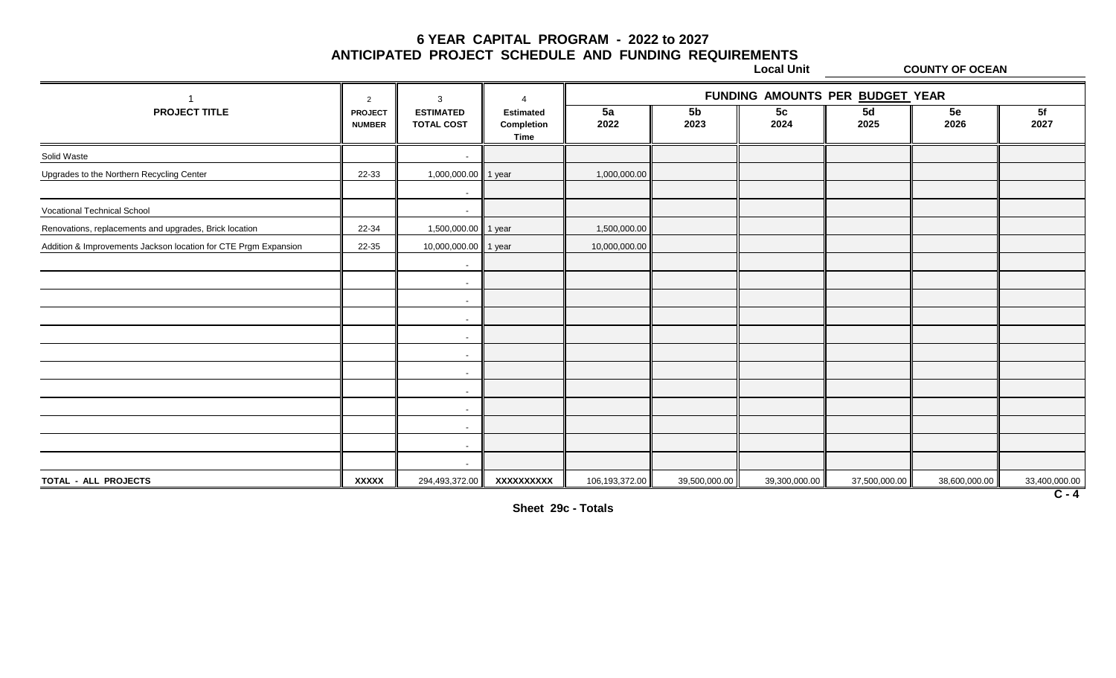**Local Unit COUNTY OF OCEAN**

| <b>PROJECT</b><br><b>NUMBER</b><br>22-33 | <b>ESTIMATED</b><br><b>TOTAL COST</b><br>$\overline{\phantom{a}}$ | <b>Estimated</b><br>Completion<br><b>Time</b> | 5a<br>2022                                                    | 5 <sub>b</sub><br>2023 | 5 <sub>c</sub><br>2024 | 5d<br>2025    | 5e<br>2026    | 5f                       |
|------------------------------------------|-------------------------------------------------------------------|-----------------------------------------------|---------------------------------------------------------------|------------------------|------------------------|---------------|---------------|--------------------------|
|                                          |                                                                   |                                               |                                                               |                        |                        |               |               | 2027                     |
|                                          |                                                                   |                                               |                                                               |                        |                        |               |               |                          |
|                                          | 1,000,000.00 1 year                                               |                                               | 1,000,000.00                                                  |                        |                        |               |               |                          |
|                                          | $\sim$                                                            |                                               |                                                               |                        |                        |               |               |                          |
|                                          | $\overline{a}$                                                    |                                               |                                                               |                        |                        |               |               |                          |
| 22-34                                    |                                                                   |                                               | 1,500,000.00                                                  |                        |                        |               |               |                          |
| 22-35                                    |                                                                   |                                               | 10,000,000.00                                                 |                        |                        |               |               |                          |
|                                          |                                                                   |                                               |                                                               |                        |                        |               |               |                          |
|                                          | $\sim$                                                            |                                               |                                                               |                        |                        |               |               |                          |
|                                          | $\overline{\phantom{0}}$                                          |                                               |                                                               |                        |                        |               |               |                          |
|                                          | $\sim$                                                            |                                               |                                                               |                        |                        |               |               |                          |
|                                          |                                                                   |                                               |                                                               |                        |                        |               |               |                          |
|                                          | $\sim$                                                            |                                               |                                                               |                        |                        |               |               |                          |
|                                          | $\overline{\phantom{0}}$                                          |                                               |                                                               |                        |                        |               |               |                          |
|                                          | $\overline{\phantom{a}}$                                          |                                               |                                                               |                        |                        |               |               |                          |
|                                          | $\sim$                                                            |                                               |                                                               |                        |                        |               |               |                          |
|                                          |                                                                   |                                               |                                                               |                        |                        |               |               |                          |
|                                          | $\sim$                                                            |                                               |                                                               |                        |                        |               |               |                          |
|                                          | $\sim$                                                            |                                               |                                                               |                        |                        |               |               |                          |
| <b>XXXXX</b>                             |                                                                   | XXXXXXXXX                                     | 106,193,372.00                                                | 39,500,000.00          | 39,300,000.00          | 37,500,000.00 | 38,600,000.00 | 33,400,000.00<br>$C - 4$ |
|                                          |                                                                   |                                               | 1,500,000.00 1 year<br>10,000,000.00 1 year<br>294,493,372.00 |                        |                        |               |               |                          |

**Sheet 29c - Totals**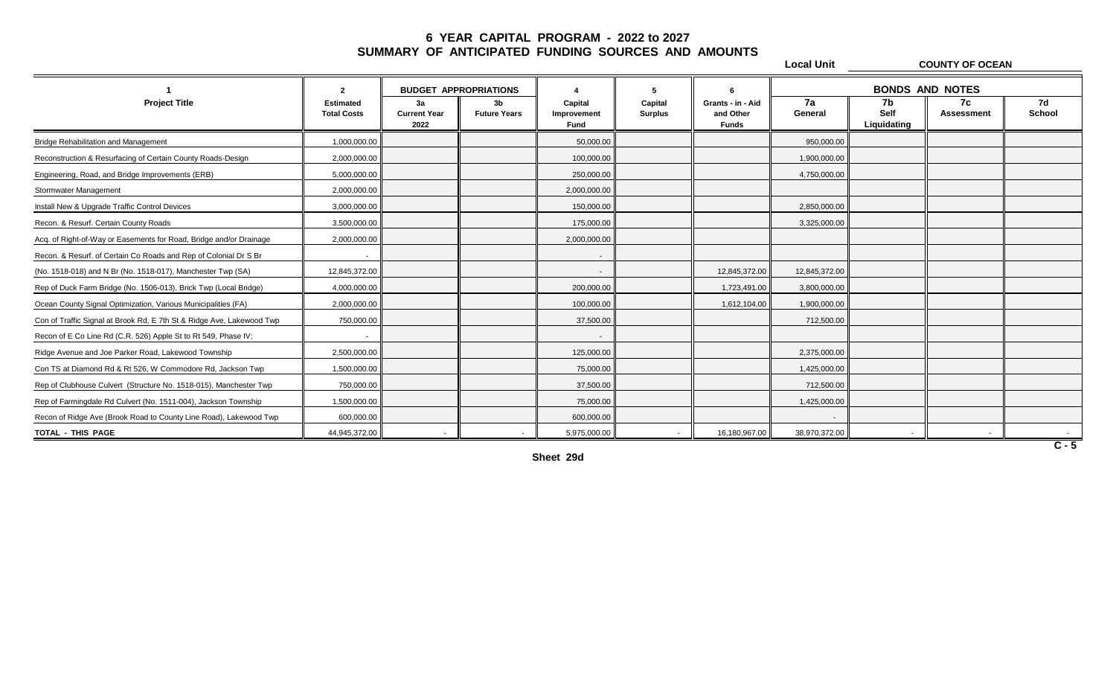|                                                                       |                                        |                                   |                                       |                                       |                           |                                                | <b>Local Unit</b> |                                  | <b>COUNTY OF OCEAN</b>  |              |
|-----------------------------------------------------------------------|----------------------------------------|-----------------------------------|---------------------------------------|---------------------------------------|---------------------------|------------------------------------------------|-------------------|----------------------------------|-------------------------|--------------|
|                                                                       | $\overline{2}$                         |                                   | <b>BUDGET APPROPRIATIONS</b>          |                                       |                           |                                                |                   |                                  | <b>BONDS AND NOTES</b>  |              |
| <b>Project Title</b>                                                  | <b>Estimated</b><br><b>Total Costs</b> | 3a<br><b>Current Year</b><br>2022 | 3 <sub>b</sub><br><b>Future Years</b> | Capital<br>Improvement<br><b>Fund</b> | Capital<br><b>Surplus</b> | Grants - in - Aid<br>and Other<br><b>Funds</b> | 7a<br>General     | 7b<br><b>Self</b><br>Liquidating | 7c<br><b>Assessment</b> | 7d<br>School |
| <b>Bridge Rehabilitation and Management</b>                           | 1,000,000.00                           |                                   |                                       | 50,000.00                             |                           |                                                | 950,000.00        |                                  |                         |              |
| Reconstruction & Resurfacing of Certain County Roads-Design           | 2,000,000.00                           |                                   |                                       | 100,000.00                            |                           |                                                | 1,900,000.00      |                                  |                         |              |
| Engineering, Road, and Bridge Improvements (ERB)                      | 5,000,000.00                           |                                   |                                       | 250,000.00                            |                           |                                                | 4,750,000.00      |                                  |                         |              |
| Stormwater Management                                                 | 2,000,000.00                           |                                   |                                       | 2,000,000.00                          |                           |                                                |                   |                                  |                         |              |
| Install New & Upgrade Traffic Control Devices                         | 3,000,000.00                           |                                   |                                       | 150,000.00                            |                           |                                                | 2,850,000.00      |                                  |                         |              |
| Recon. & Resurf. Certain County Roads                                 | 3,500,000.00                           |                                   |                                       | 175,000.00                            |                           |                                                | 3,325,000.00      |                                  |                         |              |
| Acq. of Right-of-Way or Easements for Road, Bridge and/or Drainage    | 2,000,000.00                           |                                   |                                       | 2,000,000.00                          |                           |                                                |                   |                                  |                         |              |
| Recon. & Resurf. of Certain Co Roads and Rep of Colonial Dr S Br      |                                        |                                   |                                       | $\overline{\phantom{a}}$              |                           |                                                |                   |                                  |                         |              |
| (No. 1518-018) and N Br (No. 1518-017), Manchester Twp (SA)           | 12,845,372.00                          |                                   |                                       | $\sim$                                |                           | 12,845,372.00                                  | 12,845,372.00     |                                  |                         |              |
| Rep of Duck Farm Bridge (No. 1506-013), Brick Twp (Local Bridge)      | 4,000,000.00                           |                                   |                                       | 200.000.00                            |                           | 1,723,491.00                                   | 3,800,000.00      |                                  |                         |              |
| Ocean County Signal Optimization, Various Municipalities (FA)         | 2,000,000.00                           |                                   |                                       | 100,000.00                            |                           | 1,612,104.00                                   | 1,900,000.00      |                                  |                         |              |
| Con of Traffic Signal at Brook Rd, E 7th St & Ridge Ave, Lakewood Twp | 750,000.00                             |                                   |                                       | 37,500.00                             |                           |                                                | 712,500.00        |                                  |                         |              |
| Recon of E Co Line Rd (C.R. 526) Apple St to Rt 549, Phase IV;        |                                        |                                   |                                       | $\sim$                                |                           |                                                |                   |                                  |                         |              |
| Ridge Avenue and Joe Parker Road, Lakewood Township                   | 2,500,000.00                           |                                   |                                       | 125,000.00                            |                           |                                                | 2,375,000.00      |                                  |                         |              |
| Con TS at Diamond Rd & Rt 526, W Commodore Rd, Jackson Twp            | 1,500,000.00                           |                                   |                                       | 75,000.00                             |                           |                                                | 1,425,000.00      |                                  |                         |              |
| Rep of Clubhouse Culvert (Structure No. 1518-015), Manchester Twp     | 750,000.00                             |                                   |                                       | 37,500.00                             |                           |                                                | 712,500.00        |                                  |                         |              |
| Rep of Farmingdale Rd Culvert (No. 1511-004), Jackson Township        | 1,500,000.00                           |                                   |                                       | 75,000.00                             |                           |                                                | 1,425,000.00      |                                  |                         |              |
| Recon of Ridge Ave (Brook Road to County Line Road), Lakewood Twp     | 600,000.00                             |                                   |                                       | 600,000.00                            |                           |                                                |                   |                                  |                         |              |
| TOTAL - THIS PAGE                                                     | 44,945,372.00                          | $\sim$                            | $\sim$                                | 5,975,000.00                          | $\sim$                    | 16,180,967.00                                  | 38,970,372.00     | $\sim$                           |                         |              |
|                                                                       |                                        |                                   |                                       |                                       |                           |                                                |                   |                                  |                         | $C - 5$      |

**Sheet 29d**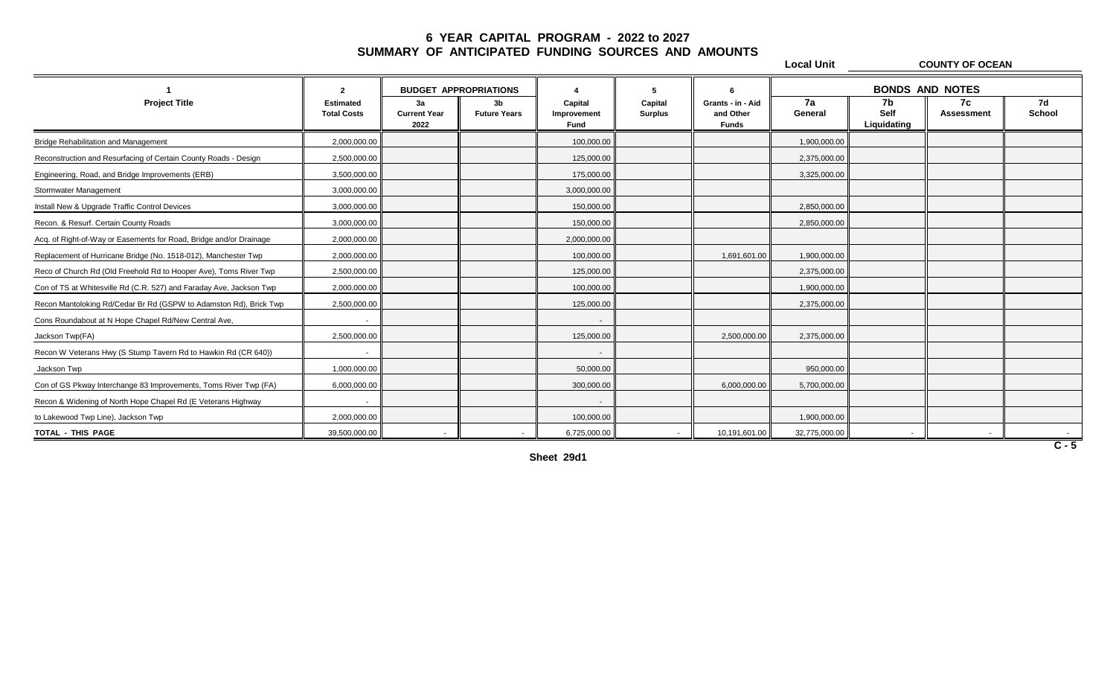**Local Unit COUNTY OF OCEAN 1 2 4 5 6 BUDGET APPROPRIATIONS BONDS AND NOTESProject Title Estimated 3a 3b Capital Capital Grants - in - Aid 7a 7b 7c 7d Total Costs Current Year Future Years Improvement Surplus and Other General Self Assessment School 2022 Fund Funds Liquidating** Bridge Rehabilitation and Management 2,000,000.00 100,000.00 1,900,000.00 Reconstruction and Resurfacing of Certain County Roads - Design 12,500,000.00 2,500,000.00 125,000.00 125,000.00 2,375,000.00 125,000.00 125,000.00 125,000.00 125,000.00 125,000.00 125,000.00 125,000.00 125,000.00 125,000. Engineering, Road, and Bridge Improvements (ERB)  $\parallel$  3,500,000.00  $\parallel$  3,500,000.00  $\parallel$  175,000.00  $\parallel$  3,175,000.00  $\parallel$  3,175,000.00  $\parallel$  3,325,000.00  $\parallel$ Stormwater Management 2000,000.00 3,000,000.00 3,000,000.00 3,000,000.00 3,000,000.00 3,000,000.00 3,000,000.00 Install New & Upgrade Traffic Control Devices 3,000,000.00 150,000.00 2,850,000.00 Recon. & Resurf. Certain County Roads 3,000,000.00 150,000.00 2,850,000.00 Acq. of Right-of-Way or Easements for Road, Bridge and/or Drainage 2,000,000.00 2,000,000.00 Replacement of Hurricane Bridge (No. 1518-012), Manchester Twp  $\parallel$  2,000,000.00  $\parallel$   $\parallel$   $\parallel$  1,000,000.00  $\parallel$  1,900,000.00  $\parallel$  1,900,000.00  $\parallel$  1,900,000.00 1,900,000.00 1,900,000.00 1,900,000.00 1,900,000.00 1,900,0 Reco of Church Rd (Old Freehold Rd to Hooper Ave), Toms River Twp  $\parallel$  2,500,000.00  $\parallel$  2,375,000.00  $\parallel$  2,375,000.00 2,375,000.00 2,375,000.00 2,375,000 2,375,000 2,375,000 2,375,000 2,375,000 2,375,000 2,375,000 2,375, Con of TS at Whitesville Rd (C.R. 527) and Faraday Ave, Jackson Twp  $\parallel$  2,000,000.00  $\parallel$  1,900,000.00  $\parallel$  1,900,000.00  $\parallel$  1,900,000.00  $\parallel$  1,900,000.00  $\parallel$  1,900,000.00 Recon Mantoloking Rd/Cedar Br Rd (GSPW to Adamston Rd), Brick Twp  $\parallel$  2,500,000.00  $\parallel$  2,500,000.00  $\parallel$  125,000.00  $\parallel$  125,000.00  $\parallel$  125,000.00  $\parallel$  125,000.00  $\parallel$  125,000.00  $\parallel$ Cons Roundabout at N Hope Chapel Rd/New Central Ave, **And The Chapel Art Ave Art Ave Art Ave Art Ave Art Ave Art Ave Art Ave Art Ave Art Ave Art Ave Art Ave Art Ave Art Ave Art Ave Art Ave Art Ave Art Ave Art Ave Art Ave A** Jackson Twp(FA) 2,500,000.00 125,000.00 2,500,000.00 2,375,000.00 Recon W Veterans Hwy (S Stump Tavern Rd to Hawkin Rd (CR 640)) - - Jackson Twp 1,000,000.00 50,000.00 950,000.00 Con of GS Pkway Interchange 83 Improvements, Toms River Twp (FA)  $\parallel$  6,000,000.00  $\parallel$  6,000,000.00  $\parallel$  5,700,000.00  $\parallel$  5,700,000.00 6,000,000.00 6,700,000.00 5,700,000.00 5,700,000.00 5,700,000.00 5,700,000.00 6,5700, Recon & Widening of North Hope Chapel Rd (E Veterans Highway - to Lakewood Twp Line), Jackson Twp 2,000,000.00 100,000.00 1,900,000.00 **TOTAL - THIS PAGE** 39,500,000.00 - - 6,725,000.00 - 10,191,601.00 32,775,000.00 - - -

**Sheet 29d1**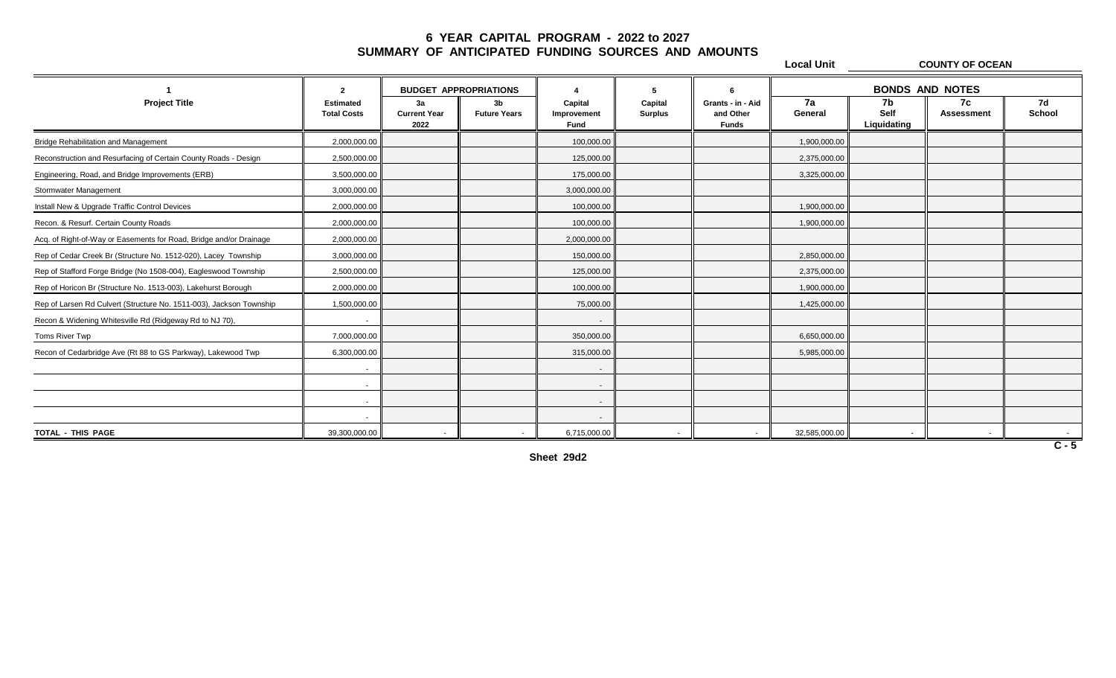|                                                                     |                                        |                                   |                                       |                                |                           |                                                | <b>Local Unit</b> |                           | <b>COUNTY OF OCEAN</b>   |              |
|---------------------------------------------------------------------|----------------------------------------|-----------------------------------|---------------------------------------|--------------------------------|---------------------------|------------------------------------------------|-------------------|---------------------------|--------------------------|--------------|
|                                                                     | $\mathbf{2}$                           | <b>BUDGET APPROPRIATIONS</b>      |                                       | $\boldsymbol{\Lambda}$         | -5                        |                                                |                   | <b>BONDS AND NOTES</b>    |                          |              |
| <b>Project Title</b>                                                | <b>Estimated</b><br><b>Total Costs</b> | 3a<br><b>Current Year</b><br>2022 | 3 <sub>b</sub><br><b>Future Years</b> | Capital<br>Improvement<br>Fund | Capital<br><b>Surplus</b> | Grants - in - Aid<br>and Other<br><b>Funds</b> | 7a<br>General     | 7b<br>Self<br>Liquidating | 7c<br><b>Assessment</b>  | 7d<br>School |
| <b>Bridge Rehabilitation and Management</b>                         | 2.000.000.00                           |                                   |                                       | 100,000.00                     |                           |                                                | 1,900,000.00      |                           |                          |              |
| Reconstruction and Resurfacing of Certain County Roads - Design     | 2,500,000.00                           |                                   |                                       | 125,000.00                     |                           |                                                | 2,375,000.00      |                           |                          |              |
| Engineering, Road, and Bridge Improvements (ERB)                    | 3,500,000.00                           |                                   |                                       | 175,000.00                     |                           |                                                | 3,325,000.00      |                           |                          |              |
| Stormwater Management                                               | 3,000,000.00                           |                                   |                                       | 3,000,000.00                   |                           |                                                |                   |                           |                          |              |
| Install New & Upgrade Traffic Control Devices                       | 2,000,000.00                           |                                   |                                       | 100,000.00                     |                           |                                                | 1,900,000.00      |                           |                          |              |
| Recon. & Resurf. Certain County Roads                               | 2,000,000.00                           |                                   |                                       | 100,000.00                     |                           |                                                | 1,900,000.00      |                           |                          |              |
| Acq. of Right-of-Way or Easements for Road, Bridge and/or Drainage  | 2,000,000.00                           |                                   |                                       | 2,000,000.00                   |                           |                                                |                   |                           |                          |              |
| Rep of Cedar Creek Br (Structure No. 1512-020), Lacey Township      | 3,000,000.00                           |                                   |                                       | 150,000.00                     |                           |                                                | 2,850,000.00      |                           |                          |              |
| Rep of Stafford Forge Bridge (No 1508-004), Eagleswood Township     | 2,500,000.00                           |                                   |                                       | 125,000.00                     |                           |                                                | 2,375,000.00      |                           |                          |              |
| Rep of Horicon Br (Structure No. 1513-003), Lakehurst Borough       | 2,000,000.00                           |                                   |                                       | 100,000.00                     |                           |                                                | 1,900,000.00      |                           |                          |              |
| Rep of Larsen Rd Culvert (Structure No. 1511-003), Jackson Township | 1,500,000.00                           |                                   |                                       | 75,000.00                      |                           |                                                | 1,425,000.00      |                           |                          |              |
| Recon & Widening Whitesville Rd (Ridgeway Rd to NJ 70),             |                                        |                                   |                                       | $\sim$                         |                           |                                                |                   |                           |                          |              |
| Toms River Twp                                                      | 7,000,000.00                           |                                   |                                       | 350,000.00                     |                           |                                                | 6,650,000.00      |                           |                          |              |
| Recon of Cedarbridge Ave (Rt 88 to GS Parkway), Lakewood Twp        | 6,300,000.00                           |                                   |                                       | 315,000.00                     |                           |                                                | 5,985,000.00      |                           |                          |              |
|                                                                     |                                        |                                   |                                       | $\sim$                         |                           |                                                |                   |                           |                          |              |
|                                                                     |                                        |                                   |                                       | $\sim$                         |                           |                                                |                   |                           |                          |              |
|                                                                     |                                        |                                   |                                       | $\sim$                         |                           |                                                |                   |                           |                          |              |
|                                                                     |                                        |                                   |                                       | $\sim$                         |                           |                                                |                   |                           |                          |              |
| TOTAL - THIS PAGE                                                   | 39,300,000.00                          |                                   |                                       | 6,715,000.00                   |                           |                                                | 32,585,000.00     | $\sim$                    | $\overline{\phantom{a}}$ |              |
|                                                                     |                                        |                                   |                                       |                                |                           |                                                |                   |                           |                          | $C - 5$      |

**Sheet 29d2**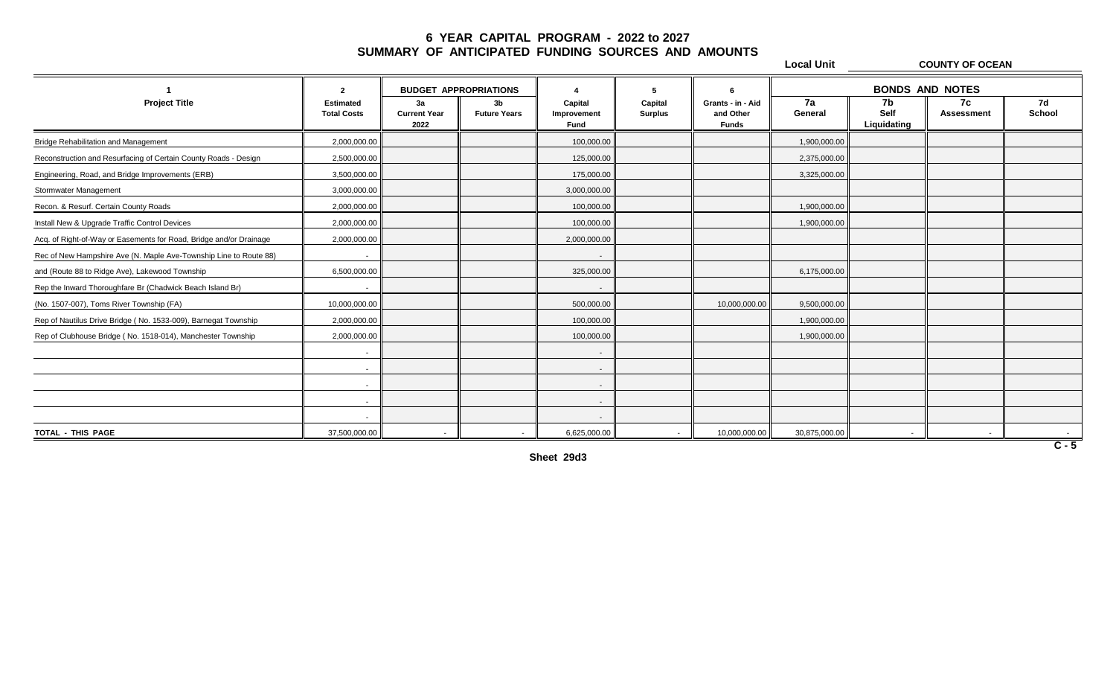|                                                                    |                                        |                                   |                                       |                                       |                           |                                                | <b>Local Unit</b>      |                           | <b>COUNTY OF OCEAN</b>  |                     |
|--------------------------------------------------------------------|----------------------------------------|-----------------------------------|---------------------------------------|---------------------------------------|---------------------------|------------------------------------------------|------------------------|---------------------------|-------------------------|---------------------|
|                                                                    | 2                                      | <b>BUDGET APPROPRIATIONS</b>      |                                       |                                       | 5                         | 6                                              | <b>BONDS AND NOTES</b> |                           |                         |                     |
| <b>Project Title</b>                                               | <b>Estimated</b><br><b>Total Costs</b> | 3a<br><b>Current Year</b><br>2022 | 3 <sub>b</sub><br><b>Future Years</b> | Capital<br>Improvement<br><b>Fund</b> | Capital<br><b>Surplus</b> | Grants - in - Aid<br>and Other<br><b>Funds</b> | 7a<br>General          | 7b<br>Self<br>Liquidating | 7c<br><b>Assessment</b> | 7d<br><b>School</b> |
| <b>Bridge Rehabilitation and Management</b>                        | 2,000,000.00                           |                                   |                                       | 100,000.00                            |                           |                                                | 1,900,000.00           |                           |                         |                     |
| Reconstruction and Resurfacing of Certain County Roads - Design    | 2,500,000.00                           |                                   |                                       | 125,000.00                            |                           |                                                | 2,375,000.00           |                           |                         |                     |
| Engineering, Road, and Bridge Improvements (ERB)                   | 3,500,000.00                           |                                   |                                       | 175,000.00                            |                           |                                                | 3,325,000.00           |                           |                         |                     |
| Stormwater Management                                              | 3,000,000.00                           |                                   |                                       | 3,000,000.00                          |                           |                                                |                        |                           |                         |                     |
| Recon. & Resurf. Certain County Roads                              | 2,000,000.00                           |                                   |                                       | 100,000.00                            |                           |                                                | 1,900,000.00           |                           |                         |                     |
| Install New & Upgrade Traffic Control Devices                      | 2,000,000.00                           |                                   |                                       | 100,000.00                            |                           |                                                | 1,900,000.00           |                           |                         |                     |
| Acq. of Right-of-Way or Easements for Road, Bridge and/or Drainage | 2,000,000.00                           |                                   |                                       | 2,000,000.00                          |                           |                                                |                        |                           |                         |                     |
| Rec of New Hampshire Ave (N. Maple Ave-Township Line to Route 88)  | $\sim$                                 |                                   |                                       | $\sim$                                |                           |                                                |                        |                           |                         |                     |
| and (Route 88 to Ridge Ave), Lakewood Township                     | 6,500,000.00                           |                                   |                                       | 325,000.00                            |                           |                                                | 6,175,000.00           |                           |                         |                     |
| Rep the Inward Thoroughfare Br (Chadwick Beach Island Br)          |                                        |                                   |                                       |                                       |                           |                                                |                        |                           |                         |                     |
| (No. 1507-007), Toms River Township (FA)                           | 10,000,000.00                          |                                   |                                       | 500,000.00                            |                           | 10,000,000.00                                  | 9,500,000.00           |                           |                         |                     |
| Rep of Nautilus Drive Bridge (No. 1533-009), Barnegat Township     | 2,000,000.00                           |                                   |                                       | 100,000.00                            |                           |                                                | 1,900,000.00           |                           |                         |                     |
| Rep of Clubhouse Bridge (No. 1518-014), Manchester Township        | 2,000,000.00                           |                                   |                                       | 100,000.00                            |                           |                                                | 1,900,000.00           |                           |                         |                     |
|                                                                    | $\sim$                                 |                                   |                                       | $\sim$                                |                           |                                                |                        |                           |                         |                     |
|                                                                    | $\sim$                                 |                                   |                                       | $\sim$                                |                           |                                                |                        |                           |                         |                     |
|                                                                    | $\sim$                                 |                                   |                                       | ۰.                                    |                           |                                                |                        |                           |                         |                     |
|                                                                    | $\sim$                                 |                                   |                                       | $\sim$                                |                           |                                                |                        |                           |                         |                     |
|                                                                    |                                        |                                   |                                       |                                       |                           |                                                |                        |                           |                         |                     |
| TOTAL - THIS PAGE                                                  | 37,500,000.00                          |                                   |                                       | 6,625,000.00                          | $\sim$                    | 10,000,000.00                                  | 30,875,000.00          |                           |                         |                     |

**Sheet 29d3**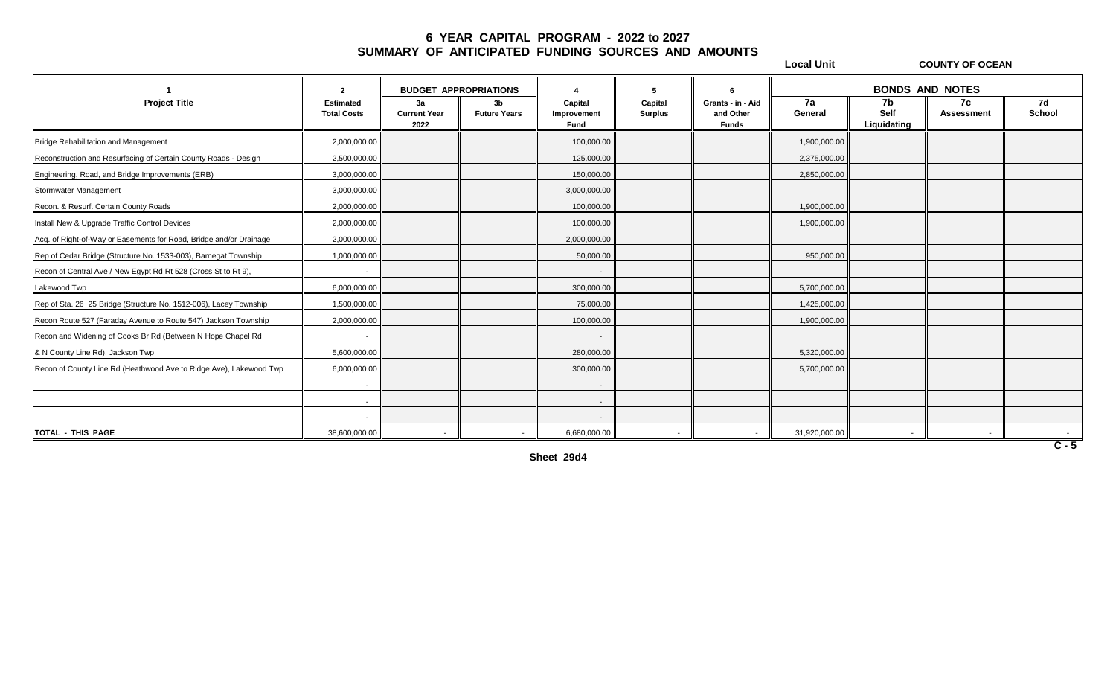|                                                                    |                                        |                                   |                                       |                                       |                           |                                                | <b>Local Unit</b> |                           | <b>COUNTY OF OCEAN</b>   |              |
|--------------------------------------------------------------------|----------------------------------------|-----------------------------------|---------------------------------------|---------------------------------------|---------------------------|------------------------------------------------|-------------------|---------------------------|--------------------------|--------------|
|                                                                    | $\overline{2}$                         | <b>BUDGET APPROPRIATIONS</b>      |                                       |                                       | 5                         |                                                |                   |                           | <b>BONDS AND NOTES</b>   |              |
| <b>Project Title</b>                                               | <b>Estimated</b><br><b>Total Costs</b> | 3a<br><b>Current Year</b><br>2022 | 3 <sub>b</sub><br><b>Future Years</b> | Capital<br>Improvement<br><b>Fund</b> | Capital<br><b>Surplus</b> | Grants - in - Aid<br>and Other<br><b>Funds</b> | 7a<br>General     | 7b<br>Self<br>Liquidating | 7c<br><b>Assessment</b>  | 7d<br>School |
| <b>Bridge Rehabilitation and Management</b>                        | 2,000,000.00                           |                                   |                                       | 100,000.00                            |                           |                                                | 1,900,000.00      |                           |                          |              |
| Reconstruction and Resurfacing of Certain County Roads - Design    | 2,500,000.00                           |                                   |                                       | 125,000.00                            |                           |                                                | 2,375,000.00      |                           |                          |              |
| Engineering, Road, and Bridge Improvements (ERB)                   | 3,000,000.00                           |                                   |                                       | 150,000.00                            |                           |                                                | 2,850,000.00      |                           |                          |              |
| Stormwater Management                                              | 3,000,000.00                           |                                   |                                       | 3,000,000.00                          |                           |                                                |                   |                           |                          |              |
| Recon. & Resurf. Certain County Roads                              | 2,000,000.00                           |                                   |                                       | 100,000.00                            |                           |                                                | 1,900,000.00      |                           |                          |              |
| Install New & Upgrade Traffic Control Devices                      | 2,000,000.00                           |                                   |                                       | 100,000.00                            |                           |                                                | 1,900,000.00      |                           |                          |              |
| Acq. of Right-of-Way or Easements for Road, Bridge and/or Drainage | 2,000,000.00                           |                                   |                                       | 2,000,000.00                          |                           |                                                |                   |                           |                          |              |
| Rep of Cedar Bridge (Structure No. 1533-003), Barnegat Township    | 1,000,000.00                           |                                   |                                       | 50,000.00                             |                           |                                                | 950,000.00        |                           |                          |              |
| Recon of Central Ave / New Egypt Rd Rt 528 (Cross St to Rt 9),     |                                        |                                   |                                       | $\overline{\phantom{a}}$              |                           |                                                |                   |                           |                          |              |
| Lakewood Twp                                                       | 6,000,000.00                           |                                   |                                       | 300,000.00                            |                           |                                                | 5,700,000.00      |                           |                          |              |
| Rep of Sta. 26+25 Bridge (Structure No. 1512-006), Lacey Township  | 1,500,000.00                           |                                   |                                       | 75,000.00                             |                           |                                                | 1,425,000.00      |                           |                          |              |
| Recon Route 527 (Faraday Avenue to Route 547) Jackson Township     | 2,000,000.00                           |                                   |                                       | 100,000.00                            |                           |                                                | 1,900,000.00      |                           |                          |              |
| Recon and Widening of Cooks Br Rd (Between N Hope Chapel Rd        |                                        |                                   |                                       | $\sim$                                |                           |                                                |                   |                           |                          |              |
| & N County Line Rd), Jackson Twp                                   | 5,600,000.00                           |                                   |                                       | 280,000.00                            |                           |                                                | 5,320,000.00      |                           |                          |              |
| Recon of County Line Rd (Heathwood Ave to Ridge Ave), Lakewood Twp | 6,000,000.00                           |                                   |                                       | 300,000.00                            |                           |                                                | 5,700,000.00      |                           |                          |              |
|                                                                    | $\sim$                                 |                                   |                                       | $\sim$                                |                           |                                                |                   |                           |                          |              |
|                                                                    |                                        |                                   |                                       | $\sim$                                |                           |                                                |                   |                           |                          |              |
|                                                                    |                                        |                                   |                                       | $\sim$                                |                           |                                                |                   |                           |                          |              |
| TOTAL - THIS PAGE                                                  | 38,600,000.00                          |                                   | $\sim$                                | 6,680,000.00                          | $\sim$                    |                                                | 31,920,000.00     |                           | $\overline{\phantom{a}}$ |              |

**Sheet 29d4**

 $\overline{\phantom{a}}$ 

**C - 5**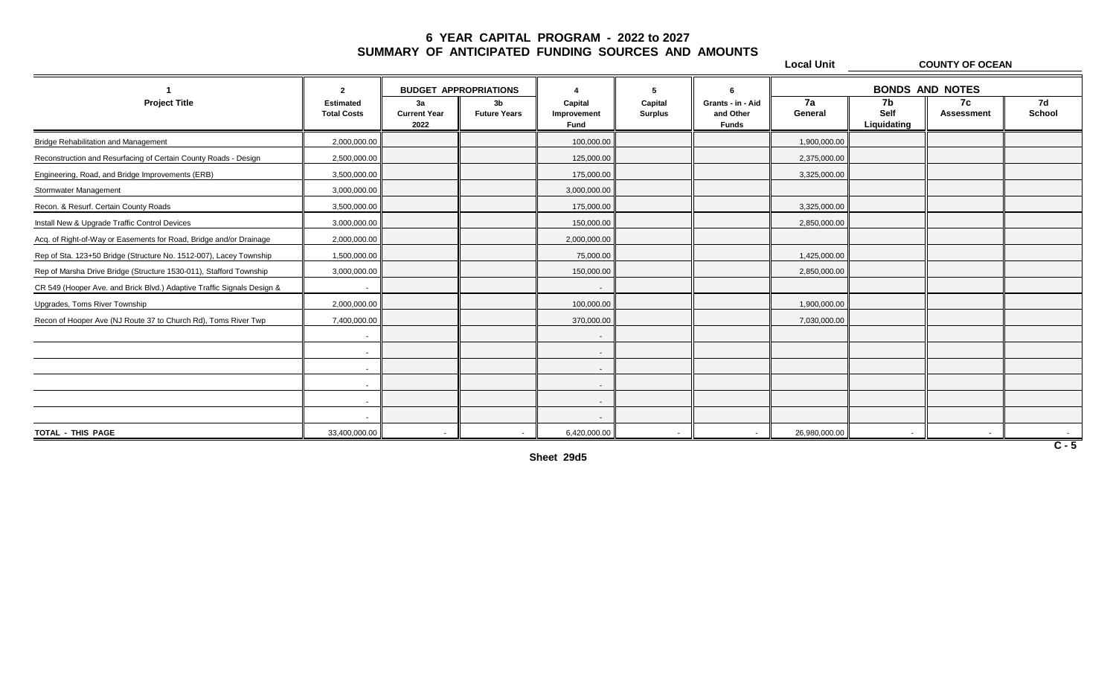**Local Unit COUNTY OF OCEAN 1 2 4 5 6 BUDGET APPROPRIATIONS BONDS AND NOTESProject Title Estimated 3a 3b Capital Capital Grants - in - Aid 7a 7b 7c 7d Total Costs Current Year Future Years Improvement Surplus and Other General Self Assessment School 2022 Fund Funds Liquidating** Bridge Rehabilitation and Management 2,000,000.00 1000,000.00 1000000 1000000 10000.000 1000,000.00 1,900,000.00 1,900,000.00 Reconstruction and Resurfacing of Certain County Roads - Design 12,500,000.00 2,500,000.00 125,000.00 125,000.00 2,375,000.00 125,000.00 125,000.00 125,000.00 125,000.00 125,000.00 125,000.00 125,000.00 125,000.00 125,000. Engineering, Road, and Bridge Improvements (ERB)  $\parallel$  3,500,000.00  $\parallel$  3,500,000.00  $\parallel$  175,000.00  $\parallel$  3,275,000.00  $\parallel$  3,325,000.00 Stormwater Management 2000,000.00 3,000,000.00 3,000,000.00 3,000,000.00 3,000,000.00 3,000,000.00 3,000,000.00 Recon. & Resurf. Certain County Roads 3,500,000.00 175,000.00 3,325,000.00 Install New & Upgrade Traffic Control Devices 3,000,000.00 150,000.00 2,850,000.00 Acq. of Right-of-Way or Easements for Road, Bridge and/or Drainage 2,000,000.00 2,000,000.00 2,000,000.00 2,000,000.00 Rep of Sta. 123+50 Bridge (Structure No. 1512-007), Lacey Township  $\parallel$  1,500,000.00  $\parallel$  1,500,000.00  $\parallel$  75,000.00  $\parallel$  75,000.00  $\parallel$  75,000.00  $\parallel$  1,425,000.00  $\parallel$  1,425,000.00 Rep of Marsha Drive Bridge (Structure 1530-011), Stafford Township  $\parallel$  3,000,000.00  $\parallel$  3,000,000.00  $\parallel$  150,000.00  $\parallel$  150,000.00  $\parallel$  150,000.00  $\parallel$  150,000.00  $\parallel$  150,000.00  $\parallel$ CR 549 (Hooper Ave. and Brick Blvd.) Adaptive Traffic Signals Design & - - Upgrades, Toms River Township 2,000,000.00 100,000.00 1,900,000.00 Recon of Hooper Ave (NJ Route 37 to Church Rd), Toms River Twp  $\parallel$  7,400,000.00  $\parallel$  7,400,000.00  $\parallel$  370,000.00  $\parallel$  370,000.00  $\parallel$  7030,000.00  $\parallel$  7,030,000.00 - - - - - - - - - - - - TOTAL - THIS PAGE || 33,400,000.00 || - || 6,420,000.00 || - || - || - || - || - |

**Sheet 29d5**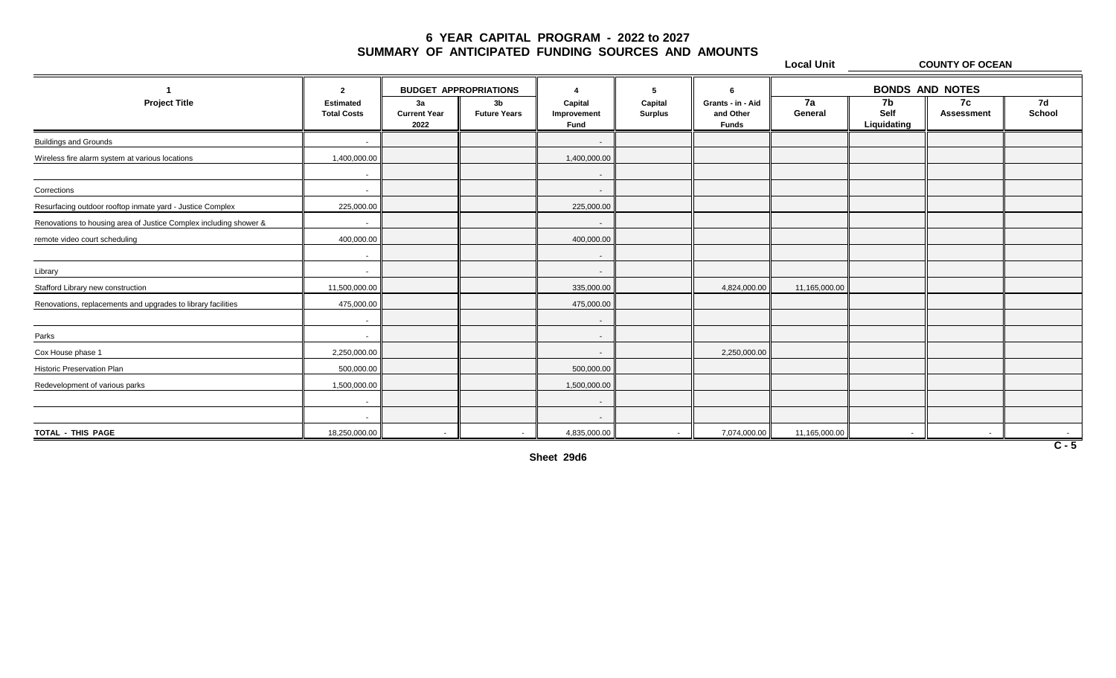**Local Unit COUNTY OF OCEAN**

|                                                                   | $\overline{2}$                         | <b>BUDGET APPROPRIATIONS</b>      |                                       |                                       |                           |                                                |               | <b>BONDS AND NOTES</b>    |                         |              |
|-------------------------------------------------------------------|----------------------------------------|-----------------------------------|---------------------------------------|---------------------------------------|---------------------------|------------------------------------------------|---------------|---------------------------|-------------------------|--------------|
| <b>Project Title</b>                                              | <b>Estimated</b><br><b>Total Costs</b> | 3a<br><b>Current Year</b><br>2022 | 3 <sub>b</sub><br><b>Future Years</b> | Capital<br>Improvement<br><b>Fund</b> | Capital<br><b>Surplus</b> | Grants - in - Aid<br>and Other<br><b>Funds</b> | 7a<br>General | 7b<br>Self<br>Liquidating | 7c<br><b>Assessment</b> | 7d<br>School |
| <b>Buildings and Grounds</b>                                      |                                        |                                   |                                       | $\overline{\phantom{a}}$              |                           |                                                |               |                           |                         |              |
| Wireless fire alarm system at various locations                   | 1,400,000.00                           |                                   |                                       | 1,400,000.00                          |                           |                                                |               |                           |                         |              |
|                                                                   | $\sim$                                 |                                   |                                       | $\sim$                                |                           |                                                |               |                           |                         |              |
| Corrections                                                       | $\sim$                                 |                                   |                                       | $\sim$                                |                           |                                                |               |                           |                         |              |
| Resurfacing outdoor rooftop inmate yard - Justice Complex         | 225,000.00                             |                                   |                                       | 225,000.00                            |                           |                                                |               |                           |                         |              |
| Renovations to housing area of Justice Complex including shower & | $\sim$                                 |                                   |                                       | $\sim$                                |                           |                                                |               |                           |                         |              |
| remote video court scheduling                                     | 400,000.00                             |                                   |                                       | 400,000.00                            |                           |                                                |               |                           |                         |              |
|                                                                   | $\sim$                                 |                                   |                                       | $\sim$                                |                           |                                                |               |                           |                         |              |
| Library                                                           | $\sim$                                 |                                   |                                       | $\sim$                                |                           |                                                |               |                           |                         |              |
| Stafford Library new construction                                 | 11,500,000.00                          |                                   |                                       | 335,000.00                            |                           | 4,824,000.00                                   | 11,165,000.00 |                           |                         |              |
| Renovations, replacements and upgrades to library facilities      | 475,000.00                             |                                   |                                       | 475,000.00                            |                           |                                                |               |                           |                         |              |
|                                                                   | $\sim$                                 |                                   |                                       | $\sim$                                |                           |                                                |               |                           |                         |              |
| Parks                                                             | $\sim$                                 |                                   |                                       | $\sim$                                |                           |                                                |               |                           |                         |              |
| Cox House phase 1                                                 | 2,250,000.00                           |                                   |                                       | $\sim$                                |                           | 2,250,000.00                                   |               |                           |                         |              |
| Historic Preservation Plan                                        | 500,000.00                             |                                   |                                       | 500,000.00                            |                           |                                                |               |                           |                         |              |
| Redevelopment of various parks                                    | 1,500,000.00                           |                                   |                                       | 1,500,000.00                          |                           |                                                |               |                           |                         |              |
|                                                                   | $\sim$                                 |                                   |                                       | $\sim$                                |                           |                                                |               |                           |                         |              |
|                                                                   | $\sim$                                 |                                   |                                       | $\sim$                                |                           |                                                |               |                           |                         |              |
| TOTAL - THIS PAGE                                                 | 18,250,000.00                          | $\sim$                            |                                       | 4,835,000.00                          | $\sim$                    | 7,074,000.00                                   | 11,165,000.00 |                           |                         | $\sim 100$   |

**Sheet 29d6**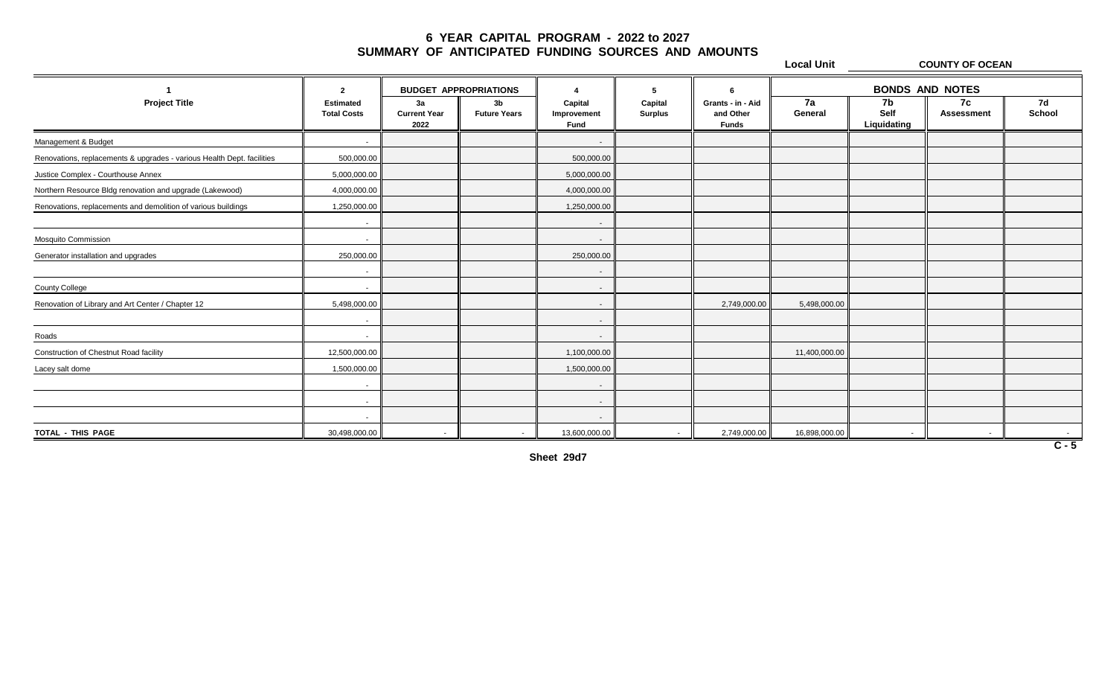**Local Unit COUNTY OF OCEAN 1 2 4 5 6 BUDGET APPROPRIATIONS BONDS AND NOTESProject Title Estimated 3a 3b Capital Capital Grants - in - Aid 7a 7b 7c 7d Total Costs Current Year Future Years Improvement Surplus and Other General Self Assessment School 2022 Fund Funds Liquidating** Management & Budget - - Renovations, replacements & upgrades - various Health Dept. facilities  $\parallel$  500,000.00  $\parallel$  500,000.00  $\parallel$  500,000.00 Justice Complex - Courthouse Annex 5,000,000 5,000,000 5,000,000.00 5,000,000.00 5,000,000.00 5,000,000.00 Northern Resource Bldg renovation and upgrade (Lakewood)  $\parallel$  4,000,000.00  $\parallel$  4,000,000.00  $\parallel$  4,000,000.00 Renovations, replacements and demolition of various buildings  $\|\cdot\|$  1,250,000.00  $\|\cdot\|$  1,250,000.00 1,250,000.00 - - Mosquito Commission - - Generator installation and upgrades 250,000.00 | 250,000.00 | 250,000.00 | 250,000.00 | 250,000.00 - - County College - - Renovation of Library and Art Center / Chapter 12 **2**,749,000.00  $\parallel$  5,498,000.00  $\parallel$  5,498,000.00  $\parallel$  2,749,000.00  $\parallel$  5,498,000.00 - - Roads - - Construction of Chestnut Road facility 12,500,000.00 1,100,000.00 11,400,000.00 Lacey salt dome 1,500,000.00 1,500,000.00 1,500,000.00 1,500,000.00 1,500,000.00 1,500,000.00 1,500,000.00 1,500 - - - - - - TOTAL-THIS PAGE 30,498,000.00 || - 13,600,000.00 || - || - - -

**Sheet 29d7**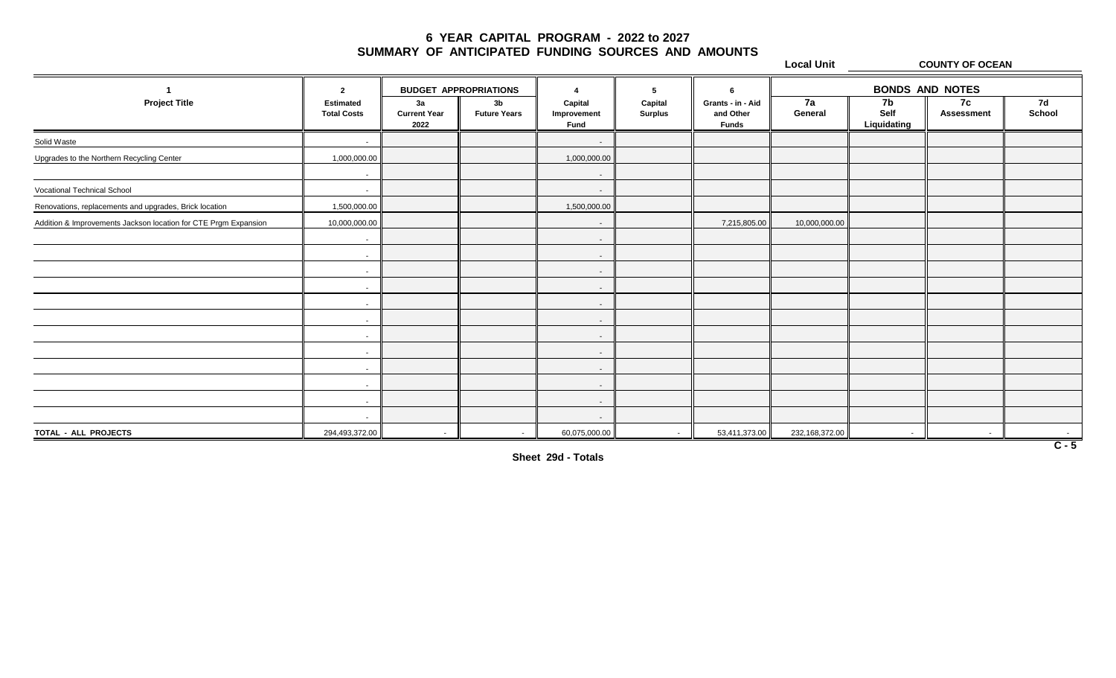**Local Unit COUNTY OF OCEAN**

|                                                                 | $\overline{2}$                  | <b>BUDGET APPROPRIATIONS</b>      |                                       |                                       | 5                         | -6                                             |                | <b>BONDS AND NOTES</b>    |                          |              |  |
|-----------------------------------------------------------------|---------------------------------|-----------------------------------|---------------------------------------|---------------------------------------|---------------------------|------------------------------------------------|----------------|---------------------------|--------------------------|--------------|--|
| <b>Project Title</b>                                            | Estimated<br><b>Total Costs</b> | 3a<br><b>Current Year</b><br>2022 | 3 <sub>b</sub><br><b>Future Years</b> | Capital<br>Improvement<br><b>Fund</b> | Capital<br><b>Surplus</b> | Grants - in - Aid<br>and Other<br><b>Funds</b> | 7a<br>General  | 7b<br>Self<br>Liquidating | 7c<br>Assessment         | 7d<br>School |  |
| Solid Waste                                                     | $\sim$                          |                                   |                                       | $\overline{\phantom{a}}$              |                           |                                                |                |                           |                          |              |  |
| Upgrades to the Northern Recycling Center                       | 1,000,000.00                    |                                   |                                       | 1,000,000.00                          |                           |                                                |                |                           |                          |              |  |
|                                                                 | $\sim$                          |                                   |                                       | $\sim$                                |                           |                                                |                |                           |                          |              |  |
| <b>Vocational Technical School</b>                              | $\sim$                          |                                   |                                       | $\sim$                                |                           |                                                |                |                           |                          |              |  |
| Renovations, replacements and upgrades, Brick location          | 1,500,000.00                    |                                   |                                       | 1,500,000.00                          |                           |                                                |                |                           |                          |              |  |
| Addition & Improvements Jackson location for CTE Prgm Expansion | 10,000,000.00                   |                                   |                                       | $\overline{\phantom{a}}$              |                           | 7,215,805.00                                   | 10,000,000.00  |                           |                          |              |  |
|                                                                 | $\sim$                          |                                   |                                       | $\sim$                                |                           |                                                |                |                           |                          |              |  |
|                                                                 | $\sim$                          |                                   |                                       | $\sim$                                |                           |                                                |                |                           |                          |              |  |
|                                                                 | $\sim$                          |                                   |                                       | $\overline{\phantom{a}}$              |                           |                                                |                |                           |                          |              |  |
|                                                                 | $\sim$                          |                                   |                                       | $\sim$                                |                           |                                                |                |                           |                          |              |  |
|                                                                 | $\sim$                          |                                   |                                       | $\sim$                                |                           |                                                |                |                           |                          |              |  |
|                                                                 | $\sim$                          |                                   |                                       | $\overline{\phantom{a}}$              |                           |                                                |                |                           |                          |              |  |
|                                                                 | $\sim$                          |                                   |                                       | $\sim$                                |                           |                                                |                |                           |                          |              |  |
|                                                                 | $\sim$                          |                                   |                                       | $\sim$                                |                           |                                                |                |                           |                          |              |  |
|                                                                 | $\sim$                          |                                   |                                       | $\overline{\phantom{a}}$              |                           |                                                |                |                           |                          |              |  |
|                                                                 | $\sim$                          |                                   |                                       | $\sim$                                |                           |                                                |                |                           |                          |              |  |
|                                                                 | $\sim$                          |                                   |                                       | $\sim$                                |                           |                                                |                |                           |                          |              |  |
|                                                                 | $\sim$                          |                                   |                                       | $\sim$                                |                           |                                                |                |                           |                          |              |  |
| TOTAL - ALL PROJECTS                                            | 294,493,372.00                  | $\sim$                            | $\sim$                                | 60,075,000.00                         | $\sim$                    | 53,411,373.00                                  | 232,168,372.00 | $\sim$                    | $\overline{\phantom{a}}$ |              |  |

**Sheet 29d - Totals**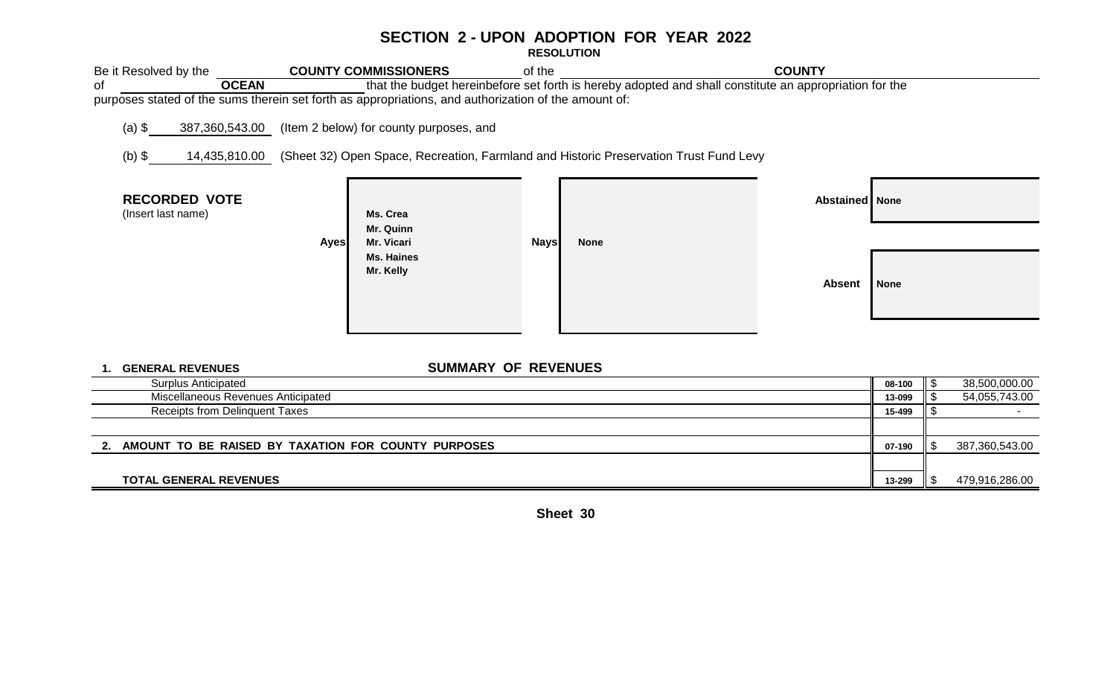## **SECTION 2 - UPON ADOPTION FOR YEAR 2022**

**RESOLUTION** 

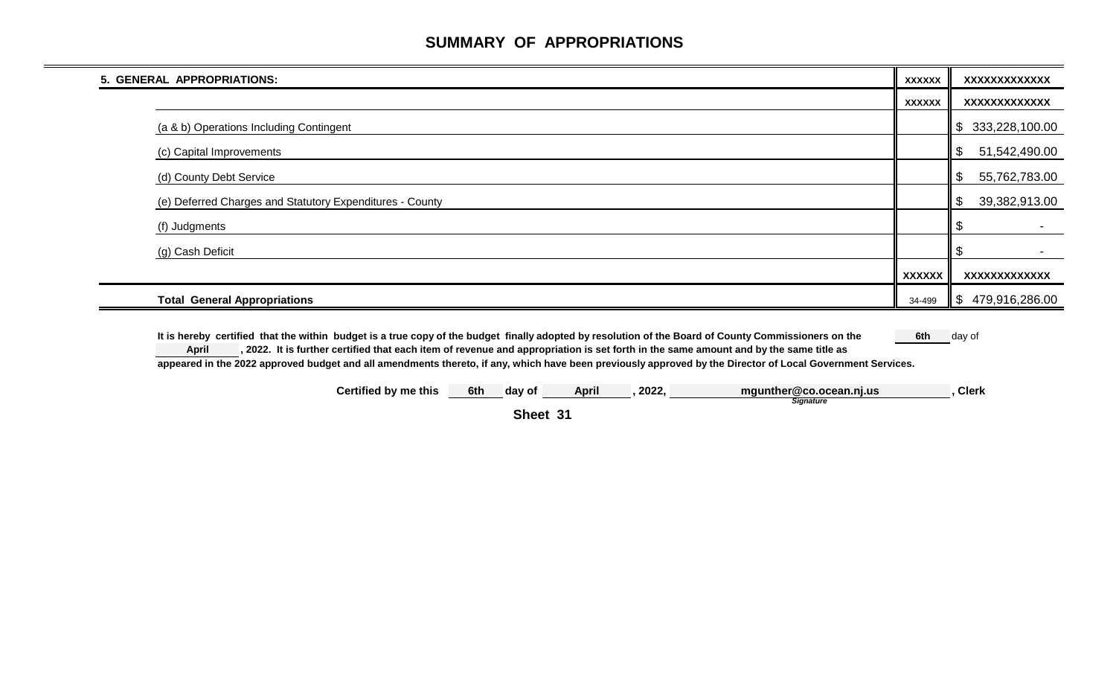# **SUMMARY OF APPROPRIATIONS**

| 5. GENERAL APPROPRIATIONS:                               | <b>XXXXXX</b> | XXXXXXXXXXXXX                              |
|----------------------------------------------------------|---------------|--------------------------------------------|
|                                                          | <b>XXXXXX</b> | <b>XXXXXXXXXXXXX</b>                       |
| (a & b) Operations Including Contingent                  |               | 333,228,100.00<br>\$                       |
| (c) Capital Improvements                                 |               | \$<br>51,542,490.00                        |
| (d) County Debt Service                                  |               | 55,762,783.00<br>\$                        |
| (e) Deferred Charges and Statutory Expenditures - County |               | $\boldsymbol{\mathsf{S}}$<br>39,382,913.00 |
| (f) Judgments                                            |               |                                            |
| (g) Cash Deficit                                         |               |                                            |
|                                                          | <b>XXXXXX</b> | XXXXXXXXXXXXX                              |
| <b>Total General Appropriations</b>                      | 34-499        | \$<br>479,916,286.00                       |

It is hereby certified that the within budget is a true copy of the budget finally adopted by resolution of the Board of County Commissioners on the 6th day of **, 2022. It is further certified that each item of revenue and appropriation is set forth in the same amount and by the same title as appeared in the 2022 approved budget and all amendments thereto, if any, which have been previously approved by the Director of Local Government Services. April**

**Certified by me this 6th day of April , 2022, , Clerk mgunther@co.ocean.nj.us** *Signature*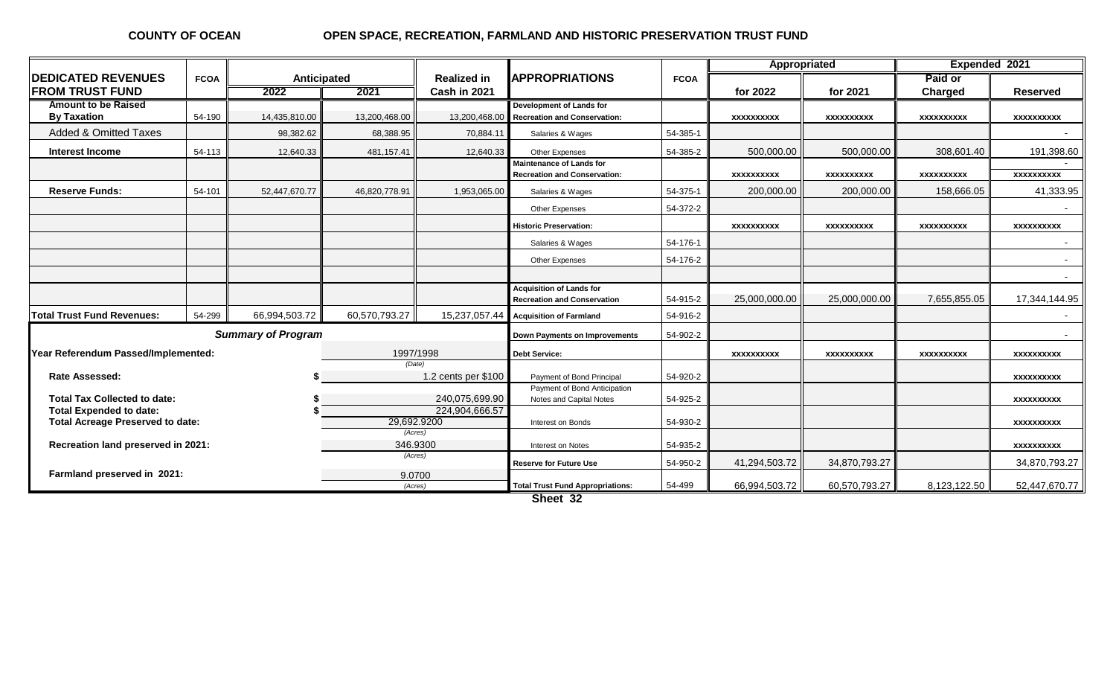#### **COUNTY OF OCEAN**

#### **OPEN SPACE, RECREATION, FARMLAND AND HISTORIC PRESERVATION TRUST FUND**

|                                                                                          |             |                           |                   |                                    |                                                                        |               | Appropriated      |                   | Expended 2021      |                   |  |
|------------------------------------------------------------------------------------------|-------------|---------------------------|-------------------|------------------------------------|------------------------------------------------------------------------|---------------|-------------------|-------------------|--------------------|-------------------|--|
| <b>IDEDICATED REVENUES</b><br><b>FROM TRUST FUND</b>                                     | <b>FCOA</b> | Anticipated<br>2022       | 2021              | <b>Realized in</b><br>Cash in 2021 | <b>APPROPRIATIONS</b>                                                  | <b>FCOA</b>   | for 2022          | for 2021          | Paid or<br>Charged | <b>Reserved</b>   |  |
| <b>Amount to be Raised</b><br><b>By Taxation</b>                                         | 54-190      | 14,435,810.00             | 13,200,468.00     | 13,200,468.00                      | Development of Lands for<br><b>Recreation and Conservation:</b>        |               | XXXXXXXXX         | <b>XXXXXXXXXX</b> | <b>XXXXXXXXXX</b>  | <b>XXXXXXXXXX</b> |  |
| <b>Added &amp; Omitted Taxes</b>                                                         |             | 98,382.62                 | 68,388.95         | 70,884.11                          | Salaries & Wages                                                       | 54-385-1      |                   |                   |                    |                   |  |
| Interest Income                                                                          | 54-113      | 12,640.33                 | 481,157.41        | 12,640.33                          | Other Expenses                                                         | 54-385-2      | 500,000.00        | 500.000.00        | 308,601.40         | 191,398.60        |  |
|                                                                                          |             |                           |                   |                                    | <b>Maintenance of Lands for</b><br><b>Recreation and Conservation:</b> |               | XXXXXXXXX         | <b>XXXXXXXXXX</b> | <b>XXXXXXXXXX</b>  | xxxxxxxxxx        |  |
| <b>Reserve Funds:</b>                                                                    | 54-101      | 52,447,670.77             | 46,820,778.91     | 1,953,065.00                       | Salaries & Wages                                                       | 54-375-1      | 200,000.00        | 200,000.00        | 158,666.05         | 41,333.95         |  |
|                                                                                          |             |                           |                   |                                    | <b>Other Expenses</b>                                                  | 54-372-2      |                   |                   |                    |                   |  |
|                                                                                          |             |                           |                   |                                    | <b>Historic Preservation:</b>                                          |               | XXXXXXXXX         | <b>XXXXXXXXXX</b> | XXXXXXXXX          | <b>XXXXXXXXXX</b> |  |
|                                                                                          |             |                           |                   |                                    | Salaries & Wages                                                       | 54-176-1      |                   |                   |                    |                   |  |
|                                                                                          |             |                           |                   |                                    | Other Expenses                                                         | 54-176-2      |                   |                   |                    |                   |  |
|                                                                                          |             |                           |                   |                                    |                                                                        |               |                   |                   |                    |                   |  |
|                                                                                          |             |                           |                   |                                    | <b>Acquisition of Lands for</b><br><b>Recreation and Conservation</b>  | 54-915-2      | 25,000,000.00     | 25,000,000.00     | 7,655,855.05       | 17,344,144.95     |  |
| <b>Total Trust Fund Revenues:</b>                                                        | 54-299      | 66,994,503.72             | 60,570,793.27     | 15,237,057.44                      | <b>Acquisition of Farmland</b>                                         | 54-916-2      |                   |                   |                    | $\sim$            |  |
|                                                                                          |             | <b>Summary of Program</b> |                   |                                    | Down Payments on Improvements                                          | 54-902-2      |                   |                   |                    |                   |  |
| Year Referendum Passed/Implemented:                                                      |             |                           | 1997/1998         |                                    | <b>Debt Service:</b>                                                   |               | <b>XXXXXXXXXX</b> | XXXXXXXXX         | <b>XXXXXXXXXX</b>  | <b>XXXXXXXXXX</b> |  |
| <b>Rate Assessed:</b>                                                                    |             |                           | (Date)            | 1.2 cents per \$100                | Payment of Bond Principal                                              | 54-920-2      |                   |                   |                    | <b>XXXXXXXXXX</b> |  |
| <b>Total Tax Collected to date:</b>                                                      |             |                           |                   | 240,075,699.90                     | Payment of Bond Anticipation<br>Notes and Capital Notes                | 54-925-2      |                   |                   |                    | XXXXXXXXXX        |  |
| <b>Total Expended to date:</b><br>29,692.9200<br><b>Total Acreage Preserved to date:</b> |             |                           | 224,904,666.57    | Interest on Bonds                  | 54-930-2                                                               |               |                   |                   | <b>XXXXXXXXXX</b>  |                   |  |
| (Acres)<br>346.9300<br>Recreation land preserved in 2021:                                |             |                           |                   | Interest on Notes                  | 54-935-2                                                               |               |                   |                   | <b>XXXXXXXXXX</b>  |                   |  |
| (Acres)                                                                                  |             |                           |                   | <b>Reserve for Future Use</b>      | 54-950-2                                                               | 41,294,503.72 | 34,870,793.27     |                   | 34,870,793.27      |                   |  |
| Farmland preserved in 2021:                                                              |             |                           | 9.0700<br>(Acres) |                                    | <b>Total Trust Fund Appropriations:</b>                                | 54-499        | 66,994,503.72     | 60,570,793.27     | 8,123,122.50       | 52,447,670.77     |  |